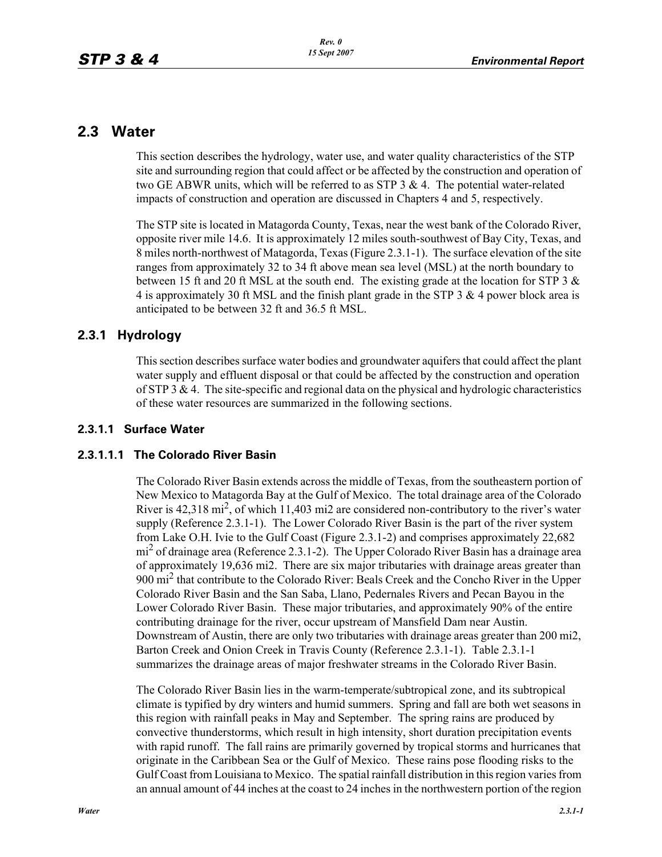## **2.3 Water**

This section describes the hydrology, water use, and water quality characteristics of the STP site and surrounding region that could affect or be affected by the construction and operation of two GE ABWR units, which will be referred to as STP  $3 \& 4$ . The potential water-related impacts of construction and operation are discussed in Chapters 4 and 5, respectively.

The STP site is located in Matagorda County, Texas, near the west bank of the Colorado River, opposite river mile 14.6. It is approximately 12 miles south-southwest of Bay City, Texas, and 8 miles north-northwest of Matagorda, Texas (Figure 2.3.1-1). The surface elevation of the site ranges from approximately 32 to 34 ft above mean sea level (MSL) at the north boundary to between 15 ft and 20 ft MSL at the south end. The existing grade at the location for STP 3  $\&$ 4 is approximately 30 ft MSL and the finish plant grade in the STP 3 & 4 power block area is anticipated to be between 32 ft and 36.5 ft MSL.

### **2.3.1 Hydrology**

This section describes surface water bodies and groundwater aquifers that could affect the plant water supply and effluent disposal or that could be affected by the construction and operation of STP 3  $\&$  4. The site-specific and regional data on the physical and hydrologic characteristics of these water resources are summarized in the following sections.

#### **2.3.1.1 Surface Water**

### **2.3.1.1.1 The Colorado River Basin**

The Colorado River Basin extends across the middle of Texas, from the southeastern portion of New Mexico to Matagorda Bay at the Gulf of Mexico. The total drainage area of the Colorado River is  $42,318 \text{ mi}^2$ , of which 11,403 mi2 are considered non-contributory to the river's water supply (Reference 2.3.1-1). The Lower Colorado River Basin is the part of the river system from Lake O.H. Ivie to the Gulf Coast (Figure 2.3.1-2) and comprises approximately 22,682 mi<sup>2</sup> of drainage area (Reference 2.3.1-2). The Upper Colorado River Basin has a drainage area of approximately 19,636 mi2. There are six major tributaries with drainage areas greater than 900 mi2 that contribute to the Colorado River: Beals Creek and the Concho River in the Upper Colorado River Basin and the San Saba, Llano, Pedernales Rivers and Pecan Bayou in the Lower Colorado River Basin. These major tributaries, and approximately 90% of the entire contributing drainage for the river, occur upstream of Mansfield Dam near Austin. Downstream of Austin, there are only two tributaries with drainage areas greater than 200 mi2, Barton Creek and Onion Creek in Travis County (Reference 2.3.1-1). Table 2.3.1-1 summarizes the drainage areas of major freshwater streams in the Colorado River Basin.

The Colorado River Basin lies in the warm-temperate/subtropical zone, and its subtropical climate is typified by dry winters and humid summers. Spring and fall are both wet seasons in this region with rainfall peaks in May and September. The spring rains are produced by convective thunderstorms, which result in high intensity, short duration precipitation events with rapid runoff. The fall rains are primarily governed by tropical storms and hurricanes that originate in the Caribbean Sea or the Gulf of Mexico. These rains pose flooding risks to the Gulf Coast from Louisiana to Mexico. The spatial rainfall distribution in this region varies from an annual amount of 44 inches at the coast to 24 inches in the northwestern portion of the region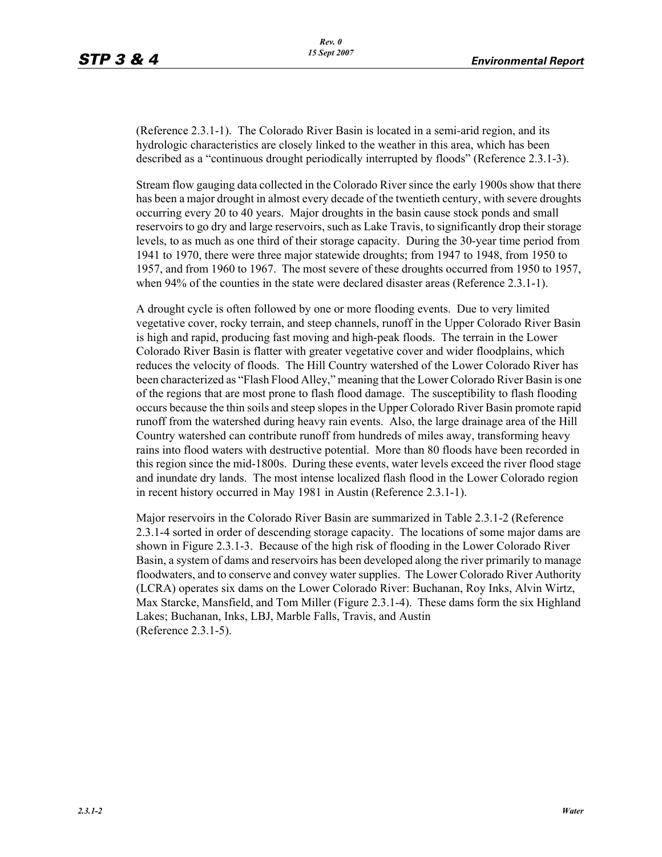(Reference 2.3.1-1). The Colorado River Basin is located in a semi-arid region, and its hydrologic characteristics are closely linked to the weather in this area, which has been described as a "continuous drought periodically interrupted by floods" (Reference 2.3.1-3).

Stream flow gauging data collected in the Colorado River since the early 1900s show that there has been a major drought in almost every decade of the twentieth century, with severe droughts occurring every 20 to 40 years. Major droughts in the basin cause stock ponds and small reservoirs to go dry and large reservoirs, such as Lake Travis, to significantly drop their storage levels, to as much as one third of their storage capacity. During the 30-year time period from 1941 to 1970, there were three major statewide droughts; from 1947 to 1948, from 1950 to 1957, and from 1960 to 1967. The most severe of these droughts occurred from 1950 to 1957, when 94% of the counties in the state were declared disaster areas (Reference 2.3.1-1).

A drought cycle is often followed by one or more flooding events. Due to very limited vegetative cover, rocky terrain, and steep channels, runoff in the Upper Colorado River Basin is high and rapid, producing fast moving and high-peak floods. The terrain in the Lower Colorado River Basin is flatter with greater vegetative cover and wider floodplains, which reduces the velocity of floods. The Hill Country watershed of the Lower Colorado River has been characterized as "Flash Flood Alley," meaning that the Lower Colorado River Basin is one of the regions that are most prone to flash flood damage. The susceptibility to flash flooding occurs because the thin soils and steep slopes in the Upper Colorado River Basin promote rapid runoff from the watershed during heavy rain events. Also, the large drainage area of the Hill Country watershed can contribute runoff from hundreds of miles away, transforming heavy rains into flood waters with destructive potential. More than 80 floods have been recorded in this region since the mid-1800s. During these events, water levels exceed the river flood stage and inundate dry lands. The most intense localized flash flood in the Lower Colorado region in recent history occurred in May 1981 in Austin (Reference 2.3.1-1).

Major reservoirs in the Colorado River Basin are summarized in Table 2.3.1-2 (Reference 2.3.1-4 sorted in order of descending storage capacity. The locations of some major dams are shown in Figure 2.3.1-3. Because of the high risk of flooding in the Lower Colorado River Basin, a system of dams and reservoirs has been developed along the river primarily to manage floodwaters, and to conserve and convey water supplies. The Lower Colorado River Authority (LCRA) operates six dams on the Lower Colorado River: Buchanan, Roy Inks, Alvin Wirtz, Max Starcke, Mansfield, and Tom Miller (Figure 2.3.1-4). These dams form the six Highland Lakes; Buchanan, Inks, LBJ, Marble Falls, Travis, and Austin (Reference 2.3.1-5).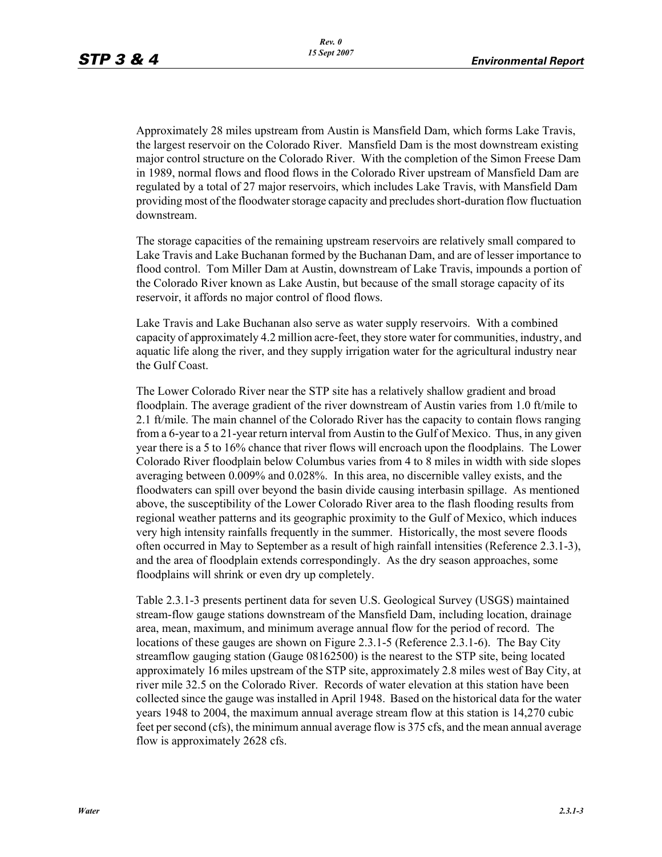Approximately 28 miles upstream from Austin is Mansfield Dam, which forms Lake Travis, the largest reservoir on the Colorado River. Mansfield Dam is the most downstream existing major control structure on the Colorado River. With the completion of the Simon Freese Dam in 1989, normal flows and flood flows in the Colorado River upstream of Mansfield Dam are regulated by a total of 27 major reservoirs, which includes Lake Travis, with Mansfield Dam providing most of the floodwater storage capacity and precludes short-duration flow fluctuation downstream.

The storage capacities of the remaining upstream reservoirs are relatively small compared to Lake Travis and Lake Buchanan formed by the Buchanan Dam, and are of lesser importance to flood control. Tom Miller Dam at Austin, downstream of Lake Travis, impounds a portion of the Colorado River known as Lake Austin, but because of the small storage capacity of its reservoir, it affords no major control of flood flows.

Lake Travis and Lake Buchanan also serve as water supply reservoirs. With a combined capacity of approximately 4.2 million acre-feet, they store water for communities, industry, and aquatic life along the river, and they supply irrigation water for the agricultural industry near the Gulf Coast.

The Lower Colorado River near the STP site has a relatively shallow gradient and broad floodplain. The average gradient of the river downstream of Austin varies from 1.0 ft/mile to 2.1 ft/mile. The main channel of the Colorado River has the capacity to contain flows ranging from a 6-year to a 21-year return interval from Austin to the Gulf of Mexico. Thus, in any given year there is a 5 to 16% chance that river flows will encroach upon the floodplains. The Lower Colorado River floodplain below Columbus varies from 4 to 8 miles in width with side slopes averaging between 0.009% and 0.028%. In this area, no discernible valley exists, and the floodwaters can spill over beyond the basin divide causing interbasin spillage. As mentioned above, the susceptibility of the Lower Colorado River area to the flash flooding results from regional weather patterns and its geographic proximity to the Gulf of Mexico, which induces very high intensity rainfalls frequently in the summer. Historically, the most severe floods often occurred in May to September as a result of high rainfall intensities (Reference 2.3.1-3), and the area of floodplain extends correspondingly. As the dry season approaches, some floodplains will shrink or even dry up completely.

Table 2.3.1-3 presents pertinent data for seven U.S. Geological Survey (USGS) maintained stream-flow gauge stations downstream of the Mansfield Dam, including location, drainage area, mean, maximum, and minimum average annual flow for the period of record. The locations of these gauges are shown on Figure 2.3.1-5 (Reference 2.3.1-6). The Bay City streamflow gauging station (Gauge 08162500) is the nearest to the STP site, being located approximately 16 miles upstream of the STP site, approximately 2.8 miles west of Bay City, at river mile 32.5 on the Colorado River. Records of water elevation at this station have been collected since the gauge was installed in April 1948. Based on the historical data for the water years 1948 to 2004, the maximum annual average stream flow at this station is 14,270 cubic feet per second (cfs), the minimum annual average flow is 375 cfs, and the mean annual average flow is approximately 2628 cfs.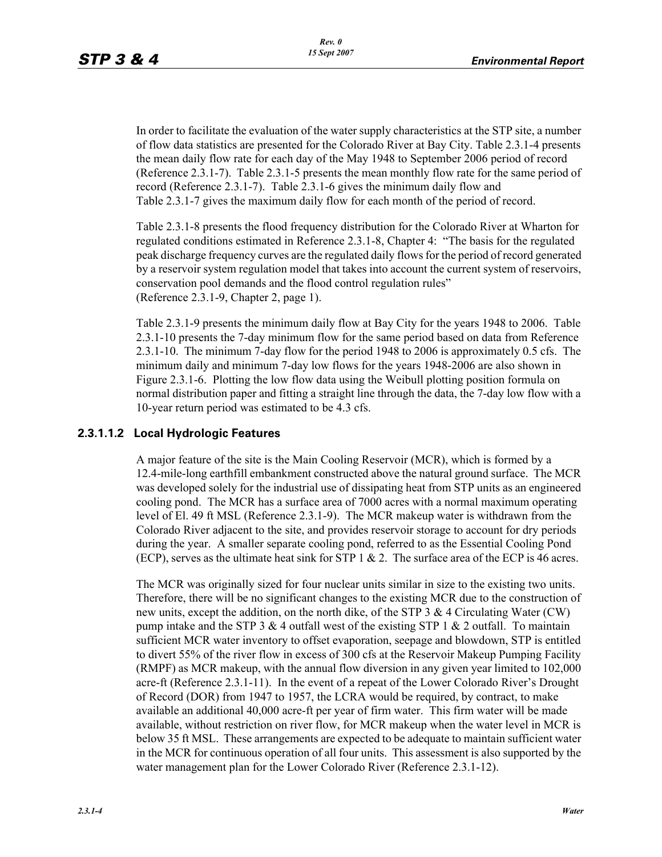In order to facilitate the evaluation of the water supply characteristics at the STP site, a number of flow data statistics are presented for the Colorado River at Bay City. Table 2.3.1-4 presents the mean daily flow rate for each day of the May 1948 to September 2006 period of record (Reference 2.3.1-7). Table 2.3.1-5 presents the mean monthly flow rate for the same period of record (Reference 2.3.1-7). Table 2.3.1-6 gives the minimum daily flow and Table 2.3.1-7 gives the maximum daily flow for each month of the period of record.

Table 2.3.1-8 presents the flood frequency distribution for the Colorado River at Wharton for regulated conditions estimated in Reference 2.3.1-8, Chapter 4: "The basis for the regulated peak discharge frequency curves are the regulated daily flows for the period of record generated by a reservoir system regulation model that takes into account the current system of reservoirs, conservation pool demands and the flood control regulation rules" (Reference 2.3.1-9, Chapter 2, page 1).

Table 2.3.1-9 presents the minimum daily flow at Bay City for the years 1948 to 2006. Table 2.3.1-10 presents the 7-day minimum flow for the same period based on data from Reference 2.3.1-10. The minimum 7-day flow for the period 1948 to 2006 is approximately 0.5 cfs. The minimum daily and minimum 7-day low flows for the years 1948-2006 are also shown in Figure 2.3.1-6. Plotting the low flow data using the Weibull plotting position formula on normal distribution paper and fitting a straight line through the data, the 7-day low flow with a 10-year return period was estimated to be 4.3 cfs.

### **2.3.1.1.2 Local Hydrologic Features**

A major feature of the site is the Main Cooling Reservoir (MCR), which is formed by a 12.4-mile-long earthfill embankment constructed above the natural ground surface. The MCR was developed solely for the industrial use of dissipating heat from STP units as an engineered cooling pond. The MCR has a surface area of 7000 acres with a normal maximum operating level of El. 49 ft MSL (Reference 2.3.1-9). The MCR makeup water is withdrawn from the Colorado River adjacent to the site, and provides reservoir storage to account for dry periods during the year. A smaller separate cooling pond, referred to as the Essential Cooling Pond (ECP), serves as the ultimate heat sink for STP  $1 \& 2$ . The surface area of the ECP is 46 acres.

The MCR was originally sized for four nuclear units similar in size to the existing two units. Therefore, there will be no significant changes to the existing MCR due to the construction of new units, except the addition, on the north dike, of the STP 3 & 4 Circulating Water (CW) pump intake and the STP 3  $& 4$  outfall west of the existing STP 1  $& 2$  outfall. To maintain sufficient MCR water inventory to offset evaporation, seepage and blowdown, STP is entitled to divert 55% of the river flow in excess of 300 cfs at the Reservoir Makeup Pumping Facility (RMPF) as MCR makeup, with the annual flow diversion in any given year limited to 102,000 acre-ft (Reference 2.3.1-11). In the event of a repeat of the Lower Colorado River's Drought of Record (DOR) from 1947 to 1957, the LCRA would be required, by contract, to make available an additional 40,000 acre-ft per year of firm water. This firm water will be made available, without restriction on river flow, for MCR makeup when the water level in MCR is below 35 ft MSL. These arrangements are expected to be adequate to maintain sufficient water in the MCR for continuous operation of all four units. This assessment is also supported by the water management plan for the Lower Colorado River (Reference 2.3.1-12).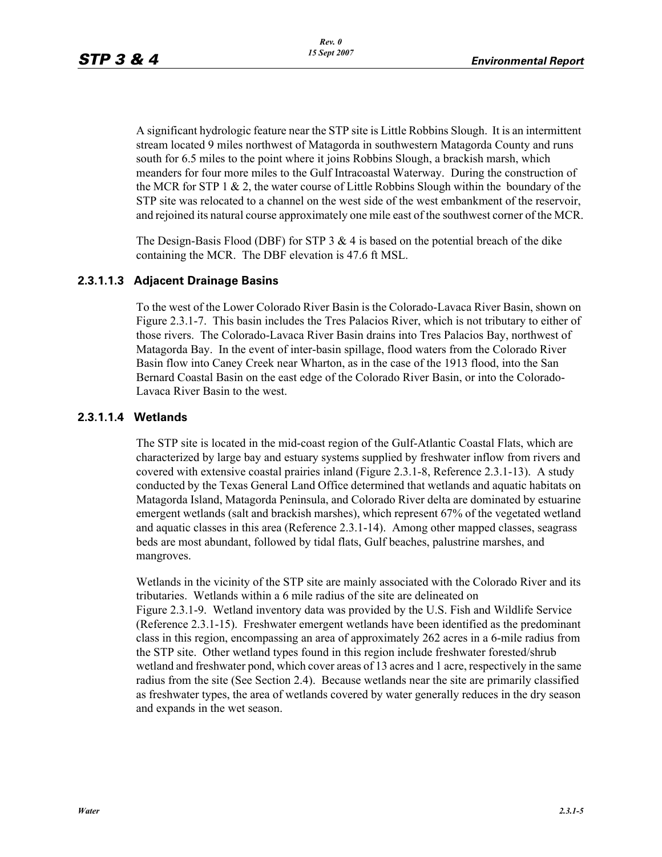A significant hydrologic feature near the STP site is Little Robbins Slough. It is an intermittent stream located 9 miles northwest of Matagorda in southwestern Matagorda County and runs south for 6.5 miles to the point where it joins Robbins Slough, a brackish marsh, which meanders for four more miles to the Gulf Intracoastal Waterway. During the construction of the MCR for STP 1  $\&$  2, the water course of Little Robbins Slough within the boundary of the STP site was relocated to a channel on the west side of the west embankment of the reservoir, and rejoined its natural course approximately one mile east of the southwest corner of the MCR.

The Design-Basis Flood (DBF) for STP 3  $\&$  4 is based on the potential breach of the dike containing the MCR. The DBF elevation is 47.6 ft MSL.

#### **2.3.1.1.3 Adjacent Drainage Basins**

To the west of the Lower Colorado River Basin is the Colorado-Lavaca River Basin, shown on Figure 2.3.1-7. This basin includes the Tres Palacios River, which is not tributary to either of those rivers. The Colorado-Lavaca River Basin drains into Tres Palacios Bay, northwest of Matagorda Bay. In the event of inter-basin spillage, flood waters from the Colorado River Basin flow into Caney Creek near Wharton, as in the case of the 1913 flood, into the San Bernard Coastal Basin on the east edge of the Colorado River Basin, or into the Colorado-Lavaca River Basin to the west.

#### **2.3.1.1.4 Wetlands**

The STP site is located in the mid-coast region of the Gulf-Atlantic Coastal Flats, which are characterized by large bay and estuary systems supplied by freshwater inflow from rivers and covered with extensive coastal prairies inland (Figure 2.3.1-8, Reference 2.3.1-13). A study conducted by the Texas General Land Office determined that wetlands and aquatic habitats on Matagorda Island, Matagorda Peninsula, and Colorado River delta are dominated by estuarine emergent wetlands (salt and brackish marshes), which represent 67% of the vegetated wetland and aquatic classes in this area (Reference 2.3.1-14). Among other mapped classes, seagrass beds are most abundant, followed by tidal flats, Gulf beaches, palustrine marshes, and mangroves.

Wetlands in the vicinity of the STP site are mainly associated with the Colorado River and its tributaries. Wetlands within a 6 mile radius of the site are delineated on Figure 2.3.1-9. Wetland inventory data was provided by the U.S. Fish and Wildlife Service (Reference 2.3.1-15). Freshwater emergent wetlands have been identified as the predominant class in this region, encompassing an area of approximately 262 acres in a 6-mile radius from the STP site. Other wetland types found in this region include freshwater forested/shrub wetland and freshwater pond, which cover areas of 13 acres and 1 acre, respectively in the same radius from the site (See Section 2.4). Because wetlands near the site are primarily classified as freshwater types, the area of wetlands covered by water generally reduces in the dry season and expands in the wet season.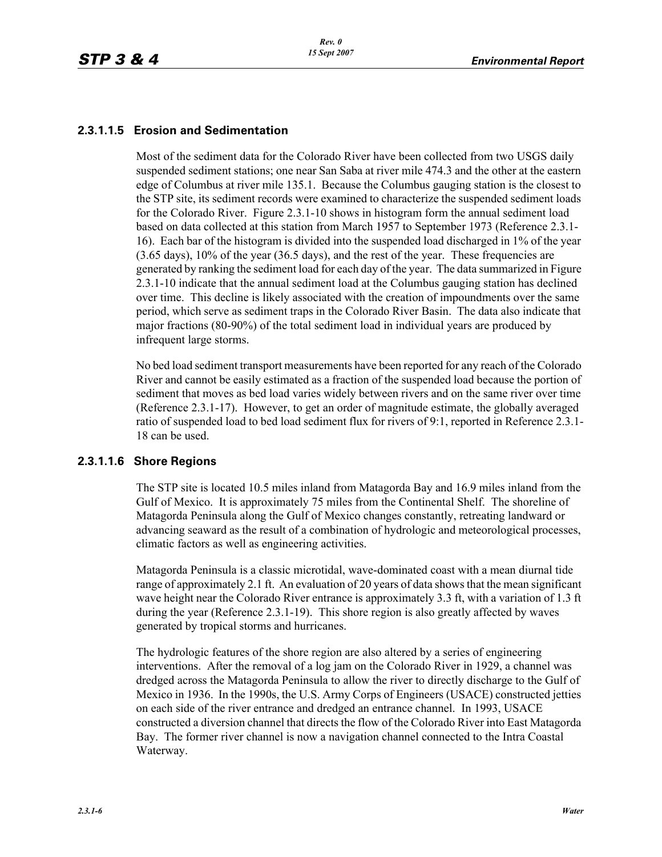### **2.3.1.1.5 Erosion and Sedimentation**

Most of the sediment data for the Colorado River have been collected from two USGS daily suspended sediment stations; one near San Saba at river mile 474.3 and the other at the eastern edge of Columbus at river mile 135.1. Because the Columbus gauging station is the closest to the STP site, its sediment records were examined to characterize the suspended sediment loads for the Colorado River. Figure 2.3.1-10 shows in histogram form the annual sediment load based on data collected at this station from March 1957 to September 1973 (Reference 2.3.1- 16). Each bar of the histogram is divided into the suspended load discharged in 1% of the year (3.65 days), 10% of the year (36.5 days), and the rest of the year. These frequencies are generated by ranking the sediment load for each day of the year. The data summarized in Figure 2.3.1-10 indicate that the annual sediment load at the Columbus gauging station has declined over time. This decline is likely associated with the creation of impoundments over the same period, which serve as sediment traps in the Colorado River Basin. The data also indicate that major fractions (80-90%) of the total sediment load in individual years are produced by infrequent large storms.

No bed load sediment transport measurements have been reported for any reach of the Colorado River and cannot be easily estimated as a fraction of the suspended load because the portion of sediment that moves as bed load varies widely between rivers and on the same river over time (Reference 2.3.1-17). However, to get an order of magnitude estimate, the globally averaged ratio of suspended load to bed load sediment flux for rivers of 9:1, reported in Reference 2.3.1- 18 can be used.

### **2.3.1.1.6 Shore Regions**

The STP site is located 10.5 miles inland from Matagorda Bay and 16.9 miles inland from the Gulf of Mexico. It is approximately 75 miles from the Continental Shelf. The shoreline of Matagorda Peninsula along the Gulf of Mexico changes constantly, retreating landward or advancing seaward as the result of a combination of hydrologic and meteorological processes, climatic factors as well as engineering activities.

Matagorda Peninsula is a classic microtidal, wave-dominated coast with a mean diurnal tide range of approximately 2.1 ft. An evaluation of 20 years of data shows that the mean significant wave height near the Colorado River entrance is approximately 3.3 ft, with a variation of 1.3 ft during the year (Reference 2.3.1-19). This shore region is also greatly affected by waves generated by tropical storms and hurricanes.

The hydrologic features of the shore region are also altered by a series of engineering interventions. After the removal of a log jam on the Colorado River in 1929, a channel was dredged across the Matagorda Peninsula to allow the river to directly discharge to the Gulf of Mexico in 1936. In the 1990s, the U.S. Army Corps of Engineers (USACE) constructed jetties on each side of the river entrance and dredged an entrance channel. In 1993, USACE constructed a diversion channel that directs the flow of the Colorado River into East Matagorda Bay. The former river channel is now a navigation channel connected to the Intra Coastal Waterway.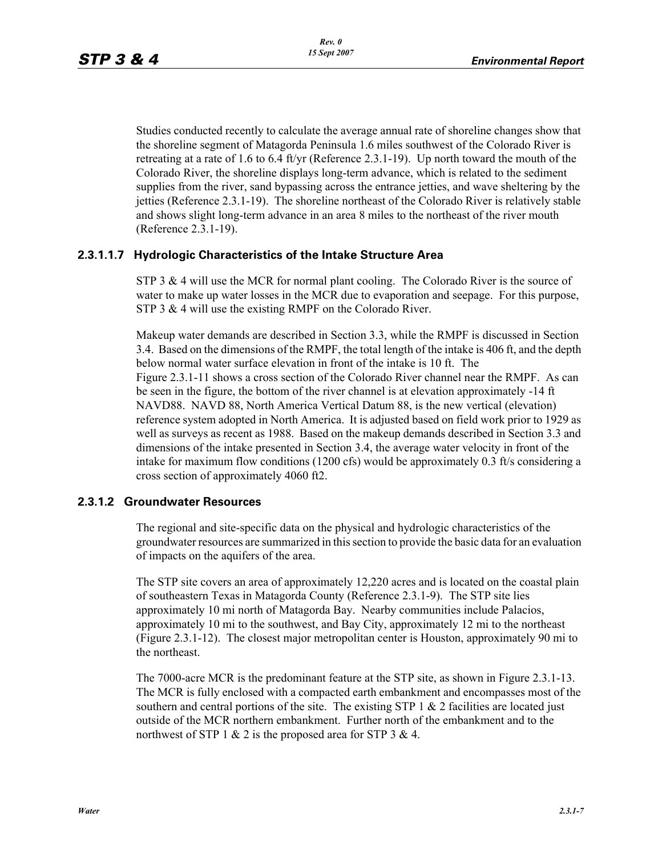Studies conducted recently to calculate the average annual rate of shoreline changes show that the shoreline segment of Matagorda Peninsula 1.6 miles southwest of the Colorado River is retreating at a rate of 1.6 to 6.4 ft/yr (Reference 2.3.1-19). Up north toward the mouth of the Colorado River, the shoreline displays long-term advance, which is related to the sediment supplies from the river, sand bypassing across the entrance jetties, and wave sheltering by the jetties (Reference 2.3.1-19). The shoreline northeast of the Colorado River is relatively stable and shows slight long-term advance in an area 8 miles to the northeast of the river mouth (Reference 2.3.1-19).

#### **2.3.1.1.7 Hydrologic Characteristics of the Intake Structure Area**

STP 3  $\&$  4 will use the MCR for normal plant cooling. The Colorado River is the source of water to make up water losses in the MCR due to evaporation and seepage. For this purpose, STP 3 & 4 will use the existing RMPF on the Colorado River.

Makeup water demands are described in Section 3.3, while the RMPF is discussed in Section 3.4. Based on the dimensions of the RMPF, the total length of the intake is 406 ft, and the depth below normal water surface elevation in front of the intake is 10 ft. The Figure 2.3.1-11 shows a cross section of the Colorado River channel near the RMPF. As can be seen in the figure, the bottom of the river channel is at elevation approximately -14 ft NAVD88. NAVD 88, North America Vertical Datum 88, is the new vertical (elevation) reference system adopted in North America. It is adjusted based on field work prior to 1929 as well as surveys as recent as 1988. Based on the makeup demands described in Section 3.3 and dimensions of the intake presented in Section 3.4, the average water velocity in front of the intake for maximum flow conditions (1200 cfs) would be approximately 0.3 ft/s considering a cross section of approximately 4060 ft2.

#### **2.3.1.2 Groundwater Resources**

The regional and site-specific data on the physical and hydrologic characteristics of the groundwater resources are summarized in this section to provide the basic data for an evaluation of impacts on the aquifers of the area.

The STP site covers an area of approximately 12,220 acres and is located on the coastal plain of southeastern Texas in Matagorda County (Reference 2.3.1-9). The STP site lies approximately 10 mi north of Matagorda Bay. Nearby communities include Palacios, approximately 10 mi to the southwest, and Bay City, approximately 12 mi to the northeast (Figure 2.3.1-12). The closest major metropolitan center is Houston, approximately 90 mi to the northeast.

The 7000-acre MCR is the predominant feature at the STP site, as shown in Figure 2.3.1-13. The MCR is fully enclosed with a compacted earth embankment and encompasses most of the southern and central portions of the site. The existing STP  $1 \& 2$  facilities are located just outside of the MCR northern embankment. Further north of the embankment and to the northwest of STP 1  $\&$  2 is the proposed area for STP 3  $\&$  4.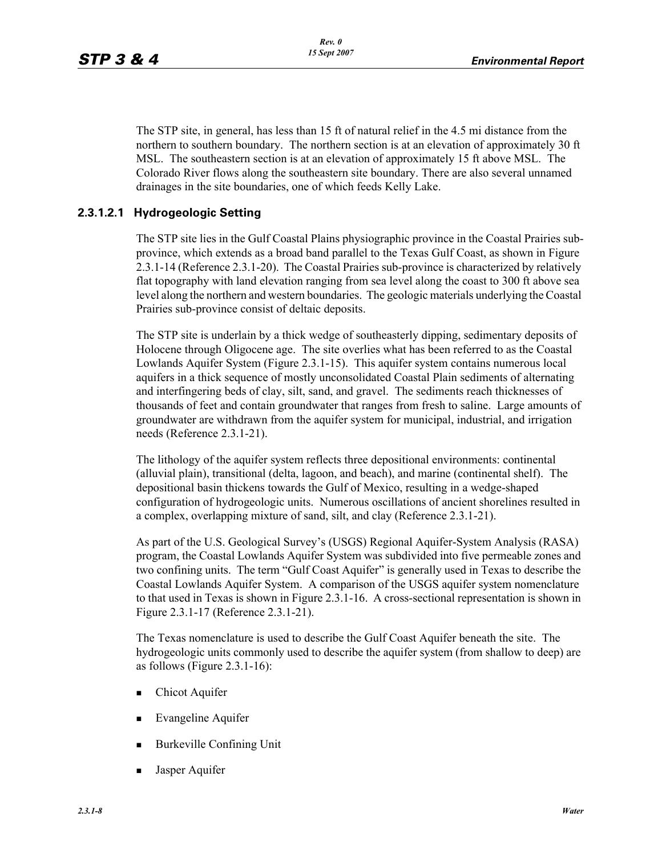The STP site, in general, has less than 15 ft of natural relief in the 4.5 mi distance from the northern to southern boundary. The northern section is at an elevation of approximately 30 ft MSL. The southeastern section is at an elevation of approximately 15 ft above MSL. The Colorado River flows along the southeastern site boundary. There are also several unnamed drainages in the site boundaries, one of which feeds Kelly Lake.

### **2.3.1.2.1 Hydrogeologic Setting**

The STP site lies in the Gulf Coastal Plains physiographic province in the Coastal Prairies subprovince, which extends as a broad band parallel to the Texas Gulf Coast, as shown in Figure 2.3.1-14 (Reference 2.3.1-20). The Coastal Prairies sub-province is characterized by relatively flat topography with land elevation ranging from sea level along the coast to 300 ft above sea level along the northern and western boundaries. The geologic materials underlying the Coastal Prairies sub-province consist of deltaic deposits.

The STP site is underlain by a thick wedge of southeasterly dipping, sedimentary deposits of Holocene through Oligocene age. The site overlies what has been referred to as the Coastal Lowlands Aquifer System (Figure 2.3.1-15). This aquifer system contains numerous local aquifers in a thick sequence of mostly unconsolidated Coastal Plain sediments of alternating and interfingering beds of clay, silt, sand, and gravel. The sediments reach thicknesses of thousands of feet and contain groundwater that ranges from fresh to saline. Large amounts of groundwater are withdrawn from the aquifer system for municipal, industrial, and irrigation needs (Reference 2.3.1-21).

The lithology of the aquifer system reflects three depositional environments: continental (alluvial plain), transitional (delta, lagoon, and beach), and marine (continental shelf). The depositional basin thickens towards the Gulf of Mexico, resulting in a wedge-shaped configuration of hydrogeologic units. Numerous oscillations of ancient shorelines resulted in a complex, overlapping mixture of sand, silt, and clay (Reference 2.3.1-21).

As part of the U.S. Geological Survey's (USGS) Regional Aquifer-System Analysis (RASA) program, the Coastal Lowlands Aquifer System was subdivided into five permeable zones and two confining units. The term "Gulf Coast Aquifer" is generally used in Texas to describe the Coastal Lowlands Aquifer System. A comparison of the USGS aquifer system nomenclature to that used in Texas is shown in Figure 2.3.1-16. A cross-sectional representation is shown in Figure 2.3.1-17 (Reference 2.3.1-21).

The Texas nomenclature is used to describe the Gulf Coast Aquifer beneath the site. The hydrogeologic units commonly used to describe the aquifer system (from shallow to deep) are as follows (Figure 2.3.1-16):

- Chicot Aquifer
- **Evangeline Aquifer**
- Burkeville Confining Unit
- Jasper Aquifer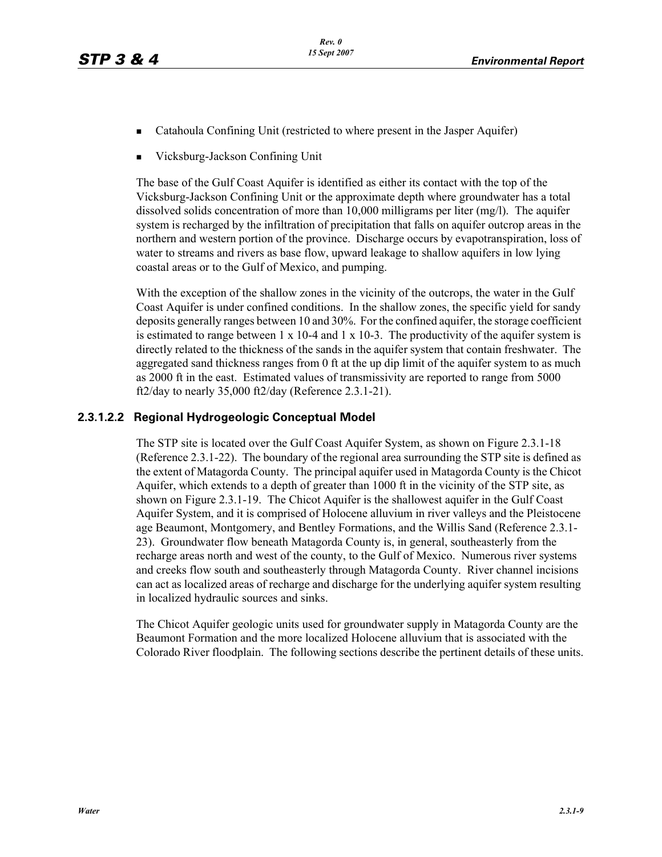- Catahoula Confining Unit (restricted to where present in the Jasper Aquifer)
- Vicksburg-Jackson Confining Unit

The base of the Gulf Coast Aquifer is identified as either its contact with the top of the Vicksburg-Jackson Confining Unit or the approximate depth where groundwater has a total dissolved solids concentration of more than 10,000 milligrams per liter (mg/l). The aquifer system is recharged by the infiltration of precipitation that falls on aquifer outcrop areas in the northern and western portion of the province. Discharge occurs by evapotranspiration, loss of water to streams and rivers as base flow, upward leakage to shallow aquifers in low lying coastal areas or to the Gulf of Mexico, and pumping.

With the exception of the shallow zones in the vicinity of the outcrops, the water in the Gulf Coast Aquifer is under confined conditions. In the shallow zones, the specific yield for sandy deposits generally ranges between 10 and 30%. For the confined aquifer, the storage coefficient is estimated to range between  $1 \times 10^{-4}$  and  $1 \times 10^{-3}$ . The productivity of the aquifer system is directly related to the thickness of the sands in the aquifer system that contain freshwater. The aggregated sand thickness ranges from 0 ft at the up dip limit of the aquifer system to as much as 2000 ft in the east. Estimated values of transmissivity are reported to range from 5000 ft2/day to nearly 35,000 ft2/day (Reference 2.3.1-21).

### **2.3.1.2.2 Regional Hydrogeologic Conceptual Model**

The STP site is located over the Gulf Coast Aquifer System, as shown on Figure 2.3.1-18 (Reference 2.3.1-22). The boundary of the regional area surrounding the STP site is defined as the extent of Matagorda County. The principal aquifer used in Matagorda County is the Chicot Aquifer, which extends to a depth of greater than 1000 ft in the vicinity of the STP site, as shown on Figure 2.3.1-19. The Chicot Aquifer is the shallowest aquifer in the Gulf Coast Aquifer System, and it is comprised of Holocene alluvium in river valleys and the Pleistocene age Beaumont, Montgomery, and Bentley Formations, and the Willis Sand (Reference 2.3.1- 23). Groundwater flow beneath Matagorda County is, in general, southeasterly from the recharge areas north and west of the county, to the Gulf of Mexico. Numerous river systems and creeks flow south and southeasterly through Matagorda County. River channel incisions can act as localized areas of recharge and discharge for the underlying aquifer system resulting in localized hydraulic sources and sinks.

The Chicot Aquifer geologic units used for groundwater supply in Matagorda County are the Beaumont Formation and the more localized Holocene alluvium that is associated with the Colorado River floodplain. The following sections describe the pertinent details of these units.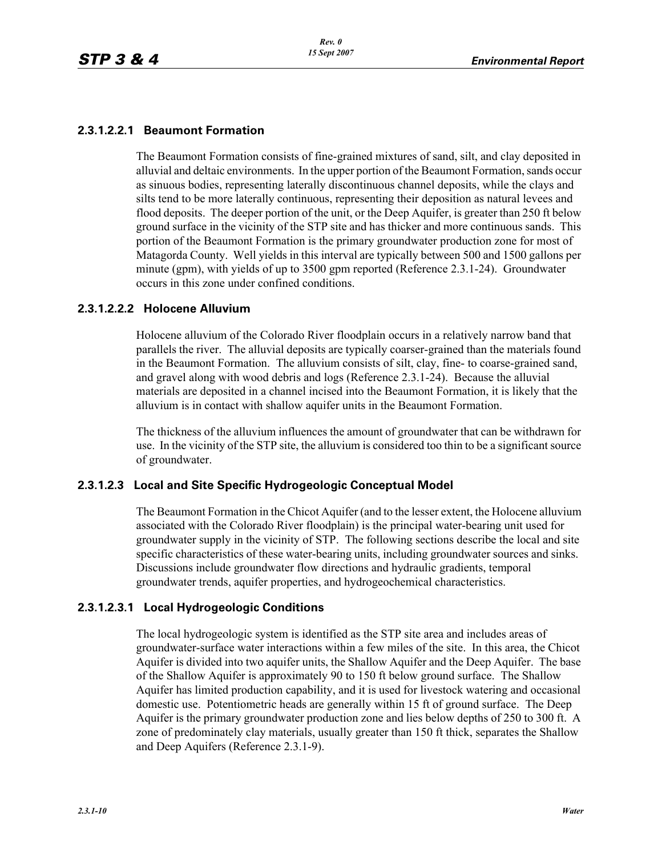### **2.3.1.2.2.1 Beaumont Formation**

The Beaumont Formation consists of fine-grained mixtures of sand, silt, and clay deposited in alluvial and deltaic environments. In the upper portion of the Beaumont Formation, sands occur as sinuous bodies, representing laterally discontinuous channel deposits, while the clays and silts tend to be more laterally continuous, representing their deposition as natural levees and flood deposits. The deeper portion of the unit, or the Deep Aquifer, is greater than 250 ft below ground surface in the vicinity of the STP site and has thicker and more continuous sands. This portion of the Beaumont Formation is the primary groundwater production zone for most of Matagorda County. Well yields in this interval are typically between 500 and 1500 gallons per minute (gpm), with yields of up to 3500 gpm reported (Reference 2.3.1-24). Groundwater occurs in this zone under confined conditions.

#### **2.3.1.2.2.2 Holocene Alluvium**

Holocene alluvium of the Colorado River floodplain occurs in a relatively narrow band that parallels the river. The alluvial deposits are typically coarser-grained than the materials found in the Beaumont Formation. The alluvium consists of silt, clay, fine- to coarse-grained sand, and gravel along with wood debris and logs (Reference 2.3.1-24). Because the alluvial materials are deposited in a channel incised into the Beaumont Formation, it is likely that the alluvium is in contact with shallow aquifer units in the Beaumont Formation.

The thickness of the alluvium influences the amount of groundwater that can be withdrawn for use. In the vicinity of the STP site, the alluvium is considered too thin to be a significant source of groundwater.

#### **2.3.1.2.3 Local and Site Specific Hydrogeologic Conceptual Model**

The Beaumont Formation in the Chicot Aquifer (and to the lesser extent, the Holocene alluvium associated with the Colorado River floodplain) is the principal water-bearing unit used for groundwater supply in the vicinity of STP. The following sections describe the local and site specific characteristics of these water-bearing units, including groundwater sources and sinks. Discussions include groundwater flow directions and hydraulic gradients, temporal groundwater trends, aquifer properties, and hydrogeochemical characteristics.

#### **2.3.1.2.3.1 Local Hydrogeologic Conditions**

The local hydrogeologic system is identified as the STP site area and includes areas of groundwater-surface water interactions within a few miles of the site. In this area, the Chicot Aquifer is divided into two aquifer units, the Shallow Aquifer and the Deep Aquifer. The base of the Shallow Aquifer is approximately 90 to 150 ft below ground surface. The Shallow Aquifer has limited production capability, and it is used for livestock watering and occasional domestic use. Potentiometric heads are generally within 15 ft of ground surface. The Deep Aquifer is the primary groundwater production zone and lies below depths of 250 to 300 ft. A zone of predominately clay materials, usually greater than 150 ft thick, separates the Shallow and Deep Aquifers (Reference 2.3.1-9).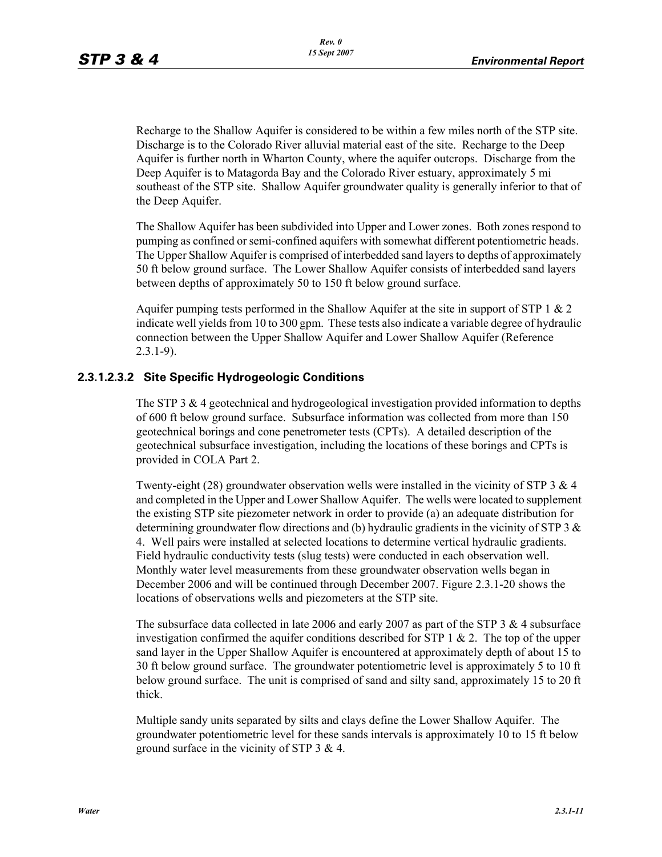Recharge to the Shallow Aquifer is considered to be within a few miles north of the STP site. Discharge is to the Colorado River alluvial material east of the site. Recharge to the Deep Aquifer is further north in Wharton County, where the aquifer outcrops. Discharge from the Deep Aquifer is to Matagorda Bay and the Colorado River estuary, approximately 5 mi southeast of the STP site. Shallow Aquifer groundwater quality is generally inferior to that of the Deep Aquifer.

The Shallow Aquifer has been subdivided into Upper and Lower zones. Both zones respond to pumping as confined or semi-confined aquifers with somewhat different potentiometric heads. The Upper Shallow Aquifer is comprised of interbedded sand layers to depths of approximately 50 ft below ground surface. The Lower Shallow Aquifer consists of interbedded sand layers between depths of approximately 50 to 150 ft below ground surface.

Aquifer pumping tests performed in the Shallow Aquifer at the site in support of STP  $1 \& 2$ indicate well yields from 10 to 300 gpm. These tests also indicate a variable degree of hydraulic connection between the Upper Shallow Aquifer and Lower Shallow Aquifer (Reference 2.3.1-9).

### **2.3.1.2.3.2 Site Specific Hydrogeologic Conditions**

The STP 3 & 4 geotechnical and hydrogeological investigation provided information to depths of 600 ft below ground surface. Subsurface information was collected from more than 150 geotechnical borings and cone penetrometer tests (CPTs). A detailed description of the geotechnical subsurface investigation, including the locations of these borings and CPTs is provided in COLA Part 2.

Twenty-eight (28) groundwater observation wells were installed in the vicinity of STP 3  $\&$  4 and completed in the Upper and Lower Shallow Aquifer. The wells were located to supplement the existing STP site piezometer network in order to provide (a) an adequate distribution for determining groundwater flow directions and (b) hydraulic gradients in the vicinity of STP 3  $\&$ 4. Well pairs were installed at selected locations to determine vertical hydraulic gradients. Field hydraulic conductivity tests (slug tests) were conducted in each observation well. Monthly water level measurements from these groundwater observation wells began in December 2006 and will be continued through December 2007. Figure 2.3.1-20 shows the locations of observations wells and piezometers at the STP site.

The subsurface data collected in late 2006 and early 2007 as part of the STP 3  $\&$  4 subsurface investigation confirmed the aquifer conditions described for STP  $1 \& 2$ . The top of the upper sand layer in the Upper Shallow Aquifer is encountered at approximately depth of about 15 to 30 ft below ground surface. The groundwater potentiometric level is approximately 5 to 10 ft below ground surface. The unit is comprised of sand and silty sand, approximately 15 to 20 ft thick.

Multiple sandy units separated by silts and clays define the Lower Shallow Aquifer. The groundwater potentiometric level for these sands intervals is approximately 10 to 15 ft below ground surface in the vicinity of STP 3 & 4.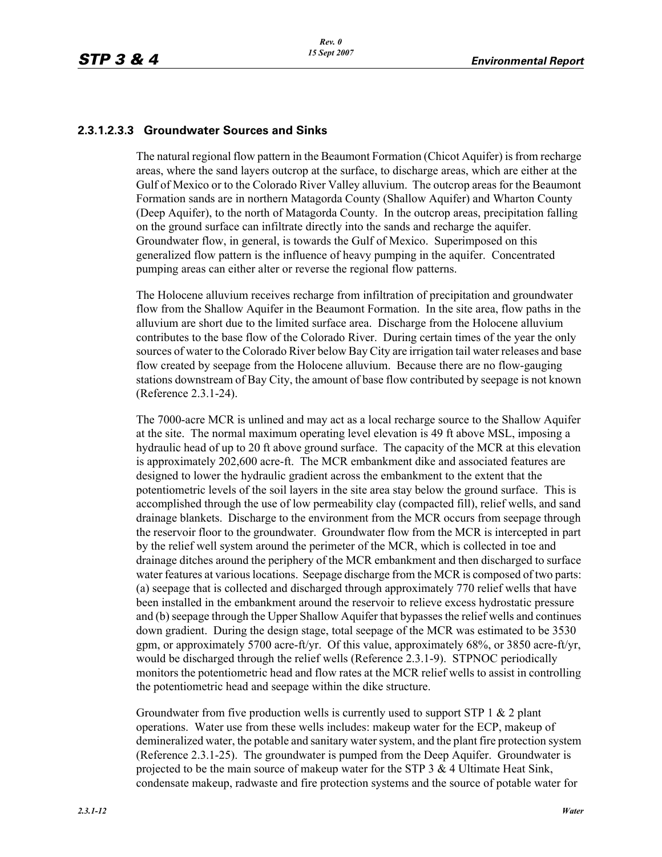### **2.3.1.2.3.3 Groundwater Sources and Sinks**

The natural regional flow pattern in the Beaumont Formation (Chicot Aquifer) is from recharge areas, where the sand layers outcrop at the surface, to discharge areas, which are either at the Gulf of Mexico or to the Colorado River Valley alluvium. The outcrop areas for the Beaumont Formation sands are in northern Matagorda County (Shallow Aquifer) and Wharton County (Deep Aquifer), to the north of Matagorda County. In the outcrop areas, precipitation falling on the ground surface can infiltrate directly into the sands and recharge the aquifer. Groundwater flow, in general, is towards the Gulf of Mexico. Superimposed on this generalized flow pattern is the influence of heavy pumping in the aquifer. Concentrated pumping areas can either alter or reverse the regional flow patterns.

The Holocene alluvium receives recharge from infiltration of precipitation and groundwater flow from the Shallow Aquifer in the Beaumont Formation. In the site area, flow paths in the alluvium are short due to the limited surface area. Discharge from the Holocene alluvium contributes to the base flow of the Colorado River. During certain times of the year the only sources of water to the Colorado River below Bay City are irrigation tail water releases and base flow created by seepage from the Holocene alluvium. Because there are no flow-gauging stations downstream of Bay City, the amount of base flow contributed by seepage is not known (Reference 2.3.1-24).

The 7000-acre MCR is unlined and may act as a local recharge source to the Shallow Aquifer at the site. The normal maximum operating level elevation is 49 ft above MSL, imposing a hydraulic head of up to 20 ft above ground surface. The capacity of the MCR at this elevation is approximately 202,600 acre-ft. The MCR embankment dike and associated features are designed to lower the hydraulic gradient across the embankment to the extent that the potentiometric levels of the soil layers in the site area stay below the ground surface. This is accomplished through the use of low permeability clay (compacted fill), relief wells, and sand drainage blankets. Discharge to the environment from the MCR occurs from seepage through the reservoir floor to the groundwater. Groundwater flow from the MCR is intercepted in part by the relief well system around the perimeter of the MCR, which is collected in toe and drainage ditches around the periphery of the MCR embankment and then discharged to surface water features at various locations. Seepage discharge from the MCR is composed of two parts: (a) seepage that is collected and discharged through approximately 770 relief wells that have been installed in the embankment around the reservoir to relieve excess hydrostatic pressure and (b) seepage through the Upper Shallow Aquifer that bypasses the relief wells and continues down gradient. During the design stage, total seepage of the MCR was estimated to be 3530 gpm, or approximately 5700 acre-ft/yr. Of this value, approximately 68%, or 3850 acre-ft/yr, would be discharged through the relief wells (Reference 2.3.1-9). STPNOC periodically monitors the potentiometric head and flow rates at the MCR relief wells to assist in controlling the potentiometric head and seepage within the dike structure.

Groundwater from five production wells is currently used to support STP 1 & 2 plant operations. Water use from these wells includes: makeup water for the ECP, makeup of demineralized water, the potable and sanitary water system, and the plant fire protection system (Reference 2.3.1-25). The groundwater is pumped from the Deep Aquifer. Groundwater is projected to be the main source of makeup water for the STP  $3 \& 4$  Ultimate Heat Sink, condensate makeup, radwaste and fire protection systems and the source of potable water for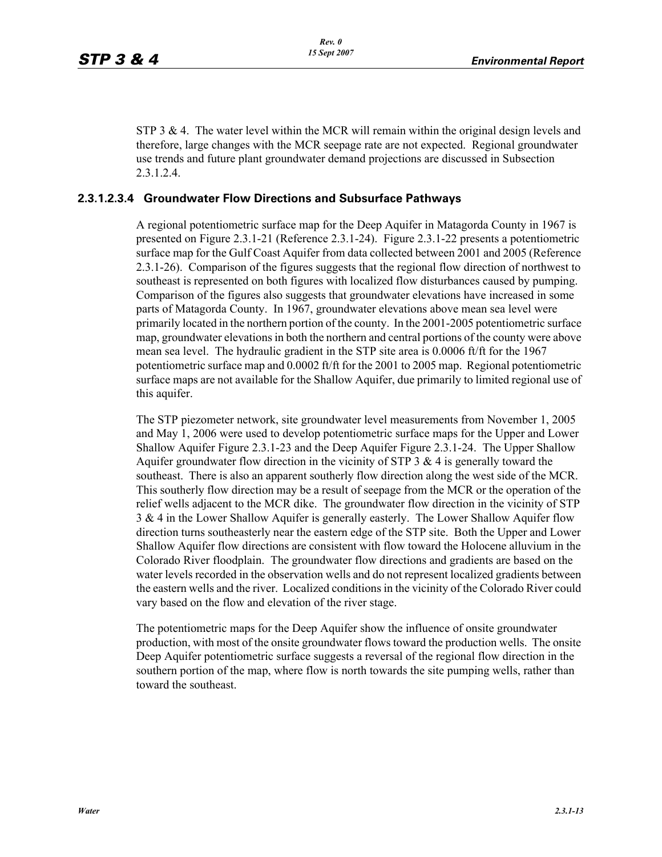STP 3  $\&$  4. The water level within the MCR will remain within the original design levels and therefore, large changes with the MCR seepage rate are not expected. Regional groundwater use trends and future plant groundwater demand projections are discussed in Subsection 2.3.1.2.4.

#### **2.3.1.2.3.4 Groundwater Flow Directions and Subsurface Pathways**

A regional potentiometric surface map for the Deep Aquifer in Matagorda County in 1967 is presented on Figure 2.3.1-21 (Reference 2.3.1-24). Figure 2.3.1-22 presents a potentiometric surface map for the Gulf Coast Aquifer from data collected between 2001 and 2005 (Reference 2.3.1-26). Comparison of the figures suggests that the regional flow direction of northwest to southeast is represented on both figures with localized flow disturbances caused by pumping. Comparison of the figures also suggests that groundwater elevations have increased in some parts of Matagorda County. In 1967, groundwater elevations above mean sea level were primarily located in the northern portion of the county. In the 2001-2005 potentiometric surface map, groundwater elevations in both the northern and central portions of the county were above mean sea level. The hydraulic gradient in the STP site area is  $0.0006$  ft/ft for the 1967 potentiometric surface map and 0.0002 ft/ft for the 2001 to 2005 map. Regional potentiometric surface maps are not available for the Shallow Aquifer, due primarily to limited regional use of this aquifer.

The STP piezometer network, site groundwater level measurements from November 1, 2005 and May 1, 2006 were used to develop potentiometric surface maps for the Upper and Lower Shallow Aquifer Figure 2.3.1-23 and the Deep Aquifer Figure 2.3.1-24. The Upper Shallow Aquifer groundwater flow direction in the vicinity of STP 3  $\&$  4 is generally toward the southeast. There is also an apparent southerly flow direction along the west side of the MCR. This southerly flow direction may be a result of seepage from the MCR or the operation of the relief wells adjacent to the MCR dike. The groundwater flow direction in the vicinity of STP 3 & 4 in the Lower Shallow Aquifer is generally easterly. The Lower Shallow Aquifer flow direction turns southeasterly near the eastern edge of the STP site. Both the Upper and Lower Shallow Aquifer flow directions are consistent with flow toward the Holocene alluvium in the Colorado River floodplain. The groundwater flow directions and gradients are based on the water levels recorded in the observation wells and do not represent localized gradients between the eastern wells and the river. Localized conditions in the vicinity of the Colorado River could vary based on the flow and elevation of the river stage.

The potentiometric maps for the Deep Aquifer show the influence of onsite groundwater production, with most of the onsite groundwater flows toward the production wells. The onsite Deep Aquifer potentiometric surface suggests a reversal of the regional flow direction in the southern portion of the map, where flow is north towards the site pumping wells, rather than toward the southeast.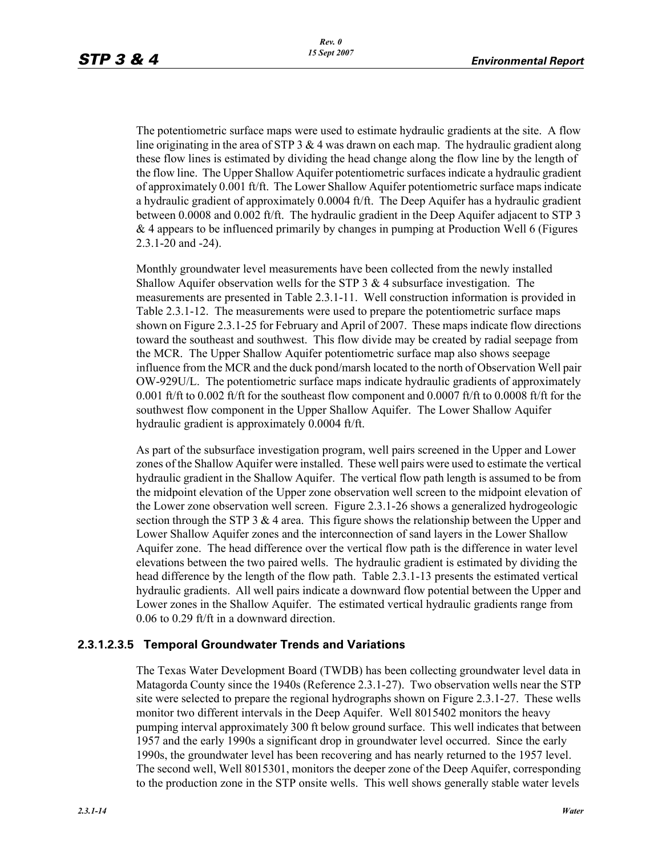The potentiometric surface maps were used to estimate hydraulic gradients at the site. A flow line originating in the area of STP 3  $\&$  4 was drawn on each map. The hydraulic gradient along these flow lines is estimated by dividing the head change along the flow line by the length of the flow line. The Upper Shallow Aquifer potentiometric surfaces indicate a hydraulic gradient of approximately 0.001 ft/ft. The Lower Shallow Aquifer potentiometric surface maps indicate a hydraulic gradient of approximately 0.0004 ft/ft. The Deep Aquifer has a hydraulic gradient between 0.0008 and 0.002 ft/ft. The hydraulic gradient in the Deep Aquifer adjacent to STP 3 & 4 appears to be influenced primarily by changes in pumping at Production Well 6 (Figures 2.3.1-20 and -24).

Monthly groundwater level measurements have been collected from the newly installed Shallow Aquifer observation wells for the STP  $3 \& 4$  subsurface investigation. The measurements are presented in Table 2.3.1-11. Well construction information is provided in Table 2.3.1-12. The measurements were used to prepare the potentiometric surface maps shown on Figure 2.3.1-25 for February and April of 2007. These maps indicate flow directions toward the southeast and southwest. This flow divide may be created by radial seepage from the MCR. The Upper Shallow Aquifer potentiometric surface map also shows seepage influence from the MCR and the duck pond/marsh located to the north of Observation Well pair OW-929U/L. The potentiometric surface maps indicate hydraulic gradients of approximately 0.001 ft/ft to 0.002 ft/ft for the southeast flow component and 0.0007 ft/ft to 0.0008 ft/ft for the southwest flow component in the Upper Shallow Aquifer. The Lower Shallow Aquifer hydraulic gradient is approximately 0.0004 ft/ft.

As part of the subsurface investigation program, well pairs screened in the Upper and Lower zones of the Shallow Aquifer were installed. These well pairs were used to estimate the vertical hydraulic gradient in the Shallow Aquifer. The vertical flow path length is assumed to be from the midpoint elevation of the Upper zone observation well screen to the midpoint elevation of the Lower zone observation well screen. Figure 2.3.1-26 shows a generalized hydrogeologic section through the STP 3  $\&$  4 area. This figure shows the relationship between the Upper and Lower Shallow Aquifer zones and the interconnection of sand layers in the Lower Shallow Aquifer zone. The head difference over the vertical flow path is the difference in water level elevations between the two paired wells. The hydraulic gradient is estimated by dividing the head difference by the length of the flow path. Table 2.3.1-13 presents the estimated vertical hydraulic gradients. All well pairs indicate a downward flow potential between the Upper and Lower zones in the Shallow Aquifer. The estimated vertical hydraulic gradients range from 0.06 to 0.29 ft/ft in a downward direction.

#### **2.3.1.2.3.5 Temporal Groundwater Trends and Variations**

The Texas Water Development Board (TWDB) has been collecting groundwater level data in Matagorda County since the 1940s (Reference 2.3.1-27). Two observation wells near the STP site were selected to prepare the regional hydrographs shown on Figure 2.3.1-27. These wells monitor two different intervals in the Deep Aquifer. Well 8015402 monitors the heavy pumping interval approximately 300 ft below ground surface. This well indicates that between 1957 and the early 1990s a significant drop in groundwater level occurred. Since the early 1990s, the groundwater level has been recovering and has nearly returned to the 1957 level. The second well, Well 8015301, monitors the deeper zone of the Deep Aquifer, corresponding to the production zone in the STP onsite wells. This well shows generally stable water levels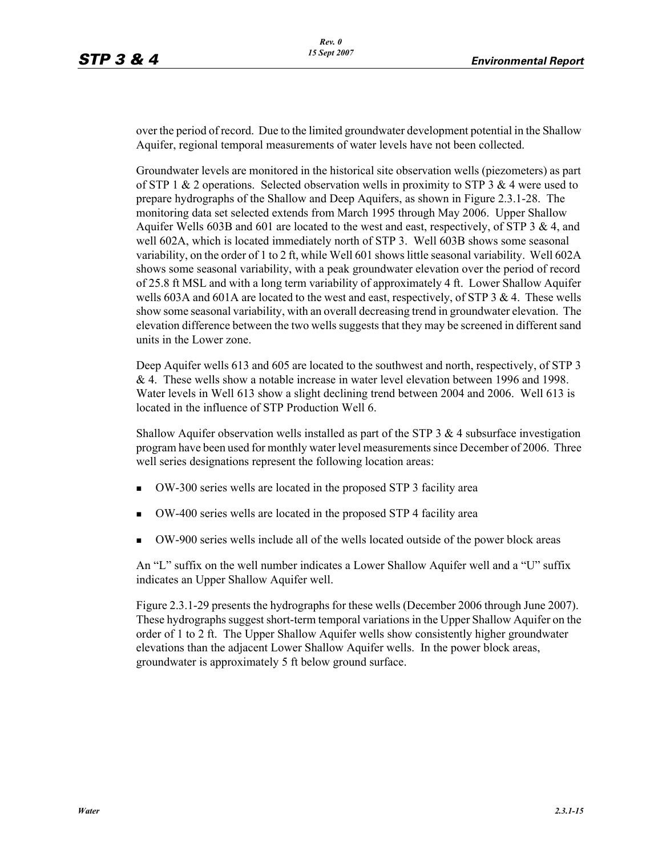over the period of record. Due to the limited groundwater development potential in the Shallow Aquifer, regional temporal measurements of water levels have not been collected.

Groundwater levels are monitored in the historical site observation wells (piezometers) as part of STP 1 & 2 operations. Selected observation wells in proximity to STP 3 & 4 were used to prepare hydrographs of the Shallow and Deep Aquifers, as shown in Figure 2.3.1-28. The monitoring data set selected extends from March 1995 through May 2006. Upper Shallow Aquifer Wells 603B and 601 are located to the west and east, respectively, of STP 3  $\&$  4, and well 602A, which is located immediately north of STP 3. Well 603B shows some seasonal variability, on the order of 1 to 2 ft, while Well 601 shows little seasonal variability. Well 602A shows some seasonal variability, with a peak groundwater elevation over the period of record of 25.8 ft MSL and with a long term variability of approximately 4 ft. Lower Shallow Aquifer wells 603A and 601A are located to the west and east, respectively, of STP 3  $\&$  4. These wells show some seasonal variability, with an overall decreasing trend in groundwater elevation. The elevation difference between the two wells suggests that they may be screened in different sand units in the Lower zone.

Deep Aquifer wells 613 and 605 are located to the southwest and north, respectively, of STP 3 & 4. These wells show a notable increase in water level elevation between 1996 and 1998. Water levels in Well 613 show a slight declining trend between 2004 and 2006. Well 613 is located in the influence of STP Production Well 6.

Shallow Aquifer observation wells installed as part of the STP 3 & 4 subsurface investigation program have been used for monthly water level measurements since December of 2006. Three well series designations represent the following location areas:

- OW-300 series wells are located in the proposed STP 3 facility area
- OW-400 series wells are located in the proposed STP 4 facility area
- OW-900 series wells include all of the wells located outside of the power block areas

An "L" suffix on the well number indicates a Lower Shallow Aquifer well and a "U" suffix indicates an Upper Shallow Aquifer well.

Figure 2.3.1-29 presents the hydrographs for these wells (December 2006 through June 2007). These hydrographs suggest short-term temporal variations in the Upper Shallow Aquifer on the order of 1 to 2 ft. The Upper Shallow Aquifer wells show consistently higher groundwater elevations than the adjacent Lower Shallow Aquifer wells. In the power block areas, groundwater is approximately 5 ft below ground surface.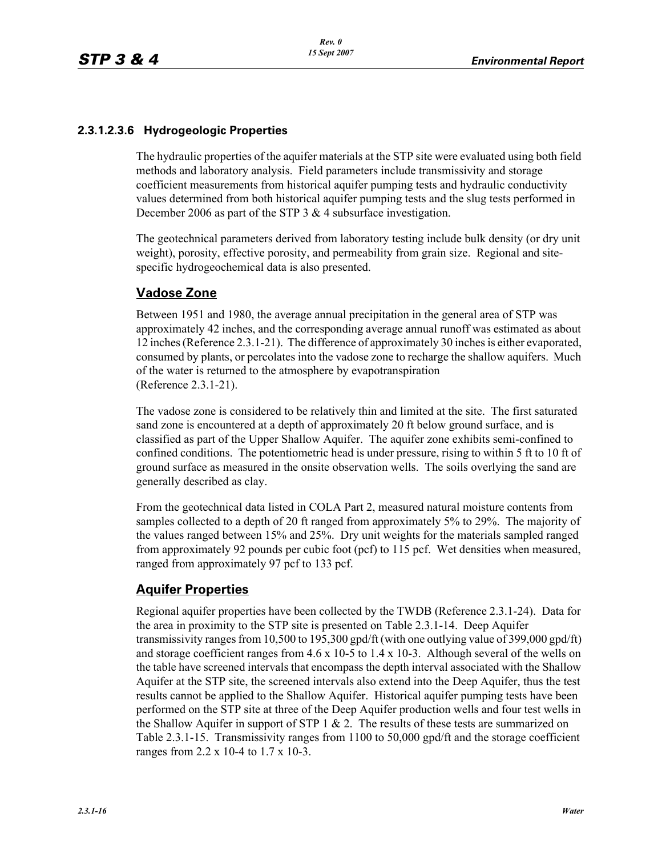### **2.3.1.2.3.6 Hydrogeologic Properties**

The hydraulic properties of the aquifer materials at the STP site were evaluated using both field methods and laboratory analysis. Field parameters include transmissivity and storage coefficient measurements from historical aquifer pumping tests and hydraulic conductivity values determined from both historical aquifer pumping tests and the slug tests performed in December 2006 as part of the STP 3 & 4 subsurface investigation.

The geotechnical parameters derived from laboratory testing include bulk density (or dry unit weight), porosity, effective porosity, and permeability from grain size. Regional and sitespecific hydrogeochemical data is also presented.

## **Vadose Zone**

Between 1951 and 1980, the average annual precipitation in the general area of STP was approximately 42 inches, and the corresponding average annual runoff was estimated as about 12 inches (Reference 2.3.1-21). The difference of approximately 30 inches is either evaporated, consumed by plants, or percolates into the vadose zone to recharge the shallow aquifers. Much of the water is returned to the atmosphere by evapotranspiration (Reference 2.3.1-21).

The vadose zone is considered to be relatively thin and limited at the site. The first saturated sand zone is encountered at a depth of approximately 20 ft below ground surface, and is classified as part of the Upper Shallow Aquifer. The aquifer zone exhibits semi-confined to confined conditions. The potentiometric head is under pressure, rising to within 5 ft to 10 ft of ground surface as measured in the onsite observation wells. The soils overlying the sand are generally described as clay.

From the geotechnical data listed in COLA Part 2, measured natural moisture contents from samples collected to a depth of 20 ft ranged from approximately 5% to 29%. The majority of the values ranged between 15% and 25%. Dry unit weights for the materials sampled ranged from approximately 92 pounds per cubic foot (pcf) to 115 pcf. Wet densities when measured, ranged from approximately 97 pcf to 133 pcf.

## **Aquifer Properties**

Regional aquifer properties have been collected by the TWDB (Reference 2.3.1-24). Data for the area in proximity to the STP site is presented on Table 2.3.1-14. Deep Aquifer transmissivity ranges from 10,500 to 195,300 gpd/ft (with one outlying value of 399,000 gpd/ft) and storage coefficient ranges from  $4.6 \times 10^{-5}$  to  $1.4 \times 10^{-3}$ . Although several of the wells on the table have screened intervals that encompass the depth interval associated with the Shallow Aquifer at the STP site, the screened intervals also extend into the Deep Aquifer, thus the test results cannot be applied to the Shallow Aquifer. Historical aquifer pumping tests have been performed on the STP site at three of the Deep Aquifer production wells and four test wells in the Shallow Aquifer in support of STP  $1 \& 2$ . The results of these tests are summarized on Table 2.3.1-15. Transmissivity ranges from 1100 to 50,000 gpd/ft and the storage coefficient ranges from 2.2 x 10-4 to 1.7 x 10-3.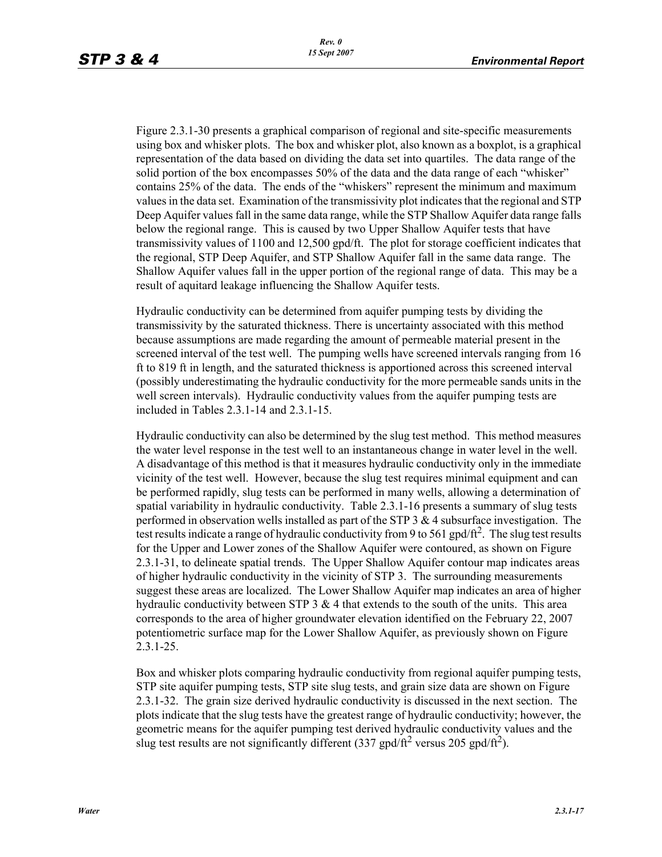Figure 2.3.1-30 presents a graphical comparison of regional and site-specific measurements using box and whisker plots. The box and whisker plot, also known as a boxplot, is a graphical representation of the data based on dividing the data set into quartiles. The data range of the solid portion of the box encompasses 50% of the data and the data range of each "whisker" contains 25% of the data. The ends of the "whiskers" represent the minimum and maximum values in the data set. Examination of the transmissivity plot indicates that the regional and STP Deep Aquifer values fall in the same data range, while the STP Shallow Aquifer data range falls below the regional range. This is caused by two Upper Shallow Aquifer tests that have transmissivity values of 1100 and 12,500 gpd/ft. The plot for storage coefficient indicates that the regional, STP Deep Aquifer, and STP Shallow Aquifer fall in the same data range. The Shallow Aquifer values fall in the upper portion of the regional range of data. This may be a result of aquitard leakage influencing the Shallow Aquifer tests.

Hydraulic conductivity can be determined from aquifer pumping tests by dividing the transmissivity by the saturated thickness. There is uncertainty associated with this method because assumptions are made regarding the amount of permeable material present in the screened interval of the test well. The pumping wells have screened intervals ranging from 16 ft to 819 ft in length, and the saturated thickness is apportioned across this screened interval (possibly underestimating the hydraulic conductivity for the more permeable sands units in the well screen intervals). Hydraulic conductivity values from the aquifer pumping tests are included in Tables 2.3.1-14 and 2.3.1-15.

Hydraulic conductivity can also be determined by the slug test method. This method measures the water level response in the test well to an instantaneous change in water level in the well. A disadvantage of this method is that it measures hydraulic conductivity only in the immediate vicinity of the test well. However, because the slug test requires minimal equipment and can be performed rapidly, slug tests can be performed in many wells, allowing a determination of spatial variability in hydraulic conductivity. Table 2.3.1-16 presents a summary of slug tests performed in observation wells installed as part of the STP  $3 \& 4$  subsurface investigation. The test results indicate a range of hydraulic conductivity from 9 to 561 gpd/ft<sup>2</sup>. The slug test results for the Upper and Lower zones of the Shallow Aquifer were contoured, as shown on Figure 2.3.1-31, to delineate spatial trends. The Upper Shallow Aquifer contour map indicates areas of higher hydraulic conductivity in the vicinity of STP 3. The surrounding measurements suggest these areas are localized. The Lower Shallow Aquifer map indicates an area of higher hydraulic conductivity between STP  $3 \& 4$  that extends to the south of the units. This area corresponds to the area of higher groundwater elevation identified on the February 22, 2007 potentiometric surface map for the Lower Shallow Aquifer, as previously shown on Figure 2.3.1-25.

Box and whisker plots comparing hydraulic conductivity from regional aquifer pumping tests, STP site aquifer pumping tests, STP site slug tests, and grain size data are shown on Figure 2.3.1-32. The grain size derived hydraulic conductivity is discussed in the next section. The plots indicate that the slug tests have the greatest range of hydraulic conductivity; however, the geometric means for the aquifer pumping test derived hydraulic conductivity values and the slug test results are not significantly different (337 gpd/ft<sup>2</sup> versus 205 gpd/ft<sup>2</sup>).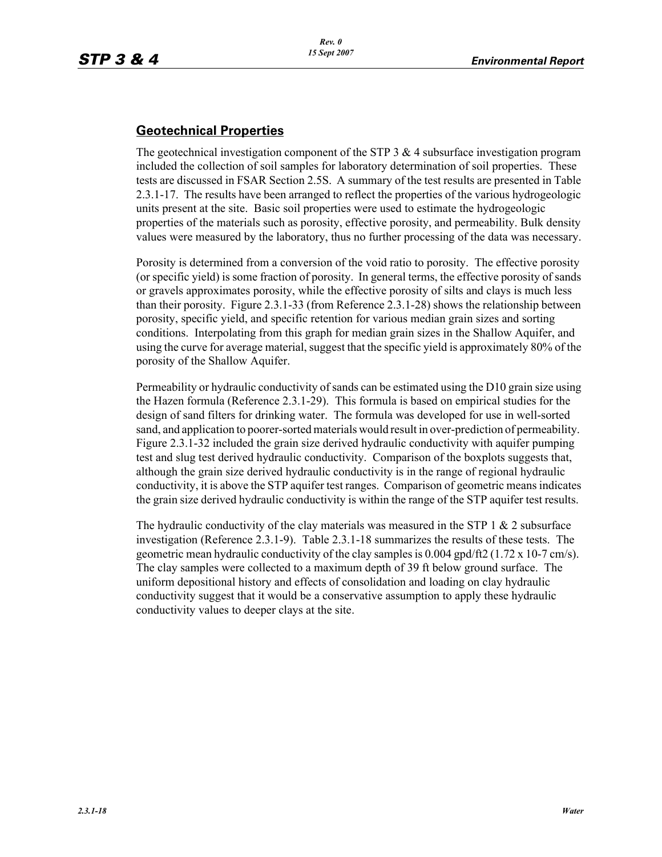## **Geotechnical Properties**

The geotechnical investigation component of the STP  $3 \& 4$  subsurface investigation program included the collection of soil samples for laboratory determination of soil properties. These tests are discussed in FSAR Section 2.5S. A summary of the test results are presented in Table 2.3.1-17. The results have been arranged to reflect the properties of the various hydrogeologic units present at the site. Basic soil properties were used to estimate the hydrogeologic properties of the materials such as porosity, effective porosity, and permeability. Bulk density values were measured by the laboratory, thus no further processing of the data was necessary.

Porosity is determined from a conversion of the void ratio to porosity. The effective porosity (or specific yield) is some fraction of porosity. In general terms, the effective porosity of sands or gravels approximates porosity, while the effective porosity of silts and clays is much less than their porosity. Figure 2.3.1-33 (from Reference 2.3.1-28) shows the relationship between porosity, specific yield, and specific retention for various median grain sizes and sorting conditions. Interpolating from this graph for median grain sizes in the Shallow Aquifer, and using the curve for average material, suggest that the specific yield is approximately 80% of the porosity of the Shallow Aquifer.

Permeability or hydraulic conductivity of sands can be estimated using the D10 grain size using the Hazen formula (Reference 2.3.1-29). This formula is based on empirical studies for the design of sand filters for drinking water. The formula was developed for use in well-sorted sand, and application to poorer-sorted materials would result in over-prediction of permeability. Figure 2.3.1-32 included the grain size derived hydraulic conductivity with aquifer pumping test and slug test derived hydraulic conductivity. Comparison of the boxplots suggests that, although the grain size derived hydraulic conductivity is in the range of regional hydraulic conductivity, it is above the STP aquifer test ranges. Comparison of geometric means indicates the grain size derived hydraulic conductivity is within the range of the STP aquifer test results.

The hydraulic conductivity of the clay materials was measured in the STP 1  $\&$  2 subsurface investigation (Reference 2.3.1-9). Table 2.3.1-18 summarizes the results of these tests. The geometric mean hydraulic conductivity of the clay samples is  $0.004$  gpd/ft2 (1.72 x 10-7 cm/s). The clay samples were collected to a maximum depth of 39 ft below ground surface. The uniform depositional history and effects of consolidation and loading on clay hydraulic conductivity suggest that it would be a conservative assumption to apply these hydraulic conductivity values to deeper clays at the site.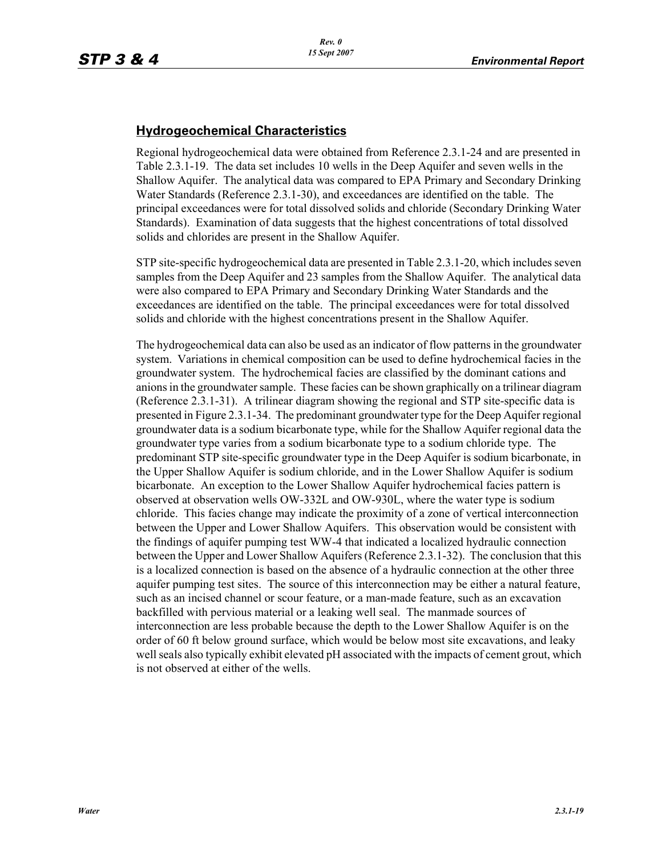## **Hydrogeochemical Characteristics**

Regional hydrogeochemical data were obtained from Reference 2.3.1-24 and are presented in Table 2.3.1-19. The data set includes 10 wells in the Deep Aquifer and seven wells in the Shallow Aquifer. The analytical data was compared to EPA Primary and Secondary Drinking Water Standards (Reference 2.3.1-30), and exceedances are identified on the table. The principal exceedances were for total dissolved solids and chloride (Secondary Drinking Water Standards). Examination of data suggests that the highest concentrations of total dissolved solids and chlorides are present in the Shallow Aquifer.

STP site-specific hydrogeochemical data are presented in Table 2.3.1-20, which includes seven samples from the Deep Aquifer and 23 samples from the Shallow Aquifer. The analytical data were also compared to EPA Primary and Secondary Drinking Water Standards and the exceedances are identified on the table. The principal exceedances were for total dissolved solids and chloride with the highest concentrations present in the Shallow Aquifer.

The hydrogeochemical data can also be used as an indicator of flow patterns in the groundwater system. Variations in chemical composition can be used to define hydrochemical facies in the groundwater system. The hydrochemical facies are classified by the dominant cations and anions in the groundwater sample. These facies can be shown graphically on a trilinear diagram (Reference 2.3.1-31). A trilinear diagram showing the regional and STP site-specific data is presented in Figure 2.3.1-34. The predominant groundwater type for the Deep Aquifer regional groundwater data is a sodium bicarbonate type, while for the Shallow Aquifer regional data the groundwater type varies from a sodium bicarbonate type to a sodium chloride type. The predominant STP site-specific groundwater type in the Deep Aquifer is sodium bicarbonate, in the Upper Shallow Aquifer is sodium chloride, and in the Lower Shallow Aquifer is sodium bicarbonate. An exception to the Lower Shallow Aquifer hydrochemical facies pattern is observed at observation wells OW-332L and OW-930L, where the water type is sodium chloride. This facies change may indicate the proximity of a zone of vertical interconnection between the Upper and Lower Shallow Aquifers. This observation would be consistent with the findings of aquifer pumping test WW-4 that indicated a localized hydraulic connection between the Upper and Lower Shallow Aquifers (Reference 2.3.1-32). The conclusion that this is a localized connection is based on the absence of a hydraulic connection at the other three aquifer pumping test sites. The source of this interconnection may be either a natural feature, such as an incised channel or scour feature, or a man-made feature, such as an excavation backfilled with pervious material or a leaking well seal. The manmade sources of interconnection are less probable because the depth to the Lower Shallow Aquifer is on the order of 60 ft below ground surface, which would be below most site excavations, and leaky well seals also typically exhibit elevated pH associated with the impacts of cement grout, which is not observed at either of the wells.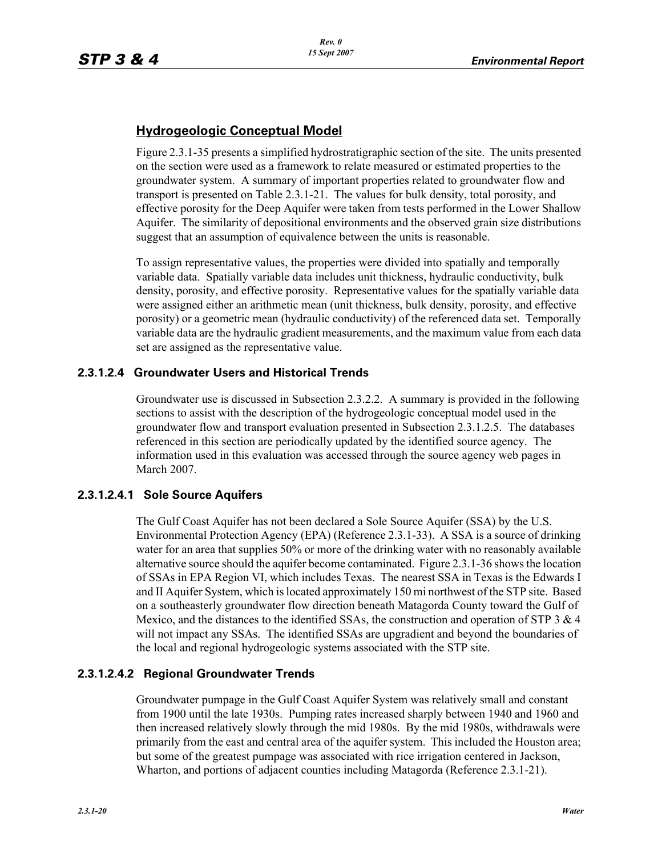## **Hydrogeologic Conceptual Model**

Figure 2.3.1-35 presents a simplified hydrostratigraphic section of the site. The units presented on the section were used as a framework to relate measured or estimated properties to the groundwater system. A summary of important properties related to groundwater flow and transport is presented on Table 2.3.1-21. The values for bulk density, total porosity, and effective porosity for the Deep Aquifer were taken from tests performed in the Lower Shallow Aquifer. The similarity of depositional environments and the observed grain size distributions suggest that an assumption of equivalence between the units is reasonable.

To assign representative values, the properties were divided into spatially and temporally variable data. Spatially variable data includes unit thickness, hydraulic conductivity, bulk density, porosity, and effective porosity. Representative values for the spatially variable data were assigned either an arithmetic mean (unit thickness, bulk density, porosity, and effective porosity) or a geometric mean (hydraulic conductivity) of the referenced data set. Temporally variable data are the hydraulic gradient measurements, and the maximum value from each data set are assigned as the representative value.

### **2.3.1.2.4 Groundwater Users and Historical Trends**

Groundwater use is discussed in Subsection 2.3.2.2. A summary is provided in the following sections to assist with the description of the hydrogeologic conceptual model used in the groundwater flow and transport evaluation presented in Subsection 2.3.1.2.5. The databases referenced in this section are periodically updated by the identified source agency. The information used in this evaluation was accessed through the source agency web pages in March 2007.

## **2.3.1.2.4.1 Sole Source Aquifers**

The Gulf Coast Aquifer has not been declared a Sole Source Aquifer (SSA) by the U.S. Environmental Protection Agency (EPA) (Reference 2.3.1-33). A SSA is a source of drinking water for an area that supplies 50% or more of the drinking water with no reasonably available alternative source should the aquifer become contaminated. Figure 2.3.1-36 shows the location of SSAs in EPA Region VI, which includes Texas. The nearest SSA in Texas is the Edwards I and II Aquifer System, which is located approximately 150 mi northwest of the STP site. Based on a southeasterly groundwater flow direction beneath Matagorda County toward the Gulf of Mexico, and the distances to the identified SSAs, the construction and operation of STP  $3 \& 4$ will not impact any SSAs. The identified SSAs are upgradient and beyond the boundaries of the local and regional hydrogeologic systems associated with the STP site.

## **2.3.1.2.4.2 Regional Groundwater Trends**

Groundwater pumpage in the Gulf Coast Aquifer System was relatively small and constant from 1900 until the late 1930s. Pumping rates increased sharply between 1940 and 1960 and then increased relatively slowly through the mid 1980s. By the mid 1980s, withdrawals were primarily from the east and central area of the aquifer system. This included the Houston area; but some of the greatest pumpage was associated with rice irrigation centered in Jackson, Wharton, and portions of adjacent counties including Matagorda (Reference 2.3.1-21).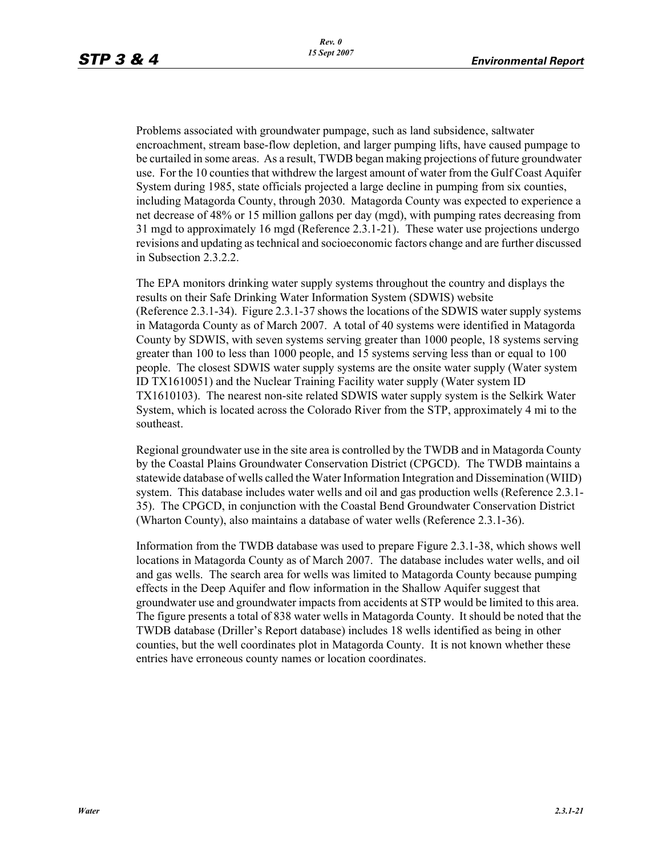Problems associated with groundwater pumpage, such as land subsidence, saltwater encroachment, stream base-flow depletion, and larger pumping lifts, have caused pumpage to be curtailed in some areas. As a result, TWDB began making projections of future groundwater use. For the 10 counties that withdrew the largest amount of water from the Gulf Coast Aquifer System during 1985, state officials projected a large decline in pumping from six counties, including Matagorda County, through 2030. Matagorda County was expected to experience a net decrease of 48% or 15 million gallons per day (mgd), with pumping rates decreasing from 31 mgd to approximately 16 mgd (Reference 2.3.1-21). These water use projections undergo revisions and updating as technical and socioeconomic factors change and are further discussed in Subsection 2.3.2.2.

The EPA monitors drinking water supply systems throughout the country and displays the results on their Safe Drinking Water Information System (SDWIS) website (Reference 2.3.1-34). Figure 2.3.1-37 shows the locations of the SDWIS water supply systems in Matagorda County as of March 2007. A total of 40 systems were identified in Matagorda County by SDWIS, with seven systems serving greater than 1000 people, 18 systems serving greater than 100 to less than 1000 people, and 15 systems serving less than or equal to 100 people. The closest SDWIS water supply systems are the onsite water supply (Water system ID TX1610051) and the Nuclear Training Facility water supply (Water system ID TX1610103). The nearest non-site related SDWIS water supply system is the Selkirk Water System, which is located across the Colorado River from the STP, approximately 4 mi to the southeast.

Regional groundwater use in the site area is controlled by the TWDB and in Matagorda County by the Coastal Plains Groundwater Conservation District (CPGCD). The TWDB maintains a statewide database of wells called the Water Information Integration and Dissemination (WIID) system. This database includes water wells and oil and gas production wells (Reference 2.3.1- 35). The CPGCD, in conjunction with the Coastal Bend Groundwater Conservation District (Wharton County), also maintains a database of water wells (Reference 2.3.1-36).

Information from the TWDB database was used to prepare Figure 2.3.1-38, which shows well locations in Matagorda County as of March 2007. The database includes water wells, and oil and gas wells. The search area for wells was limited to Matagorda County because pumping effects in the Deep Aquifer and flow information in the Shallow Aquifer suggest that groundwater use and groundwater impacts from accidents at STP would be limited to this area. The figure presents a total of 838 water wells in Matagorda County. It should be noted that the TWDB database (Driller's Report database) includes 18 wells identified as being in other counties, but the well coordinates plot in Matagorda County. It is not known whether these entries have erroneous county names or location coordinates.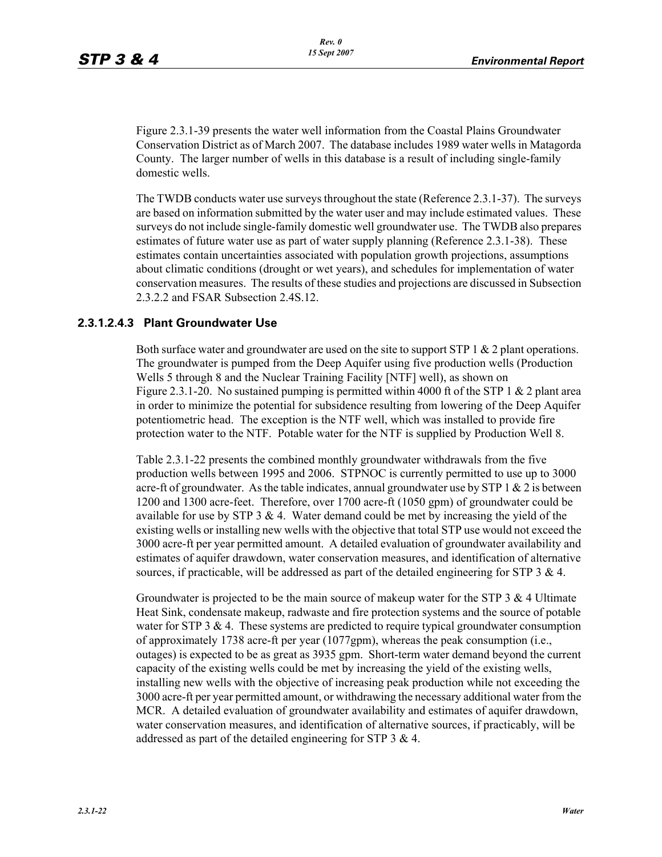Figure 2.3.1-39 presents the water well information from the Coastal Plains Groundwater Conservation District as of March 2007. The database includes 1989 water wells in Matagorda County. The larger number of wells in this database is a result of including single-family domestic wells.

The TWDB conducts water use surveys throughout the state (Reference 2.3.1-37). The surveys are based on information submitted by the water user and may include estimated values. These surveys do not include single-family domestic well groundwater use. The TWDB also prepares estimates of future water use as part of water supply planning (Reference 2.3.1-38). These estimates contain uncertainties associated with population growth projections, assumptions about climatic conditions (drought or wet years), and schedules for implementation of water conservation measures. The results of these studies and projections are discussed in Subsection 2.3.2.2 and FSAR Subsection 2.4S.12.

#### **2.3.1.2.4.3 Plant Groundwater Use**

Both surface water and groundwater are used on the site to support STP 1 & 2 plant operations. The groundwater is pumped from the Deep Aquifer using five production wells (Production Wells 5 through 8 and the Nuclear Training Facility [NTF] well), as shown on Figure 2.3.1-20. No sustained pumping is permitted within 4000 ft of the STP 1  $\&$  2 plant area in order to minimize the potential for subsidence resulting from lowering of the Deep Aquifer potentiometric head. The exception is the NTF well, which was installed to provide fire protection water to the NTF. Potable water for the NTF is supplied by Production Well 8.

Table 2.3.1-22 presents the combined monthly groundwater withdrawals from the five production wells between 1995 and 2006. STPNOC is currently permitted to use up to 3000 acre-ft of groundwater. As the table indicates, annual groundwater use by STP  $1 \& 2$  is between 1200 and 1300 acre-feet. Therefore, over 1700 acre-ft (1050 gpm) of groundwater could be available for use by STP  $3 \& 4$ . Water demand could be met by increasing the yield of the existing wells or installing new wells with the objective that total STP use would not exceed the 3000 acre-ft per year permitted amount. A detailed evaluation of groundwater availability and estimates of aquifer drawdown, water conservation measures, and identification of alternative sources, if practicable, will be addressed as part of the detailed engineering for STP 3 & 4.

Groundwater is projected to be the main source of makeup water for the STP 3  $\&$  4 Ultimate Heat Sink, condensate makeup, radwaste and fire protection systems and the source of potable water for STP 3  $\&$  4. These systems are predicted to require typical groundwater consumption of approximately 1738 acre-ft per year (1077gpm), whereas the peak consumption (i.e., outages) is expected to be as great as 3935 gpm. Short-term water demand beyond the current capacity of the existing wells could be met by increasing the yield of the existing wells, installing new wells with the objective of increasing peak production while not exceeding the 3000 acre-ft per year permitted amount, or withdrawing the necessary additional water from the MCR. A detailed evaluation of groundwater availability and estimates of aquifer drawdown, water conservation measures, and identification of alternative sources, if practicably, will be addressed as part of the detailed engineering for STP 3 & 4.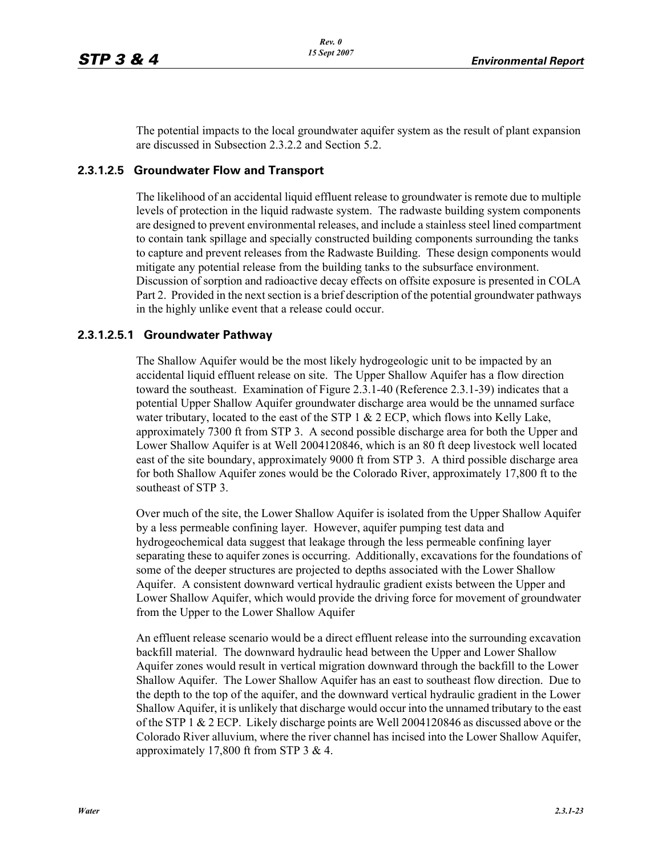The potential impacts to the local groundwater aquifer system as the result of plant expansion are discussed in Subsection 2.3.2.2 and Section 5.2.

#### **2.3.1.2.5 Groundwater Flow and Transport**

The likelihood of an accidental liquid effluent release to groundwater is remote due to multiple levels of protection in the liquid radwaste system. The radwaste building system components are designed to prevent environmental releases, and include a stainless steel lined compartment to contain tank spillage and specially constructed building components surrounding the tanks to capture and prevent releases from the Radwaste Building. These design components would mitigate any potential release from the building tanks to the subsurface environment. Discussion of sorption and radioactive decay effects on offsite exposure is presented in COLA Part 2. Provided in the next section is a brief description of the potential groundwater pathways in the highly unlike event that a release could occur.

#### **2.3.1.2.5.1 Groundwater Pathway**

The Shallow Aquifer would be the most likely hydrogeologic unit to be impacted by an accidental liquid effluent release on site. The Upper Shallow Aquifer has a flow direction toward the southeast. Examination of Figure 2.3.1-40 (Reference 2.3.1-39) indicates that a potential Upper Shallow Aquifer groundwater discharge area would be the unnamed surface water tributary, located to the east of the STP  $1 \& 2 \& ECP$ , which flows into Kelly Lake, approximately 7300 ft from STP 3. A second possible discharge area for both the Upper and Lower Shallow Aquifer is at Well 2004120846, which is an 80 ft deep livestock well located east of the site boundary, approximately 9000 ft from STP 3. A third possible discharge area for both Shallow Aquifer zones would be the Colorado River, approximately 17,800 ft to the southeast of STP 3.

Over much of the site, the Lower Shallow Aquifer is isolated from the Upper Shallow Aquifer by a less permeable confining layer. However, aquifer pumping test data and hydrogeochemical data suggest that leakage through the less permeable confining layer separating these to aquifer zones is occurring. Additionally, excavations for the foundations of some of the deeper structures are projected to depths associated with the Lower Shallow Aquifer. A consistent downward vertical hydraulic gradient exists between the Upper and Lower Shallow Aquifer, which would provide the driving force for movement of groundwater from the Upper to the Lower Shallow Aquifer

An effluent release scenario would be a direct effluent release into the surrounding excavation backfill material. The downward hydraulic head between the Upper and Lower Shallow Aquifer zones would result in vertical migration downward through the backfill to the Lower Shallow Aquifer. The Lower Shallow Aquifer has an east to southeast flow direction. Due to the depth to the top of the aquifer, and the downward vertical hydraulic gradient in the Lower Shallow Aquifer, it is unlikely that discharge would occur into the unnamed tributary to the east of the STP 1 & 2 ECP. Likely discharge points are Well 2004120846 as discussed above or the Colorado River alluvium, where the river channel has incised into the Lower Shallow Aquifer, approximately 17,800 ft from STP 3 & 4.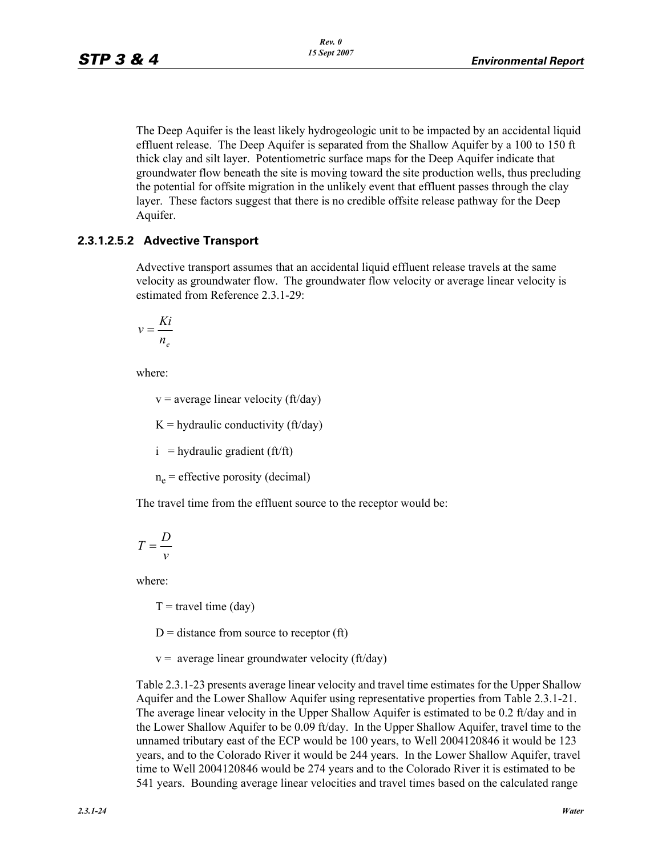The Deep Aquifer is the least likely hydrogeologic unit to be impacted by an accidental liquid effluent release. The Deep Aquifer is separated from the Shallow Aquifer by a 100 to 150 ft thick clay and silt layer. Potentiometric surface maps for the Deep Aquifer indicate that groundwater flow beneath the site is moving toward the site production wells, thus precluding the potential for offsite migration in the unlikely event that effluent passes through the clay layer. These factors suggest that there is no credible offsite release pathway for the Deep Aquifer.

### **2.3.1.2.5.2 Advective Transport**

Advective transport assumes that an accidental liquid effluent release travels at the same velocity as groundwater flow. The groundwater flow velocity or average linear velocity is estimated from Reference 2.3.1-29:

$$
v = \frac{Ki}{n_e}
$$

where:

 $v =$  average linear velocity (ft/day)

 $K =$  hydraulic conductivity (ft/day)

 $i =$  hydraulic gradient (ft/ft)

 $n_e$  = effective porosity (decimal)

The travel time from the effluent source to the receptor would be:

$$
T = \frac{D}{v}
$$

where:

 $T =$  travel time (day)

 $D =$  distance from source to receptor (ft)

 $v =$  average linear groundwater velocity (ft/day)

Table 2.3.1-23 presents average linear velocity and travel time estimates for the Upper Shallow Aquifer and the Lower Shallow Aquifer using representative properties from Table 2.3.1-21. The average linear velocity in the Upper Shallow Aquifer is estimated to be 0.2 ft/day and in the Lower Shallow Aquifer to be 0.09 ft/day. In the Upper Shallow Aquifer, travel time to the unnamed tributary east of the ECP would be 100 years, to Well 2004120846 it would be 123 years, and to the Colorado River it would be 244 years. In the Lower Shallow Aquifer, travel time to Well 2004120846 would be 274 years and to the Colorado River it is estimated to be 541 years. Bounding average linear velocities and travel times based on the calculated range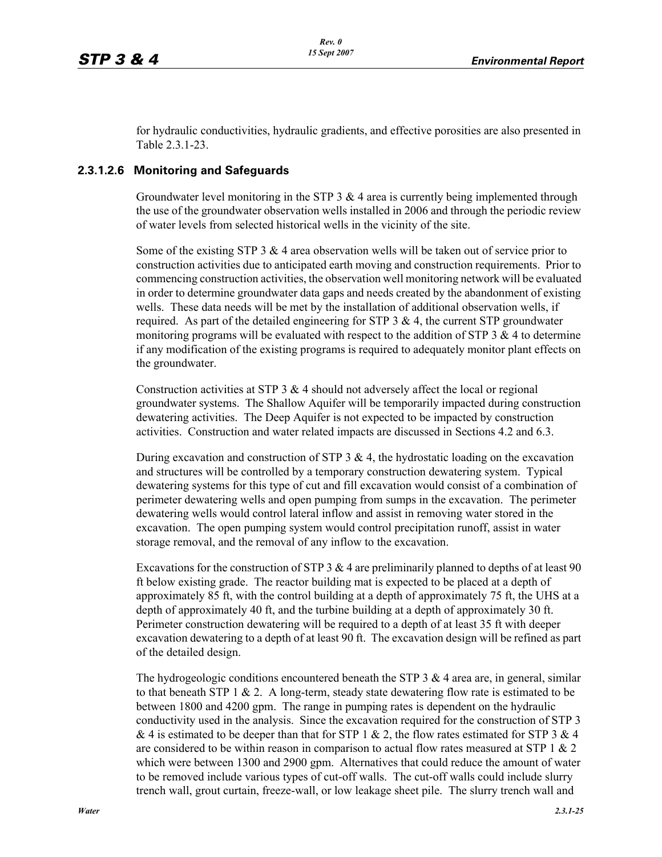for hydraulic conductivities, hydraulic gradients, and effective porosities are also presented in Table 2.3.1-23.

#### **2.3.1.2.6 Monitoring and Safeguards**

Groundwater level monitoring in the STP  $3 \& 4$  area is currently being implemented through the use of the groundwater observation wells installed in 2006 and through the periodic review of water levels from selected historical wells in the vicinity of the site.

Some of the existing STP 3  $\&$  4 area observation wells will be taken out of service prior to construction activities due to anticipated earth moving and construction requirements. Prior to commencing construction activities, the observation well monitoring network will be evaluated in order to determine groundwater data gaps and needs created by the abandonment of existing wells. These data needs will be met by the installation of additional observation wells, if required. As part of the detailed engineering for STP  $3 \& 4$ , the current STP groundwater monitoring programs will be evaluated with respect to the addition of STP  $3 \& 4$  to determine if any modification of the existing programs is required to adequately monitor plant effects on the groundwater.

Construction activities at STP  $3 \& 4$  should not adversely affect the local or regional groundwater systems. The Shallow Aquifer will be temporarily impacted during construction dewatering activities. The Deep Aquifer is not expected to be impacted by construction activities. Construction and water related impacts are discussed in Sections 4.2 and 6.3.

During excavation and construction of STP  $3 \& 4$ , the hydrostatic loading on the excavation and structures will be controlled by a temporary construction dewatering system. Typical dewatering systems for this type of cut and fill excavation would consist of a combination of perimeter dewatering wells and open pumping from sumps in the excavation. The perimeter dewatering wells would control lateral inflow and assist in removing water stored in the excavation. The open pumping system would control precipitation runoff, assist in water storage removal, and the removal of any inflow to the excavation.

Excavations for the construction of STP 3  $\&$  4 are preliminarily planned to depths of at least 90 ft below existing grade. The reactor building mat is expected to be placed at a depth of approximately 85 ft, with the control building at a depth of approximately 75 ft, the UHS at a depth of approximately 40 ft, and the turbine building at a depth of approximately 30 ft. Perimeter construction dewatering will be required to a depth of at least 35 ft with deeper excavation dewatering to a depth of at least 90 ft. The excavation design will be refined as part of the detailed design.

The hydrogeologic conditions encountered beneath the STP  $3 \& 4$  area are, in general, similar to that beneath STP 1  $\&$  2. A long-term, steady state dewatering flow rate is estimated to be between 1800 and 4200 gpm. The range in pumping rates is dependent on the hydraulic conductivity used in the analysis. Since the excavation required for the construction of STP 3 & 4 is estimated to be deeper than that for STP 1 & 2, the flow rates estimated for STP 3 & 4 are considered to be within reason in comparison to actual flow rates measured at STP 1  $\&$  2 which were between 1300 and 2900 gpm. Alternatives that could reduce the amount of water to be removed include various types of cut-off walls. The cut-off walls could include slurry trench wall, grout curtain, freeze-wall, or low leakage sheet pile. The slurry trench wall and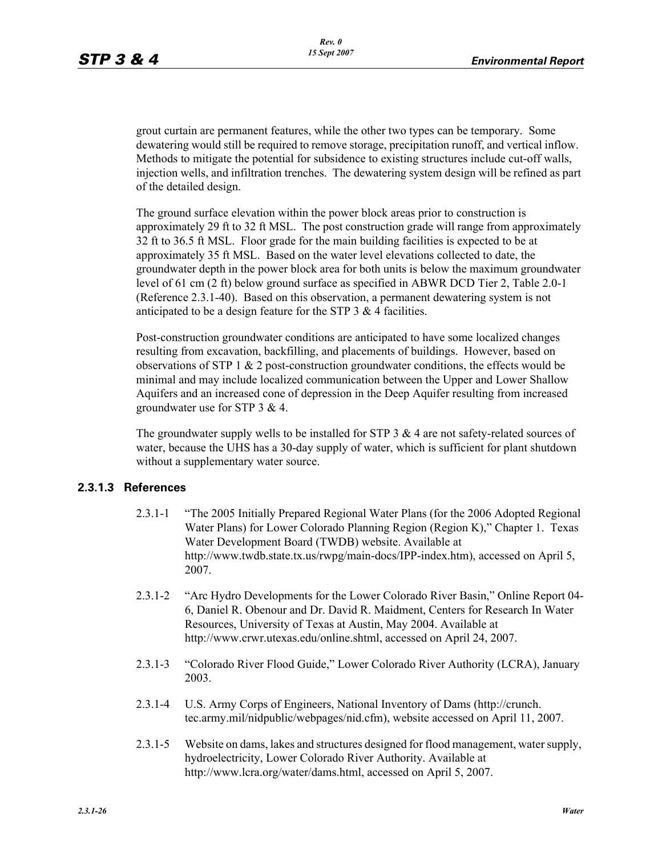grout curtain are permanent features, while the other two types can be temporary. Some dewatering would still be required to remove storage, precipitation runoff, and vertical inflow. Methods to mitigate the potential for subsidence to existing structures include cut-off walls, injection wells, and infiltration trenches. The dewatering system design will be refined as part of the detailed design.

The ground surface elevation within the power block areas prior to construction is approximately 29 ft to 32 ft MSL. The post construction grade will range from approximately 32 ft to 36.5 ft MSL. Floor grade for the main building facilities is expected to be at approximately 35 ft MSL. Based on the water level elevations collected to date, the groundwater depth in the power block area for both units is below the maximum groundwater level of 61 cm (2 ft) below ground surface as specified in ABWR DCD Tier 2, Table 2.0-1 (Reference 2.3.1-40). Based on this observation, a permanent dewatering system is not anticipated to be a design feature for the STP 3 & 4 facilities.

Post-construction groundwater conditions are anticipated to have some localized changes resulting from excavation, backfilling, and placements of buildings. However, based on observations of STP 1 & 2 post-construction groundwater conditions, the effects would be minimal and may include localized communication between the Upper and Lower Shallow Aquifers and an increased cone of depression in the Deep Aquifer resulting from increased groundwater use for STP 3 & 4.

The groundwater supply wells to be installed for STP  $3 \& 4$  are not safety-related sources of water, because the UHS has a 30-day supply of water, which is sufficient for plant shutdown without a supplementary water source.

#### **2.3.1.3 References**

- 2.3.1-1 "The 2005 Initially Prepared Regional Water Plans (for the 2006 Adopted Regional Water Plans) for Lower Colorado Planning Region (Region K)," Chapter 1. Texas Water Development Board (TWDB) website. Available at http://www.twdb.state.tx.us/rwpg/main-docs/IPP-index.htm), accessed on April 5, 2007.
- 2.3.1-2 "Arc Hydro Developments for the Lower Colorado River Basin," Online Report 04- 6, Daniel R. Obenour and Dr. David R. Maidment, Centers for Research In Water Resources, University of Texas at Austin, May 2004. Available at http://www.crwr.utexas.edu/online.shtml, accessed on April 24, 2007.
- 2.3.1-3 "Colorado River Flood Guide," Lower Colorado River Authority (LCRA), January 2003.
- 2.3.1-4 U.S. Army Corps of Engineers, National Inventory of Dams (http://crunch. tec.army.mil/nidpublic/webpages/nid.cfm), website accessed on April 11, 2007.
- 2.3.1-5 Website on dams, lakes and structures designed for flood management, water supply, hydroelectricity, Lower Colorado River Authority. Available at http://www.lcra.org/water/dams.html, accessed on April 5, 2007.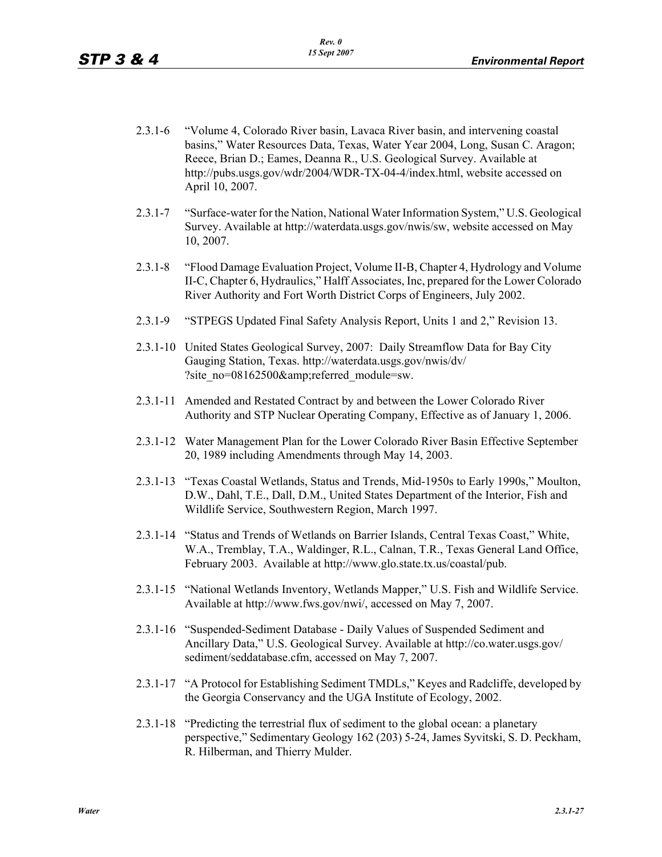- 2.3.1-6 "Volume 4, Colorado River basin, Lavaca River basin, and intervening coastal basins," Water Resources Data, Texas, Water Year 2004, Long, Susan C. Aragon; Reece, Brian D.; Eames, Deanna R., U.S. Geological Survey. Available at http://pubs.usgs.gov/wdr/2004/WDR-TX-04-4/index.html, website accessed on April 10, 2007.
- 2.3.1-7 "Surface-water for the Nation, National Water Information System," U.S. Geological Survey. Available at http://waterdata.usgs.gov/nwis/sw, website accessed on May 10, 2007.
- 2.3.1-8 "Flood Damage Evaluation Project, Volume II-B, Chapter 4, Hydrology and Volume II-C, Chapter 6, Hydraulics," Halff Associates, Inc, prepared for the Lower Colorado River Authority and Fort Worth District Corps of Engineers, July 2002.
- 2.3.1-9 "STPEGS Updated Final Safety Analysis Report, Units 1 and 2," Revision 13.
- 2.3.1-10 United States Geological Survey, 2007: Daily Streamflow Data for Bay City Gauging Station, Texas. http://waterdata.usgs.gov/nwis/dv/ ?site\_no=08162500&referred\_module=sw.
- 2.3.1-11 Amended and Restated Contract by and between the Lower Colorado River Authority and STP Nuclear Operating Company, Effective as of January 1, 2006.
- 2.3.1-12 Water Management Plan for the Lower Colorado River Basin Effective September 20, 1989 including Amendments through May 14, 2003.
- 2.3.1-13 "Texas Coastal Wetlands, Status and Trends, Mid-1950s to Early 1990s," Moulton, D.W., Dahl, T.E., Dall, D.M., United States Department of the Interior, Fish and Wildlife Service, Southwestern Region, March 1997.
- 2.3.1-14 "Status and Trends of Wetlands on Barrier Islands, Central Texas Coast," White, W.A., Tremblay, T.A., Waldinger, R.L., Calnan, T.R., Texas General Land Office, February 2003. Available at http://www.glo.state.tx.us/coastal/pub.
- 2.3.1-15 "National Wetlands Inventory, Wetlands Mapper," U.S. Fish and Wildlife Service. Available at http://www.fws.gov/nwi/, accessed on May 7, 2007.
- 2.3.1-16 "Suspended-Sediment Database Daily Values of Suspended Sediment and Ancillary Data," U.S. Geological Survey. Available at http://co.water.usgs.gov/ sediment/seddatabase.cfm, accessed on May 7, 2007.
- 2.3.1-17 "A Protocol for Establishing Sediment TMDLs," Keyes and Radcliffe, developed by the Georgia Conservancy and the UGA Institute of Ecology, 2002.
- 2.3.1-18 "Predicting the terrestrial flux of sediment to the global ocean: a planetary perspective," Sedimentary Geology 162 (203) 5-24, James Syvitski, S. D. Peckham, R. Hilberman, and Thierry Mulder.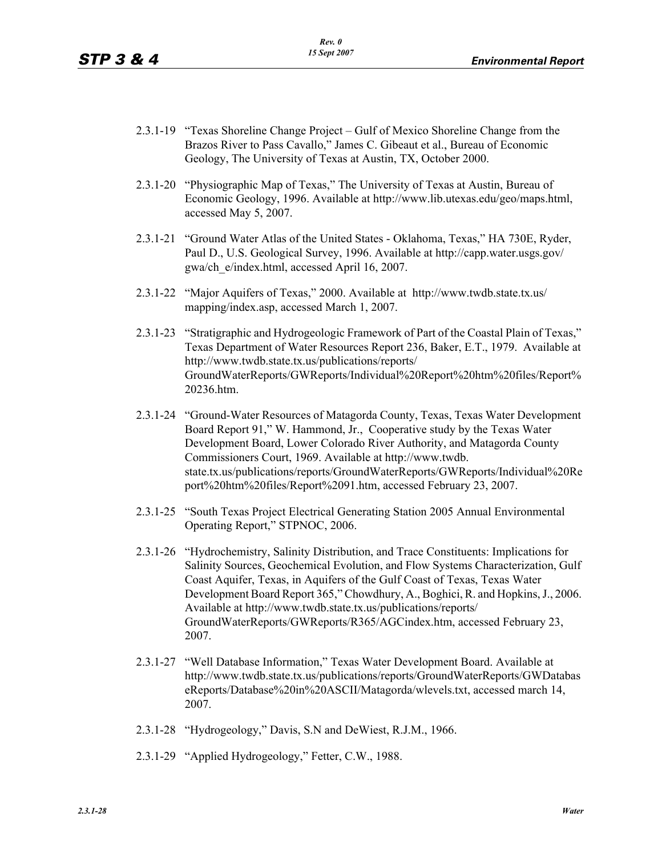- 2.3.1-19 "Texas Shoreline Change Project Gulf of Mexico Shoreline Change from the Brazos River to Pass Cavallo," James C. Gibeaut et al., Bureau of Economic Geology, The University of Texas at Austin, TX, October 2000.
- 2.3.1-20 "Physiographic Map of Texas," The University of Texas at Austin, Bureau of Economic Geology, 1996. Available at http://www.lib.utexas.edu/geo/maps.html, accessed May 5, 2007.
- 2.3.1-21 "Ground Water Atlas of the United States Oklahoma, Texas," HA 730E, Ryder, Paul D., U.S. Geological Survey, 1996. Available at http://capp.water.usgs.gov/ gwa/ch\_e/index.html, accessed April 16, 2007.
- 2.3.1-22 "Major Aquifers of Texas," 2000. Available at http://www.twdb.state.tx.us/ mapping/index.asp, accessed March 1, 2007.
- 2.3.1-23 "Stratigraphic and Hydrogeologic Framework of Part of the Coastal Plain of Texas," Texas Department of Water Resources Report 236, Baker, E.T., 1979. Available at http://www.twdb.state.tx.us/publications/reports/ GroundWaterReports/GWReports/Individual%20Report%20htm%20files/Report% 20236.htm.
- 2.3.1-24 "Ground-Water Resources of Matagorda County, Texas, Texas Water Development Board Report 91," W. Hammond, Jr., Cooperative study by the Texas Water Development Board, Lower Colorado River Authority, and Matagorda County Commissioners Court, 1969. Available at http://www.twdb. state.tx.us/publications/reports/GroundWaterReports/GWReports/Individual%20Re port%20htm%20files/Report%2091.htm, accessed February 23, 2007.
- 2.3.1-25 "South Texas Project Electrical Generating Station 2005 Annual Environmental Operating Report," STPNOC, 2006.
- 2.3.1-26 "Hydrochemistry, Salinity Distribution, and Trace Constituents: Implications for Salinity Sources, Geochemical Evolution, and Flow Systems Characterization, Gulf Coast Aquifer, Texas, in Aquifers of the Gulf Coast of Texas, Texas Water Development Board Report 365," Chowdhury, A., Boghici, R. and Hopkins, J., 2006. Available at http://www.twdb.state.tx.us/publications/reports/ GroundWaterReports/GWReports/R365/AGCindex.htm, accessed February 23, 2007.
- 2.3.1-27 "Well Database Information," Texas Water Development Board. Available at http://www.twdb.state.tx.us/publications/reports/GroundWaterReports/GWDatabas eReports/Database%20in%20ASCII/Matagorda/wlevels.txt, accessed march 14, 2007.
- 2.3.1-28 "Hydrogeology," Davis, S.N and DeWiest, R.J.M., 1966.
- 2.3.1-29 "Applied Hydrogeology," Fetter, C.W., 1988.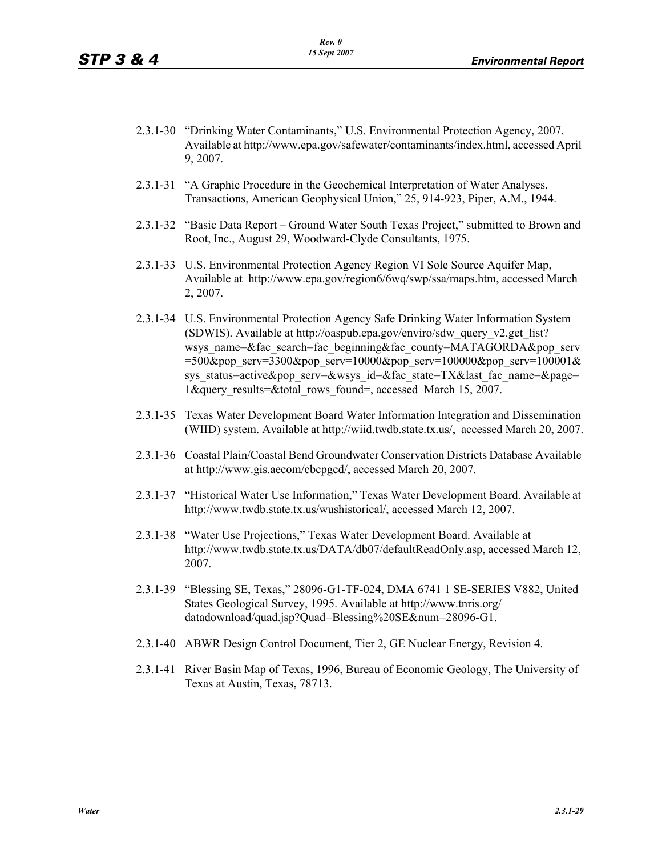- 2.3.1-30 "Drinking Water Contaminants," U.S. Environmental Protection Agency, 2007. Available at http://www.epa.gov/safewater/contaminants/index.html, accessed April 9, 2007.
- 2.3.1-31 "A Graphic Procedure in the Geochemical Interpretation of Water Analyses, Transactions, American Geophysical Union," 25, 914-923, Piper, A.M., 1944.
- 2.3.1-32 "Basic Data Report Ground Water South Texas Project," submitted to Brown and Root, Inc., August 29, Woodward-Clyde Consultants, 1975.
- 2.3.1-33 U.S. Environmental Protection Agency Region VI Sole Source Aquifer Map, Available at http://www.epa.gov/region6/6wq/swp/ssa/maps.htm, accessed March 2, 2007.
- 2.3.1-34 U.S. Environmental Protection Agency Safe Drinking Water Information System (SDWIS). Available at http://oaspub.epa.gov/enviro/sdw\_query\_v2.get\_list? wsys\_name=&fac\_search=fac\_beginning&fac\_county=MATAGORDA&pop\_serv =500&pop\_serv=3300&pop\_serv=10000&pop\_serv=100000&pop\_serv=100001& sys\_status=active&pop\_serv=&wsys\_id=&fac\_state=TX&last\_fac\_name=&page= 1&query results=&total\_rows\_found=, accessed March 15, 2007.
- 2.3.1-35 Texas Water Development Board Water Information Integration and Dissemination (WIID) system. Available at http://wiid.twdb.state.tx.us/, accessed March 20, 2007.
- 2.3.1-36 Coastal Plain/Coastal Bend Groundwater Conservation Districts Database Available at http://www.gis.aecom/cbcpgcd/, accessed March 20, 2007.
- 2.3.1-37 "Historical Water Use Information," Texas Water Development Board. Available at http://www.twdb.state.tx.us/wushistorical/, accessed March 12, 2007.
- 2.3.1-38 "Water Use Projections," Texas Water Development Board. Available at http://www.twdb.state.tx.us/DATA/db07/defaultReadOnly.asp, accessed March 12, 2007.
- 2.3.1-39 "Blessing SE, Texas," 28096-G1-TF-024, DMA 6741 1 SE-SERIES V882, United States Geological Survey, 1995. Available at http://www.tnris.org/ datadownload/quad.jsp?Quad=Blessing%20SE&num=28096-G1.
- 2.3.1-40 ABWR Design Control Document, Tier 2, GE Nuclear Energy, Revision 4.
- 2.3.1-41 River Basin Map of Texas, 1996, Bureau of Economic Geology, The University of Texas at Austin, Texas, 78713.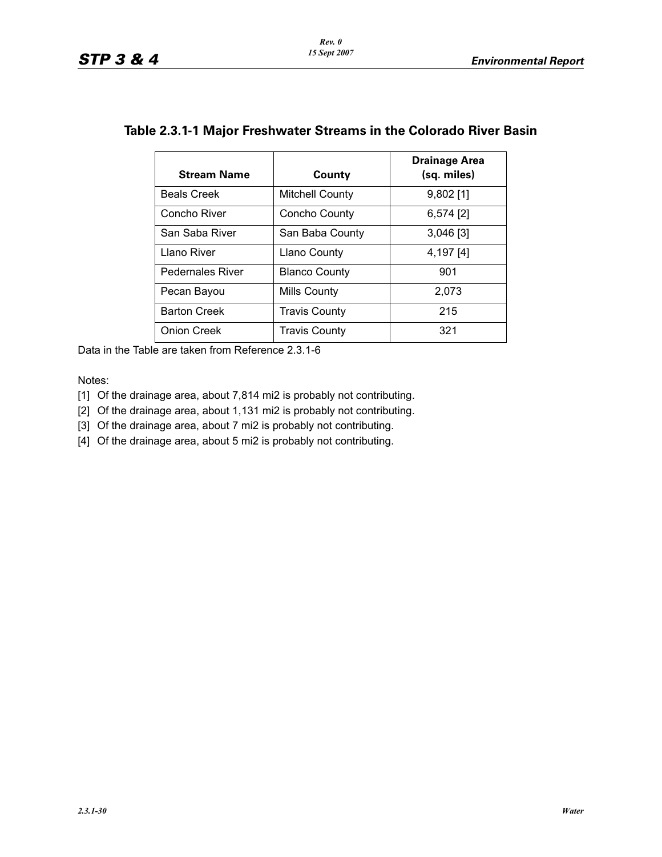| <b>Stream Name</b>      | County                 | <b>Drainage Area</b><br>(sq. miles) |
|-------------------------|------------------------|-------------------------------------|
| <b>Beals Creek</b>      | <b>Mitchell County</b> | $9,802$ [1]                         |
| Concho River            | Concho County          | $6,574$ [2]                         |
| San Saba River          | San Baba County        | 3,046 [3]                           |
| Llano River             | Llano County           | 4,197 [4]                           |
| <b>Pedernales River</b> | <b>Blanco County</b>   | 901                                 |
| Pecan Bayou             | Mills County           | 2,073                               |
| <b>Barton Creek</b>     | <b>Travis County</b>   | 215                                 |
| <b>Onion Creek</b>      | Travis County          | 321                                 |

## **Table 2.3.1-1 Major Freshwater Streams in the Colorado River Basin**

Data in the Table are taken from Reference 2.3.1-6

#### Notes:

[1] Of the drainage area, about 7,814 mi2 is probably not contributing.

[2] Of the drainage area, about 1,131 mi2 is probably not contributing.

[3] Of the drainage area, about 7 mi2 is probably not contributing.

[4] Of the drainage area, about 5 mi2 is probably not contributing.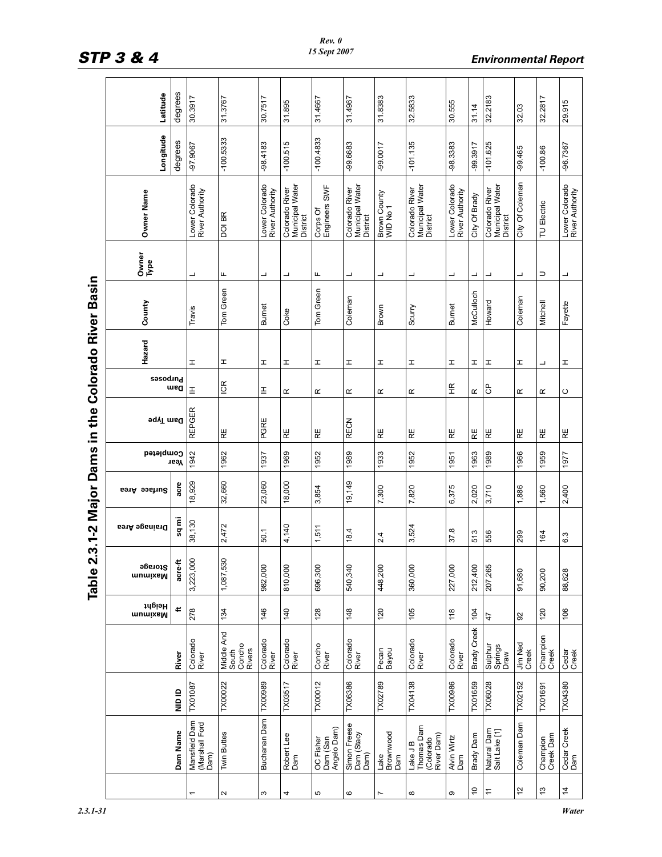|                          | Latitude             | degrees  | 30.3917                                 | 31.3767                                 | 30.7517                           | 31.895                                        | 31.4667                              | 31.4967                                       | 31.8383                  | 32.5833                                           | 30.555                            | 31.14                    | 32.2183                                       | 32.03            | 32.2817               | 29.915                            |
|--------------------------|----------------------|----------|-----------------------------------------|-----------------------------------------|-----------------------------------|-----------------------------------------------|--------------------------------------|-----------------------------------------------|--------------------------|---------------------------------------------------|-----------------------------------|--------------------------|-----------------------------------------------|------------------|-----------------------|-----------------------------------|
|                          | Longitude            | degrees  | $-97.9067$                              | $-100.5333$                             | $-98.4183$                        | $-100.515$                                    | $-100.4833$                          | -99.6683                                      | $-99.0017$               | $-101.135$                                        | -98.3383                          | $-99.3917$               | $-101.625$                                    | $-99.465$        | $-100.86$             | $-96.7367$                        |
|                          | Owner Name           |          | Lower Colorado<br>River Authority       | DOI BR                                  | Lower Colorado<br>River Authority | Municipal Water<br>Colorado River<br>District | Corps Of<br>Engineers SWF            | Municipal Water<br>District<br>Colorado River | Brown County<br>WID No 1 | Colorado River<br>Municipal Water<br>District     | Lower Colorado<br>River Authority | City Of Brady            | Municipal Water<br>District<br>Colorado River | City Of Coleman  | TU Electric           | Lower Colorado<br>River Authority |
|                          | Owner<br>Type        |          | ┙                                       | щ                                       | ┙                                 | ┙                                             | щ                                    | ┙                                             | ┙                        | ┙                                                 | ┙                                 | $\overline{\phantom{0}}$ | ┙                                             | ┙                | $\supset$             | $\overline{\phantom{0}}$          |
| the Colorado River Basin | County               |          | Travis                                  | Tom Green                               | <b>Burnet</b>                     | Coke                                          | Tom Green                            | Coleman                                       | Brown                    | Scurry                                            | <b>Burnet</b>                     | McCulloch                | Howard                                        | Coleman          | Mitchell              | Fayette                           |
|                          | Hazard               |          | I                                       | I                                       | I                                 | I                                             | I                                    | I                                             | I                        | I                                                 | I                                 | I                        | I                                             | I                | ┙                     | I                                 |
|                          | <b>Sasodind</b>      | ueg      | E                                       | ICR                                     | $\mathbf{\underline{I}}$          | $\propto$                                     | œ                                    | $\propto$                                     | ĸ                        | œ                                                 | 丘                                 | ĸ                        | $\sigma$                                      | ĸ                | $\propto$             | C                                 |
|                          | Dam Type             |          | <b>REPGER</b>                           | RE                                      | PGRE                              | RE                                            | RE                                   | <b>RECN</b>                                   | RE                       | RE                                                | RE                                | RE                       | RE                                            | RE               | RE                    | RE                                |
|                          | Completed            | Year     | 1942                                    | 1962                                    | 1937                              | 1969                                          | 1952                                 | 1989                                          | 1933                     | 1952                                              | 1951                              | 1963                     | 1989                                          | 1966             | 1959                  | 1977                              |
|                          | Surface Area         | acre     | 18,929                                  | 32,660                                  | 23,060                            | 18,000                                        | 3,854                                | 19,149                                        | 7,300                    | 7,820                                             | 6,375                             | 2,020                    | 3,710                                         | 1,886            | 1,560                 | 2,400                             |
| 2.3.1-2 Major Dams in    | <b>Drainage Area</b> | iun bs   | 38,130                                  | 2,472                                   | 50.1                              | 4,140                                         | 1,511                                | 18.4                                          | 2.4                      | 3,524                                             | 37.8                              | 513                      | 556                                           | 299              | 164                   | 6.3                               |
| Table                    | Maximum<br>Storage   | acre-f   | 3,223,000                               | 1,087,530                               | 982,000                           | 810,000                                       | 696,300                              | 540,340                                       | 448,200                  | 360,000                                           | 227,000                           | 212,400                  | 207,265                                       | 91,680           | 90,200                | 88,628                            |
|                          | Maximum<br>Maximum   | ť        | 278                                     | 134                                     | 146                               | 140                                           | 128                                  | 148                                           | 120                      | 105                                               | 118                               | 104                      | $\ddot{4}$                                    | 92               | 120                   | 106                               |
|                          |                      | River    | Colorado<br>River                       | Middle And<br>South<br>Concho<br>Rivers | Colorado<br>River                 | Colorado<br>River                             | Concho<br>River                      | Colorado<br>River                             | Pecan<br>Bayou           | Colorado<br>River                                 | Colorado<br>River                 | <b>Brady Creek</b>       | Sulphur<br>Springs<br>Draw                    | Jim Ned<br>Creek | Champion<br>Creek     | Cedar<br>Creek                    |
|                          |                      | al and   | TX01087                                 | TX00022                                 | <b>TX00989</b>                    | TX03517                                       | <b>TX00012</b>                       | TX06386                                       | TX02789                  | <b>TX04138</b>                                    | <b>TX00986</b>                    | TX01659                  | <b>TX06028</b>                                | TX02152          | TX01691               | TX04380                           |
|                          |                      | Dam Name | Mansfield Dam<br>(Marshall Ford<br>Dam) | <b>Twin Buttes</b>                      | Buchanan Dam                      | Robert Lee<br>Dam                             | OC Fisher<br>Dam (San<br>Angelo Dam) | Simon Freese<br>Dam (Stacy<br>Dam)            | Lake<br>Brownwood<br>Dam | Thomas Dam<br>River Dam)<br>(Colorado<br>Lake J B | Alvin Wirtz<br>Dam                | Brady Dam                | Natural Dam<br>Salt Lake [1]                  | Coleman Dam      | Champion<br>Creek Dam | Cedar Creek<br>Dam                |
|                          |                      |          |                                         | $\boldsymbol{\sim}$                     | S                                 | 4                                             | ю                                    | $\mathbf{\circ}$                              | Ľ                        | ${}^{\circ}$                                      | ω                                 | S i                      | $\div$                                        | 51               | $\tilde{c}$           | $\frac{1}{4}$                     |

# STP 3 & 4 **Environmental Report**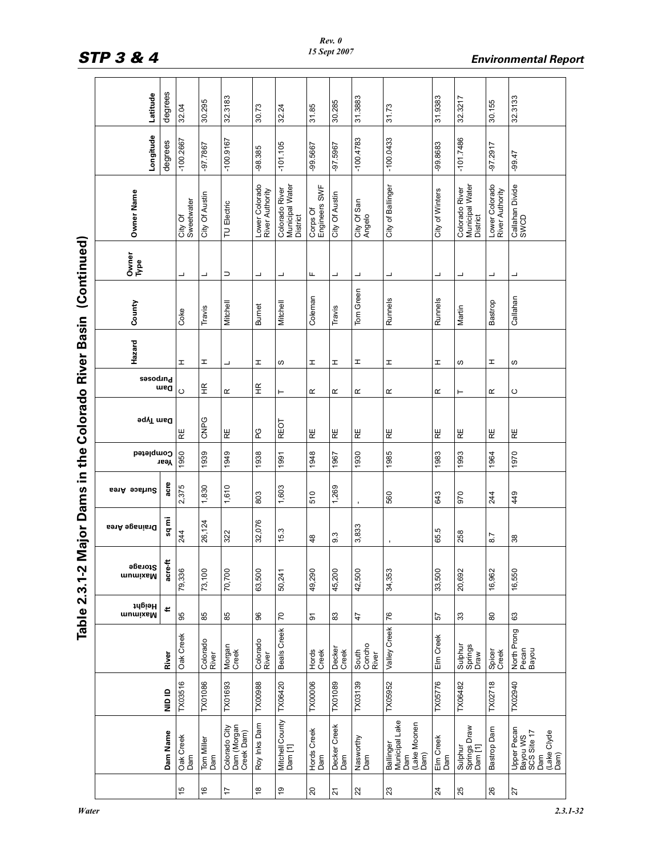| <b>Colorado River Basin</b> |
|-----------------------------|
|                             |
| . Dams in the ${\sf C}$     |
|                             |
| <b>2.3.1-2 Major</b>        |

|                             | Latitude                  | degrees  | 32.04                 | 30.295            | 32.3183                                    | 30.73                             | 32.24                                         | 31.85                     | 30.285                | 31.3883                  | 31.73                                                      | 31.9383              | 32.3217                                       | 30.155                            | 32.3133                                                              |
|-----------------------------|---------------------------|----------|-----------------------|-------------------|--------------------------------------------|-----------------------------------|-----------------------------------------------|---------------------------|-----------------------|--------------------------|------------------------------------------------------------|----------------------|-----------------------------------------------|-----------------------------------|----------------------------------------------------------------------|
|                             | Longitude                 | degrees  | $-100.2667$           | -97.7867          | $-100.9167$                                | $-98.385$                         | $-101.105$                                    | -99.5667                  | -97.5967              | $-100.4783$              | $-100.0433$                                                | $-99.8683$           | $-101.7486$                                   | $-97.2917$                        | $-99.47$                                                             |
|                             | Owner Name                |          | City Of<br>Sweetwater | City Of Austin    | TU Electric                                | Lower Colorado<br>River Authority | Colorado River<br>Municipal Water<br>District | Engineers SWF<br>Corps Of | <b>City Of Austin</b> | City Of San<br>Angelo    | City of Ballinger                                          | City of Winters      | Colorado River<br>Municipal Water<br>District | Lower Colorado<br>River Authority | Callahan Divide<br>SWCD                                              |
| (Continued)                 | Owner<br>Type             |          | ┙                     | ┙                 | $\supset$                                  | ┙                                 | ┙                                             | Щ                         | ┙                     | ┙                        | ┙                                                          | ┙                    | ┙                                             | ┙                                 | ┙                                                                    |
|                             | County                    |          | Coke                  | Travis            | Mitchell                                   | <b>Burnet</b>                     | Mitchell                                      | Coleman                   | Travis                | Tom Green                | Runnels                                                    | Runnels              | Martin                                        | Bastrop                           | Callahan                                                             |
|                             | Hazard                    |          | I                     | I                 | ┙                                          | I                                 | w                                             | I                         | I                     | I                        | I                                                          | I                    | ဖ                                             | I                                 | w                                                                    |
|                             | <b>Sasodind</b>           | med      | $\circ$               | Ξ                 | $\propto$                                  | $\widetilde{\mathbb{E}}$          | ⊢                                             | $\underline{\alpha}$      | $\propto$             | $\propto$                | œ                                                          | $\underline{\alpha}$ | ⊢                                             | œ                                 | ပ                                                                    |
| in the Colorado River Basin | ∍qγT msd                  |          | RE                    | CNPG              | RΕ                                         | PG                                | <b>REOT</b>                                   | RE                        | RE                    | RE                       | RΕ                                                         | RE                   | RE                                            | RE                                | RΕ                                                                   |
|                             | Completed                 | Year     | 1950                  | 1939              | 1949                                       | 1938                              | 1991                                          | 1948                      | 1967                  | 1930                     | 1985                                                       | 1983                 | 1993                                          | 1964                              | 1970                                                                 |
| <b>Dams</b>                 | Surface Area              | acre     | 2,375                 | 1,830             | 1,610                                      | 803                               | 1,603                                         | 510                       | 1,269                 | $\mathbf{r}$             | 560                                                        | 643                  | 970                                           | 244                               | 449                                                                  |
| Major                       | <b>Drainage Area</b>      | Έ<br>å   | 244                   | 26,124            | 322                                        | 32,076                            | 15.3                                          | $\frac{8}{3}$             | 9.3                   | 3,833                    |                                                            | 65.5                 | 258                                           | 8.7                               | 38                                                                   |
| Table 2.3.1-2               | <b>Storage</b><br>Maximum | acre-ft  | 79,336                | 73,100            | 70,700                                     | 63,500                            | 50,241                                        | 49,290                    | 45,200                | 42,500                   | 34,353                                                     | 33,500               | 20,692                                        | 16,962                            | 16,550                                                               |
|                             | Maximum<br>Maximum        | ŧ        | 95                    | 85                | 85                                         | 8                                 | $\mathcal{L}$                                 | $\overline{5}$            | 83                    | 47                       | 76                                                         | 57                   | 33                                            | 80                                | යි                                                                   |
|                             |                           | River    | Oak Creek             | Colorado<br>River | Morgan<br>Creek                            | Colorado<br>River                 | Beals Creek                                   | Hords<br>Creek            | Decker<br>Creek       | South<br>Concho<br>River | Valley Creek                                               | Elm Creek            | Sulphur<br>Springs<br>Draw                    | Spicer<br>Creek                   | North Prong<br>Pecan<br>Bayou                                        |
|                             |                           | aio in   | TX03516               | <b>TX01086</b>    | TX01693                                    | <b>TX00988</b>                    | TX06420                                       | <b>TX00006</b>            | TX01089               | TX03139                  | TX05952                                                    | TX05776              | TX06482                                       | TX02718                           | TX02940                                                              |
|                             |                           | Dam Name | Oak Creek<br>Dam      | Tom Miller<br>Dam | Colorado City<br>Dam (Morgan<br>Creek Dam) | Roy Inks Dam                      | Mitchell County<br>Dam [1]                    | Hords Creek<br>Dam        | Decker Creek<br>Dam   | Nasworthy<br>Dam         | Municipal Lake<br>(Lake Moonen<br>Dam)<br>Ballinger<br>Dam | Elm Creek<br>Dam     | Sulphur<br>Springs Draw<br>Dam [1]            | Bastrop Dam                       | Upper Pecan<br>Bayou WS<br>SCS Site 17<br>(Lake Clyde<br>Dam)<br>Dam |
|                             |                           |          | 15                    | $\frac{6}{5}$     | $\overline{1}$                             | $\overset{\circ}{\phantom{a}}$    | $\overline{9}$                                | $\overline{c}$            | $\overline{2}$        | 22                       | 23                                                         | $\overline{24}$      | 25                                            | 26                                | 27                                                                   |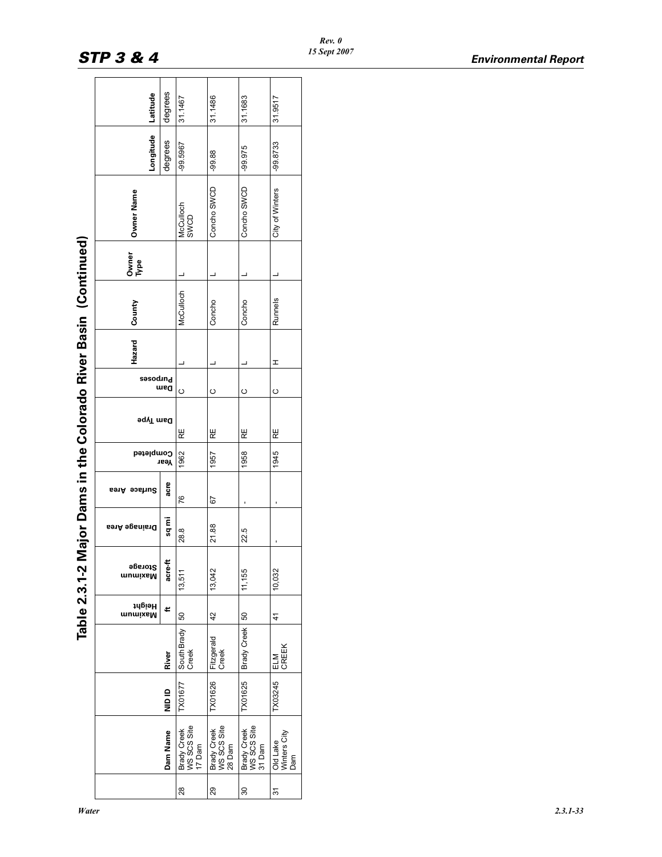| :<br>)<br>.                 |
|-----------------------------|
| aio<br>Doo<br>$\frac{1}{2}$ |
| י<br>מ                      |
| くていこくにく                     |
|                             |
|                             |
|                             |
| e 2.3.1-2 Major             |
|                             |

|                                                    | Latitude           | degrees  | 31.1467                              | 31.1486                              | 31.1683                              | 31.9517                         |
|----------------------------------------------------|--------------------|----------|--------------------------------------|--------------------------------------|--------------------------------------|---------------------------------|
|                                                    | Longitude          | degrees  | -99.5967                             | $-99.88$                             | $-99.975$                            | -99.8733                        |
|                                                    | Owner Name         |          | McCulloch<br>SWCD                    | Concho SWCD                          | Concho SWCD                          | City of Winters                 |
|                                                    | Owner<br>Type      |          |                                      |                                      |                                      |                                 |
| Major Dams in the Colorado River Basin (Continued) | County             |          | McCulloch                            | Concho                               | Concho                               | Runnels                         |
|                                                    | Hazard             |          |                                      |                                      |                                      | I                               |
|                                                    | <b>Sasodind</b>    | mea      | O                                    | $\circ$                              | $\circ$                              | $\circ$                         |
|                                                    | <b>Pam</b> Type    |          | RE                                   | RE                                   | RE                                   | RE                              |
|                                                    | Completed          | Year     | 1962                                 | 1957                                 | 1958                                 | 1945                            |
|                                                    | Area<br>eseung     | acre     | 76                                   | 52                                   |                                      |                                 |
|                                                    | Brainage Area      | sq mi    | 28.8                                 | 21.88                                | 22.5                                 | ı                               |
| Table 2.3.1-2                                      | Storage<br>mumixaM | acre-    | 13,511                               | 13,042                               | 11,155                               | 10,032                          |
|                                                    | Height<br>mumixsM  | ť        | 50                                   | 42                                   |                                      | 41                              |
|                                                    |                    | River    | South Brady<br>Creek                 | Fitzgerald<br>Creek                  | Brady Creek 50                       | CREEK<br><b>ELM</b>             |
|                                                    |                    | a<br>Sid | TX01677                              | TX01626                              | TX01625                              | TX03245                         |
|                                                    |                    | Dam Name | Brady Creek<br>WS SCS Site<br>17 Dam | WS SCS Site<br>Brady Creek<br>28 Dam | Brady Creek<br>WS SCS Site<br>31 Dam | Winters City<br>Old Lake<br>Dam |
|                                                    |                    |          | 28                                   | 29                                   | 30                                   | 5                               |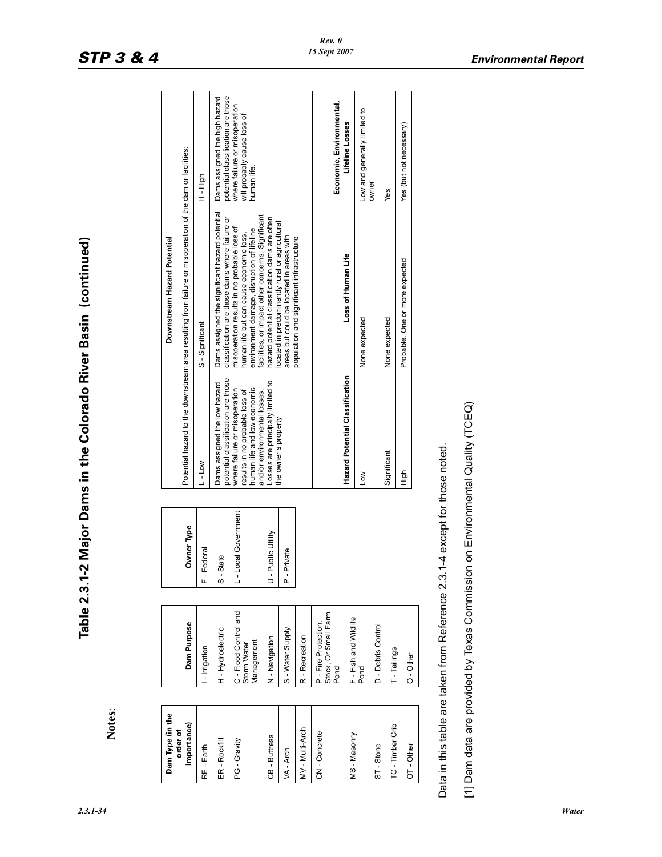**Table 2.3.1-2 Major Dams in the Colorado River Basin (continued)**

Table 2.3.1-2 Major Dams in the Colorado River Basin (continued)

| ╙<br>Dam Purpose<br>H-Hydroelectric<br>- Irrigation<br>importance)<br>order of<br>ER - Rockfill<br>RE - Earth |                    |                                                                                                                                | Downstream Hazard Potential                                                                                                                                                               |                                                                             |
|---------------------------------------------------------------------------------------------------------------|--------------------|--------------------------------------------------------------------------------------------------------------------------------|-------------------------------------------------------------------------------------------------------------------------------------------------------------------------------------------|-----------------------------------------------------------------------------|
|                                                                                                               | Owner Type         |                                                                                                                                | Potential hazard to the downstream area resulting from failure or misoperation of the dam or facilities:                                                                                  |                                                                             |
|                                                                                                               | - Federal          | L-Low                                                                                                                          | S-Significant                                                                                                                                                                             | H <sub>-High</sub>                                                          |
|                                                                                                               | - State            | potential classification are those<br>Dams assigned the low hazard                                                             | Dams assigned the significant hazard potential<br>classification are those dams where failure or                                                                                          | potential classification are those<br>Dams assigned the high hazard         |
| C - Flood Control and<br>Storm Water<br>Management<br>PG - Gravity                                            | - Local Government | where failure or misoperation<br>human life and low economic<br>results in no probable loss of<br>and/or environmental losses. | facilities, or impact other concerns. Significant<br>misoperation results in no probable loss of<br>environment damage, disruption of lifeline<br>human life but can cause economic loss, | where failure or misoperation<br>will probably cause loss of<br>human life. |
| N-Navigation<br>CB-Buttress                                                                                   | - Public Utility   | Losses are principally limited to                                                                                              | hazard potential classification dams are often<br>located in predominantly rural or agricultural                                                                                          |                                                                             |
| S - Water Supply<br>VA - Arch                                                                                 | - Private          | the owner's property                                                                                                           | areas but could be located in areas with                                                                                                                                                  |                                                                             |
| R-Recreation<br>MV-Multi-Arch                                                                                 |                    |                                                                                                                                | population and significant infrastructure                                                                                                                                                 |                                                                             |
| P - Fire Protection,<br>CN-Concrete                                                                           |                    |                                                                                                                                |                                                                                                                                                                                           |                                                                             |
| Stock, Or Small Farm<br>Pond                                                                                  |                    |                                                                                                                                |                                                                                                                                                                                           | Economic, Environmental,                                                    |
| F - Fish and Wildlife<br>Pond<br>MS-Masonry                                                                   |                    | Hazard Potential Classification                                                                                                | Loss of Human Life                                                                                                                                                                        | Lifeline Losses                                                             |
|                                                                                                               |                    | Low                                                                                                                            | None expected                                                                                                                                                                             | Low and generally limited to<br>owner                                       |
| D - Debris Control<br>ST-Stone                                                                                |                    | Significant                                                                                                                    | None expected                                                                                                                                                                             | Yes                                                                         |
| T - Tailings<br>TC - Timber Crib                                                                              |                    |                                                                                                                                |                                                                                                                                                                                           |                                                                             |
| $O - Other$<br>$OT-Other$                                                                                     |                    | 이<br>비                                                                                                                         | Probable. One or more expected                                                                                                                                                            | Yes (but not necessary)                                                     |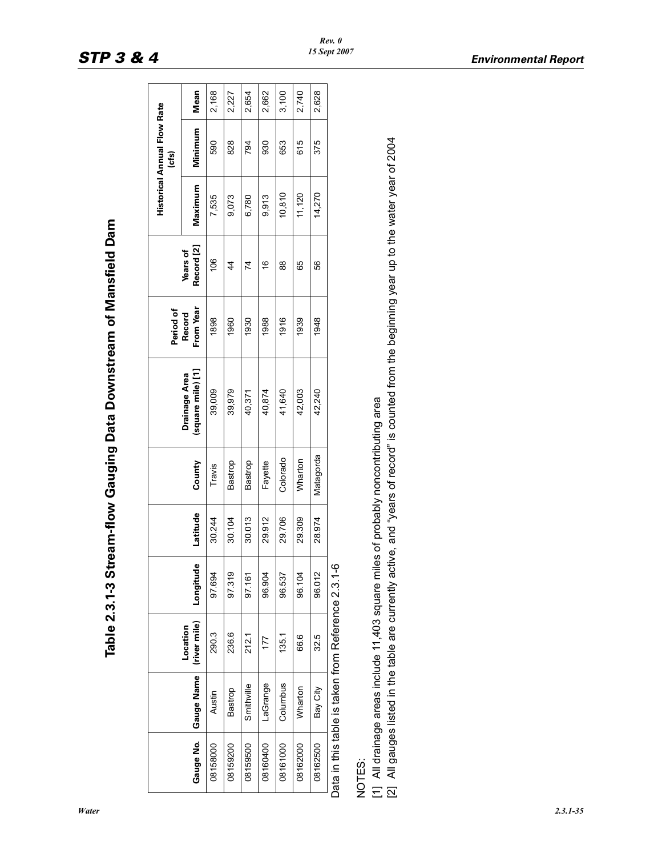| ;<br>)<br>$\mathbf{r}$                     |
|--------------------------------------------|
|                                            |
| <b>Common Data Downstream of Manefielm</b> |
|                                            |
| תי התוכנית                                 |
| vle 2.3.1-3 Stream-flow                    |
|                                            |

|           |            |                                                                                     |           |          |           |                                    | Period of           |                               |         | <b>Historical Annual Flow Rate</b><br>(cfs) |       |
|-----------|------------|-------------------------------------------------------------------------------------|-----------|----------|-----------|------------------------------------|---------------------|-------------------------------|---------|---------------------------------------------|-------|
| Gauge No. | Gauge Name | (river mile)<br>Location                                                            | Longitude | Latitude | County    | (square mile) [1]<br>Drainage Area | From Year<br>Record | Record [2]<br><b>Years of</b> | Maximum | Minimum                                     | Mean  |
| 08158000  | Austin     | 290.3                                                                               | 97.694    | 30.244   | Travis    | 39,009                             | 1898                | 106                           | 7,535   | 590                                         | 2,168 |
| 08159200  | Bastrop    | 236.6                                                                               | 97.319    | 30.104   | Bastrop   | 39,979                             | 1960                | $\frac{4}{4}$                 | 9,073   | 828                                         | 2,227 |
| 08159500  | Smithville | 212.1                                                                               | 97.161    | 30.013   | Bastrop   | 40,371                             | 1930                | 74                            | 6,780   | 794                                         | 2,654 |
| 08160400  | LaGrange   | 177                                                                                 | 96.904    | 29.912   | Fayette   | 40,874                             | 1988                | $\frac{6}{5}$                 | 9,913   | 930                                         | 2,662 |
| 08161000  | Columbus   | 135.1                                                                               | 96.537    | 29.706   | Colorado  | 41,640                             | 1916                | $\frac{8}{2}$                 | 10,810  | 653                                         | 3,100 |
| 08162000  | Wharton    | 66.6                                                                                | 96.104    | 29.309   | Wharton   | 42,003                             | 1939                | 65                            | 11,120  | 615                                         | 2,740 |
| 08162500  | Bay City   | 32.5                                                                                | 96.012    | 28.974   | Matagorda | 42,240                             | 1948                | 56                            | 14,270  | 375                                         | 2,628 |
|           |            | Data in this table is taken from Reference 2.3.1-6                                  |           |          |           |                                    |                     |                               |         |                                             |       |
| NOTES:    |            |                                                                                     |           |          |           |                                    |                     |                               |         |                                             |       |
|           |            | [1] All drainage areas include 11,403 square miles of probably noncontributing area |           |          |           |                                    |                     |                               |         |                                             |       |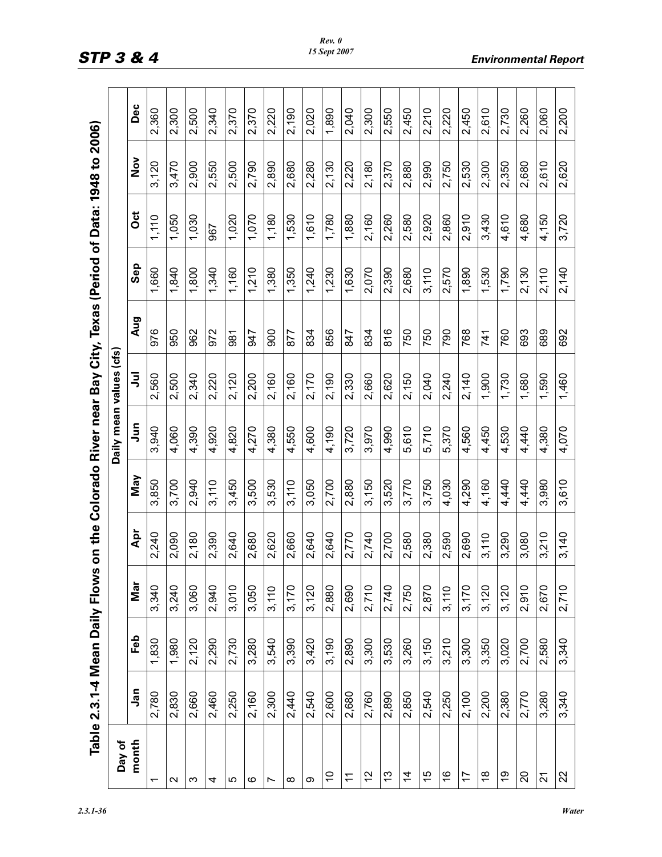|            |       |       |       |       | Daily mean values (cfs |       |     |            |       |               |       |
|------------|-------|-------|-------|-------|------------------------|-------|-----|------------|-------|---------------|-------|
| <b>Jan</b> | Feb   | Mar   | Apr   | May   | Jun                    | ミ     | Aug | <b>Sep</b> | ö     | $\frac{5}{2}$ | Dec   |
| 2,780      | 1,830 | 3,340 | 2,240 | 3,850 | 3,940                  | 2,560 | 976 | 1,660      | 1,110 | 3,120         | 2,360 |
| 2,830      | 1,980 | 3,240 | 2,090 | 3,700 | 4,060                  | 2,500 | 950 | 1,840      | 1,050 | 3,470         | 2,300 |
| 2,660      | 2,120 | 3,060 | 2,180 | 2,940 | 4,390                  | 2,340 | 962 | 1,800      | 1,030 | 2,900         | 2,500 |
| 2,460      | 2,290 | 2,940 | 2,390 | 3,110 | 4,920                  | 2,220 | 972 | 1,340      | 967   | 2,550         | 2,340 |
| 2,250      | 2,730 | 3,010 | 2,640 | 3,450 | 4,820                  | 2,120 | 981 | 1,160      | 1,020 | 2,500         | 2,370 |
| 2,160      | 3,280 | 3,050 | 2,680 | 3,500 | 4,270                  | 2,200 | 547 | 1,210      | 1,070 | 2,790         | 2,370 |
| 2,300      | 3,540 | 3,110 | 2,620 | 3,530 | 4,380                  | 2,160 | 900 | 1,380      | 1,180 | 2,890         | 2,220 |
| 2,440      | 3,390 | 3,170 | 2,660 | 3,110 | 4,550                  | 2,160 | 877 | 1,350      | 1,530 | 2,680         | 2,190 |
| 2,540      | 3,420 | 3,120 | 2,640 | 3,050 | 4,600                  | 2,170 | 834 | 1,240      | 1,610 | 2,280         | 2,020 |
| 2,600      | 3,190 | 2,880 | 2,640 | 2,700 | 4,190                  | 2,190 | 856 | 1,230      | 1,780 | 2,130         | 1,890 |
| 2,680      | 2,890 | 2,690 | 2,770 | 2,880 | 3,720                  | 2,330 | 847 | 1,630      | 1,880 | 2,220         | 2,040 |
| 2,760      | 3,300 | 2,710 | 2,740 | 3,150 | 3,970                  | 2,660 | 834 | 2,070      | 2,160 | 2,180         | 2,300 |
| 2,890      | 3,530 | 2,740 | 2,700 | 3,520 | 4,990                  | 2,620 | 816 | 2,390      | 2,260 | 2,370         | 2,550 |
| 2,850      | 3,260 | 2,750 | 2,580 | 3,770 | 5,610                  | 2,150 | 750 | 2,680      | 2,580 | 2,880         | 2,450 |
| 2,540      | 3,150 | 2,870 | 2,380 | 3,750 | 5,710                  | 2,040 | 750 | 3,110      | 2,920 | 2,990         | 2,210 |
| 2,250      | 3,210 | 3,110 | 2,590 | 4,030 | 5,370                  | 2,240 | 790 | 2,570      | 2,860 | 2,750         | 2,220 |
| 2,100      | 3,300 | 3,170 | 2,690 | 4,290 | 4,560                  | 2,140 | 768 | 1,890      | 2,910 | 2,530         | 2,450 |
| 2,200      | 3,350 | 3,120 | 3,110 | 4,160 | 4,450                  | 1,900 | 741 | 1,530      | 3,430 | 2,300         | 2,610 |
| 2,380      | 3,020 | 3,120 | 3,290 | 4,440 | 4,530                  | 1,730 | 760 | 1,790      | 4,610 | 2,350         | 2,730 |
| 2,770      | 2,700 | 2,910 | 3,080 | 4,440 | 4,440                  | 1,680 | 693 | 2,130      | 4,680 | 2,680         | 2,260 |
| 3,280      | 2,580 | 2,670 | 3,210 | 3,980 | 4,380                  | 1,590 | 689 | 2,110      | 4,150 | 2,610         | 2,060 |
| 3,340      | 3,340 | 2,710 | 3,140 | 3,610 | 4,070                  | 1,460 | 692 | 2,140      | 3,720 | 2,620         | 2,200 |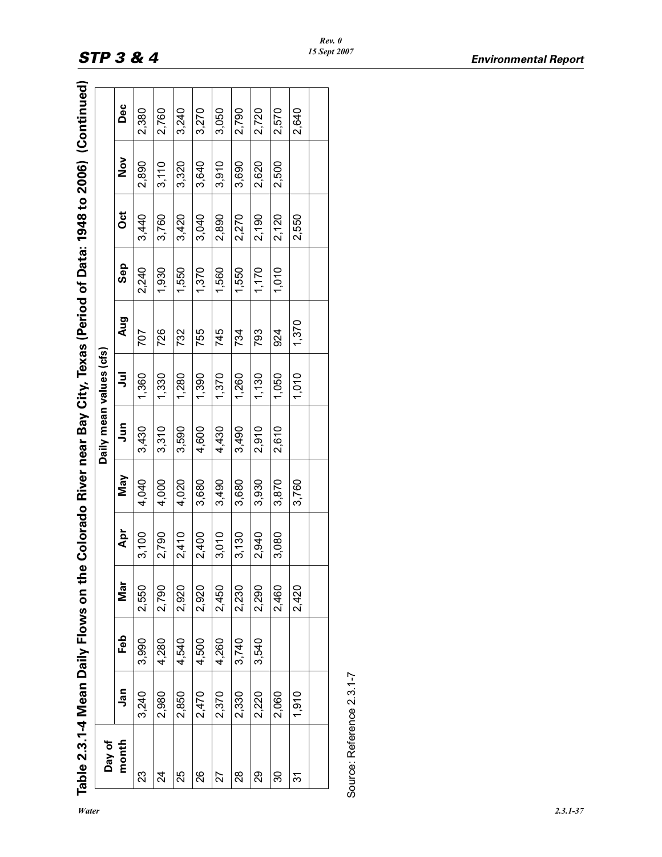| $\frac{1}{2}$                           |
|-----------------------------------------|
| いいこ                                     |
| (2006 c+ 2006 .c+c 1                    |
| - Data - -                              |
| :<br>י תודות ו<br>Š                     |
| (^^;) ヽ; 冫 .                            |
|                                         |
| <b>"A Colorado River near Bay City.</b> |
|                                         |
| :<br>$\frac{1}{2}$                      |
| ı                                       |
|                                         |
|                                         |

| Jan<br>2,980<br>2,850<br>2,470<br>3,240<br>Day of<br>month<br>26<br>23<br>25<br>শ্ৰ | Feb<br>4,280<br>4,540<br>3,990 | Mar<br>2,550 |       |            |           | Daily mean values (cfs) |       |       |       |       |       |
|-------------------------------------------------------------------------------------|--------------------------------|--------------|-------|------------|-----------|-------------------------|-------|-------|-------|-------|-------|
|                                                                                     |                                |              | Apr   | <b>May</b> | $\bar{a}$ | ミ                       | Aug   | Sep   | õ     | Nov   | Dec   |
|                                                                                     |                                |              | 3,100 | 4,040      | 3,430     | 1,360                   | 707   | 2,240 | 3,440 | 2,890 | 2,380 |
|                                                                                     |                                | 2,790        | 2,790 | 4,000      | 3,310     | 1,330                   | 726   | 1,930 | 3,760 | 3,110 | 2,760 |
|                                                                                     |                                | 2,920        | 2,410 | 4,020      | 3,590     | 1,280                   | 732   | 1,550 | 3,420 | 3,320 | 3,240 |
|                                                                                     | 4,500                          | 2,920        | 2,400 | 3,680      | 4,600     | 1,390                   | 755   | 1,370 | 3,040 | 3,640 | 3,270 |
| 2,370<br>27                                                                         | 4,260                          | 2,450        | 3,010 | 3,490      | 4,430     | 1,370                   | 745   | 1,560 | 2,890 | 3,910 | 3,050 |
| 2,330<br>28                                                                         | 3,740                          | 2,230        | 3,130 | 3,680      | 3,490     | 1,260                   | 734   | 1,550 | 2,270 | 3,690 | 2,790 |
| 2,220<br>29                                                                         | 3,540                          | 2,290        | 2,940 | 3,930      | 2,910     | 1,130                   | 793   | 1,170 | 2,190 | 2,620 | 2,720 |
| 2,060<br>30                                                                         |                                | 2,460        | 3,080 | 3,870      | 2,610     | 1,050                   | 924   | 1,010 | 2,120 | 2,500 | 2,570 |
| 1,910<br>31                                                                         |                                | 2,420        |       | 3,760      |           | 1,010                   | 1,370 |       | 2,550 |       | 2,640 |
|                                                                                     |                                |              |       |            |           |                         |       |       |       |       |       |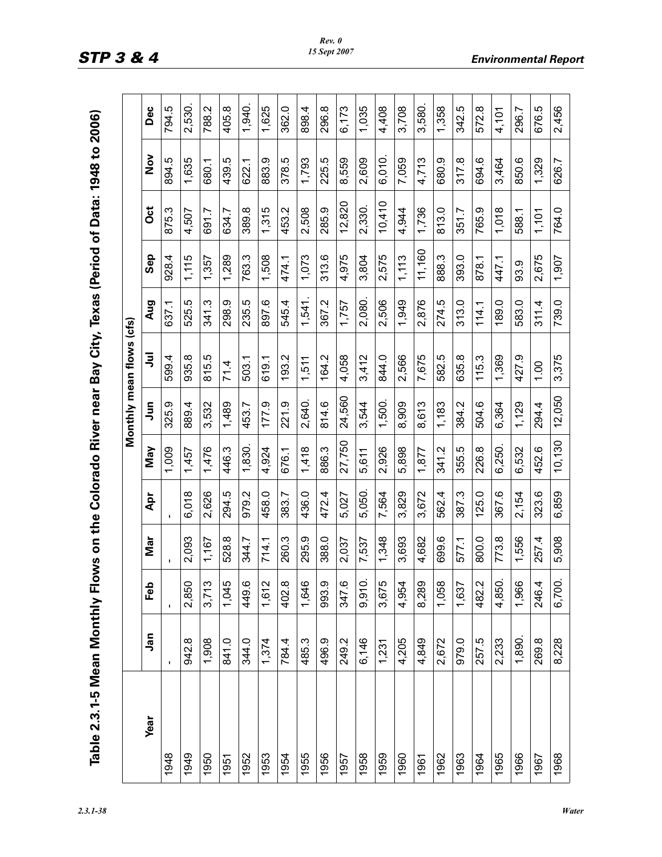| thly Flows on the Colorado River near Bay City, Texas (Period of Data: 1948 to 200 |
|------------------------------------------------------------------------------------|
|                                                                                    |
|                                                                                    |
|                                                                                    |
|                                                                                    |
|                                                                                    |
|                                                                                    |

|             |                |                |                |             |             |        | Monthly mean flows (cfs) |            |        |        |               |        |
|-------------|----------------|----------------|----------------|-------------|-------------|--------|--------------------------|------------|--------|--------|---------------|--------|
| <b>Year</b> | <u>ក្</u> នុ   | Feb            | Mar            | Apr         | May         | Jun    | ョ                        | Aug        | Sep    | Oct    | $\frac{5}{2}$ | Dec    |
| 1948        | $\blacksquare$ | $\blacksquare$ | $\blacksquare$ | $\mathbf I$ | 1,009       | 325.9  | 599.4                    | 637.1      | 928.4  | 875.3  | 894.5         | 794.5  |
| 1949        | 942.8          | 2,850          | 2,093          | 6,018       | 1,457       | 889.4  | 935.8                    | rö<br>525. | 1,115  | 4,507  | 1,635         | 2,530. |
| 1950        | 1,908          | 3,713          | 1,167          | 2,626       | 1,476       | 3,532  | 815.5                    | 341.3      | 1,357  | 691.7  | 680.1         | 788.2  |
| 1951        | 841.0          | 1,045          | 528.8          | 294.5       | 446.3       | 1,489  | 71.4                     | 298.9      | 1,289  | 634.7  | 439.5         | 405.8  |
| 1952        | 344.0          | 449.6          | 344.7          | 979.2       | 1,830.      | 453.7  | 503.1                    | 235.5      | 763.3  | 389.8  | 622.1         | 1,940. |
| 1953        | 1,374          | 1,612          | 714.1          | 458.0       | 4,924       | 177.9  | 619.1                    | 897.6      | 1,508  | 1,315  | 883.9         | 1,625  |
| 1954        | 784.4          | 402.8          | 260.3          | 383.7       | 676.1       | 221.9  | 193.2                    | 545.4      | 474.1  | 453.2  | 378.5         | 362.0  |
| 1955        | 485.3          | 1,646          | 295.9          | 436.0       | 1,418       | 2,640. | 1,511                    | 1,541.     | 1,073  | 2,508  | 1,793         | 898.4  |
| 1956        | 496.9          | 993.9          | 388.0          | 472.4       | 886.3       | 814.6  | 164.2                    | 367.2      | 313.6  | 285.9  | 225.5         | 296.8  |
| 1957        | 249.2          | 347.6          | 2,037          | 5,027       | 27,750      | 24,560 | 4,058                    | 1,757      | 4,975  | 12,820 | 8,559         | 6,173  |
| 1958        | 6,146          | 9,910.         | 7,537          | 5,050.      | 5,611       | 3,544  | 3,412                    | 2,080.     | 3,804  | 2,330. | 2,609         | 1,035  |
| 1959        | 1,231          | 3,675          | 1,348          | 7,564       | 2,926       | 1,500. | 844.0                    | 2,506      | 2,575  | 10,410 | 6,010.        | 4,408  |
| 1960        | 4,205          | 4,954          | 3,693          | 3,829       | 5,898       | 8,909  | 2,566                    | 1,949      | 1,113  | 4,944  | 7,059         | 3,708  |
| 1961        | 4,849          | 8,289          | 4,682          | 3,672       | 1,877       | 8,613  | 7,675                    | 2,876      | 11,160 | 1,736  | 4,713         | 3,580. |
| 1962        | 2,672          | 1,058          | 699.6          | 562.4       | 341.2       | 1,183  | 582.5                    | 274.5      | 888.3  | 813.0  | 680.9         | 1,358  |
| 1963        | 979.0          | 1,637          | 577.1          | 387.3       | ΓÓ.<br>355. | 384.2  | 635.8                    | 313.0      | 393.0  | 351.7  | 317.8         | 342.5  |
| 1964        | 257.5          | 482.2          | 800.0          | 125.0       | 226.8       | 504.6  | 115.3                    | 114.1      | 878.1  | 765.9  | 694.6         | 572.8  |
| 1965        | 2,233          | 4,850.         | 773.8          | 367.6       | 6,250.      | 6,364  | 1,369                    | 89.0       | 447.1  | 1,018  | 3,464         | 4,101  |
| 1966        | 1,890.         | 1,966          | 1,556          | 2,154       | 6,532       | 1,129  | 427.9                    | 583.0      | 93.9   | 588.1  | 850.6         | 296.7  |
| 1967        | 269.8          | 246.4          | 257.4          | 323.6       | 452.6       | 294.4  | 1.00                     | 311.4      | 2,675  | 1,101  | 1,329         | 676.5  |
| 1968        | 8,228          | 6,700.         | 5,908          | 6,859       | 10,130      | 12,050 | 3,375                    | 739.0      | 1,907  | 764.0  | 626.7         | 2,456  |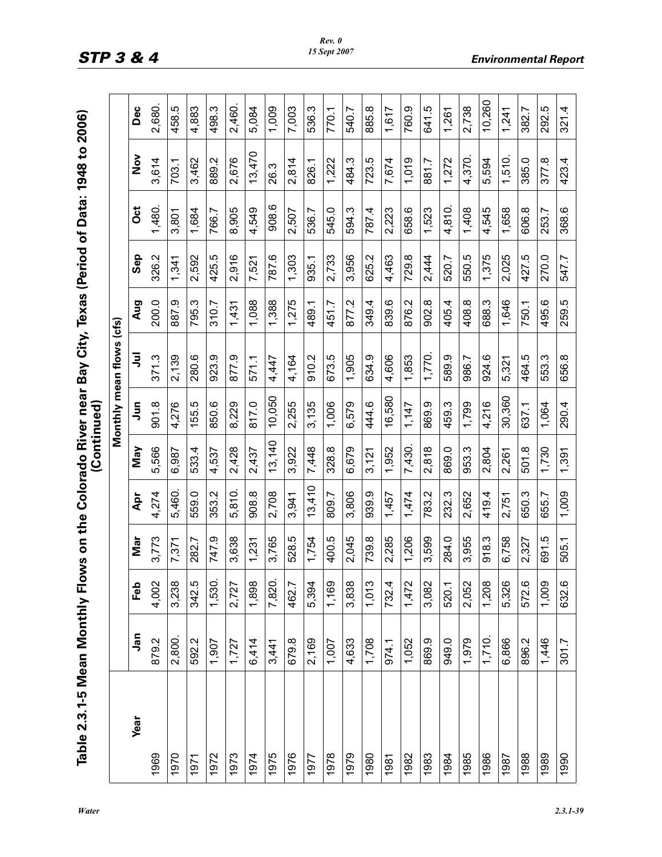|                                                                                   | $\sim$ 1.0 $\sim$ 1.0 $\sim$ |
|-----------------------------------------------------------------------------------|------------------------------|
|                                                                                   | $\ddot{\Omega}$              |
|                                                                                   |                              |
|                                                                                   |                              |
| nthly Flows on the Colorado River near Bay City, Texas (Period of Data: 1948 to 2 |                              |
|                                                                                   |                              |
|                                                                                   |                              |
|                                                                                   |                              |
|                                                                                   |                              |

|             |            |        |       |        | (Continued) |             |                          |       |            |                |               |        |
|-------------|------------|--------|-------|--------|-------------|-------------|--------------------------|-------|------------|----------------|---------------|--------|
|             |            |        |       |        |             |             | Monthly mean flows (cfs) |       |            |                |               |        |
| <b>Year</b> | <b>Jan</b> | Feb    | Nar   | Apr    | May         | $\tilde{5}$ | ョ                        | Aug   | <b>Sep</b> | $\ddot{\rm o}$ | $\frac{5}{2}$ | Dec    |
| 1969        | 879.2      | 4,002  | 3,773 | 4,274  | 5,566       | 901.8       | 371.3                    | 200.0 | 326.2      | 1,480.         | 3,614         | 2,680. |
| 1970        | 2,800.     | 3,238  | 7,371 | 5,460. | 6,987       | 4,276       | 2,139                    | 887.9 | 1,341      | 3,801          | 703.1         | 458.5  |
| 1971        | 592.2      | 342.5  | 282.7 | 559.0  | 533.4       | 155.5       | 280.6                    | 795.3 | 2,592      | 1,684          | 3,462         | 4,883  |
| 1972        | 1,907      | 1,530. | 747.9 | 353.2  | 4,537       | 850.6       | 923.9                    | 310.7 | 425.5      | 766.7          | 889.2         | 498.3  |
| 1973        | 1,727      | 2,727  | 3,638 | 5,810. | 2,428       | 8,229       | 877.9                    | 1,431 | 2,916      | 8,905          | 2,676         | 2,460. |
| 1974        | 6,414      | 1,898  | 1,231 | 908.8  | 2,437       | 817.0       | 571.1                    | 1,088 | 7,521      | 4,549          | 13,470        | 5,084  |
| 1975        | 3,441      | 7,820. | 3,765 | 2,708  | 13,140      | 10,050      | 4,447                    | 1,388 | 787.6      | 908.6          | 26.3          | 1,009  |
| 1976        | 679.8      | 462.7  | 528.5 | 3,941  | 3,922       | 2,255       | 4,164                    | 1,275 | 1,303      | 2,507          | 2,814         | 7,003  |
| 1977        | 2,169      | 5,394  | 1,754 | 13,410 | 7,448       | 3,135       | 910.2                    | 489.1 | 935.1      | 536.7          | 826.1         | 536.3  |
| 1978        | 1,007      | 1,169  | 400.5 | 809.7  | 328.8       | 1,006       | 673.5                    | 451.7 | 2,733      | 545.0          | 1,222         | 770.1  |
| 1979        | 4,633      | 3,838  | 2,045 | 3,806  | 6,679       | 6,579       | 1,905                    | 877.2 | 3,956      | 594.3          | 484.3         | 540.7  |
| 1980        | 1,708      | 1,013  | 739.8 | 939.9  | 3,121       | 444.6       | 634.9                    | 349.4 | 625.2      | 787.4          | 723.5         | 885.8  |
| 1981        | 974.1      | 732.4  | 2,285 | 1,457  | 1,952       | 16,580      | 4,606                    | 839.6 | 4,463      | 2,223          | 7,674         | 1,617  |
| 1982        | 1,052      | 1,472  | 1,206 | 1,474  | 7,430.      | 1,147       | 1,853                    | 876.2 | 729.8      | 658.6          | 1,019         | 760.9  |
| 1983        | 869.9      | 3,082  | 3,599 | 783.2  | 2,818       | 869.9       | 1,770.                   | 902.8 | 2,444      | 1,523          | 881.7         | 641.5  |
| 1984        | 949.0      | 520.1  | 284.0 | 232.3  | 869.0       | 459.3       | 589.9                    | 405.4 | 520.7      | 4,810.         | 1,272         | 1,261  |
| 1985        | 1,979      | 2,052  | 3,955 | 2,652  | 953.3       | 1,799       | 986.7                    | 408.8 | 550.5      | 1,408          | 4,370.        | 2,738  |
| 1986        | 1,710.     | 1,208  | 918.3 | 419.4  | 2,804       | 4,216       | 924.6                    | 688.3 | 1,375      | 4,545          | 5,594         | 10,260 |
| 1987        | 6,866      | 5,326  | 6,758 | 2,751  | 2,261       | 30,360      | 5,321                    | 1,646 | 2,025      | 1,658          | 1,510.        | 1,241  |
| 1988        | 896.2      | 572.6  | 2,327 | 650.3  | 501.8       | 637.1       | 464.5                    | 750.1 | 427.5      | 606.8          | 385.0         | 382.7  |
| 1989        | 1,446      | 1,009  | 691.5 | 655.7  | 1,730       | 1,064       | 553.3                    | 495.6 | 270.0      | 253.7          | 377.8         | 292.5  |
| 1990        | 301.7      | 632.6  | 505.1 | 1,009  | 1,391       | 290.4       | 656.8                    | 259.5 | 547.7      | 368.6          | 423.4         | 321.4  |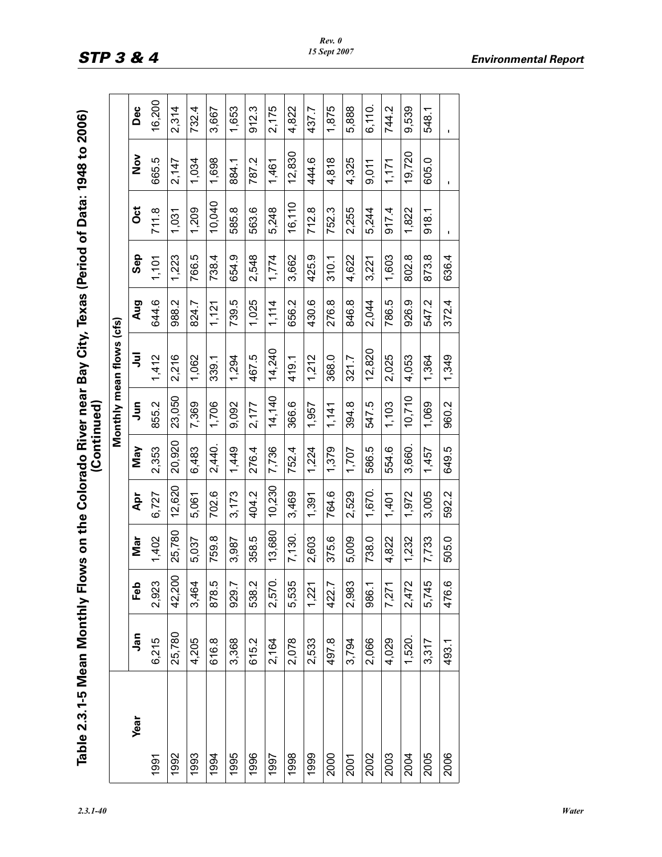| s on the Colorado River near Bay City, Texas (Period of Data: 1948 to |                          |
|-----------------------------------------------------------------------|--------------------------|
|                                                                       |                          |
|                                                                       |                          |
|                                                                       |                          |
|                                                                       | مصالحت والمتشاهد والمرار |
|                                                                       |                          |
|                                                                       |                          |
|                                                                       |                          |
|                                                                       |                          |
|                                                                       |                          |
|                                                                       |                          |
| onthly Flows                                                          |                          |
|                                                                       |                          |
|                                                                       |                          |
|                                                                       |                          |
|                                                                       |                          |
|                                                                       |                          |

| Table 2.3.1-5 Mean Monthly Flows on the Colorado River near Bay City, Texas (Period of Data: 1948 to 2006) |        |        |        |        | (Continued) |        |                          |       |            |                |                |              |
|------------------------------------------------------------------------------------------------------------|--------|--------|--------|--------|-------------|--------|--------------------------|-------|------------|----------------|----------------|--------------|
|                                                                                                            |        |        |        |        |             |        | Monthly mean flows (cfs) |       |            |                |                |              |
| <b>Year</b>                                                                                                | Jan    | Feb    | Mar    | Apr    | Nay         | Jun    | ぅ                        | Aug   | <b>Sep</b> | ö              | $\frac{8}{2}$  | Dec          |
| 1991                                                                                                       | 6,215  | 2,923  | 1,402  | 6,727  | 2,353       | 855.2  | 1,412                    | 644.6 | 1,101      | 711.8          | 665.5          | 16,200       |
| 1992                                                                                                       | 25,780 | 42,200 | 25,780 | 12,620 | 20,920      | 23,050 | 2,216                    | 988.2 | 1,223      | 1,031          | 2,147          | 2,314        |
| 1993                                                                                                       | 4,205  | 3,464  | 5,037  | 5,061  | 6,483       | 7,369  | 1,062                    | 824.7 | 766.5      | 1,209          | 1,034          | 732.4        |
| 1994                                                                                                       | 616.8  | 878.5  | 759.8  | 702.6  | 2,440.      | 1,706  | 339.1                    | 1,121 | 738.4      | 10,040         | 1,698          | 3,667        |
| 1995                                                                                                       | 3,368  | 929.7  | 3,987  | 3,173  | 1,449       | 9,092  | 1,294                    | 739.5 | 654.9      | 585.8          | 884.1          | 1,653        |
| 1996                                                                                                       | 615.2  | 538.2  | 358.5  | 404.2  | 276.4       | 2,177  | 467.5                    | 1,025 | 2,548      | 563.6          | 787.2          | 912.3        |
| 1997                                                                                                       | 2,164  | 2,570. | 13,680 | 10,230 | 7,736       | 14,140 | 14,240                   | 1,114 | 1,774      | 5,248          | 1,461          | 2,175        |
| 1998                                                                                                       | 2,078  | 5,535  | 7,130. | 3,469  | 752.4       | 366.6  | 419.1                    | 656.2 | 3,662      | 16,110         | 12,830         | 4,822        |
| 1999                                                                                                       | 2,533  | 1,221  | 2,603  | 1,391  | 1,224       | 1,957  | 1,212                    | 430.6 | 425.9      | 712.8          | 444.6          | 437.7        |
| 2000                                                                                                       | 497.8  | 422.7  | 375.6  | 764.6  | 1,379       | 1,141  | 368.0                    | 276.8 | 310.1      | 752.3          | 4,818          | 1,875        |
| 2001                                                                                                       | 3,794  | 2,983  | 5,009  | 2,529  | 1,707       | 394.8  | 321.7                    | 846.8 | 4,622      | 2,255          | 4,325          | 5,888        |
| 2002                                                                                                       | 2,066  | 986.1  | 738.0  | 1,670. | 586.5       | 547.5  | 12,820                   | 2,044 | 3,221      | 5,244          | 9,011          | 6,110.       |
| 2003                                                                                                       | 4,029  | 7,271  | 4,822  | 1,401  | 554.6       | 1,103  | 2,025                    | 786.5 | 1,603      | 917.4          | 1,171          | Ņ<br>74.     |
| 2004                                                                                                       | 1,520. | 2,472  | 1,232  | 1,972  | 3,660.      | 10,710 | 4,053                    | 926.9 | 802.8      | 1,822          | 19,720         | 9,539        |
| 2005                                                                                                       | 3,317  | 5,745  | 7,733  | 3,005  | 1,457       | 1,069  | 1,364                    | 547.2 | 873.8      | 918.1          | 605.0          | 548.1        |
| 2006                                                                                                       | 493.1  | 476.6  | 505.0  | 592.2  | 649.5       | 960.2  | 1,349                    | 372.4 | 636.4      | $\blacksquare$ | $\blacksquare$ | $\mathbf{I}$ |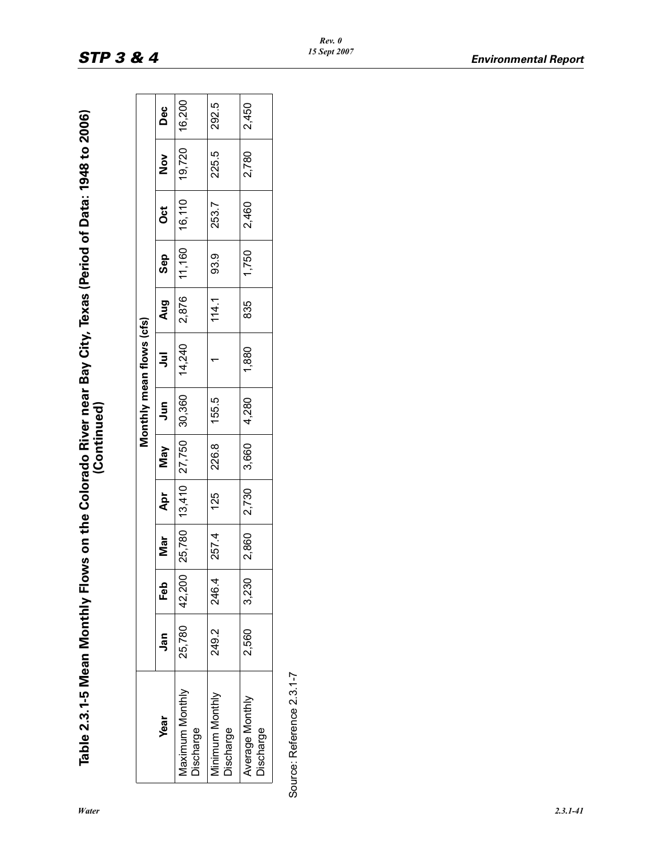| cas (Period of Data: 1948 to 20 |  |
|---------------------------------|--|
|                                 |  |
|                                 |  |
|                                 |  |
|                                 |  |
|                                 |  |
|                                 |  |
|                                 |  |
|                                 |  |
|                                 |  |
| ver near Bay City.              |  |
|                                 |  |
|                                 |  |
|                                 |  |
|                                 |  |
|                                 |  |
|                                 |  |
|                                 |  |
|                                 |  |
|                                 |  |
|                                 |  |
|                                 |  |
|                                 |  |
|                                 |  |
| chly Flows on the Colorado Rive |  |
|                                 |  |
|                                 |  |
|                                 |  |
|                                 |  |
|                                 |  |
|                                 |  |
|                                 |  |
|                                 |  |
|                                 |  |
|                                 |  |

|                              |        |        |        |                 |       |        | Monthly mean flows (cfs) |       |        |          |               |        |
|------------------------------|--------|--------|--------|-----------------|-------|--------|--------------------------|-------|--------|----------|---------------|--------|
| <b>Year</b>                  | Jan    | Feb    | Mar    | Apr             | May   | Jun    | ミ                        | Aug   | Sep    | <u>័</u> | $\frac{8}{2}$ | Dec    |
| Maximum Monthly<br>Discharge | 25,780 | 42,200 | 25,780 | $13,410$ 27,750 |       | 30,360 | 14,240                   | 2,876 | 11,160 | 16,110   | 19,720        | 16,200 |
| Minimum Monthly<br>Discharge | 249.2  | 246.4  | 257.4  | 125             | 226.8 | 155.5  |                          | 114.1 | 93.9   | 253.7    | 225.5         | 292.5  |
| Average Monthly<br>Discharge | 2.560  | 3,230  | 2,860  | 2,730           | 3,660 | 4,280  | 1,880                    | 835   | 1,750  | 2,460    | 2,780         | 2,450  |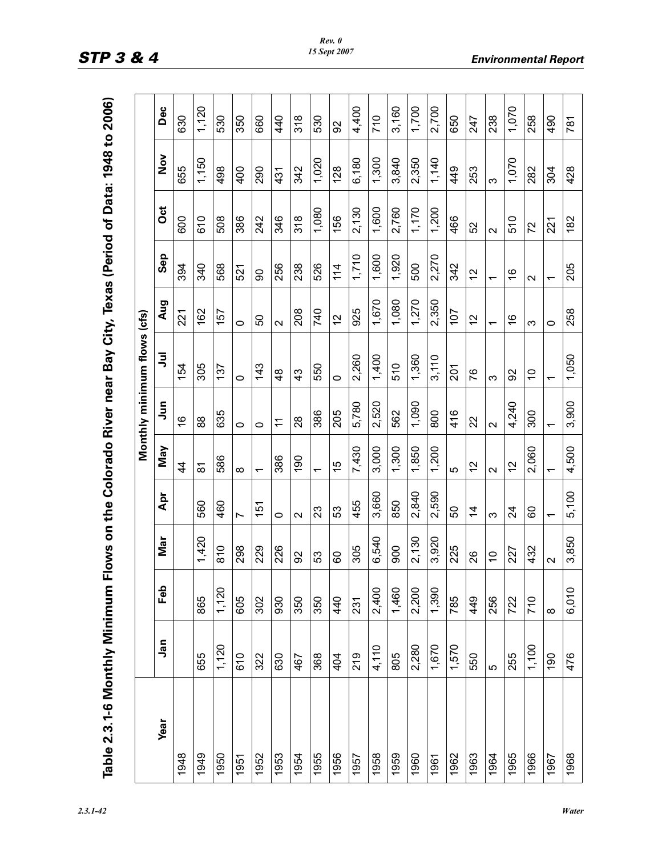| um Flows on the Colorado River near Bay City, Texas (Period of Data: 1948 to 200 |
|----------------------------------------------------------------------------------|
|                                                                                  |
|                                                                                  |
|                                                                                  |
|                                                                                  |
|                                                                                  |
|                                                                                  |
|                                                                                  |
|                                                                                  |
|                                                                                  |
|                                                                                  |
|                                                                                  |

| Table 2.3.1-6 Monthly Minimum Flows on the Colorado River near Bay City, Texas (Period of Data: 1948 to 2006) |       |          |                |                   |                               |                   |                             |                          |                 |        |               |               |
|---------------------------------------------------------------------------------------------------------------|-------|----------|----------------|-------------------|-------------------------------|-------------------|-----------------------------|--------------------------|-----------------|--------|---------------|---------------|
|                                                                                                               |       |          |                |                   |                               |                   | Monthly minimum flows (cfs) |                          |                 |        |               |               |
| Year                                                                                                          | Jan   | Feb      | Mar            | Apr               | May                           | <b>Sur</b>        | ミ                           | Aug                      | Sep             | ö      | $\frac{5}{2}$ | Dec           |
| 1948                                                                                                          |       |          |                |                   | $\frac{4}{3}$                 | $\frac{6}{5}$     | 154                         | 221                      | 394             | 600    | 655           | 630           |
| 1949                                                                                                          | 655   | 865      | 1,420          | 560               | $\overline{\infty}$           | 88                | 305                         | 162                      | 340             | 610    | 1,150         | 1,120         |
| 1950                                                                                                          | 1,120 | 1,120    | 810            | 460               | 586                           | 635               | 137                         | 157                      | 568             | 508    | 498           | 530           |
| 1951                                                                                                          | 610   | 605      | 298            | $\overline{ }$    | $\infty$                      | $\circ$           | $\circ$                     | $\circ$                  | 521             | 386    | 400           | 350           |
| 1952                                                                                                          | 322   | 302      | 229            | 151               | $\overline{\phantom{0}}$      | $\circ$           | 143                         | င္တ                      | 8               | 242    | 290           | 660           |
| 1953                                                                                                          | 630   | 930      | 226            | 0                 | 386                           | $\tilde{t}$       | $\frac{8}{4}$               | $\mathbf{\Omega}$        | 256             | 346    | 431           | 440           |
| 1954                                                                                                          | 467   | 350      | 92             | $\mathbf{\Omega}$ | 190                           | $\frac{8}{2}$     | $\frac{3}{4}$               | 208                      | 238             | 318    | 342           | $\frac{8}{3}$ |
| 1955                                                                                                          | 368   | 350      | 53             | 23                | $\overline{\phantom{0}}$      | 386               | 550                         | 740                      | 526             | 1,080  | 1,020         | 530           |
| 1956                                                                                                          | 404   | 440      | 80             | 53                | Ю<br>$\overline{\phantom{0}}$ | 205               | $\circ$                     | $\frac{2}{3}$            | 114             | 156    | 128           | S             |
| 1957                                                                                                          | 219   | 231      | 305            | 455               | 7,430                         | 5,780             | 2,260                       | 925                      | 1,710           | 2,130  | 6,180         | 4,400         |
| 1958                                                                                                          | 4,110 | 2,400    | 6,540          | 3,660             | 3,000                         | 2,520             | 1,400                       | 1,670                    | 1,600           | 1,600  | 1,300         | 710           |
| 1959                                                                                                          | 805   | 1,460    | 900            | 850               | 1,300                         | 562               | 510                         | 1,080                    | 1,920           | 2,760  | 3,840         | 3,160         |
| 1960                                                                                                          | 2,280 | 2,200    | 2,130          | 2,840             | 1,850                         | 1,090             | 1,360                       | 1,270                    | 500             | 1,170  | 2,350         | 1,700         |
| 1961                                                                                                          | 1,670 | 1,390    | 3,920          | 2,590             | 1,200                         | 800               | 3,110                       | 2,350                    | 2,270           | 1,200  | 1,140         | 2,700         |
| 1962                                                                                                          | 1,570 | 785      | 225            | 50                | 5                             | 416               | $\overline{201}$            | 107                      | 342             | 466    | 449           | 650           |
| 1963                                                                                                          | 550   | 449      | 26             | $\frac{4}{4}$     | N<br>$\overline{\phantom{0}}$ | 22                | 76                          | 12                       | $\tilde{c}$     | 52     | 253           | 247           |
| 1964                                                                                                          | Ю     | 256      | $\overline{C}$ | Ω                 | $\sim$                        | $\mathbf{\Omega}$ | ო                           | $\overline{\phantom{0}}$ | ᠇               | $\sim$ | ო             | 238           |
| 1965                                                                                                          | 255   | 722      | 227            | 24                | 12                            | 4,240             | 8                           | ဖ                        | $\frac{6}{5}$   | 510    | 1,070         | 1,070         |
| 1966                                                                                                          | 1,100 | 710      | 432            | 8                 | 2,060                         | 300               | $\overline{0}$              | ო                        | $\mathbf{\sim}$ | 72     | 282           | 258           |
| 1967                                                                                                          | 190   | $\infty$ | $\sim$         |                   | $\overline{\phantom{0}}$      |                   | ᠇                           | 0                        | ᠇               | 221    | 304           | 490           |
| 1968                                                                                                          | 476   | 6,010    | 3,850          | 5,100             | 4,500                         | 3,900             | 1,050                       | 258                      | 205             | 182    | 428           | 781           |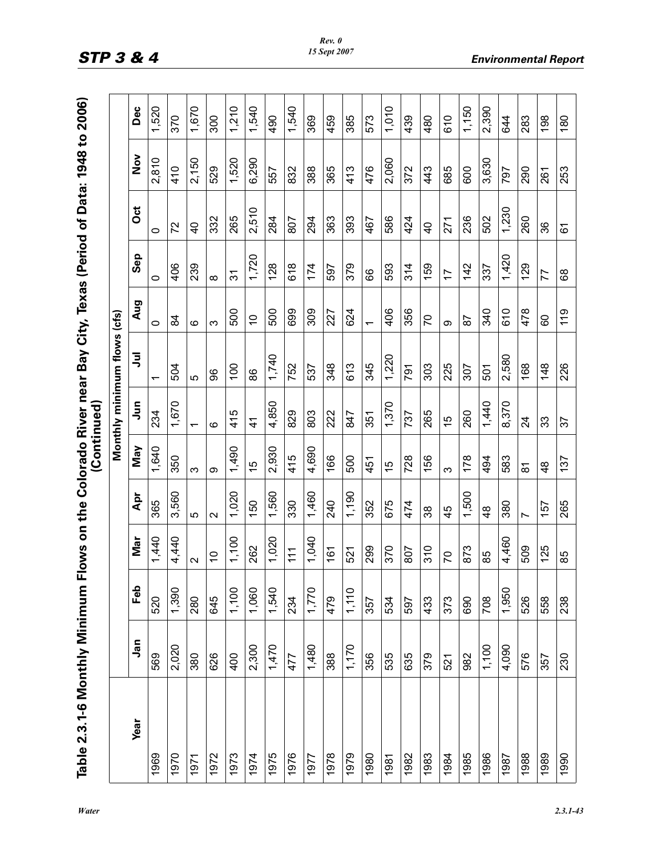| nimum Flows on the Colorado River near Bay City, Texas (Period of Data: 1948 to |  |
|---------------------------------------------------------------------------------|--|
|                                                                                 |  |
|                                                                                 |  |
|                                                                                 |  |
|                                                                                 |  |
|                                                                                 |  |
|                                                                                 |  |
|                                                                                 |  |
|                                                                                 |  |
|                                                                                 |  |
|                                                                                 |  |
|                                                                                 |  |
|                                                                                 |  |
|                                                                                 |  |
|                                                                                 |  |
|                                                                                 |  |
|                                                                                 |  |
|                                                                                 |  |
|                                                                                 |  |
|                                                                                 |  |
|                                                                                 |  |
|                                                                                 |  |
|                                                                                 |  |

| Table 2.3.1-6 Monthly Minimum F |       |       |                   |                   | (Continued)         |                          |                             |                          |                |                |               |       |
|---------------------------------|-------|-------|-------------------|-------------------|---------------------|--------------------------|-----------------------------|--------------------------|----------------|----------------|---------------|-------|
|                                 |       |       |                   |                   |                     |                          | Monthly minimum flows (cfs) |                          |                |                |               |       |
| Year                            | Jan   | Feb   | Nar               | Apr               | May                 | $\tilde{a}$              | ミ                           | Aug                      | Sep            | ö              | $\frac{5}{2}$ | Dec   |
| 1969                            | 569   | 520   | 1,440             | 365               | 1,640               | 234                      | ᠇                           | 0                        | 0              | 0              | 2,810         | 1,520 |
| 1970                            | 2,020 | 1,390 | 4,440             | 3,560             | 350                 | 1,670                    | 504                         | 84                       | 406            | 72             | 410           | 370   |
| 1971                            | 380   | 280   | $\mathbf{\Omega}$ | Ю                 | ო                   | $\overline{\phantom{0}}$ | Ю                           | $\circ$                  | 239            | $\overline{4}$ | 2,150         | 1,670 |
| 1972                            | 626   | 645   | $\overline{C}$    | $\mathbf{\Omega}$ | တ                   | ဖ                        | 8                           | က                        | $\infty$       | 332            | 529           | 300   |
| 1973                            | 400   | 1,100 | 1,100             | 1,020             | 1,490               | LO<br>$\frac{4}{1}$      | 100                         | 500                      | $\overline{3}$ | 265            | 1,520         | 1,210 |
| 1974                            | 2,300 | 1,060 | 262               | 150               | 15                  | $\frac{4}{1}$            | 86                          | $\tilde{C}$              | 1,720          | 2,510          | 6,290         | 1,540 |
| 1975                            | 1,470 | 1,540 | 1,020             | 1,560             | 2,930               | 4,850                    | 1,740                       | 500                      | 128            | 284            | 557           | 490   |
| 1976                            | 477   | 234   | 111               | 330               | 415                 | 829                      | 752                         | 699                      | 618            | 807            | 832           | 1,540 |
| 1977                            | 1,480 | 1,770 | 1,040             | 1,460             | 4,690               | 803                      | 537                         | 309                      | 174            | 294            | 388           | 369   |
| 1978                            | 388   | 479   | 161               | 240               | 166                 | 222                      | 348                         | 227                      | 597            | 363            | 365           | 459   |
| 1979                            | 1,170 | 1,110 | 521               | 1,190             | 500                 | 847                      | 613                         | 624                      | 379            | 393            | 413           | 385   |
| 1980                            | 356   | 357   | 299               | 352               | 451                 | 351                      | 345                         | $\overline{\phantom{0}}$ | 66             | 467            | 476           | 573   |
| 1981                            | 535   | 534   | 370               | 675               | 15                  | 1,370                    | 1,220                       | 406                      | 593            | 586            | 2,060         | 1,010 |
| 1982                            | 635   | 597   | 807               | 474               | 728                 | 737                      | 791                         | 356                      | 314            | 424            | 372           | 439   |
| 1983                            | 379   | 433   | 310               | 38                | 156                 | 265                      | 303                         | 20                       | 159            | $\frac{1}{4}$  | 443           | 480   |
| 1984                            | 521   | 373   | 20                | 45                | က                   | 15                       | 225                         | တ                        | $\ddot{ }$     | 271            | 685           | 610   |
| 1985                            | 982   | 690   | 873               | 1,500             | 178                 | 260                      | 307                         | 29                       | 142            | 236            | 600           | 1,150 |
| 1986                            | 1,100 | 708   | 85                | $\frac{8}{4}$     | 494                 | 1,440                    | 501                         | 340                      | 337            | 502            | 3,630         | 2,390 |
| 1987                            | 4,090 | 1,950 | 4,460             | 380               | 583                 | 8,370                    | 2,580                       | 610                      | 1,420          | 1,230          | 797           | 844   |
| 1988                            | 576   | 526   | 509               | Ľ                 | $\overline{\infty}$ | $\overline{24}$          | 168                         | 478                      | 129            | 260            | 290           | 283   |
| 1989                            | 357   | 558   | 125               | 157               | $\frac{8}{4}$       | 33                       | 148                         | 8                        | 77             | 36             | 261           | 198   |
| 1990                            | 230   | 238   | 85                | 265               | 137                 | 57                       | 226                         | 119                      | 89             | 61             | 253           | 180   |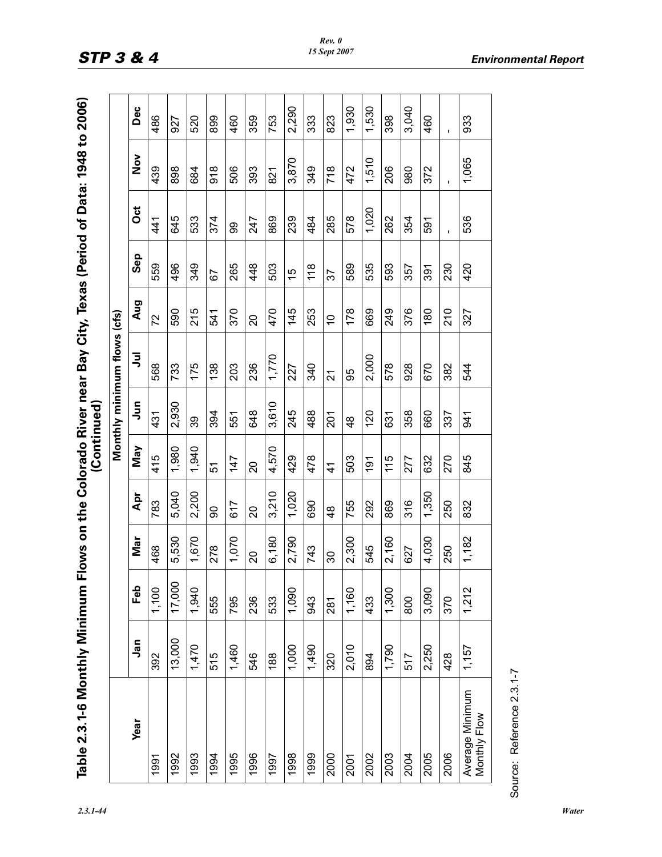| of Data: 1948                                                        |                         |
|----------------------------------------------------------------------|-------------------------|
|                                                                      |                         |
| Viinimum Flows on the Colorado River near Bay City, Texas (Period o. |                         |
|                                                                      |                         |
|                                                                      |                         |
|                                                                      |                         |
|                                                                      |                         |
|                                                                      |                         |
|                                                                      | $\overline{\mathbf{a}}$ |
|                                                                      |                         |
|                                                                      |                         |
|                                                                      |                         |
|                                                                      |                         |
|                                                                      |                         |
|                                                                      |                         |
|                                                                      |                         |
|                                                                      |                         |
|                                                                      |                         |
|                                                                      |                         |
|                                                                      |                         |

|                                 |            |        |       |                |               |               | Monthly minimum flows (cfs) |                |     |       |                  |             |
|---------------------------------|------------|--------|-------|----------------|---------------|---------------|-----------------------------|----------------|-----|-------|------------------|-------------|
| <b>Year</b>                     | <b>Jan</b> | Feb    | Nar   | Apr            | May           | Ę             | ミ                           | Aug            | Sep | Oct   | $\sum_{i=1}^{n}$ | Dec         |
| 1991                            | 392        | 1,100  | 468   | 783            | 415           | 431           | 568                         | 72             | 559 | 441   | 439              | 486         |
| 1992                            | 13,000     | 17,000 | 5,530 | 5,040          | 1,980         | 2,930         | 733                         | 590            | 496 | 645   | 898              | 927         |
| 1993                            | 1,470      | 1,940  | 1,670 | 2,200          | 1,940         | 39            | 175                         | 215            | 349 | 533   | 684              | 520         |
| 1994                            | 515        | 555    | 278   | 90             | 57            | 394           | 138                         | 541            | 57  | 374   | $\frac{8}{9}$    | 899         |
| 1995                            | 1,460      | 795    | 1,070 | 617            | 147           | 551           | 203                         | 370            | 265 | 8     | 506              | 460         |
| 1996                            | 546        | 236    | 20    | $\overline{c}$ | $\Omega$      | 648           | 236                         | 20             | 448 | 247   | 393              | 359         |
| 1997                            | 188        | 533    | 6,180 | 3,210          | 4,570         | 3,610         | 1,770                       | 470            | 503 | 869   | 821              | 753         |
| 1998                            | 1,000      | 1,090  | 2,790 | 1,020          | 429           | 245           | 227                         | 145            | 15  | 239   | 3,870            | 2,290       |
| 1999                            | 1,490      | 943    | 743   | 690            | 478           | 488           | 340                         | 253            | 118 | 484   | 349              | 333         |
| 2000                            | 320        | 281    | 80    | $\frac{8}{4}$  | $\frac{4}{1}$ | <b>201</b>    | $\overline{2}$              | $\overline{C}$ | 57  | 285   | 718              | 823         |
| 2001                            | 2,010      | 1,160  | 2,300 | 755            | 503           | $\frac{8}{4}$ | 95                          | 178            | 589 | 578   | 472              | 1,930       |
| 2002                            | 894        | 433    | 545   | 292            | 191           | 120           | 2,000                       | 669            | 535 | 1,020 | 1,510            | 1,530       |
| 2003                            | 1,790      | 1,300  | 2,160 | 869            | 115           | 631           | 578                         | 249            | 593 | 262   | 206              | 398         |
| 2004                            | 517        | 800    | 627   | 316            | 277           | 358           | 928                         | 376            | 357 | 354   | 980              | 3,040       |
| 2005                            | 2,250      | 3,090  | 4,030 | 1,350          | 632           | 660           | 670                         | 180            | 391 | 591   | 372              | 460         |
| 2006                            | 428        | 370    | 250   | 250            | 270           | 337           | 382                         | 210            | 230 |       |                  | $\mathbf I$ |
| Average Minimum<br>Monthly Flow | 1,157      | 1,212  | 1,182 | 832            | 845           | 941           | 544                         | 327            | 420 | 536   | 1,065            | 933         |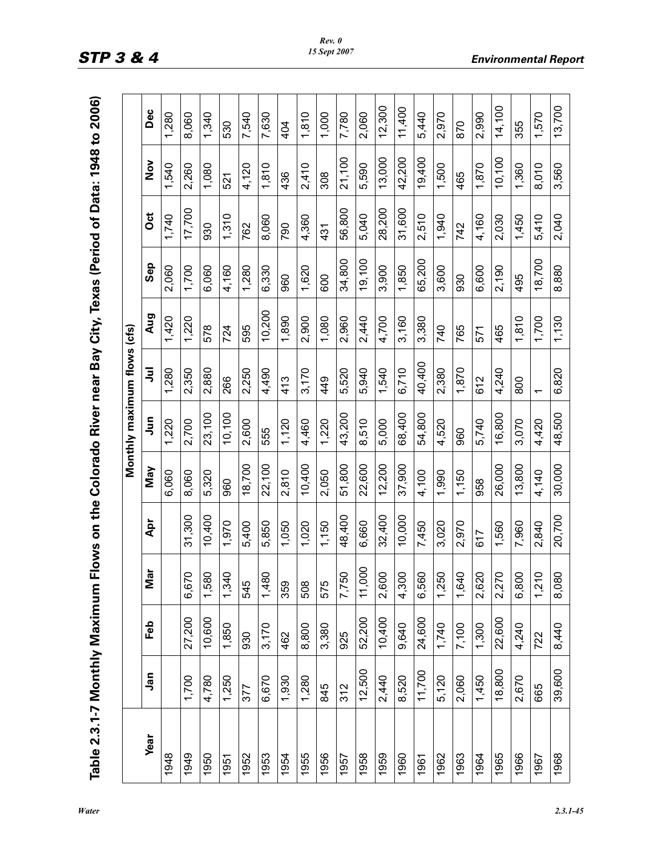| Table 2.3.1-7 Monthly Maximum |             |        |                 |        |        | Flows on the Colorado River near Bay City, Texas (Period of Data: 1948 to 2006) |        |        |        |        |               |        |
|-------------------------------|-------------|--------|-----------------|--------|--------|---------------------------------------------------------------------------------|--------|--------|--------|--------|---------------|--------|
|                               |             |        |                 |        |        | Monthly maximum flows (cfs)                                                     |        |        |        |        |               |        |
| Year                          | <u>ក្ខិ</u> | Feb    | ត<br>Σ          | Apr    | May    | Jun                                                                             | ミ      | Aug    | Sep    | ö      | $\frac{5}{2}$ | Dec    |
| 1948                          |             |        |                 |        | 6,060  | 1,220                                                                           | 1,280  | 1,420  | 2,060  | 1,740  | 1,540         | 1,280  |
| 1949                          | 1,700       | 27,200 | $\circ$<br>6,67 | 31,300 | 8,060  | 2,700                                                                           | 2,350  | 1,220  | 1,700  | 17,700 | 2,260         | 8,060  |
| 1950                          | 4,780       | 10,600 | 1,580           | 10,400 | 5,320  | 23,100                                                                          | 2,880  | 578    | 6,060  | 930    | 1,080         | 1,340  |
| 1951                          | 1,250       | 1,850  | $\circ$<br>1,34 | 1,970  | 960    | 10,100                                                                          | 266    | 724    | 4,160  | 1,310  | 521           | 530    |
| 1952                          | 377         | 930    | 545             | 5,400  | 18,700 | 2,600                                                                           | 2,250  | 595    | 1,280  | 762    | 4,120         | 7,540  |
| 1953                          | 6,670       | 3,170  | 1,480           | 5,850  | 22,100 | 555                                                                             | 4,490  | 10,200 | 6,330  | 8,060  | 1,810         | 7,630  |
| 1954                          | 1,930       | 462    | 359             | 1,050  | 2,810  | 1,120                                                                           | 413    | 1,890  | 960    | 790    | 436           | 404    |
| 1955                          | 1,280       | 8,800  | 508             | 1,020  | 10,400 | 4,460                                                                           | 3,170  | 2,900  | 1,620  | 4,360  | 2,410         | 1,810  |
| 1956                          | 845         | 3,380  | 575             | 1,150  | 2,050  | 1,220                                                                           | 449    | 1,080  | 600    | 431    | 308           | 1,000  |
| 1957                          | 312         | 925    | 7,750           | 48,400 | 51,800 | 43,200                                                                          | 5,520  | 2,960  | 34,800 | 56,800 | 21,100        | 7,780  |
| 1958                          | 12,500      | 52,200 | 11,000          | 6,660  | 22,600 | 8,510                                                                           | 5,940  | 2,440  | 19,100 | 5,040  | 5,590         | 2,060  |
| 1959                          | 2,440       | 10,400 | 2,600           | 32,400 | 12,200 | 5,000                                                                           | 1,540  | 4,700  | 3,900  | 28,200 | 13,000        | 12,300 |
| 1960                          | 8,520       | 9,640  | 4,300           | 10,000 | 37,900 | 68,400                                                                          | 6,710  | 3,160  | 1,850  | 31,600 | 42,200        | 11,400 |
| 1961                          | 11,700      | 24,600 | 6,560           | 7,450  | 4,100  | 54,800                                                                          | 40,400 | 3,380  | 65,200 | 2,510  | 19,400        | 5,440  |
| 1962                          | 5,120       | 1,740  | 1,250           | 3,020  | 1,990  | 4,520                                                                           | 2,380  | 740    | 3,600  | 1,940  | 1,500         | 2,970  |
| 1963                          | 2,060       | 7,100  | $\circ$<br>1,64 | 2,970  | 1,150  | 960                                                                             | 1,870  | 765    | 930    | 742    | 465           | 870    |
| 1964                          | 1,450       | 1,300  | 2,620           | 617    | 958    | 5,740                                                                           | 612    | 571    | 6,600  | 4,160  | 1,870         | 2,990  |
| 1965                          | 18,800      | 22,600 | 9<br>2,27       | 1,560  | 26,000 | 16,800                                                                          | 4,240  | 465    | 2,190  | 2,030  | 10,100        | 14,100 |
| 1966                          | 2,670       | 4,240  | 6,800           | 7,960  | 13,800 | 3,070                                                                           | 800    | 1,810  | 495    | 1,450  | 1,360         | 355    |
| 1967                          | 665         | 722    | $\circ$<br>1,21 | 2,840  | 4,140  | 4,420                                                                           |        | 1,700  | 18,700 | 5,410  | 8,010         | 1,570  |
| 1968                          | 39,600      | 8,440  | 8,080           | 20,700 | 30,000 | 48,500                                                                          | 6,820  | 1,130  | 8,880  | 2,040  | 3,560         | 13,700 |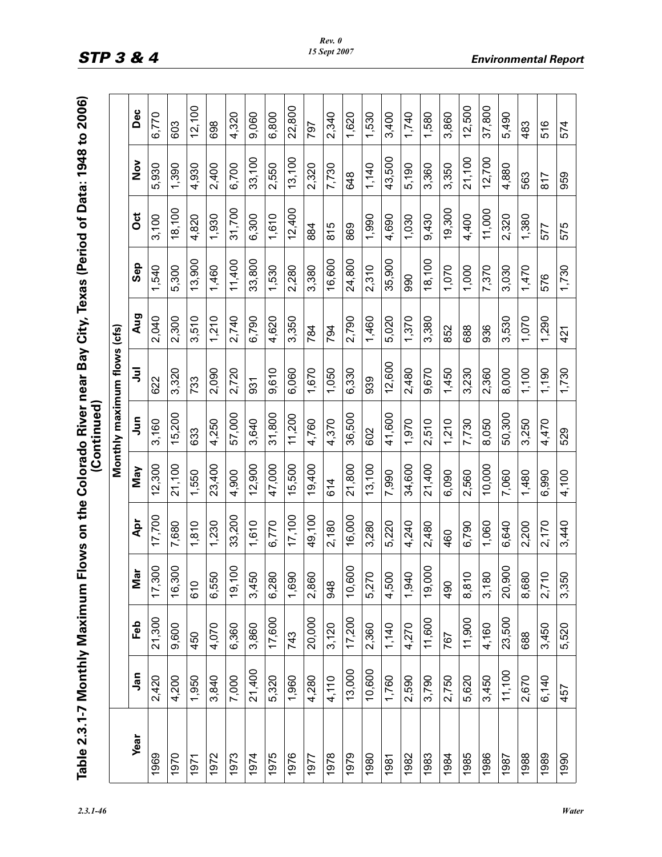| Period of Data: 1948 to                                   |                       |
|-----------------------------------------------------------|-----------------------|
|                                                           |                       |
|                                                           |                       |
|                                                           |                       |
|                                                           |                       |
|                                                           |                       |
|                                                           |                       |
|                                                           |                       |
| iimum Flows on the Colorado River near Bay City, Texas (P |                       |
|                                                           |                       |
|                                                           |                       |
|                                                           |                       |
|                                                           | .<br>.<br>.<br>.<br>. |
|                                                           |                       |
|                                                           |                       |
|                                                           |                       |
|                                                           |                       |
|                                                           |                       |
|                                                           |                       |
|                                                           |                       |
|                                                           |                       |
|                                                           |                       |
|                                                           |                       |
|                                                           |                       |
|                                                           |                       |
|                                                           |                       |
| l                                                         |                       |
|                                                           |                       |
|                                                           |                       |

|             |        |        |        |        |        |           | Monthly maximum flows (cfs) |       |        |        |               |        |
|-------------|--------|--------|--------|--------|--------|-----------|-----------------------------|-------|--------|--------|---------------|--------|
| <b>Year</b> | Jan    | Feb    | в<br>⊠ | Apr    | May    | $\bar{5}$ | ぅ                           | Aug   | Sep    | ö      | $\frac{5}{2}$ | Dec    |
| 1969        | 2,420  | 21,300 | 17,300 | 17,700 | 12,300 | 3,160     | 622                         | 2,040 | 1,540  | 3,100  | 5,930         | 6,770  |
| 1970        | 4,200  | 9,600  | 16,300 | 7,680  | 21,100 | 15,200    | 3,320                       | 2,300 | 5,300  | 18,100 | 1,390         | 603    |
| 1971        | 1,950  | 450    | 610    | 1,810  | 1,550  | 633       | 733                         | 3,510 | 13,900 | 4,820  | 4,930         | 12,100 |
| 1972        | 3,840  | 4,070  | 6,550  | 1,230  | 23,400 | 4,250     | 2,090                       | 1,210 | 1,460  | 1,930  | 2,400         | 698    |
| 1973        | 7,000  | 6,360  | 19,100 | 33,200 | 4,900  | 57,000    | 2,720                       | 2,740 | 11,400 | 31,700 | 6,700         | 4,320  |
| 1974        | 21,400 | 3,860  | 3,450  | 1,610  | 12,900 | 3,640     | 931                         | 6,790 | 33,800 | 6,300  | 33,100        | 9,060  |
| 1975        | 5,320  | 17,600 | 6,280  | 6,770  | 47,000 | 31,800    | 9.610                       | 4,620 | 1,530  | 1,610  | 2,550         | 6,800  |
| 1976        | 1,960  | 743    | 1,690  | 17,100 | 15,500 | 11,200    | 6,060                       | 3,350 | 2,280  | 12,400 | 13,100        | 22,800 |
| 1977        | 4,280  | 20,000 | 2,860  | 49,100 | 19,400 | 4,760     | 1,670                       | 784   | 3,380  | 884    | 2,320         | 797    |
| 1978        | 4,110  | 3,120  | 948    | 2,180  | 614    | 4,370     | 1,050                       | 794   | 16,600 | 815    | 7,730         | 2,340  |
| 1979        | 13,000 | 17,200 | 10,600 | 16,000 | 21,800 | 36,500    | 6,330                       | 2,790 | 24,800 | 869    | 648           | 1,620  |
| 1980        | 10,600 | 2,360  | 5,270  | 3,280  | 13,100 | 602       | 939                         | 1,460 | 2,310  | 1,990  | 1,140         | 1,530  |
| 1981        | 1,760  | 1,140  | 4,500  | 5,220  | 7,990  | 41,600    | 12,600                      | 5,020 | 35,900 | 4,690  | 43,500        | 3,400  |
| 1982        | 2,590  | 4,270  | 1,940  | 4,240  | 34,600 | 1,970     | 2,480                       | 1,370 | 990    | 1,030  | 5,190         | 1,740  |
| 1983        | 3,790  | 11,600 | 19,000 | 2,480  | 21,400 | 2,510     | 9,670                       | 3,380 | 18,100 | 9,430  | 3,360         | 1,580  |
| 1984        | 2,750  | 767    | 490    | 460    | 6,090  | 1,210     | 1,450                       | 852   | 1,070  | 19,300 | 3,350         | 3,860  |
| 1985        | 5,620  | 11,900 | 8,810  | 6,790  | 2,560  | 7,730     | 3,230                       | 688   | 1,000  | 4,400  | 21,100        | 12,500 |
| 1986        | 3,450  | 4,160  | 3,180  | 1,060  | 10,000 | 8,050     | 2,360                       | 936   | 7,370  | 11,000 | 12,700        | 37,800 |
| 1987        | 11,100 | 23,500 | 20,900 | 6,640  | 7,060  | 50,300    | 8,000                       | 3,530 | 3,030  | 2,320  | 4,880         | 5,490  |
| 1988        | 2,670  | 688    | 8,680  | 2,200  | 1,480  | 3,250     | 1,100                       | 1,070 | 1,470  | 1,380  | 563           | 483    |
| 1989        | 6,140  | 3,450  | 2,710  | 2,170  | 6,990  | 4,470     | 1,190                       | 1,290 | 576    | 577    | 817           | 516    |
| 1990        | 457    | 5,520  | 3,350  | 3,440  | 4,100  | 529       | 1,730                       | 421   | 1,730  | 575    | 959           | 574    |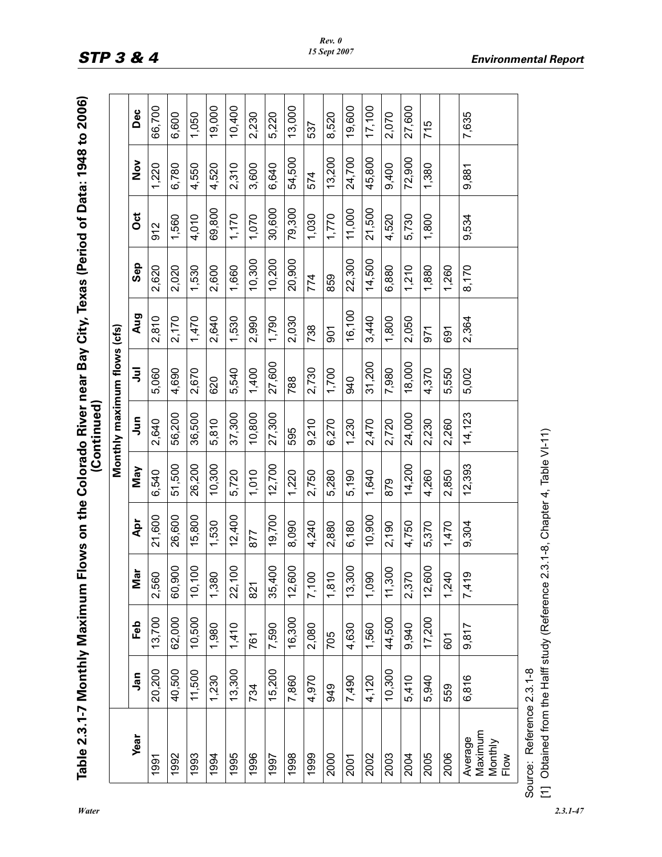| ximum Flows on the Colorado River near Bay City, Texas (Period of Data: 1948 to |               |
|---------------------------------------------------------------------------------|---------------|
|                                                                                 |               |
|                                                                                 |               |
|                                                                                 |               |
|                                                                                 |               |
|                                                                                 |               |
|                                                                                 |               |
|                                                                                 |               |
|                                                                                 |               |
|                                                                                 |               |
|                                                                                 |               |
|                                                                                 |               |
|                                                                                 |               |
|                                                                                 | $\frac{1}{2}$ |
|                                                                                 |               |
|                                                                                 |               |
|                                                                                 |               |
|                                                                                 |               |
|                                                                                 |               |
|                                                                                 |               |
|                                                                                 |               |
|                                                                                 |               |
|                                                                                 |               |
|                                                                                 |               |
|                                                                                 |               |
|                                                                                 |               |
|                                                                                 |               |
|                                                                                 |               |
|                                                                                 |               |
|                                                                                 |               |
|                                                                                 |               |

|                                       |        |            |                       |        |        | Monthly maximum flows (cfs) |        |            |        |        |               |        |
|---------------------------------------|--------|------------|-----------------------|--------|--------|-----------------------------|--------|------------|--------|--------|---------------|--------|
| <b>Year</b>                           | Jan    | <b>Feb</b> | Mar                   | Apr    | May    | $\bar{5}$                   | 弖      | Aug        | Sep    | ö      | $\frac{8}{2}$ | Dec    |
| 991                                   | 20,200 | 13,700     | 2,560                 | 21,600 | 6,540  | 2,640                       | 5,060  | 2,810      | 2,620  | 912    | 1,220         | 66,700 |
| 1992                                  | 40,500 | 62,000     | 60,900                | 26,600 | 51,500 | 56,200                      | 4,690  | 2,170      | 2,020  | 1,560  | 6,780         | 6,600  |
| 1993                                  | 11,500 | 10,500     | $\mathsf{S}$<br>10,1  | 15,800 | 26,200 | 36,500                      | 2,670  | 1,470      | 1,530  | 4,010  | 4,550         | 1,050  |
| 1994                                  | 1,230  | 1,980      | 1,380                 | 1,530  | 10,300 | 5,810                       | 620    | 2,640      | 2,600  | 69,800 | 4,520         | 19,000 |
| 1995                                  | 13,300 | 1,410      | 8<br>22,1             | 12,400 | 5,720  | 37,300                      | 5,540  | 1,530      | 1,660  | 1,170  | 2,310         | 10,400 |
| 1996                                  | 734    | 761        | 821                   | 877    | 1,010  | 10,800                      | 1,400  | 2,990      | 10,300 | 1,070  | 3,600         | 2,230  |
| 1997                                  | 15,200 | 7,590      | $\mathsf{S}$<br>35,40 | 19,700 | 12,700 | 27,300                      | 27,600 | 1,790      | 10,200 | 30,600 | 6,640         | 5,220  |
| 1998                                  | 7,860  | 16,300     | 12,600                | 8,090  | 1,220  | 595                         | 788    | 2,030      | 20,900 | 79,300 | 54,500        | 13,000 |
| 1999                                  | 4,970  | 2,080      | 7,100                 | 4,240  | 2,750  | 9,210                       | 2,730  | 738        | 774    | 1,030  | 574           | 537    |
| 2000                                  | 949    | 705        | 1,810                 | 2,880  | 5,280  | 6,270                       | 1,700  | <b>SO7</b> | 859    | 1,770  | 13,200        | 8,520  |
| 2001                                  | 7,490  | 4,630      | $\delta$<br>13,30     | 6,180  | 5,190  | 1,230                       | 940    | 16,100     | 22,300 | 11,000 | 24,700        | 19,600 |
| 2002                                  | 4,120  | 1,560      | 1,090                 | 10,900 | 1,640  | 2,470                       | 31,200 | 3,440      | 14,500 | 21,500 | 45,800        | 17,100 |
| 2003                                  | 10,300 | 44,500     | 11,300                | 2,190  | 879    | 2,720                       | 7,980  | 1,800      | 6,880  | 4,520  | 9,400         | 2,070  |
| 2004                                  | 5,410  | 9,940      | 2,370                 | 4,750  | 14,200 | 24,000                      | 18,000 | 2,050      | 1,210  | 5,730  | 72,900        | 27,600 |
| 2005                                  | 5,940  | 17,200     | 12,600                | 5,370  | 4,260  | 2,230                       | 4,370  | 571        | 1,880  | 1,800  | 1,380         | 715    |
| 2006                                  | 559    | 601        | $\circ$<br>1,24       | 1,470  | 2,850  | 2,260                       | 5,550  | 691        | 1,260  |        |               |        |
| Maximum<br>Average<br>Monthly<br>Flow | 6,816  | 9,817      | 7,419                 | 9,304  | 12,393 | 14, 123                     | 5,002  | 2,364      | 8,170  | 9,534  | 9,881         | 7,635  |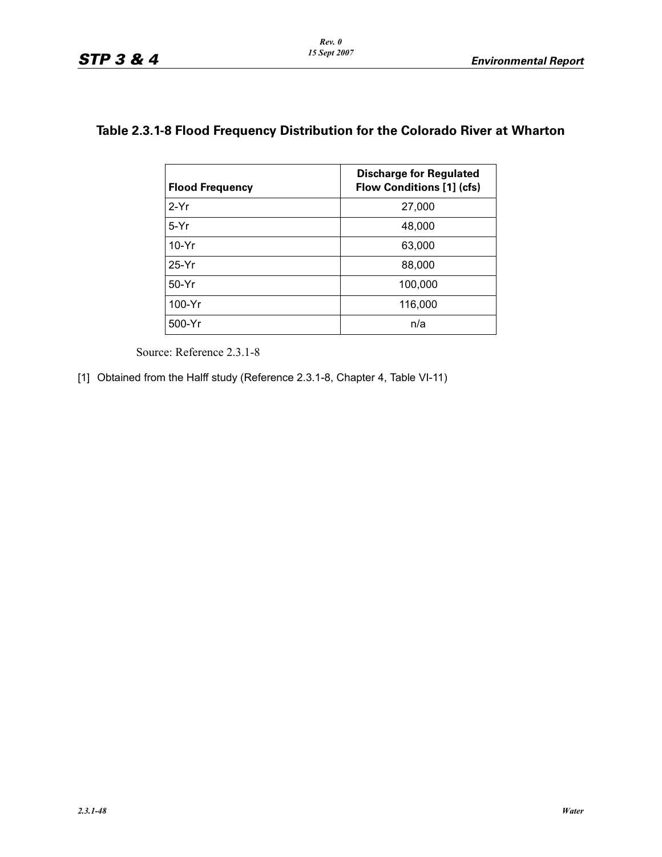## **Table 2.3.1-8 Flood Frequency Distribution for the Colorado River at Wharton**

| <b>Flood Frequency</b> | <b>Discharge for Regulated</b><br><b>Flow Conditions [1] (cfs)</b> |
|------------------------|--------------------------------------------------------------------|
| $2-Yr$                 | 27,000                                                             |
| $5-Yr$                 | 48,000                                                             |
| $10-Yr$                | 63,000                                                             |
| $25-Yr$                | 88,000                                                             |
| $50-Yr$                | 100,000                                                            |
| 100-Yr                 | 116,000                                                            |
| 500-Yr                 | n/a                                                                |

Source: Reference 2.3.1-8

[1] Obtained from the Halff study (Reference 2.3.1-8, Chapter 4, Table VI-11)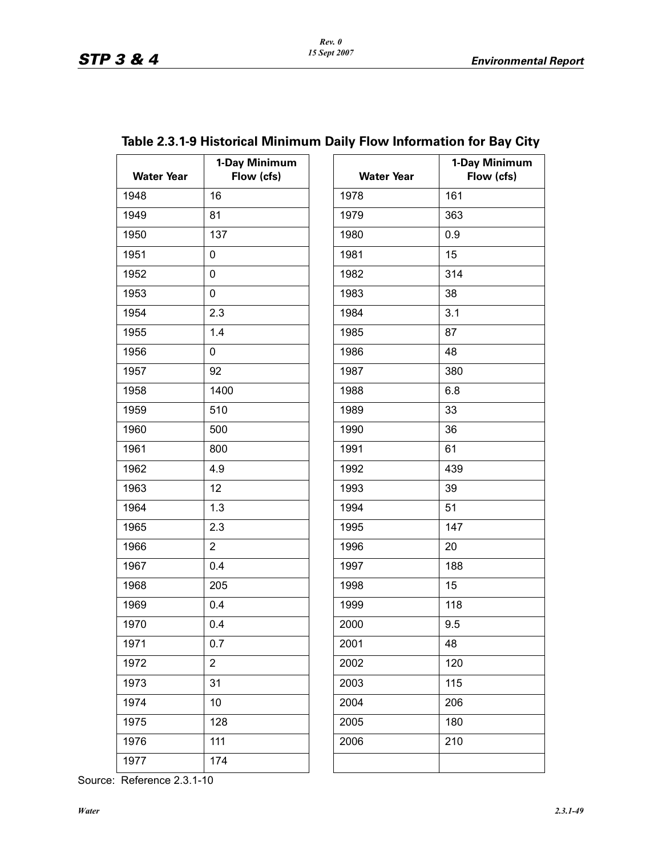| <b>Water Year</b> | 1-Day Minimum<br>Flow (cfs) | <b>Water Year</b> | $1-I$ |
|-------------------|-----------------------------|-------------------|-------|
| 1948              | 16                          | 1978              | 161   |
| 1949              | 81                          | 1979              | 363   |
| 1950              | 137                         | 1980              | 0.9   |
| 1951              | 0                           | 1981              | 15    |
| 1952              | 0                           | 1982              | 314   |
| 1953              | 0                           | 1983              | 38    |
| 1954              | 2.3                         | 1984              | 3.1   |
| 1955              | 1.4                         | 1985              | 87    |
| 1956              | 0                           | 1986              | 48    |
| 1957              | 92                          | 1987              | 380   |
| 1958              | 1400                        | 1988              | 6.8   |
| 1959              | 510                         | 1989              | 33    |
| 1960              | 500                         | 1990              | 36    |
| 1961              | 800                         | 1991              | 61    |
| 1962              | 4.9                         | 1992              | 439   |
| 1963              | 12                          | 1993              | 39    |
| 1964              | 1.3                         | 1994              | 51    |
| 1965              | 2.3                         | 1995              | 147   |
| 1966              | $\overline{2}$              | 1996              | 20    |
| 1967              | 0.4                         | 1997              | 188   |
| 1968              | 205                         | 1998              | 15    |
| 1969              | 0.4                         | 1999              | 118   |
| 1970              | 0.4                         | 2000              | 9.5   |
| 1971              | 0.7                         | 2001              | 48    |
| 1972              | $\overline{2}$              | 2002              | 120   |
| 1973              | 31                          | 2003              | 115   |
| 1974              | 10                          | 2004              | 206   |
| 1975              | 128                         | 2005              | 180   |
| 1976              | 111                         | 2006              | 210   |
| 1977              | 174                         |                   |       |

| ay Minimum<br>Flow (cfs) | <b>Water Year</b> | 1-Day Minimum<br>Flow (cfs) |
|--------------------------|-------------------|-----------------------------|
|                          | 1978              | 161                         |
|                          | 1979              | 363                         |
|                          | 1980              | 0.9                         |
|                          | 1981              | 15                          |
|                          | 1982              | 314                         |
|                          | 1983              | 38                          |
|                          | 1984              | 3.1                         |
|                          | 1985              | 87                          |
|                          | 1986              | 48                          |
|                          | 1987              | 380                         |
|                          | 1988              | 6.8                         |
|                          | 1989              | 33                          |
|                          | 1990              | 36                          |
|                          | 1991              | 61                          |
|                          | 1992              | 439                         |
|                          | 1993              | 39                          |
|                          | 1994              | 51                          |
|                          | 1995              | 147                         |
|                          | 1996              | 20                          |
|                          | 1997              | 188                         |
|                          | 1998              | 15                          |
|                          | 1999              | 118                         |
|                          | 2000              | 9.5                         |
|                          | 2001              | 48                          |
|                          | 2002              | 120                         |
|                          | 2003              | 115                         |
|                          | 2004              | 206                         |
|                          | 2005              | 180                         |
|                          | 2006              | 210                         |
|                          |                   |                             |
|                          |                   |                             |

# **Table 2.3.1-9 Historical Minimum Daily Flow Information for Bay City**

Source: Reference 2.3.1-10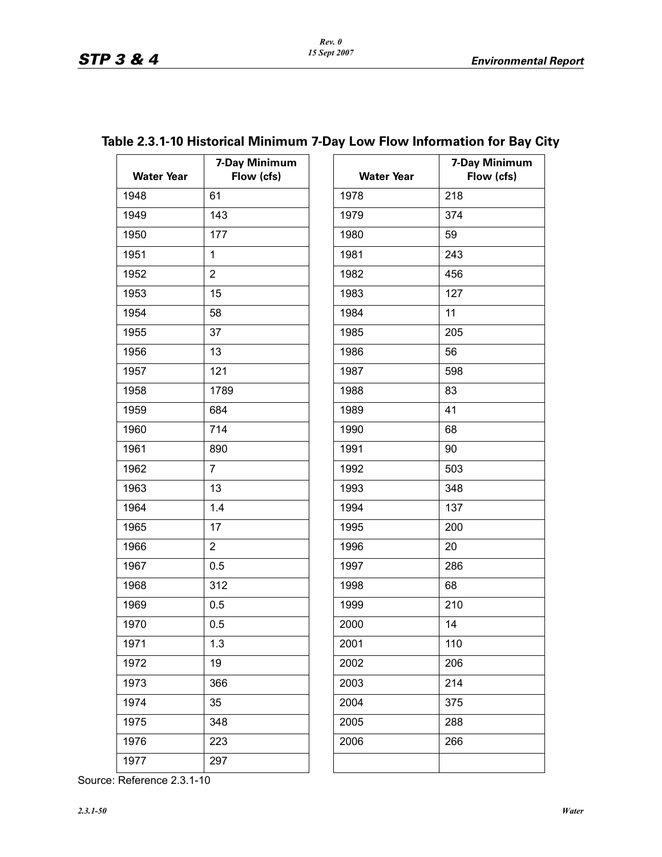**7-Day Minimum Flow (cfs)**

| <b>Water Year</b> | 7-Day Minimum<br>Flow (cfs) | <b>Water Year</b> | $7-I$ |
|-------------------|-----------------------------|-------------------|-------|
| 1948              | 61                          | 1978              | 218   |
| 1949              | 143                         | 1979              | 374   |
| 1950              | 177                         | 1980              | 59    |
| 1951              | $\mathbf{1}$                | 1981              | 243   |
| 1952              | $\overline{2}$              | 1982              | 456   |
| 1953              | 15                          | 1983              | 127   |
| 1954              | 58                          | 1984              | 11    |
| 1955              | 37                          | 1985              | 205   |
| 1956              | 13                          | 1986              | 56    |
| 1957              | 121                         | 1987              | 598   |
| 1958              | 1789                        | 1988              | 83    |
| 1959              | 684                         | 1989              | 41    |
| 1960              | 714                         | 1990              | 68    |
| 1961              | 890                         | 1991              | 90    |
| 1962              | $\overline{7}$              | 1992              | 503   |
| 1963              | 13                          | 1993              | 348   |
| 1964              | 1.4                         | 1994              | 137   |
| 1965              | 17                          | 1995              | 200   |
| 1966              | $\overline{2}$              | 1996              | 20    |
| 1967              | 0.5                         | 1997              | 286   |
| 1968              | 312                         | 1998              | 68    |
| 1969              | 0.5                         | 1999              | 210   |
| 1970              | 0.5                         | 2000              | 14    |
| 1971              | 1.3                         | 2001              | 110   |
| 1972              | 19                          | 2002              | 206   |
| 1973              | 366                         | 2003              | 214   |
| 1974              | 35                          | 2004              | 375   |
| 1975              | 348                         | 2005              | 288   |
| 1976              | 223                         | 2006              | 266   |
| 1977              | 297                         |                   |       |

## **Table 2.3.1-10 Historical Minimum 7-Day Low Flow Information for Bay City**

| 1979 | 374 |
|------|-----|
| 1980 | 59  |
| 1981 | 243 |
| 1982 | 456 |
| 1983 | 127 |
| 1984 | 11  |
| 1985 | 205 |
| 1986 | 56  |
| 1987 | 598 |
| 1988 | 83  |
| 1989 | 41  |
| 1990 | 68  |
| 1991 | 90  |
| 1992 | 503 |
| 1993 | 348 |
| 1994 | 137 |
| 1995 | 200 |
| 1996 | 20  |
| 1997 | 286 |
| 1998 | 68  |
| 1999 | 210 |
| 2000 | 14  |
| 2001 | 110 |
| 2002 | 206 |
| 2003 | 214 |
| 2004 | 375 |
| 2005 | 288 |
| 2006 | 266 |
|      |     |
|      |     |

Source: Reference 2.3.1-10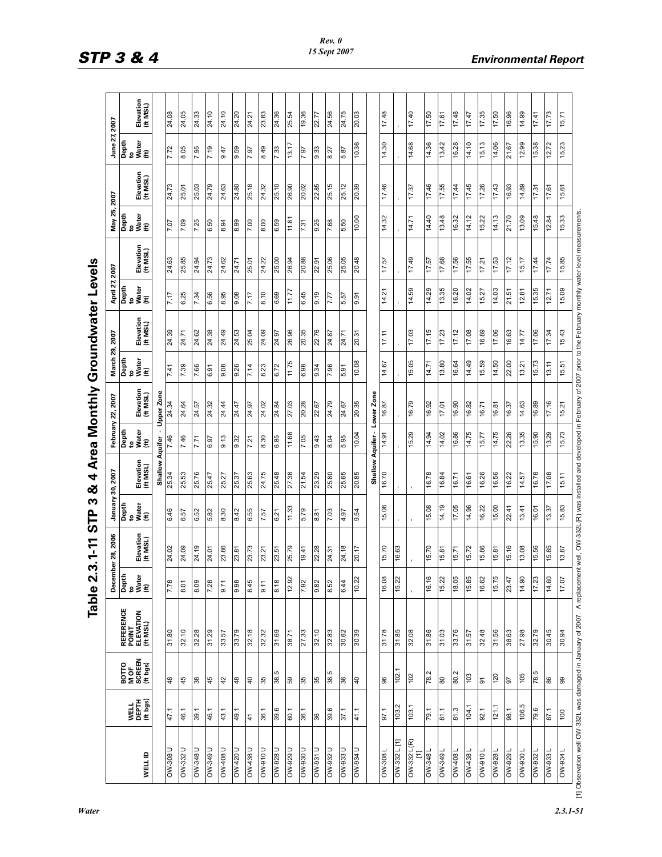|                                                                        |                           |                                             | Table                                              | 2                            | 3.1-11                | ო<br>Բ<br>57                | 4<br>ౘ                |                        |                       |                             | Area Monthly Groundwater Levels                                                                                               |                            |                       |                              |                       |                              |                       |
|------------------------------------------------------------------------|---------------------------|---------------------------------------------|----------------------------------------------------|------------------------------|-----------------------|-----------------------------|-----------------------|------------------------|-----------------------|-----------------------------|-------------------------------------------------------------------------------------------------------------------------------|----------------------------|-----------------------|------------------------------|-----------------------|------------------------------|-----------------------|
|                                                                        |                           |                                             |                                                    | December                     | 2006<br>28,           | January                     | 30, 2007              |                        | February 22, 2007     | March 29, 2007              |                                                                                                                               | April 27, 2007             |                       | May 25,                      | 2007                  | June 27,                     | 2007                  |
| WELL ID                                                                | WELL<br>DEPTH<br>(ft bgs) | <b>BOTTO<br/>MOF<br/>SCREEN</b><br>(ft bgs) | <b>REFERENCE</b><br>POINT<br>ELEVATION<br>(ft MSL) | Depth<br>to<br>Water<br>(ft) | Elevation<br>(ft MSL) | Depth<br>to<br>(ft)<br>(ft) | Elevation<br>(ft MSL) | Depth<br>e<br>s≸∉<br>∉ | Elevation<br>(ft MSL) | Depth<br>to<br>(ft)<br>(ft) | Elevation<br>(ft MSL)                                                                                                         | Depth<br>te<br>Sater<br>(€ | Elevation<br>(ft MSL) | Depth<br>to<br>Water<br>(ft) | Elevation<br>(ft MSL) | Depth<br>to<br>Water<br>(ft) | Elevation<br>(ft MSL) |
|                                                                        |                           |                                             |                                                    |                              |                       |                             | Shallow               | Aquifer                | Upper Zone            |                             |                                                                                                                               |                            |                       |                              |                       |                              |                       |
| <b>DW-308 U</b>                                                        | 47.1                      | $48$                                        | 31.80                                              | 7.78                         | 24.02                 | 6.46                        | 25.34                 | 7.46                   | 24.34                 | 7.41                        | 24.39                                                                                                                         | 7.17                       | 24.63                 | 7.07                         | 24.73                 | 7.72                         | 24.08                 |
| <b>DW-332 U</b>                                                        | 46.1                      | 45                                          | 32.10                                              | 8.01                         | 24.09                 | 6.57                        | 25.53                 | 7.46                   | 24.64                 | 7.39                        | 24.71                                                                                                                         | 6.25                       | 25.85                 | 7.09                         | 25.01                 | 8.05                         | 24.05                 |
| <b>N</b> -848 U                                                        | 1.68                      | 38                                          | 32.28                                              | 8.09                         | 24.19                 | 6.52                        | 25.76                 | 7.71                   | 24.57                 | 7.66                        | 24.62                                                                                                                         | 7.34                       | 24.94                 | 7.25                         | 25.03                 | 7.95                         | 24.33                 |
| OW-349U                                                                | 46.1                      | 45                                          | 31.29                                              | 7.28                         | 24.01                 | 5.82                        | 25.47                 | <b>6.97</b>            | 24.32                 | 6.91                        | 24.38                                                                                                                         | 6.56                       | 24.73                 | 6.50                         | 24.79                 | 7.19                         | 24.10                 |
| <b>U 80+MO</b>                                                         | 43.1                      | 42                                          | 33.57                                              | 8.71                         | 23.86                 | 8.30                        | 25.27                 | 81.6                   | 24.44                 | 80.6                        | 24.49                                                                                                                         | 8.95                       | 24.62                 | 8.94                         | 24.63                 | 9.47                         | 24.10                 |
| OW-420 U                                                               | 49.1                      | 48                                          | 33.79                                              | 9.98                         | 23.81                 | 8.42                        | 25.37                 | 9.32                   | 24.47                 | 9.26                        | 24.53                                                                                                                         | 9.08                       | 24.71                 | 8.99                         | 24.80                 | 9.59                         | 24.20                 |
| <b>OW438U</b>                                                          | $\frac{4}{3}$             | $\overline{4}$                              | 32.18                                              | 8.45                         | 23.73                 | 6.55                        | 25.63                 | 7.21                   | 24.97                 | 7.14                        | 25.04                                                                                                                         | 7.17                       | 25.01                 | 7.00                         | 25.18                 | 7.97                         | 24.21                 |
| <b>DOL6-MO</b>                                                         | 36.1                      | 35                                          | 32.32                                              | 9.11                         | 23.21                 | 7.57                        | 24.75                 | 8.30                   | 24.02                 | 8.23                        | 24.09                                                                                                                         | 8.10                       | 24.22                 | 8.00                         | 24.32                 | 8.49                         | 23.83                 |
| OW-928 U                                                               | 39.6                      | 38.5                                        | 31.69                                              | 8.18                         | 23.51                 | 6.21                        | 25.48                 | 6.85                   | 24.84                 | 6.72                        | 24.97                                                                                                                         | 6.69                       | 25.00                 | 6.59                         | 25.10                 | 7.33                         | 24.36                 |
| <b>OW-929 U</b>                                                        | 60.1                      | 59                                          | 38.71                                              | Й,<br>12.9                   | 25.79                 | 11.33                       | 27.38                 | 11.68                  | 27.03                 | 97.11                       | 26.96                                                                                                                         | 17.77                      | 26.94                 | 11.81                        | 26.90                 | 13.17                        | 25.54                 |
| <b>0066-MO</b>                                                         | 36.1                      | 35                                          | 27.33                                              | 7.92                         | 19.41                 | 5.79                        | 21.54                 | 7.05                   | 20.28                 | 6.98                        | 20.35                                                                                                                         | 6.45                       | 20.88                 | 7.31                         | 20.02                 | 7.97                         | 19.36                 |
| <b>OW-931 U</b>                                                        | 36                        | 35                                          | 32.10                                              | 9.82                         | 22.28                 | 8.81                        | 23.29                 | 843                    | 22.67                 | 9.34                        | 22.76                                                                                                                         | 9.19                       | 22.91                 | 8.25                         | 22.85                 | 9.33                         | 22.77                 |
| OW-932 U                                                               | 39.6                      | 38.5                                        | 32.83                                              | 8.52                         | 24.31                 | 7.03                        | 25.80                 | 8.04                   | 24.79                 | 7.96                        | 24.87                                                                                                                         | 7.77                       | 25.06                 | 7.68                         | 25.15                 | 8.27                         | 24.56                 |
| <b>OW-933 U</b>                                                        | 37.1                      | 36                                          | 30.62                                              | 6.44                         | 24.18                 | 16'+                        | 25.65                 | 5.95                   | 24.67                 | 5.91                        | 24.71                                                                                                                         | 5.57                       | 25.05                 | 5.50                         | 25.12                 | 5.87                         | 24.75                 |
| <b>OW-934 U</b>                                                        | 41.1                      | $\frac{1}{4}$                               | 30.39                                              | $\tilde{\mathbf{v}}$<br>10.2 | 20.17                 | 9.54                        | 20.85                 | 10.04                  | 20.35                 | 10.08                       | 20.31                                                                                                                         | 9.91                       | 20.48                 | 10.00                        | 20.39                 | 10.36                        | 20.03                 |
|                                                                        |                           |                                             |                                                    |                              |                       |                             | Shallow               | Aquifer-               | Lower Zone            |                             |                                                                                                                               |                            |                       |                              |                       |                              |                       |
| <b>1808-MO</b>                                                         | 97.1                      | 96                                          | 84.18                                              | $\infty$<br>16.0             | 15.70                 | 15.08                       | 16.70                 | 14.91                  | 16.87                 | 14.67                       | 17.11                                                                                                                         | 14.21                      | 17.57                 | 14.32                        | 17.46                 | 14.30                        | 17.48                 |
| $OW-332$ L [1]                                                         | 103.2                     | 102.                                        | 31.85                                              | ζÝ.<br>15.2                  | 16.63                 |                             |                       |                        |                       |                             |                                                                                                                               |                            |                       |                              |                       |                              |                       |
| $OW-332$ L(R)<br>Ξ                                                     | 103.1                     | 102                                         | 32.08                                              |                              |                       |                             |                       | 15.29                  | 16.79                 | 15.05                       | 17.03                                                                                                                         | 14.59                      | 17.49                 | 14.71                        | 17.37                 | 14.68                        | 17.40                 |
| <b>OW-348L</b>                                                         | 1.61                      | 78.2                                        | 31.86                                              | $\circ$<br>16.1              | 15.70                 | 15.08                       | 16.78                 | 14.94                  | 16.92                 | 14.71                       | 17.15                                                                                                                         | 14.29                      | 17.57                 | 14.40                        | 17.46                 | 14.36                        | 17.50                 |
| <b>OW-3491</b>                                                         | 81.1                      | 80                                          | 31.03                                              | 15.22                        | 15.81                 | 14.19                       | 16.84                 | 14.02                  | 17.01                 | 13.80                       | 17.23                                                                                                                         | 13.35                      | 17.68                 | 13.48                        | 17.55                 | 13.42                        | 17.61                 |
| 0W-4081                                                                | 81.3                      | 80.2                                        | 33.76                                              | 18.05                        | 15.71                 | 17.05                       | 16.71                 | 16.86                  | 16.90                 | 16.64                       | 17.12                                                                                                                         | 16.20                      | 17.56                 | 16.32                        | 17.44                 | 16.28                        | 17.48                 |
| 0W438L                                                                 | 104.1                     | 103                                         | <b>1.57</b>                                        | 15.85                        | 15.72                 | 14.96                       | 16.61                 | 14.75                  | 16.82                 | 14.49                       | 80'41                                                                                                                         | 14.02                      | 17.55                 | 14.12                        | <b>5771</b>           | 14.10                        | 17.47                 |
| <b>100-000</b>                                                         | 92.1                      | 61                                          | 32.48                                              | 16.62                        | 15.86                 | 16.22                       | 16.26                 | 15.77                  | 16.71                 | 15.59                       | 16.89                                                                                                                         | 15.27                      | 17.21                 | 15.22                        | 17.26                 | 15.13                        | 17.35                 |
| OW-928                                                                 | 121.1                     | 120                                         | 31.56                                              | S<br>15.7                    | 15.81                 | 15.00                       | 16.56                 | 97.41                  | 16.81                 | 14.50                       | 17.06                                                                                                                         | 14.03                      | 17.53                 | 14.13                        | 17.43                 | 14.06                        | 17.50                 |
| 0W-929 L                                                               | 98.1                      | 5 <sup>o</sup>                              | 38.63                                              | 23.47                        | 15.16                 | 22.41                       | 16.22                 | 22.26                  | 16.37                 | 22.00                       | 16.63                                                                                                                         | 21.51                      | 17.12                 | 21.70                        | 16.93                 | 21.67                        | 16.96                 |
| 0W-9301                                                                | 5'901                     | 105                                         | 27.98                                              | 14.90                        | 13.08                 | 13.41                       | 14.57                 | 13.35                  | 14.63                 | 13.21                       | 14.77                                                                                                                         | 12.81                      | 15.17                 | 13.09                        | 14.89                 | 12.99                        | 66'+1                 |
| OW-932L                                                                | 79.6                      | 5.82                                        | 32.79                                              | S<br>17.2                    | 15.56                 | 16.01                       | 16.78                 | 15.90                  | 16.89                 | 15.73                       | 17.06                                                                                                                         | 15.35                      | 17.44                 | 15.48                        | 17.31                 | 15.38                        | 17.41                 |
| OW-9331                                                                | 87.1                      | 86                                          | 30.45                                              | $\Omega$<br>14.6             | 15.85                 | 13.37                       | 80'21                 | 13.29                  | 17.16                 | 13.11                       | 17.34                                                                                                                         | 12.71                      | <b>PL'11</b>          | 12.84                        | 17.61                 | 12.72                        | 17.73                 |
| <b>156-MO</b>                                                          | 00                        | 86                                          | 80.04                                              | 17.0                         | 13.87                 | 15.83                       | 15.11                 | 15.73                  | 15.21                 | 15.51                       | 15.43                                                                                                                         | 15.09                      | 15.85                 | 15.33                        | 15.61                 | 15.23                        | 15.71                 |
| 11] Observation well OW-332L was damaged in January of 2007. A replace |                           |                                             |                                                    |                              |                       |                             |                       |                        |                       |                             | nent well. OW-332L(R) was installed and developed in February of 2007 prior to the February monthly water level measurements. |                            |                       |                              |                       |                              |                       |

*Water 2.3.1-51*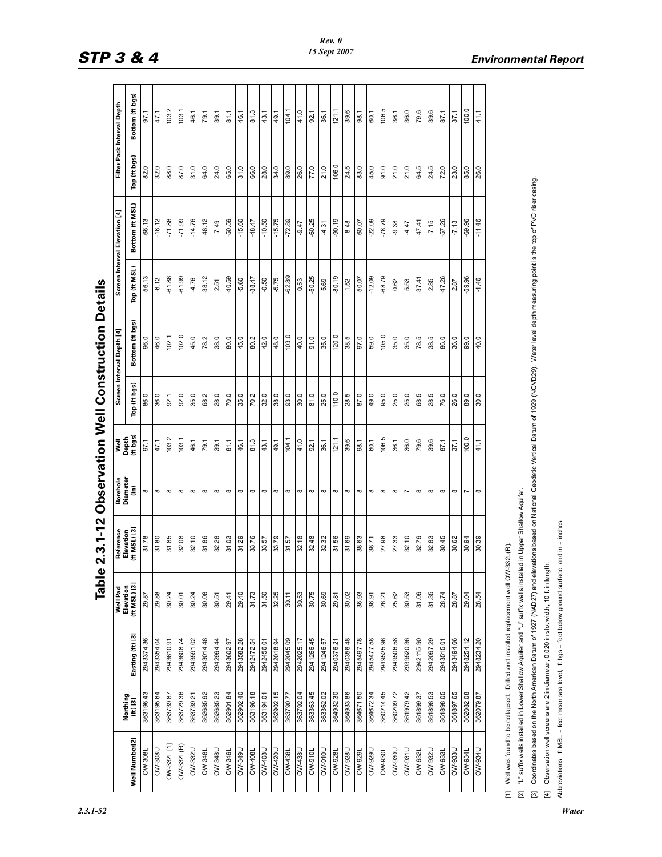|                                                                                                  |                      |                                                                                                              | Table                                 | 2.3.1-12                               |                              |                           |              | <b>Observation Well Construction Details</b><br>Interval Depth [4]                                                                                                                                         |              | Screen Interval Elevation [4] |                | Filter Pack Interval Depth |
|--------------------------------------------------------------------------------------------------|----------------------|--------------------------------------------------------------------------------------------------------------|---------------------------------------|----------------------------------------|------------------------------|---------------------------|--------------|------------------------------------------------------------------------------------------------------------------------------------------------------------------------------------------------------------|--------------|-------------------------------|----------------|----------------------------|
| Well Number[2]                                                                                   | Northing<br>(ft) [3] | Easting (ft) [3]                                                                                             | Well Pad<br>Elevation<br>(ft MSL) [3] | Reference<br>Elevation<br>(ft MSL) [3] | Borehole<br>Diameter<br>(in) | Well<br>Depth<br>(ft bgs) | Top (ft bgs) | Bottom (ft bgs)                                                                                                                                                                                            | Top (ft MSL) | Bottom (ft MSL)               | Top (ft bgs)   | Bottom (ft bgs)            |
| <b>OW-308L</b>                                                                                   | 363196.43            | 2943374.36                                                                                                   | 29.87                                 | 31.78                                  | $\infty$                     | 97.1                      | 86.0         | 96.0                                                                                                                                                                                                       | $-56.13$     | $-66.13$                      | $\overline{8}$ |                            |
| U80S-MO                                                                                          | 363195.64            | 2943354.04                                                                                                   | 29.88                                 | 31.80                                  | $\infty$                     | 47.1                      | 36.0         | 46.0                                                                                                                                                                                                       | $-6.12$      | $-16.12$                      | 32.0           |                            |
| OW-332L [1]                                                                                      | 78.62739.87          | 2943610.91                                                                                                   | 30.24                                 | 31.85                                  | $\infty$                     | 103.2                     | 92.1         | 102.1                                                                                                                                                                                                      | $-61.86$     | $-71.86$                      | 88.0           | 103.2                      |
| OW-332L(R)                                                                                       | 363729.36            | 2943608.74                                                                                                   | 30.01                                 | 32.08                                  | $\infty$                     | 1.03                      | 92.0         | 102.0                                                                                                                                                                                                      | $-61.99$     | $-71.99$                      | 87.0           | 103.1                      |
| <b>DW-332U</b>                                                                                   | 363739.21            | 2943591.02                                                                                                   | 30.24                                 | 32.10                                  | $\infty$                     | 46.1                      | 35.0         | 45.0                                                                                                                                                                                                       | $-4.76$      | $-14.76$                      | 31.0           | 46.1                       |
| <b>DW-348</b>                                                                                    | 362685.92            | 2943014.48                                                                                                   | 30.08                                 | 31.86                                  | $\infty$                     | 79.1                      | 68.2         | 78.2                                                                                                                                                                                                       | $-38.12$     | $-48.12$                      | 64.0           | 79.1                       |
| <b>OW-348U</b>                                                                                   | 362685.23            | 2942994.44                                                                                                   | 30.51                                 | 32.28                                  | $\infty$                     | 1.66                      | 28.0         | 38.0                                                                                                                                                                                                       | 2.51         | $-7.49$                       | 24.0           | 39.1                       |
| OW-349L                                                                                          | 362901.84            | 2943602.97                                                                                                   | 29.41                                 | 31.03                                  | $\infty$                     | 81.1                      | 70.0         | 80.0                                                                                                                                                                                                       | 40.59        | $-50.59$                      | 65.0           | 81.1                       |
| <b>N-349U</b>                                                                                    | 362902.40            | 2943582.28                                                                                                   | 29.40                                 | 31.29                                  | $\infty$                     | 46.1                      | 35.0         | 45.0                                                                                                                                                                                                       | $-5.60$      | $-15.60$                      | 31.0           | 46.1                       |
| OW-408L                                                                                          | 363196.18            | 2942472.54                                                                                                   | 31.73                                 | 33.76                                  | $\infty$                     | 81.3                      | 70.2         | 80.2                                                                                                                                                                                                       | $-38.47$     | $-48.47$                      | 66.0           | 81.3                       |
| U804-WO                                                                                          | 363194.01            | 2942456.01                                                                                                   | 31.50                                 | 33.57                                  | $\infty$                     | 43.1                      | 32.0         | 42.0                                                                                                                                                                                                       | $-0.50$      | $-10.50$                      | 28.0           | 43.1                       |
| <b>DM420U</b>                                                                                    | 362902.15            | 2942018.94                                                                                                   | 32.25                                 | 33.79                                  | $\infty$                     | 49.1                      | 38.0         | 48.0                                                                                                                                                                                                       | $-5.75$      | $-15.75$                      | 34.0           | 49.1                       |
| <b>OW-438L</b>                                                                                   | 17.062898            | 2942045.09                                                                                                   | 30.11                                 | 31.57                                  | $\infty$                     | 104.1                     | 93.0         | 103.0                                                                                                                                                                                                      | $-62.89$     | $-72.89$                      | 89.0           | 104.1                      |
| OW-438U                                                                                          | 363792.04            | 2942025.17                                                                                                   | 30.53                                 | 32.18                                  | $\infty$                     | 41.0                      | 30.0         | 40.0                                                                                                                                                                                                       | 0.53         | $-9.47$                       | 26.0           | 41.0                       |
| <b>DIV-910L</b>                                                                                  | 363363.45            | 2941266.45                                                                                                   | 30.75                                 | 32.48                                  | $\infty$                     | 92.1                      | 81.0         | 91.0                                                                                                                                                                                                       | $-50.25$     | $-60.25$                      | 77.0           | 92.1                       |
| <b>Nove-MO</b>                                                                                   | 363362.02            | 2941246.57                                                                                                   | 30.69                                 | 32.32                                  | $\infty$                     | 36.1                      | 25.0         | 35.0                                                                                                                                                                                                       | 5.69         | 4.31                          | 21.0           | 36.1                       |
| <b>OW-928L</b>                                                                                   | 364932.30            | 2940376.21                                                                                                   | 29.81                                 | 31.56                                  | $\infty$                     | 121.1                     | 110.0        | 120.0                                                                                                                                                                                                      | $-80.19$     | $-90.19$                      | 106.0          | 121.1                      |
| <b>D826-MO</b>                                                                                   | 364933.86            | 2940356.48                                                                                                   | 30.02                                 | 81.69                                  | $\infty$                     | 39.6                      | 28.5         | 38.5                                                                                                                                                                                                       | 1.52         | $-8.48$                       | 24.5           | 39.6                       |
| OW-929L                                                                                          | 364671.50            | 82'267562                                                                                                    | 36.93                                 | 38.63                                  | $\infty$                     | 88.1                      | 87.0         | 97.0                                                                                                                                                                                                       | $-50.07$     | $-60.07$                      | 83.0           | 98.1                       |
| <b>U626-MO</b>                                                                                   | 364672.34            | 2945477.58                                                                                                   | <b>16.36</b>                          | 38.71                                  | $\infty$                     | 60.1                      | 49.0         | 59.0                                                                                                                                                                                                       | $-12.09$     | $-22.09$                      | 45.0           | 60.1                       |
| OW-930L                                                                                          | 360214.45            | 2949525.96                                                                                                   | 26.21                                 | 27.98                                  | $\infty$                     | 106.5                     | 95.0         | 105.0                                                                                                                                                                                                      | $-68.79$     | $-78.79$                      | 91.0           | 106.5                      |
| OW-930U                                                                                          | 360209.72            | 2949506.58                                                                                                   | 25.62                                 | 27.33                                  | $\infty$                     | 36.1                      | 25.0         | 35.0                                                                                                                                                                                                       | 0.62         | $-9.38$                       | 21.0           | 36.1                       |
| <b>OW-931U</b>                                                                                   | 361979.42            | 2939520.36                                                                                                   | 30.53                                 | 32.10                                  | $\overline{\phantom{a}}$     | 36.0                      | 25.0         | 35.0                                                                                                                                                                                                       | 5.53         | <b>4.47</b>                   | 21.0           | 36.0                       |
| OW-932L                                                                                          | 361899.37            | 2942115.90                                                                                                   | 31.09                                 | 32.79                                  | $\infty$                     | 79.6                      | 68.5         | 78.5                                                                                                                                                                                                       | $-37.41$     | 47.41                         | 64.5           | 79.6                       |
| OW-932U                                                                                          | 361898.53            | 2942097.29                                                                                                   | 31.35                                 | 32.83                                  | $\infty$                     | 39.6                      | 28.5         | 38.5                                                                                                                                                                                                       | 2.85         | $-7.15$                       | 24.5           | 39.6                       |
| <b>DW-933</b>                                                                                    | 361898.05            | 2943515.01                                                                                                   | 28.74                                 | 30.45                                  | $\infty$                     | 87.1                      | 76.0         | 86.0                                                                                                                                                                                                       | 47.26        | $-57.26$                      | 72.0           | 87.1                       |
| USS6-MO                                                                                          | 361897.65            | 2943494.66                                                                                                   | 28.87                                 | 30.62                                  | $\infty$                     | 37.1                      | 26.0         | 36.0                                                                                                                                                                                                       | 2.87         | $-7.13$                       | 23.0           | 37.1                       |
| <b>OW-934L</b>                                                                                   | 362082.08            | 2948254.12                                                                                                   | 29.04                                 | 30.94                                  | $\overline{\phantom{a}}$     | 0.00                      | 89.0         | 0.66                                                                                                                                                                                                       | $-59.96$     | $-69.96$                      | 85.0           | 100.0                      |
| UPS6-MO                                                                                          | 362079.87            | 2948234.20                                                                                                   | 28.54                                 | 30.39                                  | $\infty$                     | 41.1                      | 30.0         | 40.0                                                                                                                                                                                                       | $-1.46$      | $-11.46$                      | 26.0           | 41.1                       |
|                                                                                                  |                      |                                                                                                              |                                       |                                        |                              |                           |              |                                                                                                                                                                                                            |              |                               |                |                            |
| [1] Well was found to be collapsed. Drilled and installed replacement well OW-332L(R).           |                      |                                                                                                              |                                       |                                        |                              |                           |              |                                                                                                                                                                                                            |              |                               |                |                            |
| $\overline{\mathbb{Z}}$                                                                          |                      | "L" suffix wells installed in Lower Shallow Aquifer and "U" suffix wells installed in Upper Shallow Aquifer. |                                       |                                        |                              |                           |              |                                                                                                                                                                                                            |              |                               |                |                            |
| $\overline{3}$                                                                                   |                      |                                                                                                              |                                       |                                        |                              |                           |              | Coordinates based on the North American Datum of 1927 (NAD27) and elevations based on National Geodetic Vertical Datum of 1929 (NGVD29). Water level depth measuring point is the top of PVC riser casing. |              |                               |                |                            |
| $\overline{E}$                                                                                   |                      | Observation well screens are 2 in diameter, 0.020 in slot width, 10 ft in length.                            |                                       |                                        |                              |                           |              |                                                                                                                                                                                                            |              |                               |                |                            |
| Abbreviations: ft MSL = feet mean sea level, ft bgs = feet below ground surface, and in = inches |                      |                                                                                                              |                                       |                                        |                              |                           |              |                                                                                                                                                                                                            |              |                               |                |                            |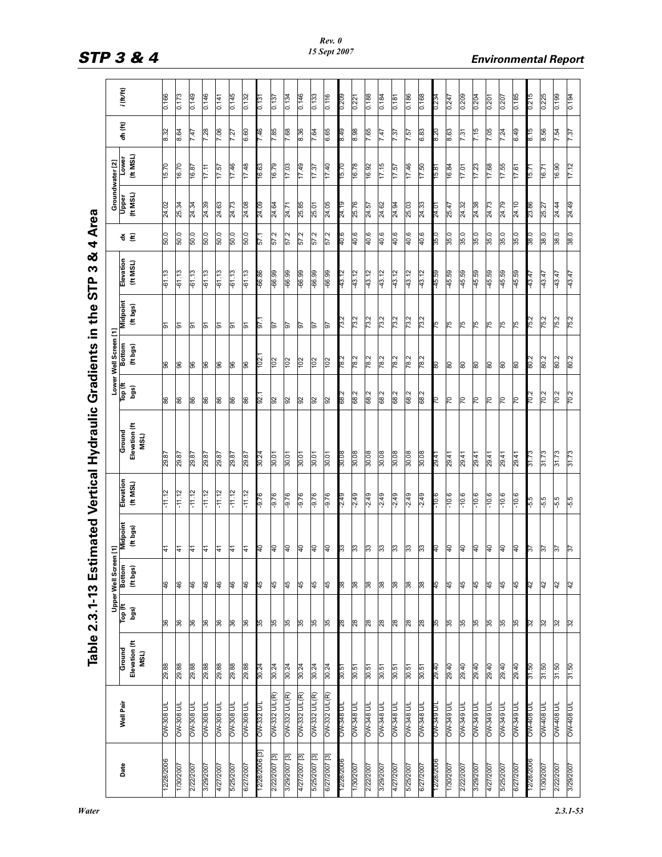| J<br>Ĭ |
|--------|
| í      |
| į      |
|        |
|        |
|        |
|        |
|        |
|        |
|        |
|        |
|        |
|        |
|        |
|        |
|        |
|        |
|        |
|        |
|        |
|        |
|        |
|        |
|        |
|        |
|        |
|        |
|        |
| `<br>? |
|        |

|                                     |                                                | $i$ (ft/ft)                     | 0.166      | 0.173            | 0.149             | 0.146             | 0.141             | 0.145             | 0.132             | 0.131             | 0.137         | 0.134         | 0.146           | 0.133         | 0.116          | 0.209             | 0.221             | 881.0             | 0.184             | 0.181             | 0.186             | 0.168             | 0.234         | 0.247             | 0.209              | 0.204             | 0.201              | 0.207              | 0.185              | 0.215       | 0.225             | 0.199             | 0.194             |
|-------------------------------------|------------------------------------------------|---------------------------------|------------|------------------|-------------------|-------------------|-------------------|-------------------|-------------------|-------------------|---------------|---------------|-----------------|---------------|----------------|-------------------|-------------------|-------------------|-------------------|-------------------|-------------------|-------------------|---------------|-------------------|--------------------|-------------------|--------------------|--------------------|--------------------|-------------|-------------------|-------------------|-------------------|
|                                     |                                                | dh (ft)                         | 8.32       | 8.64             | 7.47              | 7.28              | 7.06              | 7.27              | 6.60              | 94.7              | 7.85          | 7.68          | 8.36            | 7.64          | 6.65           | 8.49              | 8.98              | 7.65              | 7.47              | 7.37              | 7.57              | 6.83              | 8.20          | 8.63              | 7.31               | 7.15              | 7.05               | 7.24               | 6.49               | 8.15        | 8.56              | 7.54              | 7.37              |
|                                     |                                                | (ft MSL)<br>Lower               | 15.70      | 16.70            | 16.87             | 17.11             | 7.57              | 17.46             | 87.71             | 16.63             | 16.79         | 17.03         | 17.49           | 17.37         | $0 + 21$       | 15.70             | 87.9              | 26'91             | 17.15             | 17.57             | 97.71             | 17.50             | $\frac{8}{6}$ | 16.84             | 17.01              | 17.23             | 17.68              | 17.55              | 17.61              | $-91$       | 16.71             | 16.90             | 17.12             |
|                                     | Groundwater [2]                                | (ft MSL)<br>Upper               | 24.02      | 25.34            | 24.34             | 24.39             | 24.63             | 24.73             | 24.08             | 24.09             | 24.64         | 24.71         | 25.85           | 25.01         | 24.05          | 24.19             | 25.76             | 24.57             | 24.62             | 24.94             | 25.03             | 24.33             | 24.01         | 25.47             | 24.32              | 24.38             | 24.73              | 24.79              | 24.10              | 23.86       | 25.27             | 24.44             | 24.49             |
| 4 Area                              |                                                | š €                             | 50.0       | 50.0             | 50.0              | 50.0              | 50.0              | 50.0              | 50.0              | - 29              | 57.2          | 57.2          | 57.2            | 57.2          | 57.2           | 40.6              | 40.6              | 40.6              | 40.6              | 40.6              | 40.6              | 40.6              | 35.0          | 35.0              | 35.0               | 35.0              | 35.0               | 35.0               | 35.0               | 0.85        | 38.0              | 38.0              | 38.0              |
| ಹ<br>S<br><b>STP</b>                |                                                | Elevation<br>(HMSL)             | $-61.13$   | $-61.13$         | $-61.13$          | $-61.13$          | $-61.13$          | $-61.13$          | $-61.13$          | 98.99-            | $-66.99$      | $-66.99$      | -66.99          | -66.99        | -66.99         | 43.12             | 43.12             | 43.12             | 43.12             | 43.12             | 43.12             | 43.12             | <b>65.54</b>  | 45.59             | 45.59              | 45.59             | 45.59              | 45.59              | 45.59              | 43.47       | 43.47             | 43.47             | 43.47             |
| in the                              |                                                | Midpoint<br>(ft bgs)            | 5          | 5                | 5                 | 5                 | ္တ                | ৯                 | 5                 | - 16              | 56            | 56            | PL <sub>0</sub> | 5             | 57             | 73.2              | 73.2              | 73.2              | 73.2              | 73.2              | 73.2              | 73.2              | 97            | 75                | 75                 | 51                | 75                 | 75                 | 75                 | 752         | 75.2              | 75.2              | 75.2              |
|                                     | Lower Well Screen [1]<br>Top (ft   Bottom   1  | (ft bgs)                        | 96         | 96               | 96                | 96                | 96                | 96                | 96                | 102.              | 102           | 102           | ios             | ios           | 102            | 78.2              | 78.2              | 78.2              | 78.2              | 78.2              | 78.2              | 78.2              | 80            | 80                | 80                 | 80                | 80                 | 80                 | 80                 | 80.2        | 80.2              | 80.2              | 80.2              |
|                                     |                                                | bgs)                            | 86         | 86               | 86                | 86                | 86                | 86                | 86                | -76               | 92            | 92            | 92              | 92            | 92             | 68.2              | 68.2              | 68.2              | 68.2              | 68.2              | 68.2              | 68.2              | СZ            | $\overline{C}$    | $\overline{C}$     | $\overline{C}$    | $\overline{2}$     | $\overline{2}$     | $\overline{2}$     | 702         | 70.2              | 70.2              | 70.2              |
| imated Vertical Hydraulic Gradients |                                                | Elevation (ft<br>Ground<br>MSL) | 29.87      | 29.87            | 29.87             | 29.87             | 29.87             | 29.87             | 78.87             | 30.24             | 30.01         | 30.01         | 30.01           | 30.01         | 30.01          | 30.08             | 80.08             | 80.08             | 80.08             | 80.08             | 80.08             | 80.08             | 29.41         | 29.41             | 29.41              | 29.41             | 29.41              | 29.41              | 29.41              | 31.73       | 31.73             | 31.73             | 31.73             |
|                                     |                                                | Elevation<br>(HMSL)             | $-11.12$   | $-11.12$         | $-11.12$          | $-11.12$          | $-11.12$          | $-11.12$          | $-11.12$          | $-9.76$           | $-9.76$       | -9.76         | $-9.76$         | $-9.76$       | $-9.76$        | $-2.49$           | $-2.49$           | $-2.49$           | $-2.49$           | $-2.49$           | $-2.49$           | $-2.49$           | $0.01 -$      | $-10.6$           | $-10.6$            | $-10.6$           | $-10.6$            | $-10.6$            | $-10.6$            | $G^2$       | $-5.5$            | $-5.5$            | $-5.5$            |
|                                     |                                                | Midpoint<br>(ft bgs)            | 41         | 41               | 41                | 41                | 1                 | 1                 | 1                 | e.                | đ             | đ             | đ.              | đ.            | $\overline{a}$ | ౢ                 | 33                | 33                | 33                | 33                | 33                | 33                | ₽             | $\overline{a}$    | $\overline{a}$     | $\overline{a}$    | ₽                  | ₽                  | ¶€                 | তি          | $\frac{2}{3}$     | 75                | 57                |
|                                     | Upper Well Screen [1]<br>Top (ft   Bottom   MI | (ft bgs)                        | 46         | 46               | $\frac{4}{6}$     | $\frac{4}{6}$     | 46                | 46                | 46                | 45                | 45            | 45            | 45              | 45            | 45             | 38                | 38                | 38                | 38                | 38                | 38                | జ                 | 45            | 45                | 45                 | 45                | 45                 | 45                 | 45                 | ł5          | 42                | $\frac{4}{2}$     | 42                |
| Table 2.3.1-13 Est                  |                                                | bgs)                            | 36         | 36               | 36                | 36                | 36                | 36                | 36                | PS                | 35            | 35            | 35              | 35            | 35             | 82                | 28                | 28                | 28                | 28                | 28                | 28                | SS            | 35                | 35                 | 35                | 55                 | 55                 | 35                 | PS.         | 32                | 32                | 32                |
|                                     |                                                | Elevation (ft<br>Ground<br>MSL) | 29.88      | 29.88            | 88'67             | 29.88             | 29.88             | 29.88             | 29.88             | 30.24             | 30.24         | 30.24         | 30.24           | 30.24         | 30.24          | 30.51             | 30.51             | 30.51             | 30.51             | 30.51             | 30.51             | 30.51             | 29.40         | 29.40             | 29.40              | 29.40             | 29.40              | 29.40              | 29.40              | 31.50       | 31.50             | 31.50             | 31.50             |
|                                     |                                                | Well Pair                       | I/N 808-MO | <b>NO 808-MO</b> | <b>I/D 808-MO</b> | <b>DW-308 U/L</b> | <b>DW-308 U/L</b> | <b>DW-308 U/L</b> | <b>OW-308 U/L</b> | <b>DW-332 U/L</b> | OW-332 U/L(R) | OW-332 U/L(R) | OW-332 U/L(R)   | OW-332 U/L(R) | OW-332 U/L(R)  | <b>J/N 848-MO</b> | <b>OW-348 U/L</b> | <b>OW-348 U/L</b> | <b>OW-348 U/L</b> | <b>OW-348 U/L</b> | <b>OW-348 U/L</b> | <b>OW-348 U/L</b> | I/N 648-MO    | <b>OW-349 U/L</b> | <b>J/N-349 U/L</b> | <b>OW-349 U/L</b> | <b>J/N-349 U/L</b> | <b>J/N-349 U/L</b> | <b>J/N-349 U/L</b> | I/D 80 b-MO | <b>OW-408 U/L</b> | <b>OW-408 U/L</b> | <b>J/D 80t-MO</b> |
|                                     |                                                | Date                            | 12/28/2006 | 1/30/2007        | 2/22/2007         | 3/29/2007         | 4/27/2007         | 5/25/2007         | 6/27/2007         | 12/28/2006 [3]    | 2/22/2007 [3] | 3/29/2007 [3] | 4/27/2007 [3]   | 5/25/2007 [3] | 6/27/2007 [3]  | 12/28/2006        | 1/30/2007         | 2/22/2007         | 3/29/2007         | 4/27/2007         | 5/25/2007         | 6/27/2007         | 2/28/200      | 1/30/2007         | 2/22/2007          | 3/29/2007         | 4/27/2007          | 5/25/2007          | 6/27/2007          | 2/28/2006   | 1/30/2007         | 2/22/2007         | 3/29/2007         |

STP 3 & 4 **Environmental Report**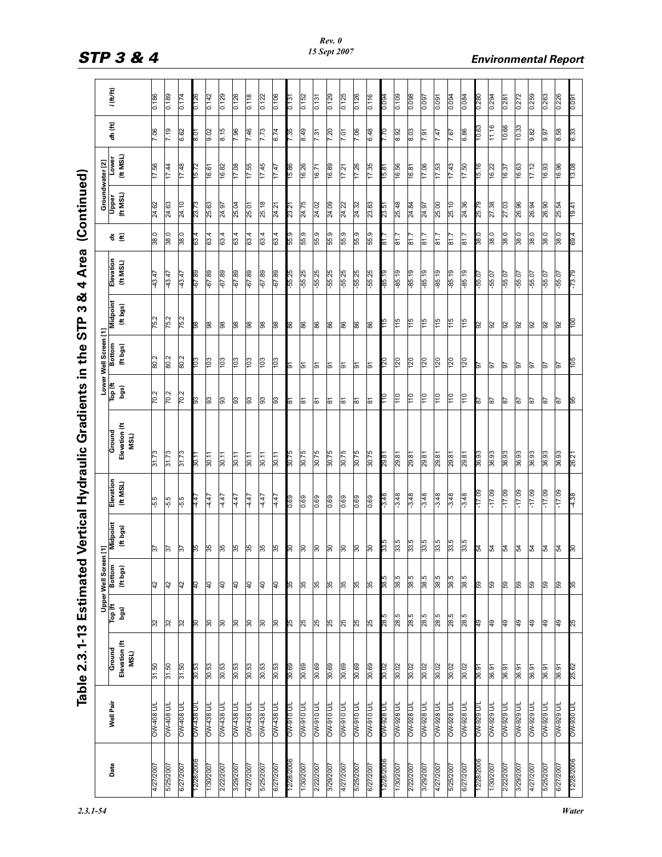| ļ                                                        |
|----------------------------------------------------------|
| .<br>י<br>うこくけ<br>c<br>c<br>f<br>f<br>.<br>.<br>$\vdots$ |
| <br> <br>                                                |
|                                                          |
| I<br>l<br>י<br>いいく                                       |
| į                                                        |

|            |                    | Table 2.3.1-13 Estimated               |                 |                           |                             |                     | Vertical Hydraulic Gradients in the STP |                 |                       | ಹ<br>m                      | <b>Area</b><br>4      |           | (Continued)                                         |                   |            |             |
|------------|--------------------|----------------------------------------|-----------------|---------------------------|-----------------------------|---------------------|-----------------------------------------|-----------------|-----------------------|-----------------------------|-----------------------|-----------|-----------------------------------------------------|-------------------|------------|-------------|
|            |                    |                                        |                 | <b>Upper Well Screen</b>  | $\overline{E}$              |                     |                                         |                 | Lower Well Screen [1] |                             |                       |           |                                                     |                   |            |             |
| Date       | Well Pair          | Elevation (ft<br><b>Ground</b><br>MSL) | Top (ft<br>bgs) | <b>Bottom</b><br>(ft bgs) | <b>Midpoint</b><br>(ft bgs) | Elevation<br>(HMSL) | Elevation (ft<br>Ground<br>MSL)         | Top (ft<br>bgs) | Bottom<br>(ft bgs)    | <b>Midpoint</b><br>(ft bgs) | Elevation<br>(IE MSL) | š€        | Groundwater [2]<br>Upper Lower<br>(ft MSL) (ft MSL) | Lower<br>(ft MSL) | dh (ft)    | $i$ (ft/ft) |
| 4/27/200   | I/N 804-MO         | 31.50                                  | 32              | $\frac{4}{2}$             | $\frac{2}{5}$               | $-5.5$              | <b>ST.FE</b>                            | 70.2            | 80.2                  | 75.2                        | 43.47                 | 38.0      | 24.62                                               | 17.56             | 90'Z       | 981.0       |
| 5/25/200   | OW-408 U/          | 31.50                                  | $\frac{2}{3}$   | 42                        | $\frac{2}{5}$               | $-5.5$              | <b>ST.FE</b>                            | 70.2            | 80.2                  | 75.2                        | 43.47                 | 38.0      | 24.63                                               | 44. LL            | 7.19       | 681.0       |
| 6/27/2007  | I/D 804-WO         | 31.50                                  | 32              | 42                        | $\frac{16}{2}$              | $-5.5$              | <b>ST.FE</b>                            | 70.2            | 80.2                  | 75.2                        | 43.47                 | 38.0      | 24.10                                               | 17.48             | 6.62       | 0.174       |
| 12/28/200  | /\ 88 tm           | 30.53                                  | <b>S</b>        | $\mathbb{R}$              | జ్                          | 4.47                | 30.11                                   | 89              | 80L                   | 86                          | 68.79                 | 63.4      | 23.73                                               | 15.72             | 8.01       | 0.126       |
| 1/30/2007  | <b>M438 UI</b>     | 30.53                                  | $\frac{1}{30}$  | let                       | 95                          | 4.47                | 30.11                                   | 3               | 103                   | 88                          | $-67.89$              | 63.4      | 25.63                                               | 16.61             | 9.02       | 0.142       |
| 2/22/2007  | <b>I/N 88 + MO</b> | 30.53                                  | 30              | $\overline{a}$            | 35                          | 4.47                | 30.11                                   | 83              | 103                   | 86                          | 68.79-                | 63.4      | 24.97                                               | 16.82             | 8.15       | 0.129       |
| 3/29/2007  | NV438 U/I          | 30.53                                  | $\frac{8}{3}$   | $\frac{1}{4}$             | 35                          | 4.47                | 30.11                                   | 83              | 103                   | 88                          | 68.79-                | 63.4      | 25.04                                               | 17.08             | 7.96       | 0.126       |
| 4/27/2007  | DW-438 U/I         | 30.53                                  | 8               | let                       | 35                          | 4.47                | 30.11                                   | 33              | 103                   | 86                          | -67.89                | 63.4      | 25.01                                               | 17.55             | 7.46       | 811.0       |
| 5/25/2007  | <b>DW-438 U/I</b>  | 30.53                                  | $\frac{8}{3}$   | $\frac{1}{4}$             | 35                          | 4.47                | 30.11                                   | 63              | $\overline{103}$      | 86                          | -67.89                | 63.4      | 25.18                                               | 17.45             | 7.73       | 0.122       |
| 6/27/2007  | <b>DW-438 U/L</b>  | 30.53                                  | 50              | $\frac{1}{4}$             | 85                          | 4.47                | 30.11                                   | 3               | 103                   | 86                          | $-67.89$              | 63.4      | 24.21                                               | 17.47             | 6.74       | 0.106       |
| 228/200    | /N 016-MO          | 30.69                                  | 55              | 55                        | န                           | 0.69                | 30.75                                   | লি              | 6                     | 8g                          | $-55.25$              | 55.9      | 23.21                                               | 38.8              | 7.35       | 0.131       |
| 1/30/2007  | <b>I/D 016-MO</b>  | 30.69                                  | 25              | 35                        | $\frac{8}{30}$              | 0.69                | 30.75                                   | ळ               | চ                     | 86                          | $-55.25$              | 55.9      | 24.75                                               | 16.26             | 8.49       | 0.152       |
| 2/22/2007  | <b>I/D 016-MO</b>  | 30.69                                  | 25              | 35                        | $\frac{8}{30}$              | 0.69                | 30.75                                   | <u>रू</u>       | ৯                     | 86                          | $-55.25$              | 55.9      | 24.02                                               | 16.71             | 7.31       | 0.131       |
| 3/29/2007  | I/N 016-MO         | 30.69                                  | 25              | 55                        | $\overline{50}$             | 0.69                | <b>ST.08</b>                            | ۶î              | 5                     | 86                          | $-55.25$              | 55.9      | 24.09                                               | 16.89             | 7.20       | 0.129       |
| 4/27/2007  | <b>I/D 016-MO</b>  | 30.69                                  | 25              | 55                        | $\frac{8}{3}$               | 0.69                | 30.75                                   | 등               | ଚ                     | 86                          | $-55.25$              | 55.9      | 24.22                                               | 17.21             | 7.01       | 0.125       |
| 5/25/2007  | <b>I/D 016-MO</b>  | 30.69                                  | 25              | 35                        | $\frac{8}{3}$               | 0.69                | 30.75                                   | ৯               | 5                     | 86                          | $-55.25$              | 55.9      | 24.32                                               | 17.26             | 7.06       | 0.126       |
| 6/27/2007  | <b>M-910 U/L</b>   | 30.69                                  | 25              | 35                        | $\frac{8}{30}$              | 0.69                | 30.75                                   | ნ<br>დ          | $\overline{5}$        | 86                          | -55.25                | 55.9      | 23.83                                               | 17.35             | 6.48       | 0.116       |
| 2/28/200   | /n 876-MO          | 30.02                                  | 28.5            | $\frac{12}{36}$           | 33.5                        | $-3.48$             | 29.81                                   | 0۳.             | <u>0ZL</u>            | S-L                         | $-85.19$              | $^{1.18}$ | 23.51                                               | 15.81             | <u>077</u> | 0.094       |
| 1/30/2007  | <b>DW-928 U/L</b>  | 30.02                                  | 28.5            | 38.5                      | 33.5                        | $-3.48$             | 18.62                                   | $\frac{1}{10}$  | 120                   | $\frac{51}{1}$              | $-85.19$              | 5.18      | 25.48                                               | 16.56             | 8.92       | 0.109       |
| 2/22/2007  | <b>I/D 826-MO</b>  | 30.02                                  | 28.5            | 38.5                      | 33.5                        | $-3.48$             | 29.81                                   | 011             | 120                   | $\frac{115}{115}$           | $-85.19$              | 81.7      | 24.84                                               | 16.81             | 8.03       | 0.098       |
| 3/29/2007  | <b>N/1 828 WO</b>  | 30.02                                  | 28.5            | 38.5                      | 33.5                        | $-3.48$             | 29.81                                   | $\frac{10}{2}$  | 120                   | 115                         | $-85.19$              | 51.7      | 24.97                                               | 17.06             | 7.91       | 0.097       |
| 4/27/2007  | <b>NO 828 DVO</b>  | 30.02                                  | 28.5            | 38.5                      | 33.5                        | $-3.48$             | 29.81                                   | $\frac{011}{2}$ | 120                   | 115                         | -85.19                | 51.7      | 25.00                                               | 17.53             | 7.47       | 0.091       |
| 5/25/2007  | <b>DW-928 U/L</b>  | 30.02                                  | 28.5            | 38.5                      | 33.5                        | $-3.48$             | 29.81                                   | $\frac{10}{2}$  | 120                   | 115                         | $-85.19$              | 5.18      | 25.10                                               | 17.43             | 7.67       | 0.094       |
| 6/27/2007  | <b>I/N 828 WO</b>  | 30.02                                  | 28.5            | 38.5                      | 33.5                        | $-3.48$             | 29.81                                   | $\frac{1}{10}$  | 120                   | $\frac{5}{115}$             | $-85.19$              | 5.18      | 24.36                                               | 17.50             | 6.86       | 0.084       |
| 12/28/2006 | V 626-MO           | 36.97                                  | $\mathbb{R}^2$  | <b>ed</b>                 | Ł2                          | 60'ZF-              | 36.93                                   | $\approx$       | 9                     | 92                          | $-55.07$              | 38.0      | 25.79                                               | 91.5              | 10.63      | 0.280       |
| 1/30/2007  | <b>NO 626-MO</b>   | 36.91                                  | $\overline{49}$ | 59                        | R,                          | $-17.09$            | 36.93                                   | $\frac{1}{8}$   | 5                     | 92                          | -55.07                | 38.0      | 27.38                                               | 16.22             | 11.16      | 0.294       |
| 2/22/2007  | <b>J/D 626-MO</b>  | 36.91                                  | $\overline{49}$ | 59                        | £                           | $-17.09$            | 36.93                                   | ls2             | 76                    | $\overline{9}$              | $-55.07$              | 38.0      | 27.03                                               | 16.37             | 10.66      | 0.281       |
| 3/29/2007  | NV-929 U           | 36.91                                  | $\overline{49}$ | ß                         | R,                          | $-17.09$            | 36.93                                   | 2g              | 5                     | 92                          | $-55.07$              | 38.0      | 26.96                                               | 16.63             | 10.33      | 0.272       |
| 4/27/2007  | <b>M-929 UV</b>    | 36.91                                  | $\overline{49}$ | G9                        | 54                          | $-17.09$            | 36.93                                   | ls2             | 76                    | 92                          | $-55.07$              | 38.0      | 26.94                                               | 17.12             | 9.82       | 0.259       |
| 5/25/2007  | <b>NO 626-MO</b>   | 36.91                                  | $\overline{49}$ | ß9                        | 54                          | $-17.09$            | 36.93                                   | 78              | 26                    | $\mathbb{S}$                | $-55.07$              | 38.0      | 26.90                                               | 16.93             | 9.97       | 0.263       |
| 6/27/2007  | <b>DW-929 U/L</b>  | 36.91                                  | $\frac{6}{7}$   | 59                        | 54                          | $-17.09$            | 36.93                                   | 78              | 26                    | 92                          | $-55.07$              | 38.0      | 25.54                                               | 16.96             | 8.58       | 0.226       |
| 12/28/2006 | I/O 086-MO         | 25.62                                  | 52              | $\mathbb{R}$              | န                           | 4.38                | 26.21                                   | 96              | SQL                   | ΟOL                         | $-73.79$              | 69.4      | 19.41                                               | 13.08             | 6.33       | 0.091       |

# STP 3 & 4 **Environmental Report**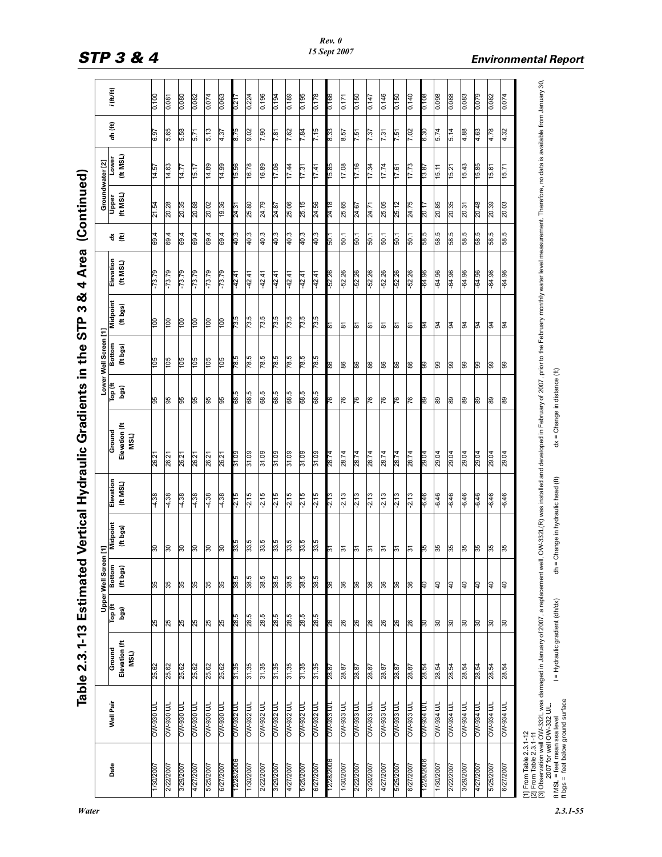| l                  |
|--------------------|
| j                  |
| י<br>              |
|                    |
| ï                  |
|                    |
|                    |
|                    |
| 、、くく               |
| $\frac{1}{4}$<br>į |

|            |                   |                                                                                                                                                                                                                                           |                 | <b>Upper Well Screen</b>  | ξ                                  |                     | Vertical Hydraulic Gradients in the                                                                                                                                                                 |                 | Lower Well Screen [1] |                      |                       |      |                   | Groundwater [2]  |         |              |
|------------|-------------------|-------------------------------------------------------------------------------------------------------------------------------------------------------------------------------------------------------------------------------------------|-----------------|---------------------------|------------------------------------|---------------------|-----------------------------------------------------------------------------------------------------------------------------------------------------------------------------------------------------|-----------------|-----------------------|----------------------|-----------------------|------|-------------------|------------------|---------|--------------|
| Date       | Well Pair         | Elevation (ft<br>Ground<br>MSL)                                                                                                                                                                                                           | Top (ft<br>bgs) | <b>Bottom</b><br>(ft bgs) | Midpoint<br>(ft bgs)               | Elevation<br>(HMSL) | Elevation (ft<br>Ground<br>MSL)                                                                                                                                                                     | Top (ft<br>bgs) | Bottom<br>(ft bgs)    | Midpoint<br>(ft bgs) | Elevation<br>(IE MSL) | š £  | (ft MSL)<br>Upper | (H MSL)<br>Lower | dh (ft) | $i$ (ft/ft)  |
| 1/30/200   | <b>M-930 D/</b>   | 25.62                                                                                                                                                                                                                                     | 25              | 35                        | ౚ                                  | 4.38                | 26.21                                                                                                                                                                                               | 95              | 105                   | ÖС                   | $-73.79$              | 69.4 | 21.54             | 14.57            | 6.97    | 0.100        |
| 2/22/2007  | I/N 086-MO        | 25.62                                                                                                                                                                                                                                     | 25              | 35                        | $\overline{50}$                    | 4.38                | 26.21                                                                                                                                                                                               | 95              | $\frac{501}{5}$       | <u>bol</u>           | $-73.79$              | 69.4 | 20.28             | 14.63            | 5.65    | 0.087        |
| 3/29/2007  | <b>I/N 086-MO</b> | 25.62                                                                                                                                                                                                                                     | 25              | 35                        | <b>GC</b>                          | 4.38                | 26.21                                                                                                                                                                                               | 95              | 105                   | 100                  | $-73.79$              | 69.4 | 20.35             | 14.77            | 5.58    | 0.080        |
| 4/27/2007  | I/N 086-MO        | 25.62                                                                                                                                                                                                                                     | 25              | 35                        | ၉                                  | 4.38                | 26.21                                                                                                                                                                                               | 95              | 105                   | 100                  | $-73.79$              | 69.4 | 20.88             | 15.17            | 5.71    | 0.082        |
| 5/25/2007  | <b>T/N 086-MO</b> | 25.62                                                                                                                                                                                                                                     | 25              | 35                        | $30^{\circ}$                       | 4.38                | 26.21                                                                                                                                                                                               | 95              | 105                   | 100                  | $-73.79$              | 69.4 | 20.02             | 14.89            | 5.13    | 0.074        |
| 6/27/2007  | <b>J/N 086-MO</b> | 25.62                                                                                                                                                                                                                                     | 25              | 35                        | $\frac{8}{30}$                     | 4.38                | 26.21                                                                                                                                                                                               | 95              | 105                   | 100                  | $-73.79$              | 69.4 | 19.36             | 14.99            | 4.37    | 0.063        |
| 2/28/200   | OW-932 U/         | 31.35                                                                                                                                                                                                                                     | 28.5            | 38.5                      | 33.5                               | $-2.15$             | 31.09                                                                                                                                                                                               | 89              | 3.87                  | 73.5                 | $-42.41$              | 40.3 | 24.31             | 95.51            | 875     | 0.217        |
| 1/30/2007  | <b>OW-932 U/L</b> | 31.35                                                                                                                                                                                                                                     | 28.5            | 38.5                      | 33.5                               | $-2.15$             | 31.09                                                                                                                                                                                               | 68.5            | 78.5                  | 73.5                 | 42.41                 | 40.3 | 25.80             | 16.78            | 9.02    | 0.224        |
| 2/22/2007  | NU 286-MO         | 31.35                                                                                                                                                                                                                                     | 28.5            | 38.5                      | 33.5                               | $-2.15$             | 31.09                                                                                                                                                                                               | 68.5            | 78.5                  | 73.5                 | 42.41                 | 40.3 | 24.79             | 68.91            | 7.90    | 0.196        |
| 3/29/2007  | NV-932 U/I        | 31.35                                                                                                                                                                                                                                     | 28.5            | 38.5                      | 33.5                               | $-2.15$             | 31.09                                                                                                                                                                                               | 68.5            | 78.5                  | 73.5                 | 42.41                 | 40.3 | 24.87             | 17.06            | 7.81    | <b>b61.0</b> |
| 4/27/2007  | OW-932 U/         | 31.35                                                                                                                                                                                                                                     | 28.5            | 38.5                      | 33.5                               | $-2.15$             | 31.09                                                                                                                                                                                               | 68.5            | 78.5                  | 73.5                 | 42.41                 | 40.3 | 25.06             | 17.44            | 7.62    | 0.189        |
| 5/25/2007  | OW-932 U/I        | 31.35                                                                                                                                                                                                                                     | 28.5            | 38.5                      | 33.5                               | $-2.15$             | 31.09                                                                                                                                                                                               | 68.5            | 78.5                  | 73.5                 | $-42.41$              | 40.3 | 25.15             | 17.31            | 7.84    | 0.195        |
| 6/27/2007  | <b>OW-932 U/L</b> | 31.35                                                                                                                                                                                                                                     | 28.5            | 38.5                      | 33.5                               | $-2.15$             | 31.09                                                                                                                                                                                               | 68.5            | 78.5                  | 73.5                 | 42.41                 | 40.3 | 24.56             | 17.41            | 7.15    | 0.178        |
| 12/28/2006 | / CB6-MO          | 78.87                                                                                                                                                                                                                                     | 92              | 98                        | ۴                                  | $-2.13$             | 28.74                                                                                                                                                                                               | 97              | 98                    | 9                    | $-52.26$              | - 09 | 24.18             | 38.G             | 8.33    | 0.166        |
| 1/30/2007  | <b>I/D EE6-MO</b> | 28.87                                                                                                                                                                                                                                     | 26              | 36                        | $\approx$                          | $-2.13$             | 28.74                                                                                                                                                                                               | 76              | 86                    | ಹ                    | $-52.26$              | 50.1 | 25.65             | 17.08            | 8.57    | 0.171        |
| 2/22/2007  | <b>DW-933 U/L</b> | 28.87                                                                                                                                                                                                                                     | 26              | 36                        | $\frac{1}{2}$                      | $-2.13$             | 28.74                                                                                                                                                                                               | 76              | 86                    | 81                   | $-52.26$              | 50.1 | 24.67             | 17.16            | 7.51    | 0.150        |
| 3/29/2007  | <b>DW-933 U/L</b> | 28.87                                                                                                                                                                                                                                     | 26              | 36                        | $\frac{1}{2}$                      | $-2.13$             | 28.74                                                                                                                                                                                               | 76              | 88                    | 81                   | $-52.26$              | 50.1 | 24.71             | 17.34            | 7.37    | 0.147        |
| 4/27/2007  | <b>NU 886-MO</b>  | 28.87                                                                                                                                                                                                                                     | 26              | 36                        | $\frac{1}{2}$                      | $-2.13$             | 28.74                                                                                                                                                                                               | 76              | 88                    | ౚ                    | $-52.26$              | 50.1 | 25.05             | 17.74            | 7.31    | 0.146        |
| 5/25/2007  | I/I EE6-MO        | 28.87                                                                                                                                                                                                                                     | 26              | 36                        | $\frac{1}{2}$                      | $-2.13$             | 28.74                                                                                                                                                                                               | 76              | 86                    | ౚ                    | $-52.26$              | 50.1 | 25.12             | 17.61            | 7.51    | 0.150        |
| 6/27/2007  | <b>I/N EEG-MO</b> | 28.87                                                                                                                                                                                                                                     | 26              | 36                        | $\frac{1}{2}$                      | $-2.13$             | 28.74                                                                                                                                                                                               | 76              | 86                    | ౚ                    | $-52.26$              | 50.1 | 24.75             | 17.73            | 7.02    | 0.140        |
| 12/28/2006 | I/N PEG-MO        | 28.54                                                                                                                                                                                                                                     | $\frac{8}{30}$  | Р₹                        | န္က                                | $-6.46$             | 29.04                                                                                                                                                                                               | 8               | ၉၉                    | 2                    | -64.96                | 58.5 | <b>20.TT</b>      | 13.87            | 0.30    | 0.108        |
| 1/30/2007  | <b>I/N PS6-MO</b> | 28.54                                                                                                                                                                                                                                     | င္က             | $\overline{5}$            | 35                                 | $-6.46$             | 29.04                                                                                                                                                                                               | 89              | 99                    | $\mathbb{R}$         | -64.96                | 58.5 | 20.85             | 15.11            | 5.74    | 0.098        |
| 2/22/2007  | <b>I/N PEG-MO</b> | 28.54                                                                                                                                                                                                                                     | $\frac{1}{30}$  | $\overline{4}$            | 35                                 | $-6.46$             | 29.04                                                                                                                                                                                               | 89              | 8                     | 54                   | $-64.96$              | 58.5 | 20.35             | 15.21            | 5.14    | 0.088        |
| 3/29/2007  | I/N PS6-MO        | 28.54                                                                                                                                                                                                                                     | $\frac{8}{3}$   | $\overline{5}$            | 35                                 | $-6.46$             | 29.04                                                                                                                                                                                               | 89              | 8                     | l g                  | -64.96                | 58.5 | 20.31             | 15.43            | 4.88    | 0.083        |
| 4/27/2007  | <b>I/D PEG-MO</b> | 28.54                                                                                                                                                                                                                                     | <u>၉</u>        | $\frac{1}{4}$             | 95                                 | $-6.46$             | 29.04                                                                                                                                                                                               | 89              | 99                    | $\mathbb{R}^2$       | $-64.96$              | 58.5 | 20.48             | 15.85            | 4.63    | 0.079        |
| 5/25/2007  | I/N PS6-MO        | 28.54                                                                                                                                                                                                                                     | <b>SC</b>       | $\frac{1}{4}$             | 95                                 | $-6.46$             | 29.04                                                                                                                                                                                               | 89              | 86                    | S,                   | $-64.96$              | 58.5 | 20.39             | 15.61            | 4.78    | 0.082        |
| 6/27/2007  | NU PEG-MO         | 28.54                                                                                                                                                                                                                                     | 80              | $\overline{4}$            | 35                                 | $-6.46$             | 29.04                                                                                                                                                                                               | 89              | 99                    | 34                   | -64.96                | 58.5 | 20.03             | 15.71            | 4.32    | 0.074        |
|            |                   | (1) From Table 2:3,1-12<br> 2) From Table 2:3,1-11<br>!3) Observation well OW-332L was damaged in January of 2007, a replacement well,<br>!3) Observation well OW-332 U/L.<br>!t MS = feet below ground surface left below ground surface |                 |                           | dh = Change in hydraulic head (ft) |                     | OW-332L(R) was installed and developed in February of 2007, prior to the February monthly water level measurement. Therefore, no data is available from January 30,<br>dx = Change in distance (ft) |                 |                       |                      |                       |      |                   |                  |         |              |
|            |                   |                                                                                                                                                                                                                                           |                 |                           |                                    |                     |                                                                                                                                                                                                     |                 |                       |                      |                       |      |                   |                  |         |              |

STP 3 & 4 **Environmental Report**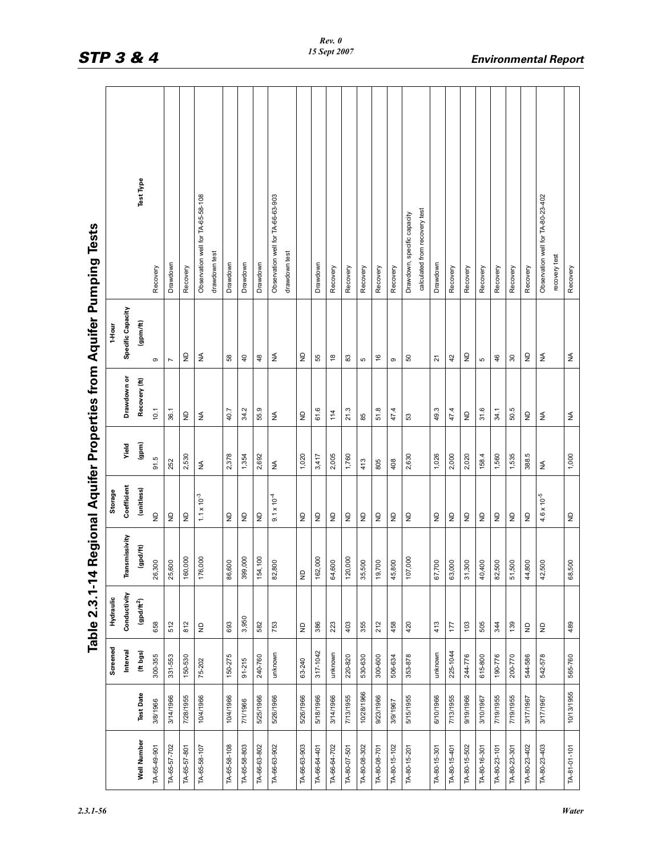| $\frac{5}{1}$                                                                                                            |
|--------------------------------------------------------------------------------------------------------------------------|
| ומן דאות מ<br>J                                                                                                          |
| ļ<br>iii ku Kacamatan Sumala Sumala Sumala Sumala Sumala Sumala Sumala Sumala Sumala Sumala Sumala Sumala Sumala Su<br>1 |
| $\overline{\phantom{a}}$                                                                                                 |
| A Dowlong Inter Properties                                                                                               |
| )<br>Si<br>Si<br>֠                                                                                                       |
| :<br>i                                                                                                                   |
| a 2 2 1-14 I<br>$\ddot{\phantom{0}}$<br>¥<br>נו                                                                          |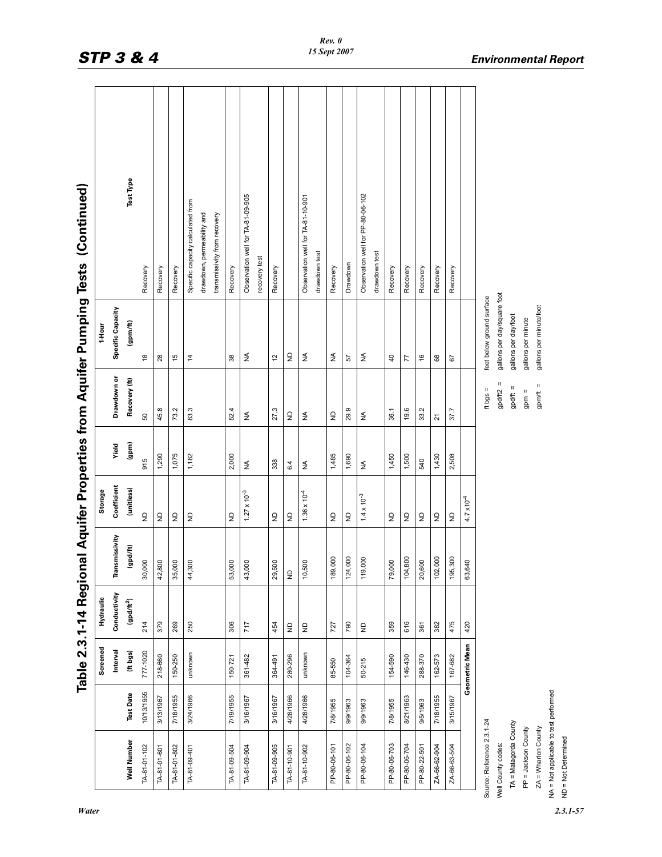|                                       |                  |                |                           |                |                                 |            |                                                                                                   |                             | Table 2.3.1-14 Regional Aquifer Properties from Aquifer Pumping Tests (Continued) |
|---------------------------------------|------------------|----------------|---------------------------|----------------|---------------------------------|------------|---------------------------------------------------------------------------------------------------|-----------------------------|-----------------------------------------------------------------------------------|
|                                       |                  | Screened       | Hydraulic                 |                | Storage                         |            |                                                                                                   | 1-Hour                      |                                                                                   |
|                                       |                  | Interval       | Conductivity              | Transmissivity | Coefficient                     | Yield      | Drawdown or                                                                                       | Specific Capacity           |                                                                                   |
| Well Number                           | <b>Test Date</b> | (ft bgs)       | $($ gpd/ft <sup>2</sup> ) | (gpd/ft)       | (unitless)                      | (gpm)      | Recovery (ft)                                                                                     | (gpm/ft)                    | Test Type                                                                         |
| TA-81-01-102                          | 10/13/1955       | 777-1020       | 214                       | 30,000         | $\frac{1}{2}$                   | 915        | 50                                                                                                | æ                           | Recovery                                                                          |
| TA-81-01-601                          | 3/13/1967        | 218-660        | 379                       | 42,800         | $\varrho$                       | 1,290      | 45.8                                                                                              | 8                           | Recovery                                                                          |
| TA-81-01-802                          | 7/18/1955        | 150-250        | 269                       | 35,000         | $\varrho$                       | 1,075      | 73.2                                                                                              | 15                          | Recovery                                                                          |
| TA-81-09-401                          | 3/24/1966        | unknown        | 250                       | 44,300         | ę                               | 1,182      | 83.3                                                                                              | $\frac{1}{4}$               | Specific capacity calculated from                                                 |
|                                       |                  |                |                           |                |                                 |            |                                                                                                   |                             | drawdown, permeability and                                                        |
|                                       |                  |                |                           |                |                                 |            |                                                                                                   |                             | transmissivity from recovery                                                      |
| TA-81-09-504                          | 7/19/1955        | 150-721        | 306                       | 53,000         | $\overline{z}$                  | 2,000      | 52.4                                                                                              | 38                          | Recovery                                                                          |
| TA-81-09-904                          | 3/16/1967        | 361482         | 717                       | 43,000         | $1.27 \times 10^{-3}$           | $\lessgtr$ | $\lessgtr$                                                                                        | ₹                           | Observation well for TA-81-09-905                                                 |
|                                       |                  |                |                           |                |                                 |            |                                                                                                   |                             | recovery test                                                                     |
| TA-81-09-905                          | 3/16/1967        | 364-491        | 454                       | 29,500         | $\overline{z}$                  | 338        | 27.3                                                                                              | 12                          | Recovery                                                                          |
| TA-81-10-901                          | 4/28/1966        | 280-296        | $\mathsf{P}$              | $\overline{z}$ | $\frac{1}{2}$                   | 6.4        | $\ensuremath{\mathsf{P}}$                                                                         | $\epsilon$                  |                                                                                   |
| TA-81-10-902                          | 4/28/1966        | unknown        |                           | 10,500         | $1.36 \times 10^{-4}$           | ₹          | $\lessgtr$                                                                                        | $\lessgtr$                  | Observation well for TA-81-10-901                                                 |
|                                       |                  |                |                           |                |                                 |            |                                                                                                   |                             | drawdown test                                                                     |
| PP-80-06-101                          | 7/8/1955         | 85-550         | 727                       | 189,000        |                                 | 1,485      | $\mathrel{\mathop{\boxdot}}$                                                                      | $\lessgtr$                  | Recovery                                                                          |
| PP-80-06-102                          | 9/9/1963         | 104-364        | 790                       | 124,000        | $\frac{\mathsf{D}}{\mathsf{Z}}$ | 1,690      | 29.9                                                                                              | 57                          | Drawdown                                                                          |
| PP-80-06-104                          | 9/9/1963         | $50 - 215$     |                           | 119,000        | $1.4 \times 10^{-3}$            | $\lessgtr$ | $\lessgtr$                                                                                        | ₹                           | Observation well for PP-80-06-102<br>drawdown test                                |
| PP-80-06-703                          | 7/8/1955         | 154-590        | 359                       | 79,000         |                                 | 1,450      | 36.1                                                                                              | $\overline{a}$              | Recovery                                                                          |
| PP-80-06-704                          | 8/21/1963        | 146-430        | 616                       | 104,800        | $\varrho$                       | 1,500      | 19.6                                                                                              | 77                          | Recovery                                                                          |
| PP-80-22-501                          | 9/5/1963         | 288-370        | 361                       | 20,600         | $\frac{1}{2}$                   | 540        | 33.2                                                                                              | $\frac{6}{2}$               | Recovery                                                                          |
| ZA-66-62-904                          | 7/18/1955        | 162-573        | 382                       | 102,000        | $\varrho$                       | 1,430      | $\overline{2}$                                                                                    | 8                           | Recovery                                                                          |
| ZA-66-63-504                          | 3/15/1967        | 167-682        | 475                       | 195,300        | $\overline{z}$                  | 2,508      | 37.7                                                                                              | 67                          | Recovery                                                                          |
|                                       |                  | Geometric Mean | 420                       | 63,640         | $4.7 \times 10^{-4}$            |            |                                                                                                   |                             |                                                                                   |
| Source: Reference 2.3.1-24            |                  |                |                           |                |                                 |            | ft bgs =                                                                                          | feet below ground surface   |                                                                                   |
| Well County codes:                    |                  |                |                           |                |                                 |            | Ш<br>gpd/ft2                                                                                      | gallons per day/square foot |                                                                                   |
| TA = Matagorda County                 |                  |                |                           |                |                                 |            | $\mathbf{H}% _{0}\equiv\mathbf{H}_{\mathrm{H}}\pmod{2}+\mathbf{H}_{\mathrm{H}}\pmod{2}$<br>gpd/ft | gallons per day/foot        |                                                                                   |
| PP = Jackson County                   |                  |                |                           |                |                                 |            | Ш<br>gpm                                                                                          | gallons per minute          |                                                                                   |
| $ZA = Wharton County$                 |                  |                |                           |                |                                 |            | $gpm/ft =$                                                                                        | gallons per minute/foot     |                                                                                   |
| NA = Not applicable to test performed |                  |                |                           |                |                                 |            |                                                                                                   |                             |                                                                                   |
| $ND = Not$ Determined                 |                  |                |                           |                |                                 |            |                                                                                                   |                             |                                                                                   |

 $\mathbf{r}$ 

*Water 2.3.1-57*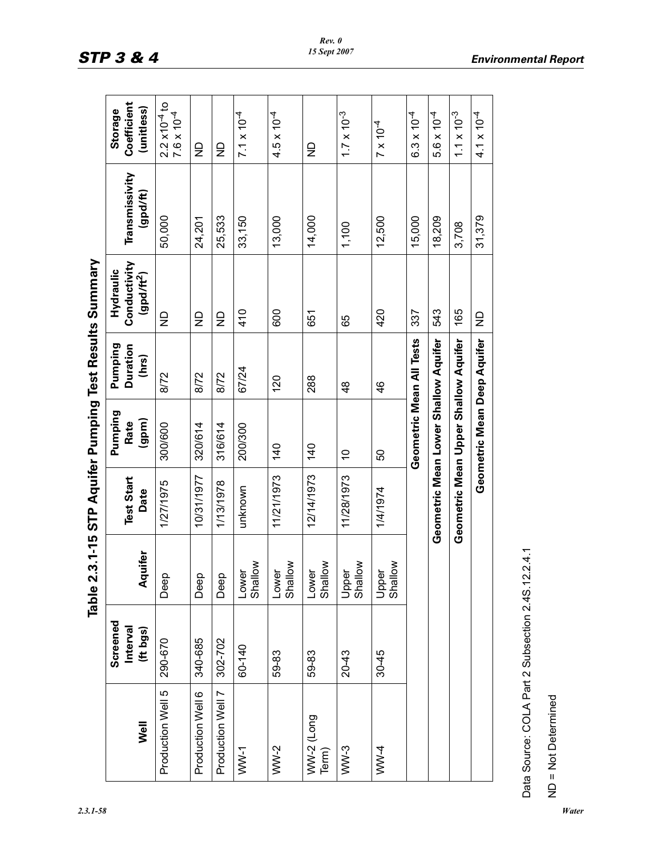|                     | Screened<br>Interval |                                        | <b>Test Start</b> | Pumping<br>Rate                      | Pumping<br><b>Duration</b> | Conductivity<br>Hydraulic | Transmissivity | Coefficient<br>Storage                            |
|---------------------|----------------------|----------------------------------------|-------------------|--------------------------------------|----------------------------|---------------------------|----------------|---------------------------------------------------|
| Well                | (# bgs)              | Aquifer                                | Date              | (gpm)                                | (hrs)                      | $(gpd/ft^2)$              | (gpd/ft)       | (unitless)                                        |
| Production Well 5   | 290-670              | Deep                                   | 1/27/1975         | 300/600                              | 8/72                       | 을                         | 50,000         | $2.2 \times 10^{-4}$ to<br>7.6 x 10 <sup>-4</sup> |
| Production Well 6   | 340-685              | Deep                                   | 10/31/1977        | 320/614                              | 8/72                       | $\frac{\Omega}{Z}$        | 24,201         | $\frac{1}{2}$                                     |
| Production Well 7   | 302-702              | Deep                                   | 1/13/1978         | 316/614                              | 8/72                       | $\frac{\Omega}{Z}$        | 25,533         | $\frac{\Omega}{Z}$                                |
| $WW-1$              | 60-140               | Shallow<br>Lower                       | unknown           | 200/300                              | 67/24                      | 410                       | 33,150         | $7.1 \times 10^{-4}$                              |
| $WW-2$              | 59-83                | Shallow<br>Lower                       | 11/21/1973        | 140                                  | 120                        | 600                       | 13,000         | $4.5 \times 10^{-4}$                              |
| WW-2 (Long<br>Term) | 59-83                | Shallow<br>৾ত<br>$\sum_{i=1}^{\infty}$ | 12/14/1973        | $\frac{40}{5}$                       | 288                        | 651                       | 14,000         | $\frac{\Omega}{Z}$                                |
| $WW-3$              | $20 - 43$            | Upper<br>Shallow                       | 11/28/1973        | $\tilde{c}$                          | $\frac{8}{4}$              | 65                        | 1,100          | $1.7 \times 10^{-3}$                              |
| WW-4                | $30 - 45$            | Upper<br>Shallow                       | 1/4/1974          | 50                                   | $\frac{6}{4}$              | 420                       | 12,500         | $7 \times 10^{-4}$                                |
|                     |                      |                                        |                   | Geometric Mean All Tests             |                            | 337                       | 15,000         | $6.3 \times 10^{-4}$                              |
|                     |                      |                                        |                   | Geometric Mean Lower Shallow Aquifer |                            | 543                       | 18,209         | $5.6 \times 10^{-4}$                              |
|                     |                      |                                        |                   | Geometric Mean Upper Shallow Aquifer |                            | 165                       | 3,708          | $1.1 \times 10^{-3}$                              |
|                     |                      |                                        |                   | Geometric Mean Deep Aquifer          |                            | ₽                         | 31,379         | $4.1 \times 10^{-4}$                              |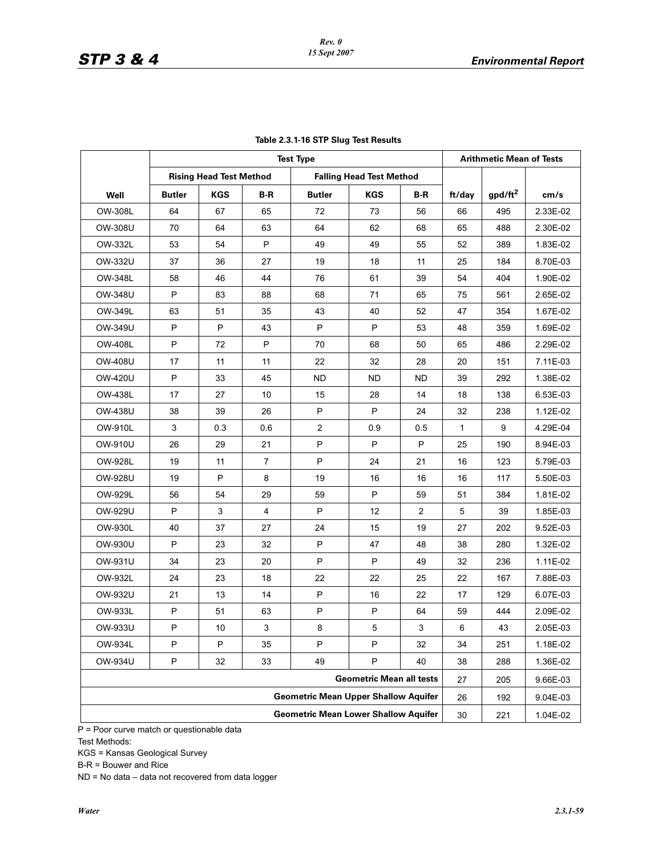|                |               |                                |                | <b>Test Type</b>                            |                                 |              |              | <b>Arithmetic Mean of Tests</b> |          |
|----------------|---------------|--------------------------------|----------------|---------------------------------------------|---------------------------------|--------------|--------------|---------------------------------|----------|
|                |               | <b>Rising Head Test Method</b> |                |                                             | <b>Falling Head Test Method</b> |              |              |                                 |          |
| Well           | <b>Butler</b> | <b>KGS</b>                     | B-R            | <b>Butler</b>                               | <b>KGS</b>                      | B-R          | ft/day       | $gpd/ft^2$                      | cm/s     |
| OW-308L        | 64            | 67                             | 65             | 72                                          | 73                              | 56           | 66           | 495                             | 2.33E-02 |
| OW-308U        | 70            | 64                             | 63             | 64                                          | 62                              | 68           | 65           | 488                             | 2.30E-02 |
| OW-332L        | 53            | 54                             | P              | 49                                          | 49                              | 55           | 52           | 389                             | 1.83E-02 |
| OW-332U        | 37            | 36                             | 27             | 19                                          | 18                              | 11           | 25           | 184                             | 8.70E-03 |
| OW-348L        | 58            | 46                             | 44             | 76                                          | 61                              | 39           | 54           | 404                             | 1.90E-02 |
| <b>OW-348U</b> | P             | 83                             | 88             | 68                                          | 71                              | 65           | 75           | 561                             | 2.65E-02 |
| OW-349L        | 63            | 51                             | 35             | 43                                          | 40                              | 52           | 47           | 354                             | 1.67E-02 |
| OW-349U        | P             | P                              | 43             | $\sf P$                                     | P                               | 53           | 48           | 359                             | 1.69E-02 |
| <b>OW-408L</b> | P             | 72                             | P              | 70                                          | 68                              | 50           | 65           | 486                             | 2.29E-02 |
| <b>OW-408U</b> | 17            | 11                             | 11             | 22                                          | 32                              | 28           | 20           | 151                             | 7.11E-03 |
| <b>OW-420U</b> | P             | 33                             | 45             | <b>ND</b>                                   | <b>ND</b>                       | <b>ND</b>    | 39           | 292                             | 1.38E-02 |
| OW-438L        | 17            | 27                             | 10             | 15                                          | 28                              | 14           | 18           | 138                             | 6.53E-03 |
| <b>OW-438U</b> | 38            | 39                             | 26             | $\sf P$                                     | P                               | 24           | 32           | 238                             | 1.12E-02 |
| OW-910L        | 3             | 0.3                            | 0.6            | $\overline{c}$                              | 0.9                             | 0.5          | $\mathbf{1}$ | 9                               | 4.29E-04 |
| OW-910U        | 26            | 29                             | 21             | $\sf P$                                     | P                               | $\mathsf{P}$ | 25           | 190                             | 8.94E-03 |
| <b>OW-928L</b> | 19            | 11                             | $\overline{7}$ | $\sf P$                                     | 24                              | 21           | 16           | 123                             | 5.79E-03 |
| <b>OW-928U</b> | 19            | P                              | 8              | 19                                          | 16                              | 16           | 16           | 117                             | 5.50E-03 |
| OW-929L        | 56            | 54                             | 29             | 59                                          | P                               | 59           | 51           | 384                             | 1.81E-02 |
| OW-929U        | P             | 3                              | 4              | P                                           | 12                              | 2            | 5            | 39                              | 1.85E-03 |
| OW-930L        | 40            | 37                             | 27             | 24                                          | 15                              | 19           | 27           | 202                             | 9.52E-03 |
| OW-930U        | P             | 23                             | 32             | P                                           | 47                              | 48           | 38           | 280                             | 1.32E-02 |
| OW-931U        | 34            | 23                             | 20             | P                                           | P                               | 49           | 32           | 236                             | 1.11E-02 |
| OW-932L        | 24            | 23                             | 18             | 22                                          | 22                              | 25           | 22           | 167                             | 7.88E-03 |
| OW-932U        | 21            | 13                             | 14             | P                                           | 16                              | 22           | 17           | 129                             | 6.07E-03 |
| OW-933L        | P             | 51                             | 63             | $\sf P$                                     | P                               | 64           | 59           | 444                             | 2.09E-02 |
| OW-933U        | P             | 10                             | 3              | 8                                           | 5                               | 3            | 6            | 43                              | 2.05E-03 |
| OW-934L        | P             | P                              | 35             | P                                           | P                               | 32           | 34           | 251                             | 1.18E-02 |
| <b>OW-934U</b> | P             | 32                             | 33             | 49                                          | P                               | 40           | 38           | 288                             | 1.36E-02 |
|                |               |                                |                |                                             | <b>Geometric Mean all tests</b> |              | 27           | 205                             | 9.66E-03 |
|                |               |                                |                | <b>Geometric Mean Upper Shallow Aquifer</b> |                                 |              | 26           | 192                             | 9.04E-03 |
|                |               |                                |                | <b>Geometric Mean Lower Shallow Aquifer</b> |                                 |              | 30           | 221                             | 1.04E-02 |

|  |  |  |  |  |  | Table 2.3.1-16 STP Slug Test Results |
|--|--|--|--|--|--|--------------------------------------|
|--|--|--|--|--|--|--------------------------------------|

P = Poor curve match or questionable data

Test Methods:

KGS = Kansas Geological Survey

B-R = Bouwer and Rice

ND = No data – data not recovered from data logger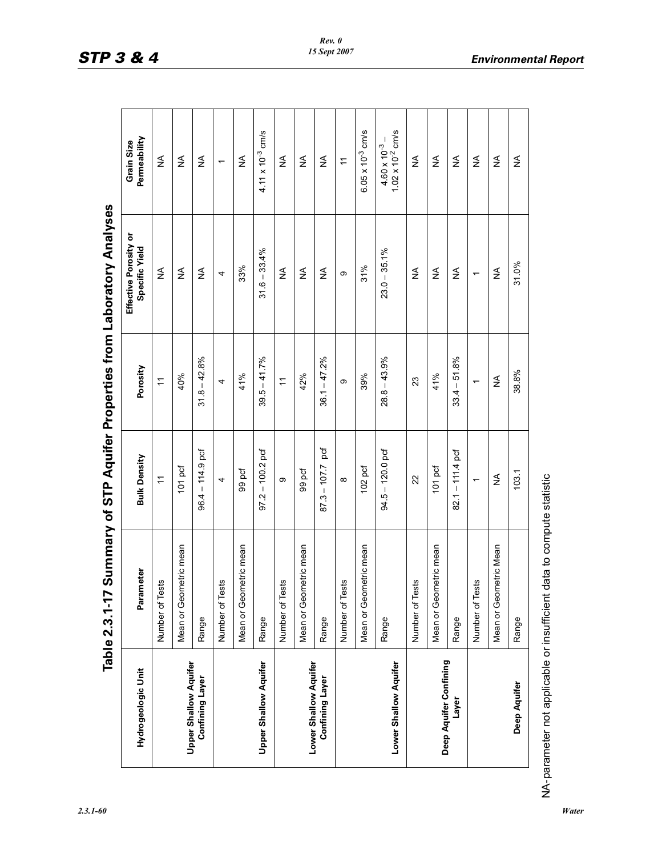| ľ                         |
|---------------------------|
| )<br>)<br>,<br>ì          |
| i<br>Si<br>ミミニ            |
|                           |
| )<br>)<br> <br>           |
|                           |
| <b>ATO</b><br>-<br>)<br>- |
| $\zeta$<br>אפמות הא       |
| $2.3.1 - 17S$             |
|                           |

| Hydrogeologic Unit           | Parameter              | <b>Bulk Density</b>      | Porosity                 | Effective Porosity or<br>Specific Yield | Permeability<br>Grain Size                       |
|------------------------------|------------------------|--------------------------|--------------------------|-----------------------------------------|--------------------------------------------------|
|                              | Tests<br>Number of     | $\div$                   | $\div$                   | ₹                                       | ₹                                                |
| <b>Upper Shallow Aquifer</b> | Mean or Geometric mean | 101 pcf                  | 40%                      | $\lessgtr$                              | $\lessgtr$                                       |
| <b>Confining Layer</b>       | Range                  | $96.4 - 114.9$ pcf       | $31.8 - 42.8%$           | ≸                                       | $\lessgtr$                                       |
|                              | Tests<br>Number of     | 4                        | 4                        | 4                                       | $\overline{\phantom{0}}$                         |
|                              | Mean or Geometric mean | 99 pcf                   | 41%                      | 33%                                     | $\lessgtr$                                       |
| <b>Upper Shallow Aquifer</b> | Range                  | $97.2 - 100.2$ pcf       | $39.5 - 41.7%$           | $31.6 - 33.4%$                          | $4.11 \times 10^{-3}$ cm/s                       |
|                              | Tests<br>Number of     | ω                        | $\overline{r}$           | ₹                                       | $\lessgtr$                                       |
| Lower Shallow Aquifer        | Mean or Geometric mean | 99 pcf                   | 42%                      | ₹                                       | $\lessgtr$                                       |
| <b>Confining Layer</b>       | Range                  | pcf<br>$87.3 - 107.7$    | $-47.2%$<br>36.1         | ₹                                       | $\lessgtr$                                       |
|                              | Tests<br>Number of     | $\infty$                 | თ                        | တ                                       | $\div$                                           |
|                              | Mean or Geometric mean | 102 pcf                  | 39%                      | 31%                                     | $6.05 \times 10^{-3}$ cm/s                       |
| Lower Shallow Aquifer        | Range                  | $94.5 - 120.0$ pcf       | $28.8 - 43.9%$           | $23.0 - 35.1\%$                         | $4.60 \times 10^{-3} - 1.02 \times 10^{-2}$ cm/s |
|                              | Tests<br>Number of     | 22                       | 23                       | $\lessgtr$                              | $\lessgtr$                                       |
| Deep Aquifer Confining       | Mean or Geometric mean | 101 pcf                  | 41%                      | ≨                                       | ≸                                                |
| Layer                        | Range                  | $82.1 - 111.4$ pcf       | $-51.8%$<br>33.4         | ₹                                       | ₹                                                |
|                              | Tests<br>Number of     | $\overline{\phantom{0}}$ | $\overline{\phantom{0}}$ | $\overline{\phantom{0}}$                | $\lessgtr$                                       |
|                              | Mean or Geometric Mean | ≨                        | ≨                        | ≨                                       | ₹                                                |
| Deep Aquifer                 | Range                  | 103.1                    | 38.8%                    | 31.0%                                   | ≸                                                |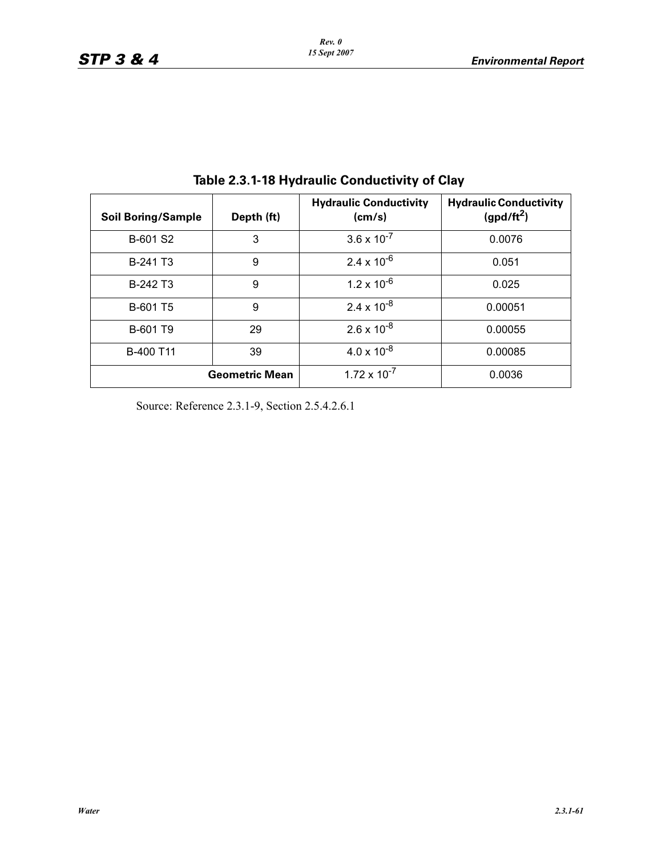| <b>Soil Boring/Sample</b> | Depth (ft)            | <b>Hydraulic Conductivity</b><br>(cm/s) | <b>Hydraulic Conductivity</b><br>(gpd/ft <sup>2</sup> ) |  |
|---------------------------|-----------------------|-----------------------------------------|---------------------------------------------------------|--|
| B-601 S2                  | 3                     | $3.6 \times 10^{-7}$                    | 0.0076                                                  |  |
| B-241 T3                  | 9                     | $2.4 \times 10^{-6}$                    | 0.051                                                   |  |
| B-242 T3                  | 9                     | $1.2 \times 10^{-6}$                    | 0.025                                                   |  |
| B-601 T5                  | 9                     | $2.4 \times 10^{-8}$                    | 0.00051                                                 |  |
| B-601 T9                  | 29                    | $2.6 \times 10^{-8}$                    | 0.00055                                                 |  |
| B-400 T11                 | 39                    | $4.0 \times 10^{-8}$                    | 0.00085                                                 |  |
|                           | <b>Geometric Mean</b> | $1.72 \times 10^{-7}$                   | 0.0036                                                  |  |

**Table 2.3.1-18 Hydraulic Conductivity of Clay** 

Source: Reference 2.3.1-9, Section 2.5.4.2.6.1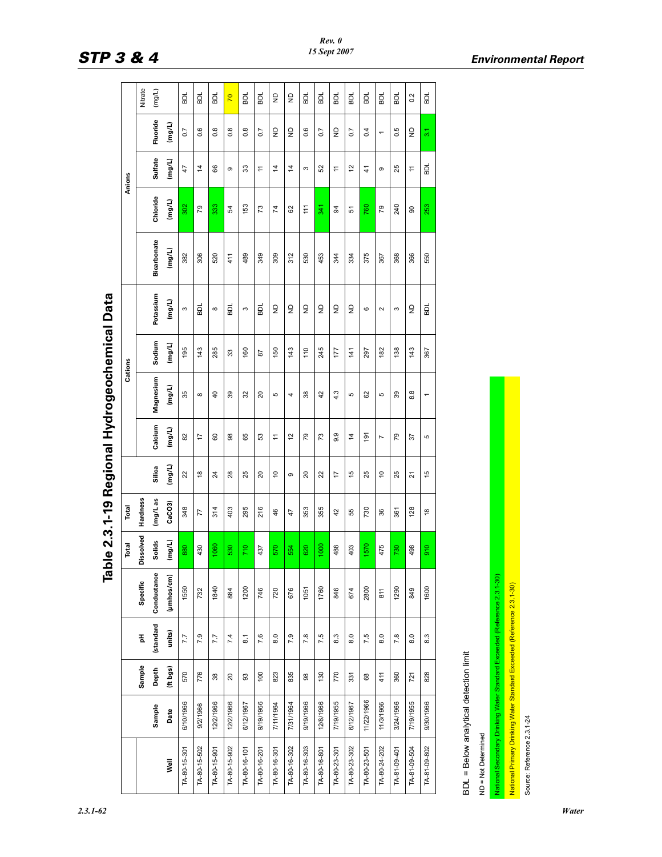|                                                                          |            |                 |                  |             |           |               | ŋ                              |                | ה              |         |                  |             |                 |               |                          |                         |
|--------------------------------------------------------------------------|------------|-----------------|------------------|-------------|-----------|---------------|--------------------------------|----------------|----------------|---------|------------------|-------------|-----------------|---------------|--------------------------|-------------------------|
|                                                                          |            |                 |                  |             | Total     | Total         |                                |                |                | Cations |                  |             |                 | Anions        |                          |                         |
|                                                                          |            | Sample          | 푑                | Specific    | Dissolved | Hardness      |                                |                |                |         |                  |             |                 |               |                          | Nitrate                 |
|                                                                          | Sample     | Depth           | (standard        | Conductance | Solids    | mg/Las        | Silica                         | Calcium        | Magnesium      | Sodium  | Potassium        | Bicarbonate | Chloride        | Sulfate       | Fluoride                 | (mg/L)                  |
| Well                                                                     | Date       | (ft bgs)        | units)           | (µmhos/cm)  | (mg/L)    | CaCO3         | (mg/L)                         | (mg/L)         | (mg/L)         | (mg/L)  | (mg/L)           | (mg/L)      | (mg/L)          | (mg/L)        | (mg/L)                   |                         |
| TA-80-15-301                                                             | 6/10/1966  | 570             | 7.7              | 1550        | 880       | 348           | 22                             | 82             | 35             | 195     | S                | 382         | 302             | 47            | 0.7                      | <b>BDL</b>              |
| TA-80-15-502                                                             | 9/2/1966   | 776             | 7.9              | 732         | 430       | 77            | $\overset{\circ}{\phantom{a}}$ | 17             | $\infty$       | 143     | 힒                | 306         | $\overline{79}$ | 4             | 0.6                      | BDL                     |
| TA-80-15-901                                                             | 12/2/1966  | $38\,$          | 7.7              | 1840        | 1060      | 314           | $^{24}$                        | 60             | $\overline{a}$ | 285     | $\infty$         | 520         | 333             | 89            | 0.8                      | BDL                     |
| TA-80-15-902                                                             | 12/2/1966  | $\overline{20}$ | 7.4              | 884         | 530       | 403           | 28                             | 88             | 39             | 33      | 힒                | 411         | 54              | ၜ             | $0.\overline{8}$         | $\overline{2}$          |
| TA-80-16-101                                                             | 6/12/1967  | $\mathbb{S}^3$  | $\overline{8}$ . | 1200        | 710       | 295           | 25                             | 65             | 32             | 160     | S                | 489         | 153             | 33            | $0.\overline{8}$         | BDL                     |
| TA-80-16-201                                                             | 9/19/1966  | $\overline{00}$ | 7.6              | 746         | 437       | 216           | 20                             | ္ဟ             | $\overline{c}$ | 28      | ā                | 349         | 73              | Ξ             | 0.7                      | BDL                     |
| TA-80-16-301                                                             | 7/11/1964  | 823             | $\overline{8.0}$ | 720         | 570       | 46            | $\tilde{c}$                    | <u>:</u>       | Б              | 150     | $\frac{1}{2}$    | 309         | 74              | 4             | $\frac{1}{2}$            | $\frac{1}{2}$           |
| TA-80-16-302                                                             | 7/31/1964  | 835             | 7.9              | 676         | 554       | 47            | თ                              | $\tilde{c}$    | 4              | 143     | $\frac{1}{2}$    | 312         | 62              | 4             | $\mathsf{P}$             | $\frac{\Omega}{\Sigma}$ |
| TA-80-16-303                                                             | 9/19/1966  | $_{\rm 98}$     | 7.8              | 1051        | 620       | 353           | 20                             | 79             | 38             | 110     | $\overline{z}$   | 530         | 든               | S             | 0.6                      | BDL                     |
| TA-80-16-801                                                             | 12/8/1966  | 130             | 7.5              | 1760        | 1000      | 355           | 22                             | 73             | 42             | 245     | $\overline{z}$   | 453         | 341             | ន             | 0.7                      | BDL                     |
| TA-80-23-301                                                             | 7/19/1955  | 770             | 8.3              | 846         | 488       | 42            | $\overline{1}$                 | 9.9            | 4.3            | 177     | $\overline{z}$   | 344         | 3               | <u>e</u>      | $\frac{1}{2}$            | BDL                     |
| TA-80-23-302                                                             | 6/12/1967  | 331             | 8.0              | 674         | 403       | 55            | 45                             | $\overline{4}$ | ъ              | 141     | $\overline{z}$   | 334         | 5               | $\frac{1}{2}$ | $\overline{0}$           | BDL                     |
| TA-80-23-501                                                             | 11/22/1966 | $^{\rm 68}$     | 7.5              | 2800        | 1570      | 730           | 25                             | $\frac{5}{2}$  | 82             | 297     | $\mathbf{\circ}$ | 375         | 760             | 41            | 0.4                      | BDL                     |
| TA-80-24-202                                                             | 11/3/1966  | 411             | 8.0              | 811         | 475       | 36            | $\overline{c}$                 | $\overline{ }$ | ъ              | 182     | $\sim$           | 367         | 79              | თ             | $\overline{\phantom{0}}$ | PDL                     |
| TA-81-09-401                                                             | 3/24/1966  | 360             | 7.8              | 1290        | 730       | 361           | 25                             | 79             | 39             | 138     | S                | 368         | 240             | 25            | 0.5                      | PDL                     |
| TA-81-09-504                                                             | 7/19/1955  | 721             | 8.0              | 849         | 498       | 128           | 십                              | 57             | 8.8            | 143     | ę                | 366         | န္တ             | Ξ             | ş                        | 0.2                     |
| TA-81-09-802                                                             | 9/30/1966  | 828             | 8.3              | 1600        | 910       | $\frac{8}{1}$ | 15                             | Б              | ٣              | 367     | <b>BDL</b>       | 550         | 253             | ВD            | $\overline{\mathbf{3}}$  | BDL                     |
|                                                                          |            |                 |                  |             |           |               |                                |                |                |         |                  |             |                 |               |                          |                         |
| BDL = Below analytical detection limit                                   |            |                 |                  |             |           |               |                                |                |                |         |                  |             |                 |               |                          |                         |
| <b>VD</b> = Not Determined                                               |            |                 |                  |             |           |               |                                |                |                |         |                  |             |                 |               |                          |                         |
| Vational Secondary Drinking Water Standard Exceeded (Reference 2.3.1-30) |            |                 |                  |             |           |               |                                |                |                |         |                  |             |                 |               |                          |                         |
| National Primary Drinking Water Standard Exceeded (Reference 2.3.1-30)   |            |                 |                  |             |           |               |                                |                |                |         |                  |             |                 |               |                          |                         |
| Source: Reference 2.3.1-24                                               |            |                 |                  |             |           |               |                                |                |                |         |                  |             |                 |               |                          |                         |

Table 2.3.1-19 Regional Hydrogeochemical Data **Table 2.3.1-19 Regional Hydrogeochemical Data**

#### *Rev. 0 15 Sept 2007*

STP 3 & 4 **Environmental Report**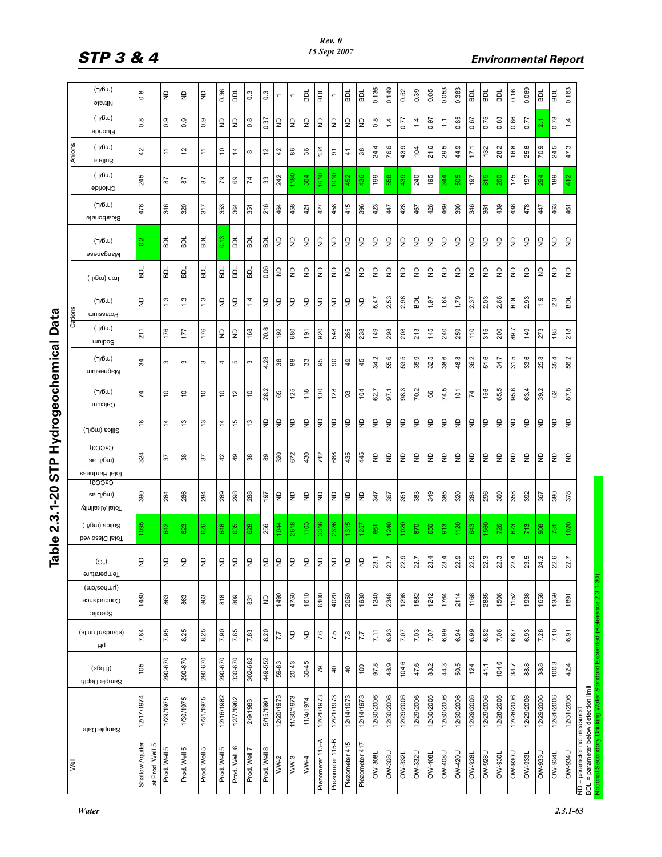| f              |
|----------------|
|                |
| ١              |
| ı<br>I         |
| l<br>ì<br>l    |
| ţ<br>l<br>ׇ֓֕֡ |
|                |

| (7/6u)<br>0.136<br>0.149<br>0.053<br>0.383<br>0.069<br>0.163<br>0.05<br>0.16<br>BDL<br>0.39<br>TOB<br>0.36<br>BDL<br>BDL<br>BDL<br>0.52<br>BDL<br>BDL<br>ВDL<br>$0.\overline{8}$<br>$\overline{0}$<br>$\overline{0.3}$<br>ş<br>ş<br>$\overline{z}$<br><b>GB</b><br><b>BDL</b><br>$\overline{\phantom{0}}$<br>$\overline{ }$<br>$\overline{\phantom{0}}$<br><b>etanily</b><br>(7/6u)<br>0.78<br>85<br>.75<br>0.66<br>ಙ<br>0.77<br>0.37<br>67<br>0.8<br>0.97<br>4<br>$\frac{8}{2}$<br>$\frac{0}{2}$<br>0.9<br>0.9<br>$\frac{1}{2}$<br>$\frac{1}{2}$<br>$0.\overline{8}$<br>$\epsilon$<br>$\epsilon$<br>$\epsilon$<br>$\frac{\Omega}{\Sigma}$<br>$\frac{\Omega}{\Sigma}$<br>$\mathrel{\mathop{\mathsf{S}}\nolimits}$<br>14<br>$\frac{1}{2}$<br>1.4<br>š<br>Ξ<br>ā<br>Fluoride<br>(7/6u)<br>က္<br>44.9<br>25.6<br>24.5<br>47.3<br>4<br>76.6<br>ب<br>21.6<br>28.2<br>16.8<br>70.9<br>17.1<br>132<br>104<br>134<br>$\overline{c}$<br>ő<br>42<br>$\overline{1}$<br>$\tilde{4}$<br>$\frac{4}{2}$<br>86<br>36<br>$38$<br>$\ddot{ }$<br>$\tilde{5}$<br>5<br>$\frac{4}{1}$<br>$\infty$<br>43<br>$\overline{24}$<br>$\overline{29}$<br>Sulfate<br>(7/6u)<br>610<br>1010<br>1180<br>189<br>245<br>304<br>436<br>199<br>240<br>195<br>505<br>815<br>175<br>412<br>242<br>452<br>558<br>439<br>197<br>260<br>197<br>344<br>294<br>79<br>89<br>$\overline{7}$<br>33<br>5s<br>5s<br>5s<br>Chloride<br>(7/6u)<br>415<br>346<br>476<br>346<br>216<br>458<br>428<br>426<br>469<br>390<br>439<br>436<br>478<br>320<br>317<br>458<br>396<br>423<br>463<br>364<br>464<br>467<br>461<br>353<br>421<br>427<br>447<br>361<br>447<br>351<br>Bicarbonate<br>0.13<br>힒<br><b>BDL</b><br>힚<br>힚<br>$\overline{z}$<br>$\frac{2}{3}$<br><b>BDL</b><br>힒<br>$\overline{z}$<br>$\overline{z}$<br>ş<br>ş<br>$\varrho$<br>ş<br>$\varrho$<br>ş<br>S<br>S<br>S<br>$\overline{z}$<br>$\overline{z}$<br>ş<br>ş<br>ş<br>$\epsilon$<br>£<br>ş<br>£<br>£<br>(7/6u)<br>Manganese<br>0.06<br>ᇟ<br>$\mathrel{\mathop{\mathsf{S}}\nolimits}$<br>$\mathrel{\mathsf{S}}$<br>$\epsilon$<br>$\mathrel{\mathsf{S}}$<br>$\frac{\Omega}{\Sigma}$<br>$\frac{\Omega}{\Sigma}$<br>$\mathrel{\mathop{\mathsf{S}}\nolimits}$<br>$\mathrel{\mathop{\mathsf{S}}\nolimits}$<br>읖<br>$\mathrel{\mathop{\mathsf{S}}\nolimits}$<br>$\mathrel{\mathop{\mathsf{S}}\nolimits}$<br>$\mathrel{\mathop{\mathsf{S}}\nolimits}$<br>$\mathrel{\mathop{\mathsf{S}}\nolimits}$<br>$\frac{\Omega}{\Sigma}$<br>$\epsilon$<br>$\epsilon$<br>$\frac{1}{2}$<br>$\epsilon$<br>$\epsilon$<br>$\epsilon$<br>을<br>ę<br>ᇟ<br><b>BDL</b><br>БD<br>ВD<br>힒<br><b>BDL</b><br>ונסט (שס <i>ון</i> ך)<br>1.79<br>2.66<br>2.53<br>2.98<br>1.64<br>2.37<br>2.03<br>2.93<br>5.47<br>1.97<br>BDL<br>$\frac{3}{2}$<br>1.3<br>1.3<br>1.4<br>$\mathsf{P}$<br>2.3<br>$\frac{1}{2}$<br>g<br>$\epsilon$<br>$\frac{1}{2}$<br>$\epsilon$<br>$\frac{1}{2}$<br>$\epsilon$<br>을<br>$\epsilon$<br>$\mathrel{\mathop{\mathsf{S}}\nolimits}$<br>ВDL<br>$\ddot{ }$ .<br><b>BDL</b><br>(7/6u)<br>muizzatoq<br>(7/6u)<br>$^\infty$<br>213<br>315<br>89.7<br>218<br>145<br>240<br>259<br>110<br>211<br>176<br>176<br>920<br>548<br>265<br>238<br>149<br>298<br>208<br>200<br>149<br>273<br>185<br>17<br>$\epsilon$<br>168<br>192<br>680<br>$\epsilon$<br>$\frac{5}{2}$<br>70.<br>unipos<br>(7/6u)<br>53.5<br>35.9<br>rù.<br>38.6<br>46.8<br>Ņ<br>Ó.<br>31.5<br>33.6<br>25.8<br>Z<br>55.6<br>35.4<br>28<br>34.2<br>95<br>$\overline{a}$<br>45<br>$\frac{3}{4}$<br>38<br>88<br>$\mathfrak{Z}$<br>$\overline{6}$<br>S<br>S<br>3<br>5<br>ω<br>4<br>$\mathcal{S}$<br>ജ<br>रूं<br>န္တ<br>5<br>misengaM<br>70.2<br>74.5<br>ю<br>87.8<br>$\sim$<br>98.3<br>95.6<br>63.4<br>39.2<br>62.7<br>125<br>130<br>97.1<br>99<br>(7/6u)<br>118<br>128<br>104<br>$\frac{5}{2}$<br>$\overline{C}$<br>ő<br>65<br>$\mathbb{S}^3$<br>66<br>74<br>S<br>5<br>5<br>5<br>$\mathcal{L}$<br>62<br>65<br>28.<br>Calcium<br>$\mathrel{\mathsf{S}}$<br>$\varrho$<br>$\mathsf{P}$<br>$\varrho$<br>$\mathrel{\mathsf{S}}$<br>$\varrho$<br>$\varrho$<br>$\overline{z}$<br>$\mathsf{R}$<br>$\overline{z}$<br>$\varrho$<br>$\varrho$<br>$\epsilon$<br>$\mathsf{P}$<br>$\overline{z}$<br>$\varrho$<br>$\varrho$<br>$\overline{z}$<br>$\mathsf{R}$<br>$\mathsf{P}$<br>$\mathsf{P}$<br>ę<br>ę<br>$\frac{8}{2}$<br>ొ<br>13<br>4<br>15<br>చ<br>$\dot{z}$<br>Silica (mg/L)<br>CaCO <sub>3</sub> )<br>672<br>430<br>712<br>688<br>435<br>445<br>320<br>$\varrho$<br>$\mathrel{\mathop{\raisebox{1.5pt}{\scriptsize g}}\nolimits}$<br>$\frac{1}{2}$<br>$\frac{1}{2}$<br>$\varrho$<br>324<br>g<br>$\epsilon$<br>$\epsilon$<br>$\frac{1}{2}$<br>$\epsilon$<br>$\epsilon$<br>$\epsilon$<br>$\frac{1}{2}$<br>$\frac{1}{2}$<br>$\frac{1}{2}$<br>38<br>$\overline{49}$<br>38<br>89<br>42<br>$\approx$<br>55<br>$se$ $\gamma$ 6 $\mu$ )<br>Total Hardness<br>CaCO <sub>3</sub> )<br>385<br>286<br>298<br>288<br>383<br>349<br>320<br>296<br>360<br>358<br>378<br>390<br>284<br>289<br>$\mathsf{P}$<br>$\mathrel{\mathsf{S}}$<br>$\mathsf{P}$<br>284<br>392<br>380<br>284<br>197<br>$\mathrel{\mathsf{S}}$<br>$\mathrel{\mathsf{S}}$<br>$\epsilon$<br>$\mathrel{\mathop{\mathsf{S}}\nolimits}$<br>347<br>351<br>367<br>$se$ $\gamma$ 6 $\mu$ )<br>367<br><b>Vinils XIA</b> letoT<br>1315<br>(7/6w) spilog<br>1095<br>2618<br>1103<br>3316<br>2326<br>1240<br> 120<br>560<br>1020<br>1044<br>020<br>642<br>256<br>1257<br>870<br>913<br>643<br>623<br>626<br>648<br>635<br>628<br>650<br>726<br>713<br>908<br>661<br>623<br>731<br>bevlossid lstoT<br>2.5<br>2.9<br>2.9<br>2.3<br>2.3<br>23.5<br>2.6<br>23.7<br>2.7<br>$^{23.4}$<br>23.4<br>2.4<br>24.2<br>$\overline{3.1}$<br>2.7<br>$\mathrel{\mathop{\raisebox{1.5pt}{\scriptsize g}}\nolimits}$<br>$\mathrel{\mathsf{S}}$<br>$\frac{1}{2}$<br>$\frac{1}{2}$<br>$\frac{1}{2}$<br>$\frac{1}{2}$<br>$\epsilon$<br>$\epsilon$<br>$\epsilon$<br>$\frac{1}{2}$<br>$\mathrel{\mathop{\unbox{2}}\limits_{\mathrel{\mathop{\sim}}}}$<br>$\mathsf{P}$<br>$\mathrel{\mathsf{S}}$<br>£<br>ş<br>(O <sub>o</sub> )<br>∾<br>N<br>N<br>N<br>N<br>ິ<br>N<br>N<br>N<br>N<br>N<br>Temperature<br>(wo/soyuurl)<br>1610<br>1240<br>2885<br>1506<br>1936<br>1480<br>06+1<br>4750<br>6100<br>4020<br>2050<br>1930<br>2348<br>1298<br>1582<br>1242<br>1658<br>1359<br>1764<br>2114<br>1168<br>1152<br>1891<br>818<br>809<br>863<br>863<br>863<br>831<br>$\mathrel{\mathop{\boxdot}}$<br>Conductance<br>Specific<br>8.25<br>7.65<br>8.20<br>6.99<br>6.99<br>7.06<br>7.10<br>(stinu bisbnist)<br>7.84<br>7.95<br>8.25<br>7.90<br>7.83<br>6.93<br>7.03<br>6.94<br>6.82<br>6.93<br>7.28<br>7.07<br>7.5<br>7.11<br>7.07<br>6.87<br>6.91<br>7.6<br>7.8<br>$\varrho$<br>$\varrho$<br>$\overline{7}$<br>7.7<br>Hq<br>290-670<br>290-670<br>330-670<br>290-670<br>290-670<br>302-682<br>449-552<br>$30 - 45$<br>104.6<br>104.6<br>100.3<br>59-83<br>$20 - 43$<br>47.6<br>50.5<br>97.8<br>48.9<br>44.3<br>88.8<br>38.8<br>42.4<br>83.2<br>105<br>41.1<br>34.7<br>100<br>124<br>$\mathcal{L}^{\mathcal{D}}$<br>$(s6q \mu)$<br>$\overline{4}$<br>$\overline{a}$<br>Sample Depth<br>12/20/1973<br>12/31/2006<br>12/21/1973<br>12/14/1973<br>12/30/2006<br>12/30/2006<br>12/29/2006<br>12/30/2006<br>12/30/2006<br>12/29/2006<br>12/29/2006<br>12/28/2006<br>12/28/2006<br>12/29/2006<br>12/29/2006<br>12/31/2006<br>12/17/1974<br>12/16/1982<br>11/30/1973<br>12/21/1973<br>12/14/1973<br>12/29/2006<br>12/30/2006<br>1/30/1975<br>1/31/1975<br>1/29/1975<br>12/7/1982<br>11/4/1974<br>2/9/1983<br>5/15/1991<br>Sample Date<br>Piezometer 115-B<br>Piezometer 115-A<br>Piezometer 415<br>Piezometer 417<br>Shallow Aquifer<br>ю<br>$\circ$<br>ю<br>ю<br>Prod. Well 8<br>Prod. Well 5<br>Prod. Well 5<br>at Prod. Well<br>Prod. Well 7<br><b>OW-934U</b><br>OW-332U<br>OW-408U<br><b>0024-MO</b><br><b>OW-928U</b><br><b>NS6-MO</b><br><b>OW-933U</b><br>OW-308U<br><b>OW-934L</b><br>Prod. Well<br><b>OW-308L</b><br><b>DW-928L</b><br>OW-933L<br>Prod. Well<br>Prod. Well<br><b>7086-MO</b><br>OW-408<br><b>OW-332L</b><br>$WW-2$<br>$WW-3$<br>WW4 | BDL = parameter below detection limit<br>ND = parameter not measured | Well |  |  |  |  |  |  | Cartons |  |  | Antons |  |
|--------------------------------------------------------------------------------------------------------------------------------------------------------------------------------------------------------------------------------------------------------------------------------------------------------------------------------------------------------------------------------------------------------------------------------------------------------------------------------------------------------------------------------------------------------------------------------------------------------------------------------------------------------------------------------------------------------------------------------------------------------------------------------------------------------------------------------------------------------------------------------------------------------------------------------------------------------------------------------------------------------------------------------------------------------------------------------------------------------------------------------------------------------------------------------------------------------------------------------------------------------------------------------------------------------------------------------------------------------------------------------------------------------------------------------------------------------------------------------------------------------------------------------------------------------------------------------------------------------------------------------------------------------------------------------------------------------------------------------------------------------------------------------------------------------------------------------------------------------------------------------------------------------------------------------------------------------------------------------------------------------------------------------------------------------------------------------------------------------------------------------------------------------------------------------------------------------------------------------------------------------------------------------------------------------------------------------------------------------------------------------------------------------------------------------------------------------------------------------------------------------------------------------------------------------------------------------------------------------------------------------------------------------------------------------------------------------------------------------------------------------------------------------------------------------------------------------------------------------------------------------------------------------------------------------------------------------------------------------------------------------------------------------------------------------------------------------------------------------------------------------------------------------------------------------------------------------------------------------------------------------------------------------------------------------------------------------------------------------------------------------------------------------------------------------------------------------------------------------------------------------------------------------------------------------------------------------------------------------------------------------------------------------------------------------------------------------------------------------------------------------------------------------------------------------------------------------------------------------------------------------------------------------------------------------------------------------------------------------------------------------------------------------------------------------------------------------------------------------------------------------------------------------------------------------------------------------------------------------------------------------------------------------------------------------------------------------------------------------------------------------------------------------------------------------------------------------------------------------------------------------------------------------------------------------------------------------------------------------------------------------------------------------------------------------------------------------------------------------------------------------------------------------------------------------------------------------------------------------------------------------------------------------------------------------------------------------------------------------------------------------------------------------------------------------------------------------------------------------------------------------------------------------------------------------------------------------------------------------------------------------------------------------------------------------------------------------------------------------------------------------------------------------------------------------------------------------------------------------------------------------------------------------------------------------------------------------------------------------------------------------------------------------------------------------------------------------------------------------------------------------------------------------------------------------------------------------------------------------------------------------------------------------------------------------------------------------------------------------------------------------------------------------------------------------------------------------------------------------------------------------------------------------------------------------------------------------------------------------------------------------------------------------------------------------------------------------------------------------------------------------------------------------------------------------------------------------------------------------------------------------------------------------------------------------------------------------------------------------------------------------------------------------------------------------------------------------------------------------------------------------------------------------------------------------------------------------------------------------------------------------------------------------------------------------------------------------------------------------------------------------------------------------------------------------------------------------------------------------------------------------------------------------------------------------------------------------------------------------------------------------------------------------------------------------------------------------------------------------------------------------------------------------------------------------------------------------------------------------------------------------------------------------------------------------------------------------------------------------------------------------------------------------------------------------------------------------------------------------------------------------------------------------------------------------------------------------------------------------------------------------------------------------------------------------------------------------------------------------------------|----------------------------------------------------------------------|------|--|--|--|--|--|--|---------|--|--|--------|--|
|                                                                                                                                                                                                                                                                                                                                                                                                                                                                                                                                                                                                                                                                                                                                                                                                                                                                                                                                                                                                                                                                                                                                                                                                                                                                                                                                                                                                                                                                                                                                                                                                                                                                                                                                                                                                                                                                                                                                                                                                                                                                                                                                                                                                                                                                                                                                                                                                                                                                                                                                                                                                                                                                                                                                                                                                                                                                                                                                                                                                                                                                                                                                                                                                                                                                                                                                                                                                                                                                                                                                                                                                                                                                                                                                                                                                                                                                                                                                                                                                                                                                                                                                                                                                                                                                                                                                                                                                                                                                                                                                                                                                                                                                                                                                                                                                                                                                                                                                                                                                                                                                                                                                                                                                                                                                                                                                                                                                                                                                                                                                                                                                                                                                                                                                                                                                                                                                                                                                                                                                                                                                                                                                                                                                                                                                                                                                                                                                                                                                                                                                                                                                                                                                                                                                                                                                                                                                                                                                                                                                                                                                                                                                                                                                                                                                                                                                                                                                                                                                                                                                                                                                                                                                                                                                                                                                                                                                                                                                                                                            |                                                                      |      |  |  |  |  |  |  |         |  |  |        |  |
|                                                                                                                                                                                                                                                                                                                                                                                                                                                                                                                                                                                                                                                                                                                                                                                                                                                                                                                                                                                                                                                                                                                                                                                                                                                                                                                                                                                                                                                                                                                                                                                                                                                                                                                                                                                                                                                                                                                                                                                                                                                                                                                                                                                                                                                                                                                                                                                                                                                                                                                                                                                                                                                                                                                                                                                                                                                                                                                                                                                                                                                                                                                                                                                                                                                                                                                                                                                                                                                                                                                                                                                                                                                                                                                                                                                                                                                                                                                                                                                                                                                                                                                                                                                                                                                                                                                                                                                                                                                                                                                                                                                                                                                                                                                                                                                                                                                                                                                                                                                                                                                                                                                                                                                                                                                                                                                                                                                                                                                                                                                                                                                                                                                                                                                                                                                                                                                                                                                                                                                                                                                                                                                                                                                                                                                                                                                                                                                                                                                                                                                                                                                                                                                                                                                                                                                                                                                                                                                                                                                                                                                                                                                                                                                                                                                                                                                                                                                                                                                                                                                                                                                                                                                                                                                                                                                                                                                                                                                                                                                            |                                                                      |      |  |  |  |  |  |  |         |  |  |        |  |
|                                                                                                                                                                                                                                                                                                                                                                                                                                                                                                                                                                                                                                                                                                                                                                                                                                                                                                                                                                                                                                                                                                                                                                                                                                                                                                                                                                                                                                                                                                                                                                                                                                                                                                                                                                                                                                                                                                                                                                                                                                                                                                                                                                                                                                                                                                                                                                                                                                                                                                                                                                                                                                                                                                                                                                                                                                                                                                                                                                                                                                                                                                                                                                                                                                                                                                                                                                                                                                                                                                                                                                                                                                                                                                                                                                                                                                                                                                                                                                                                                                                                                                                                                                                                                                                                                                                                                                                                                                                                                                                                                                                                                                                                                                                                                                                                                                                                                                                                                                                                                                                                                                                                                                                                                                                                                                                                                                                                                                                                                                                                                                                                                                                                                                                                                                                                                                                                                                                                                                                                                                                                                                                                                                                                                                                                                                                                                                                                                                                                                                                                                                                                                                                                                                                                                                                                                                                                                                                                                                                                                                                                                                                                                                                                                                                                                                                                                                                                                                                                                                                                                                                                                                                                                                                                                                                                                                                                                                                                                                                            |                                                                      |      |  |  |  |  |  |  |         |  |  |        |  |
|                                                                                                                                                                                                                                                                                                                                                                                                                                                                                                                                                                                                                                                                                                                                                                                                                                                                                                                                                                                                                                                                                                                                                                                                                                                                                                                                                                                                                                                                                                                                                                                                                                                                                                                                                                                                                                                                                                                                                                                                                                                                                                                                                                                                                                                                                                                                                                                                                                                                                                                                                                                                                                                                                                                                                                                                                                                                                                                                                                                                                                                                                                                                                                                                                                                                                                                                                                                                                                                                                                                                                                                                                                                                                                                                                                                                                                                                                                                                                                                                                                                                                                                                                                                                                                                                                                                                                                                                                                                                                                                                                                                                                                                                                                                                                                                                                                                                                                                                                                                                                                                                                                                                                                                                                                                                                                                                                                                                                                                                                                                                                                                                                                                                                                                                                                                                                                                                                                                                                                                                                                                                                                                                                                                                                                                                                                                                                                                                                                                                                                                                                                                                                                                                                                                                                                                                                                                                                                                                                                                                                                                                                                                                                                                                                                                                                                                                                                                                                                                                                                                                                                                                                                                                                                                                                                                                                                                                                                                                                                                            |                                                                      |      |  |  |  |  |  |  |         |  |  |        |  |
|                                                                                                                                                                                                                                                                                                                                                                                                                                                                                                                                                                                                                                                                                                                                                                                                                                                                                                                                                                                                                                                                                                                                                                                                                                                                                                                                                                                                                                                                                                                                                                                                                                                                                                                                                                                                                                                                                                                                                                                                                                                                                                                                                                                                                                                                                                                                                                                                                                                                                                                                                                                                                                                                                                                                                                                                                                                                                                                                                                                                                                                                                                                                                                                                                                                                                                                                                                                                                                                                                                                                                                                                                                                                                                                                                                                                                                                                                                                                                                                                                                                                                                                                                                                                                                                                                                                                                                                                                                                                                                                                                                                                                                                                                                                                                                                                                                                                                                                                                                                                                                                                                                                                                                                                                                                                                                                                                                                                                                                                                                                                                                                                                                                                                                                                                                                                                                                                                                                                                                                                                                                                                                                                                                                                                                                                                                                                                                                                                                                                                                                                                                                                                                                                                                                                                                                                                                                                                                                                                                                                                                                                                                                                                                                                                                                                                                                                                                                                                                                                                                                                                                                                                                                                                                                                                                                                                                                                                                                                                                                            |                                                                      |      |  |  |  |  |  |  |         |  |  |        |  |
|                                                                                                                                                                                                                                                                                                                                                                                                                                                                                                                                                                                                                                                                                                                                                                                                                                                                                                                                                                                                                                                                                                                                                                                                                                                                                                                                                                                                                                                                                                                                                                                                                                                                                                                                                                                                                                                                                                                                                                                                                                                                                                                                                                                                                                                                                                                                                                                                                                                                                                                                                                                                                                                                                                                                                                                                                                                                                                                                                                                                                                                                                                                                                                                                                                                                                                                                                                                                                                                                                                                                                                                                                                                                                                                                                                                                                                                                                                                                                                                                                                                                                                                                                                                                                                                                                                                                                                                                                                                                                                                                                                                                                                                                                                                                                                                                                                                                                                                                                                                                                                                                                                                                                                                                                                                                                                                                                                                                                                                                                                                                                                                                                                                                                                                                                                                                                                                                                                                                                                                                                                                                                                                                                                                                                                                                                                                                                                                                                                                                                                                                                                                                                                                                                                                                                                                                                                                                                                                                                                                                                                                                                                                                                                                                                                                                                                                                                                                                                                                                                                                                                                                                                                                                                                                                                                                                                                                                                                                                                                                            |                                                                      |      |  |  |  |  |  |  |         |  |  |        |  |
|                                                                                                                                                                                                                                                                                                                                                                                                                                                                                                                                                                                                                                                                                                                                                                                                                                                                                                                                                                                                                                                                                                                                                                                                                                                                                                                                                                                                                                                                                                                                                                                                                                                                                                                                                                                                                                                                                                                                                                                                                                                                                                                                                                                                                                                                                                                                                                                                                                                                                                                                                                                                                                                                                                                                                                                                                                                                                                                                                                                                                                                                                                                                                                                                                                                                                                                                                                                                                                                                                                                                                                                                                                                                                                                                                                                                                                                                                                                                                                                                                                                                                                                                                                                                                                                                                                                                                                                                                                                                                                                                                                                                                                                                                                                                                                                                                                                                                                                                                                                                                                                                                                                                                                                                                                                                                                                                                                                                                                                                                                                                                                                                                                                                                                                                                                                                                                                                                                                                                                                                                                                                                                                                                                                                                                                                                                                                                                                                                                                                                                                                                                                                                                                                                                                                                                                                                                                                                                                                                                                                                                                                                                                                                                                                                                                                                                                                                                                                                                                                                                                                                                                                                                                                                                                                                                                                                                                                                                                                                                                            |                                                                      |      |  |  |  |  |  |  |         |  |  |        |  |
|                                                                                                                                                                                                                                                                                                                                                                                                                                                                                                                                                                                                                                                                                                                                                                                                                                                                                                                                                                                                                                                                                                                                                                                                                                                                                                                                                                                                                                                                                                                                                                                                                                                                                                                                                                                                                                                                                                                                                                                                                                                                                                                                                                                                                                                                                                                                                                                                                                                                                                                                                                                                                                                                                                                                                                                                                                                                                                                                                                                                                                                                                                                                                                                                                                                                                                                                                                                                                                                                                                                                                                                                                                                                                                                                                                                                                                                                                                                                                                                                                                                                                                                                                                                                                                                                                                                                                                                                                                                                                                                                                                                                                                                                                                                                                                                                                                                                                                                                                                                                                                                                                                                                                                                                                                                                                                                                                                                                                                                                                                                                                                                                                                                                                                                                                                                                                                                                                                                                                                                                                                                                                                                                                                                                                                                                                                                                                                                                                                                                                                                                                                                                                                                                                                                                                                                                                                                                                                                                                                                                                                                                                                                                                                                                                                                                                                                                                                                                                                                                                                                                                                                                                                                                                                                                                                                                                                                                                                                                                                                            |                                                                      |      |  |  |  |  |  |  |         |  |  |        |  |
|                                                                                                                                                                                                                                                                                                                                                                                                                                                                                                                                                                                                                                                                                                                                                                                                                                                                                                                                                                                                                                                                                                                                                                                                                                                                                                                                                                                                                                                                                                                                                                                                                                                                                                                                                                                                                                                                                                                                                                                                                                                                                                                                                                                                                                                                                                                                                                                                                                                                                                                                                                                                                                                                                                                                                                                                                                                                                                                                                                                                                                                                                                                                                                                                                                                                                                                                                                                                                                                                                                                                                                                                                                                                                                                                                                                                                                                                                                                                                                                                                                                                                                                                                                                                                                                                                                                                                                                                                                                                                                                                                                                                                                                                                                                                                                                                                                                                                                                                                                                                                                                                                                                                                                                                                                                                                                                                                                                                                                                                                                                                                                                                                                                                                                                                                                                                                                                                                                                                                                                                                                                                                                                                                                                                                                                                                                                                                                                                                                                                                                                                                                                                                                                                                                                                                                                                                                                                                                                                                                                                                                                                                                                                                                                                                                                                                                                                                                                                                                                                                                                                                                                                                                                                                                                                                                                                                                                                                                                                                                                            |                                                                      |      |  |  |  |  |  |  |         |  |  |        |  |
|                                                                                                                                                                                                                                                                                                                                                                                                                                                                                                                                                                                                                                                                                                                                                                                                                                                                                                                                                                                                                                                                                                                                                                                                                                                                                                                                                                                                                                                                                                                                                                                                                                                                                                                                                                                                                                                                                                                                                                                                                                                                                                                                                                                                                                                                                                                                                                                                                                                                                                                                                                                                                                                                                                                                                                                                                                                                                                                                                                                                                                                                                                                                                                                                                                                                                                                                                                                                                                                                                                                                                                                                                                                                                                                                                                                                                                                                                                                                                                                                                                                                                                                                                                                                                                                                                                                                                                                                                                                                                                                                                                                                                                                                                                                                                                                                                                                                                                                                                                                                                                                                                                                                                                                                                                                                                                                                                                                                                                                                                                                                                                                                                                                                                                                                                                                                                                                                                                                                                                                                                                                                                                                                                                                                                                                                                                                                                                                                                                                                                                                                                                                                                                                                                                                                                                                                                                                                                                                                                                                                                                                                                                                                                                                                                                                                                                                                                                                                                                                                                                                                                                                                                                                                                                                                                                                                                                                                                                                                                                                            |                                                                      |      |  |  |  |  |  |  |         |  |  |        |  |
|                                                                                                                                                                                                                                                                                                                                                                                                                                                                                                                                                                                                                                                                                                                                                                                                                                                                                                                                                                                                                                                                                                                                                                                                                                                                                                                                                                                                                                                                                                                                                                                                                                                                                                                                                                                                                                                                                                                                                                                                                                                                                                                                                                                                                                                                                                                                                                                                                                                                                                                                                                                                                                                                                                                                                                                                                                                                                                                                                                                                                                                                                                                                                                                                                                                                                                                                                                                                                                                                                                                                                                                                                                                                                                                                                                                                                                                                                                                                                                                                                                                                                                                                                                                                                                                                                                                                                                                                                                                                                                                                                                                                                                                                                                                                                                                                                                                                                                                                                                                                                                                                                                                                                                                                                                                                                                                                                                                                                                                                                                                                                                                                                                                                                                                                                                                                                                                                                                                                                                                                                                                                                                                                                                                                                                                                                                                                                                                                                                                                                                                                                                                                                                                                                                                                                                                                                                                                                                                                                                                                                                                                                                                                                                                                                                                                                                                                                                                                                                                                                                                                                                                                                                                                                                                                                                                                                                                                                                                                                                                            |                                                                      |      |  |  |  |  |  |  |         |  |  |        |  |
|                                                                                                                                                                                                                                                                                                                                                                                                                                                                                                                                                                                                                                                                                                                                                                                                                                                                                                                                                                                                                                                                                                                                                                                                                                                                                                                                                                                                                                                                                                                                                                                                                                                                                                                                                                                                                                                                                                                                                                                                                                                                                                                                                                                                                                                                                                                                                                                                                                                                                                                                                                                                                                                                                                                                                                                                                                                                                                                                                                                                                                                                                                                                                                                                                                                                                                                                                                                                                                                                                                                                                                                                                                                                                                                                                                                                                                                                                                                                                                                                                                                                                                                                                                                                                                                                                                                                                                                                                                                                                                                                                                                                                                                                                                                                                                                                                                                                                                                                                                                                                                                                                                                                                                                                                                                                                                                                                                                                                                                                                                                                                                                                                                                                                                                                                                                                                                                                                                                                                                                                                                                                                                                                                                                                                                                                                                                                                                                                                                                                                                                                                                                                                                                                                                                                                                                                                                                                                                                                                                                                                                                                                                                                                                                                                                                                                                                                                                                                                                                                                                                                                                                                                                                                                                                                                                                                                                                                                                                                                                                            |                                                                      |      |  |  |  |  |  |  |         |  |  |        |  |
|                                                                                                                                                                                                                                                                                                                                                                                                                                                                                                                                                                                                                                                                                                                                                                                                                                                                                                                                                                                                                                                                                                                                                                                                                                                                                                                                                                                                                                                                                                                                                                                                                                                                                                                                                                                                                                                                                                                                                                                                                                                                                                                                                                                                                                                                                                                                                                                                                                                                                                                                                                                                                                                                                                                                                                                                                                                                                                                                                                                                                                                                                                                                                                                                                                                                                                                                                                                                                                                                                                                                                                                                                                                                                                                                                                                                                                                                                                                                                                                                                                                                                                                                                                                                                                                                                                                                                                                                                                                                                                                                                                                                                                                                                                                                                                                                                                                                                                                                                                                                                                                                                                                                                                                                                                                                                                                                                                                                                                                                                                                                                                                                                                                                                                                                                                                                                                                                                                                                                                                                                                                                                                                                                                                                                                                                                                                                                                                                                                                                                                                                                                                                                                                                                                                                                                                                                                                                                                                                                                                                                                                                                                                                                                                                                                                                                                                                                                                                                                                                                                                                                                                                                                                                                                                                                                                                                                                                                                                                                                                            |                                                                      |      |  |  |  |  |  |  |         |  |  |        |  |
|                                                                                                                                                                                                                                                                                                                                                                                                                                                                                                                                                                                                                                                                                                                                                                                                                                                                                                                                                                                                                                                                                                                                                                                                                                                                                                                                                                                                                                                                                                                                                                                                                                                                                                                                                                                                                                                                                                                                                                                                                                                                                                                                                                                                                                                                                                                                                                                                                                                                                                                                                                                                                                                                                                                                                                                                                                                                                                                                                                                                                                                                                                                                                                                                                                                                                                                                                                                                                                                                                                                                                                                                                                                                                                                                                                                                                                                                                                                                                                                                                                                                                                                                                                                                                                                                                                                                                                                                                                                                                                                                                                                                                                                                                                                                                                                                                                                                                                                                                                                                                                                                                                                                                                                                                                                                                                                                                                                                                                                                                                                                                                                                                                                                                                                                                                                                                                                                                                                                                                                                                                                                                                                                                                                                                                                                                                                                                                                                                                                                                                                                                                                                                                                                                                                                                                                                                                                                                                                                                                                                                                                                                                                                                                                                                                                                                                                                                                                                                                                                                                                                                                                                                                                                                                                                                                                                                                                                                                                                                                                            |                                                                      |      |  |  |  |  |  |  |         |  |  |        |  |
|                                                                                                                                                                                                                                                                                                                                                                                                                                                                                                                                                                                                                                                                                                                                                                                                                                                                                                                                                                                                                                                                                                                                                                                                                                                                                                                                                                                                                                                                                                                                                                                                                                                                                                                                                                                                                                                                                                                                                                                                                                                                                                                                                                                                                                                                                                                                                                                                                                                                                                                                                                                                                                                                                                                                                                                                                                                                                                                                                                                                                                                                                                                                                                                                                                                                                                                                                                                                                                                                                                                                                                                                                                                                                                                                                                                                                                                                                                                                                                                                                                                                                                                                                                                                                                                                                                                                                                                                                                                                                                                                                                                                                                                                                                                                                                                                                                                                                                                                                                                                                                                                                                                                                                                                                                                                                                                                                                                                                                                                                                                                                                                                                                                                                                                                                                                                                                                                                                                                                                                                                                                                                                                                                                                                                                                                                                                                                                                                                                                                                                                                                                                                                                                                                                                                                                                                                                                                                                                                                                                                                                                                                                                                                                                                                                                                                                                                                                                                                                                                                                                                                                                                                                                                                                                                                                                                                                                                                                                                                                                            |                                                                      |      |  |  |  |  |  |  |         |  |  |        |  |
|                                                                                                                                                                                                                                                                                                                                                                                                                                                                                                                                                                                                                                                                                                                                                                                                                                                                                                                                                                                                                                                                                                                                                                                                                                                                                                                                                                                                                                                                                                                                                                                                                                                                                                                                                                                                                                                                                                                                                                                                                                                                                                                                                                                                                                                                                                                                                                                                                                                                                                                                                                                                                                                                                                                                                                                                                                                                                                                                                                                                                                                                                                                                                                                                                                                                                                                                                                                                                                                                                                                                                                                                                                                                                                                                                                                                                                                                                                                                                                                                                                                                                                                                                                                                                                                                                                                                                                                                                                                                                                                                                                                                                                                                                                                                                                                                                                                                                                                                                                                                                                                                                                                                                                                                                                                                                                                                                                                                                                                                                                                                                                                                                                                                                                                                                                                                                                                                                                                                                                                                                                                                                                                                                                                                                                                                                                                                                                                                                                                                                                                                                                                                                                                                                                                                                                                                                                                                                                                                                                                                                                                                                                                                                                                                                                                                                                                                                                                                                                                                                                                                                                                                                                                                                                                                                                                                                                                                                                                                                                                            |                                                                      |      |  |  |  |  |  |  |         |  |  |        |  |
|                                                                                                                                                                                                                                                                                                                                                                                                                                                                                                                                                                                                                                                                                                                                                                                                                                                                                                                                                                                                                                                                                                                                                                                                                                                                                                                                                                                                                                                                                                                                                                                                                                                                                                                                                                                                                                                                                                                                                                                                                                                                                                                                                                                                                                                                                                                                                                                                                                                                                                                                                                                                                                                                                                                                                                                                                                                                                                                                                                                                                                                                                                                                                                                                                                                                                                                                                                                                                                                                                                                                                                                                                                                                                                                                                                                                                                                                                                                                                                                                                                                                                                                                                                                                                                                                                                                                                                                                                                                                                                                                                                                                                                                                                                                                                                                                                                                                                                                                                                                                                                                                                                                                                                                                                                                                                                                                                                                                                                                                                                                                                                                                                                                                                                                                                                                                                                                                                                                                                                                                                                                                                                                                                                                                                                                                                                                                                                                                                                                                                                                                                                                                                                                                                                                                                                                                                                                                                                                                                                                                                                                                                                                                                                                                                                                                                                                                                                                                                                                                                                                                                                                                                                                                                                                                                                                                                                                                                                                                                                                            |                                                                      |      |  |  |  |  |  |  |         |  |  |        |  |
|                                                                                                                                                                                                                                                                                                                                                                                                                                                                                                                                                                                                                                                                                                                                                                                                                                                                                                                                                                                                                                                                                                                                                                                                                                                                                                                                                                                                                                                                                                                                                                                                                                                                                                                                                                                                                                                                                                                                                                                                                                                                                                                                                                                                                                                                                                                                                                                                                                                                                                                                                                                                                                                                                                                                                                                                                                                                                                                                                                                                                                                                                                                                                                                                                                                                                                                                                                                                                                                                                                                                                                                                                                                                                                                                                                                                                                                                                                                                                                                                                                                                                                                                                                                                                                                                                                                                                                                                                                                                                                                                                                                                                                                                                                                                                                                                                                                                                                                                                                                                                                                                                                                                                                                                                                                                                                                                                                                                                                                                                                                                                                                                                                                                                                                                                                                                                                                                                                                                                                                                                                                                                                                                                                                                                                                                                                                                                                                                                                                                                                                                                                                                                                                                                                                                                                                                                                                                                                                                                                                                                                                                                                                                                                                                                                                                                                                                                                                                                                                                                                                                                                                                                                                                                                                                                                                                                                                                                                                                                                                            |                                                                      |      |  |  |  |  |  |  |         |  |  |        |  |
|                                                                                                                                                                                                                                                                                                                                                                                                                                                                                                                                                                                                                                                                                                                                                                                                                                                                                                                                                                                                                                                                                                                                                                                                                                                                                                                                                                                                                                                                                                                                                                                                                                                                                                                                                                                                                                                                                                                                                                                                                                                                                                                                                                                                                                                                                                                                                                                                                                                                                                                                                                                                                                                                                                                                                                                                                                                                                                                                                                                                                                                                                                                                                                                                                                                                                                                                                                                                                                                                                                                                                                                                                                                                                                                                                                                                                                                                                                                                                                                                                                                                                                                                                                                                                                                                                                                                                                                                                                                                                                                                                                                                                                                                                                                                                                                                                                                                                                                                                                                                                                                                                                                                                                                                                                                                                                                                                                                                                                                                                                                                                                                                                                                                                                                                                                                                                                                                                                                                                                                                                                                                                                                                                                                                                                                                                                                                                                                                                                                                                                                                                                                                                                                                                                                                                                                                                                                                                                                                                                                                                                                                                                                                                                                                                                                                                                                                                                                                                                                                                                                                                                                                                                                                                                                                                                                                                                                                                                                                                                                            |                                                                      |      |  |  |  |  |  |  |         |  |  |        |  |
|                                                                                                                                                                                                                                                                                                                                                                                                                                                                                                                                                                                                                                                                                                                                                                                                                                                                                                                                                                                                                                                                                                                                                                                                                                                                                                                                                                                                                                                                                                                                                                                                                                                                                                                                                                                                                                                                                                                                                                                                                                                                                                                                                                                                                                                                                                                                                                                                                                                                                                                                                                                                                                                                                                                                                                                                                                                                                                                                                                                                                                                                                                                                                                                                                                                                                                                                                                                                                                                                                                                                                                                                                                                                                                                                                                                                                                                                                                                                                                                                                                                                                                                                                                                                                                                                                                                                                                                                                                                                                                                                                                                                                                                                                                                                                                                                                                                                                                                                                                                                                                                                                                                                                                                                                                                                                                                                                                                                                                                                                                                                                                                                                                                                                                                                                                                                                                                                                                                                                                                                                                                                                                                                                                                                                                                                                                                                                                                                                                                                                                                                                                                                                                                                                                                                                                                                                                                                                                                                                                                                                                                                                                                                                                                                                                                                                                                                                                                                                                                                                                                                                                                                                                                                                                                                                                                                                                                                                                                                                                                            |                                                                      |      |  |  |  |  |  |  |         |  |  |        |  |
|                                                                                                                                                                                                                                                                                                                                                                                                                                                                                                                                                                                                                                                                                                                                                                                                                                                                                                                                                                                                                                                                                                                                                                                                                                                                                                                                                                                                                                                                                                                                                                                                                                                                                                                                                                                                                                                                                                                                                                                                                                                                                                                                                                                                                                                                                                                                                                                                                                                                                                                                                                                                                                                                                                                                                                                                                                                                                                                                                                                                                                                                                                                                                                                                                                                                                                                                                                                                                                                                                                                                                                                                                                                                                                                                                                                                                                                                                                                                                                                                                                                                                                                                                                                                                                                                                                                                                                                                                                                                                                                                                                                                                                                                                                                                                                                                                                                                                                                                                                                                                                                                                                                                                                                                                                                                                                                                                                                                                                                                                                                                                                                                                                                                                                                                                                                                                                                                                                                                                                                                                                                                                                                                                                                                                                                                                                                                                                                                                                                                                                                                                                                                                                                                                                                                                                                                                                                                                                                                                                                                                                                                                                                                                                                                                                                                                                                                                                                                                                                                                                                                                                                                                                                                                                                                                                                                                                                                                                                                                                                            |                                                                      |      |  |  |  |  |  |  |         |  |  |        |  |
|                                                                                                                                                                                                                                                                                                                                                                                                                                                                                                                                                                                                                                                                                                                                                                                                                                                                                                                                                                                                                                                                                                                                                                                                                                                                                                                                                                                                                                                                                                                                                                                                                                                                                                                                                                                                                                                                                                                                                                                                                                                                                                                                                                                                                                                                                                                                                                                                                                                                                                                                                                                                                                                                                                                                                                                                                                                                                                                                                                                                                                                                                                                                                                                                                                                                                                                                                                                                                                                                                                                                                                                                                                                                                                                                                                                                                                                                                                                                                                                                                                                                                                                                                                                                                                                                                                                                                                                                                                                                                                                                                                                                                                                                                                                                                                                                                                                                                                                                                                                                                                                                                                                                                                                                                                                                                                                                                                                                                                                                                                                                                                                                                                                                                                                                                                                                                                                                                                                                                                                                                                                                                                                                                                                                                                                                                                                                                                                                                                                                                                                                                                                                                                                                                                                                                                                                                                                                                                                                                                                                                                                                                                                                                                                                                                                                                                                                                                                                                                                                                                                                                                                                                                                                                                                                                                                                                                                                                                                                                                                            |                                                                      |      |  |  |  |  |  |  |         |  |  |        |  |
|                                                                                                                                                                                                                                                                                                                                                                                                                                                                                                                                                                                                                                                                                                                                                                                                                                                                                                                                                                                                                                                                                                                                                                                                                                                                                                                                                                                                                                                                                                                                                                                                                                                                                                                                                                                                                                                                                                                                                                                                                                                                                                                                                                                                                                                                                                                                                                                                                                                                                                                                                                                                                                                                                                                                                                                                                                                                                                                                                                                                                                                                                                                                                                                                                                                                                                                                                                                                                                                                                                                                                                                                                                                                                                                                                                                                                                                                                                                                                                                                                                                                                                                                                                                                                                                                                                                                                                                                                                                                                                                                                                                                                                                                                                                                                                                                                                                                                                                                                                                                                                                                                                                                                                                                                                                                                                                                                                                                                                                                                                                                                                                                                                                                                                                                                                                                                                                                                                                                                                                                                                                                                                                                                                                                                                                                                                                                                                                                                                                                                                                                                                                                                                                                                                                                                                                                                                                                                                                                                                                                                                                                                                                                                                                                                                                                                                                                                                                                                                                                                                                                                                                                                                                                                                                                                                                                                                                                                                                                                                                            |                                                                      |      |  |  |  |  |  |  |         |  |  |        |  |
|                                                                                                                                                                                                                                                                                                                                                                                                                                                                                                                                                                                                                                                                                                                                                                                                                                                                                                                                                                                                                                                                                                                                                                                                                                                                                                                                                                                                                                                                                                                                                                                                                                                                                                                                                                                                                                                                                                                                                                                                                                                                                                                                                                                                                                                                                                                                                                                                                                                                                                                                                                                                                                                                                                                                                                                                                                                                                                                                                                                                                                                                                                                                                                                                                                                                                                                                                                                                                                                                                                                                                                                                                                                                                                                                                                                                                                                                                                                                                                                                                                                                                                                                                                                                                                                                                                                                                                                                                                                                                                                                                                                                                                                                                                                                                                                                                                                                                                                                                                                                                                                                                                                                                                                                                                                                                                                                                                                                                                                                                                                                                                                                                                                                                                                                                                                                                                                                                                                                                                                                                                                                                                                                                                                                                                                                                                                                                                                                                                                                                                                                                                                                                                                                                                                                                                                                                                                                                                                                                                                                                                                                                                                                                                                                                                                                                                                                                                                                                                                                                                                                                                                                                                                                                                                                                                                                                                                                                                                                                                                            |                                                                      |      |  |  |  |  |  |  |         |  |  |        |  |
|                                                                                                                                                                                                                                                                                                                                                                                                                                                                                                                                                                                                                                                                                                                                                                                                                                                                                                                                                                                                                                                                                                                                                                                                                                                                                                                                                                                                                                                                                                                                                                                                                                                                                                                                                                                                                                                                                                                                                                                                                                                                                                                                                                                                                                                                                                                                                                                                                                                                                                                                                                                                                                                                                                                                                                                                                                                                                                                                                                                                                                                                                                                                                                                                                                                                                                                                                                                                                                                                                                                                                                                                                                                                                                                                                                                                                                                                                                                                                                                                                                                                                                                                                                                                                                                                                                                                                                                                                                                                                                                                                                                                                                                                                                                                                                                                                                                                                                                                                                                                                                                                                                                                                                                                                                                                                                                                                                                                                                                                                                                                                                                                                                                                                                                                                                                                                                                                                                                                                                                                                                                                                                                                                                                                                                                                                                                                                                                                                                                                                                                                                                                                                                                                                                                                                                                                                                                                                                                                                                                                                                                                                                                                                                                                                                                                                                                                                                                                                                                                                                                                                                                                                                                                                                                                                                                                                                                                                                                                                                                            |                                                                      |      |  |  |  |  |  |  |         |  |  |        |  |
|                                                                                                                                                                                                                                                                                                                                                                                                                                                                                                                                                                                                                                                                                                                                                                                                                                                                                                                                                                                                                                                                                                                                                                                                                                                                                                                                                                                                                                                                                                                                                                                                                                                                                                                                                                                                                                                                                                                                                                                                                                                                                                                                                                                                                                                                                                                                                                                                                                                                                                                                                                                                                                                                                                                                                                                                                                                                                                                                                                                                                                                                                                                                                                                                                                                                                                                                                                                                                                                                                                                                                                                                                                                                                                                                                                                                                                                                                                                                                                                                                                                                                                                                                                                                                                                                                                                                                                                                                                                                                                                                                                                                                                                                                                                                                                                                                                                                                                                                                                                                                                                                                                                                                                                                                                                                                                                                                                                                                                                                                                                                                                                                                                                                                                                                                                                                                                                                                                                                                                                                                                                                                                                                                                                                                                                                                                                                                                                                                                                                                                                                                                                                                                                                                                                                                                                                                                                                                                                                                                                                                                                                                                                                                                                                                                                                                                                                                                                                                                                                                                                                                                                                                                                                                                                                                                                                                                                                                                                                                                                            |                                                                      |      |  |  |  |  |  |  |         |  |  |        |  |
|                                                                                                                                                                                                                                                                                                                                                                                                                                                                                                                                                                                                                                                                                                                                                                                                                                                                                                                                                                                                                                                                                                                                                                                                                                                                                                                                                                                                                                                                                                                                                                                                                                                                                                                                                                                                                                                                                                                                                                                                                                                                                                                                                                                                                                                                                                                                                                                                                                                                                                                                                                                                                                                                                                                                                                                                                                                                                                                                                                                                                                                                                                                                                                                                                                                                                                                                                                                                                                                                                                                                                                                                                                                                                                                                                                                                                                                                                                                                                                                                                                                                                                                                                                                                                                                                                                                                                                                                                                                                                                                                                                                                                                                                                                                                                                                                                                                                                                                                                                                                                                                                                                                                                                                                                                                                                                                                                                                                                                                                                                                                                                                                                                                                                                                                                                                                                                                                                                                                                                                                                                                                                                                                                                                                                                                                                                                                                                                                                                                                                                                                                                                                                                                                                                                                                                                                                                                                                                                                                                                                                                                                                                                                                                                                                                                                                                                                                                                                                                                                                                                                                                                                                                                                                                                                                                                                                                                                                                                                                                                            |                                                                      |      |  |  |  |  |  |  |         |  |  |        |  |
|                                                                                                                                                                                                                                                                                                                                                                                                                                                                                                                                                                                                                                                                                                                                                                                                                                                                                                                                                                                                                                                                                                                                                                                                                                                                                                                                                                                                                                                                                                                                                                                                                                                                                                                                                                                                                                                                                                                                                                                                                                                                                                                                                                                                                                                                                                                                                                                                                                                                                                                                                                                                                                                                                                                                                                                                                                                                                                                                                                                                                                                                                                                                                                                                                                                                                                                                                                                                                                                                                                                                                                                                                                                                                                                                                                                                                                                                                                                                                                                                                                                                                                                                                                                                                                                                                                                                                                                                                                                                                                                                                                                                                                                                                                                                                                                                                                                                                                                                                                                                                                                                                                                                                                                                                                                                                                                                                                                                                                                                                                                                                                                                                                                                                                                                                                                                                                                                                                                                                                                                                                                                                                                                                                                                                                                                                                                                                                                                                                                                                                                                                                                                                                                                                                                                                                                                                                                                                                                                                                                                                                                                                                                                                                                                                                                                                                                                                                                                                                                                                                                                                                                                                                                                                                                                                                                                                                                                                                                                                                                            |                                                                      |      |  |  |  |  |  |  |         |  |  |        |  |
|                                                                                                                                                                                                                                                                                                                                                                                                                                                                                                                                                                                                                                                                                                                                                                                                                                                                                                                                                                                                                                                                                                                                                                                                                                                                                                                                                                                                                                                                                                                                                                                                                                                                                                                                                                                                                                                                                                                                                                                                                                                                                                                                                                                                                                                                                                                                                                                                                                                                                                                                                                                                                                                                                                                                                                                                                                                                                                                                                                                                                                                                                                                                                                                                                                                                                                                                                                                                                                                                                                                                                                                                                                                                                                                                                                                                                                                                                                                                                                                                                                                                                                                                                                                                                                                                                                                                                                                                                                                                                                                                                                                                                                                                                                                                                                                                                                                                                                                                                                                                                                                                                                                                                                                                                                                                                                                                                                                                                                                                                                                                                                                                                                                                                                                                                                                                                                                                                                                                                                                                                                                                                                                                                                                                                                                                                                                                                                                                                                                                                                                                                                                                                                                                                                                                                                                                                                                                                                                                                                                                                                                                                                                                                                                                                                                                                                                                                                                                                                                                                                                                                                                                                                                                                                                                                                                                                                                                                                                                                                                            |                                                                      |      |  |  |  |  |  |  |         |  |  |        |  |
|                                                                                                                                                                                                                                                                                                                                                                                                                                                                                                                                                                                                                                                                                                                                                                                                                                                                                                                                                                                                                                                                                                                                                                                                                                                                                                                                                                                                                                                                                                                                                                                                                                                                                                                                                                                                                                                                                                                                                                                                                                                                                                                                                                                                                                                                                                                                                                                                                                                                                                                                                                                                                                                                                                                                                                                                                                                                                                                                                                                                                                                                                                                                                                                                                                                                                                                                                                                                                                                                                                                                                                                                                                                                                                                                                                                                                                                                                                                                                                                                                                                                                                                                                                                                                                                                                                                                                                                                                                                                                                                                                                                                                                                                                                                                                                                                                                                                                                                                                                                                                                                                                                                                                                                                                                                                                                                                                                                                                                                                                                                                                                                                                                                                                                                                                                                                                                                                                                                                                                                                                                                                                                                                                                                                                                                                                                                                                                                                                                                                                                                                                                                                                                                                                                                                                                                                                                                                                                                                                                                                                                                                                                                                                                                                                                                                                                                                                                                                                                                                                                                                                                                                                                                                                                                                                                                                                                                                                                                                                                                            |                                                                      |      |  |  |  |  |  |  |         |  |  |        |  |
|                                                                                                                                                                                                                                                                                                                                                                                                                                                                                                                                                                                                                                                                                                                                                                                                                                                                                                                                                                                                                                                                                                                                                                                                                                                                                                                                                                                                                                                                                                                                                                                                                                                                                                                                                                                                                                                                                                                                                                                                                                                                                                                                                                                                                                                                                                                                                                                                                                                                                                                                                                                                                                                                                                                                                                                                                                                                                                                                                                                                                                                                                                                                                                                                                                                                                                                                                                                                                                                                                                                                                                                                                                                                                                                                                                                                                                                                                                                                                                                                                                                                                                                                                                                                                                                                                                                                                                                                                                                                                                                                                                                                                                                                                                                                                                                                                                                                                                                                                                                                                                                                                                                                                                                                                                                                                                                                                                                                                                                                                                                                                                                                                                                                                                                                                                                                                                                                                                                                                                                                                                                                                                                                                                                                                                                                                                                                                                                                                                                                                                                                                                                                                                                                                                                                                                                                                                                                                                                                                                                                                                                                                                                                                                                                                                                                                                                                                                                                                                                                                                                                                                                                                                                                                                                                                                                                                                                                                                                                                                                            |                                                                      |      |  |  |  |  |  |  |         |  |  |        |  |
|                                                                                                                                                                                                                                                                                                                                                                                                                                                                                                                                                                                                                                                                                                                                                                                                                                                                                                                                                                                                                                                                                                                                                                                                                                                                                                                                                                                                                                                                                                                                                                                                                                                                                                                                                                                                                                                                                                                                                                                                                                                                                                                                                                                                                                                                                                                                                                                                                                                                                                                                                                                                                                                                                                                                                                                                                                                                                                                                                                                                                                                                                                                                                                                                                                                                                                                                                                                                                                                                                                                                                                                                                                                                                                                                                                                                                                                                                                                                                                                                                                                                                                                                                                                                                                                                                                                                                                                                                                                                                                                                                                                                                                                                                                                                                                                                                                                                                                                                                                                                                                                                                                                                                                                                                                                                                                                                                                                                                                                                                                                                                                                                                                                                                                                                                                                                                                                                                                                                                                                                                                                                                                                                                                                                                                                                                                                                                                                                                                                                                                                                                                                                                                                                                                                                                                                                                                                                                                                                                                                                                                                                                                                                                                                                                                                                                                                                                                                                                                                                                                                                                                                                                                                                                                                                                                                                                                                                                                                                                                                            |                                                                      |      |  |  |  |  |  |  |         |  |  |        |  |

# STP 3 & 4 **Environmental Report**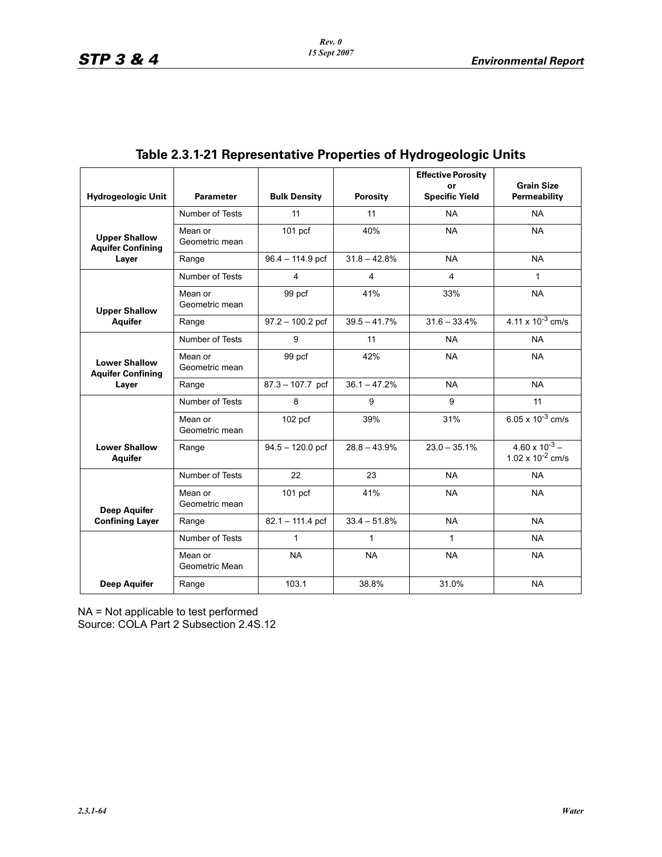| <b>Hydrogeologic Unit</b>                        | <b>Parameter</b>          | <b>Bulk Density</b> | Porosity       | <b>Effective Porosity</b><br>or<br><b>Specific Yield</b> | <b>Grain Size</b><br>Permeability                |
|--------------------------------------------------|---------------------------|---------------------|----------------|----------------------------------------------------------|--------------------------------------------------|
|                                                  |                           |                     |                |                                                          |                                                  |
|                                                  | Number of Tests           | 11                  | 11             | <b>NA</b>                                                | <b>NA</b>                                        |
| <b>Upper Shallow</b><br><b>Aquifer Confining</b> | Mean or<br>Geometric mean | 101 <sub>pcf</sub>  | 40%            | <b>NA</b>                                                | <b>NA</b>                                        |
| Layer                                            | Range                     | $96.4 - 114.9$ pcf  | $31.8 - 42.8%$ | <b>NA</b>                                                | <b>NA</b>                                        |
|                                                  | Number of Tests           | 4                   | 4              | 4                                                        | $\mathbf{1}$                                     |
| <b>Upper Shallow</b>                             | Mean or<br>Geometric mean | 99 pcf              | 41%            | 33%                                                      | <b>NA</b>                                        |
| <b>Aquifer</b>                                   | Range                     | $97.2 - 100.2$ pcf  | $39.5 - 41.7%$ | $31.6 - 33.4%$                                           | 4.11 x $10^{-3}$ cm/s                            |
|                                                  | Number of Tests           | 9                   | 11             | <b>NA</b>                                                | <b>NA</b>                                        |
| <b>Lower Shallow</b><br><b>Aquifer Confining</b> | Mean or<br>Geometric mean | 99 pcf              | 42%            | <b>NA</b>                                                | <b>NA</b>                                        |
| Layer                                            | Range                     | 87.3 - 107.7 pcf    | $36.1 - 47.2%$ | <b>NA</b>                                                | <b>NA</b>                                        |
|                                                  | Number of Tests           | 8                   | 9              | 9                                                        | 11                                               |
|                                                  | Mean or<br>Geometric mean | $102$ pcf           | 39%            | 31%                                                      | 6.05 x $10^{-3}$ cm/s                            |
| <b>Lower Shallow</b><br><b>Aquifer</b>           | Range                     | $94.5 - 120.0$ pcf  | $28.8 - 43.9%$ | $23.0 - 35.1\%$                                          | $4.60 \times 10^{-3} -$<br>1.02 x $10^{-2}$ cm/s |
|                                                  | Number of Tests           | 22                  | 23             | <b>NA</b>                                                | <b>NA</b>                                        |
| <b>Deep Aquifer</b>                              | Mean or<br>Geometric mean | 101 <sub>pcf</sub>  | 41%            | <b>NA</b>                                                | <b>NA</b>                                        |
| <b>Confining Layer</b>                           | Range                     | $82.1 - 111.4$ pcf  | $33.4 - 51.8%$ | <b>NA</b>                                                | <b>NA</b>                                        |
|                                                  | Number of Tests           | 1                   | 1              | $\mathbf{1}$                                             | <b>NA</b>                                        |
|                                                  | Mean or<br>Geometric Mean | NA                  | <b>NA</b>      | <b>NA</b>                                                | <b>NA</b>                                        |
| <b>Deep Aquifer</b>                              | Range                     | 103.1               | 38.8%          | 31.0%                                                    | <b>NA</b>                                        |

# **Table 2.3.1-21 Representative Properties of Hydrogeologic Units**

NA = Not applicable to test performed

Source: COLA Part 2 Subsection 2.4S.12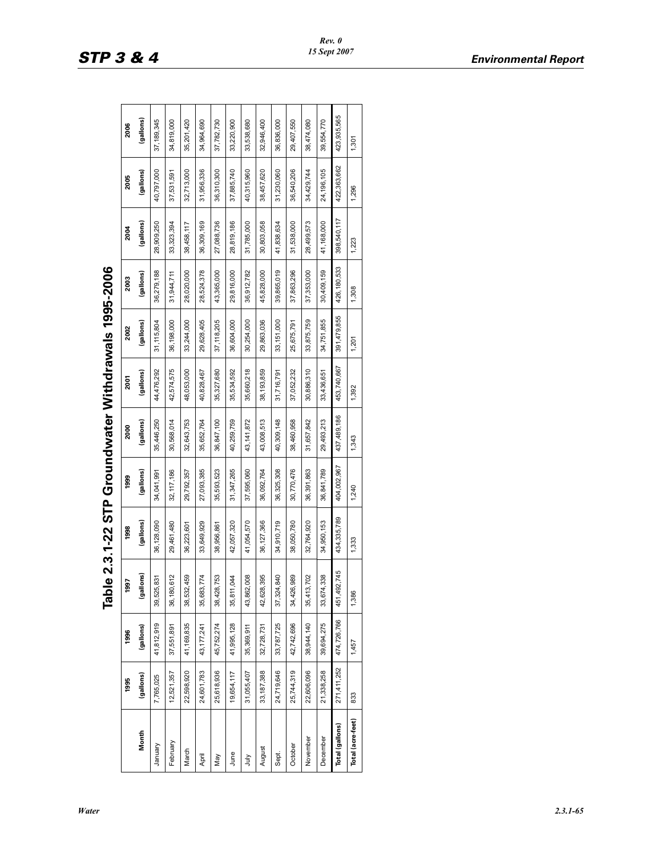|                   |              |             | J<br>ì         | <br>  )<br> <br> <br> <br> <br> <br> |             |             |              |             |               |             |              |             |
|-------------------|--------------|-------------|----------------|--------------------------------------|-------------|-------------|--------------|-------------|---------------|-------------|--------------|-------------|
|                   | 1995         | 1996        | 1997           | 1998                                 | 1999        | 2000        | 2001         | 2002        | 2003          | 2004        | 2005         | 2006        |
| Month             | (gallons)    | (gallons)   | lons)<br>lise) | (gallons)                            | (gallons)   | (gallons)   | (gallons)    | (gallons)   | (gallons)     | (gallons)   | (gallons)    | (gallons)   |
| January           | 7,765,025    | 41,812,919  | 831<br>39,525, | 36,128,090                           | 34,041,991  | 35,446,250  | 44,476,292   | 31,115,804  | 36,279,188    | 28,909,250  | 40,797,000   | 37,189,345  |
| February          | 12,521,357   | 37,551,891  | 612<br>36,180  | 29,461,480                           | 32,117,186  | 30,568,014  | 42,574,575   | 36,198,000  | 31,944,711    | 33,323,394  | 37,531,591   | 34,819,000  |
| March             | 22,598,920   | 41,169,835  | 459<br>38,532  | 36,223,601                           | 29,792,357  | 32,643,753  | 48,053,000   | 33,244,000  | 28,020,000    | 38,458,117  | 32,713,000   | 35,201,420  |
| April             | 24,601,783   | 43,177,241  | 774<br>35,683, | 33,649,929                           | 27,093,385  | 35,652,764  | 40,828,467   | 29,628,405  | 28,524,378    | 36,309,169  | 31,956,336   | 34,964,690  |
| Nay               | 25,618,936   | 45,752,274  | 753<br>38,428, | 38,956,861                           | 35,593,523  | 36,847,100  | 35,327,680   | 37,118,205  | 43,365,000    | 27,088,736  | 36,310,300   | 37,782,730  |
| June              | 19,654,117   | 41,995,128  | 044<br>35,811, | 42,057,320                           | 31,347,265  | 40,259,759  | 35,534,592   | 36,604,000  | 29,816,000    | 28,819,186  | 37,885,740   | 33,220,900  |
| È                 | 31,055,407   | 35,369,911  | 008<br>43,862  | 41,054,570                           | 37,595,060  | 43,141,872  | 35,660,218   | 30,254,000  | 36,912,782    | 31,785,000  | 40,315,960   | 33,538,680  |
| August            | 33, 187, 388 | 32,728,731  | 395<br>42,628  | 36, 127, 366                         | 36,092,764  | 43,008,513  | 38, 193, 859 | 29,863,036  | 45,828,000    | 30,803,058  | 38,457,620   | 32,946,400  |
| Sept.             | 24,719,646   | 33,787,725  | 840<br>37,324  | 34,910,719                           | 36,325,308  | 40,309,148  | 31,716,791   | 33,151,000  | 39,865,019    | 41,838,634  | 31,230,060   | 36,836,000  |
| October           | 25,744,319   | 42,742,696  | 989<br>34,426, | 38,050,780                           | 30,770,476  | 38,460,958  | 37,052,232   | 25,675,791  | 37,863,296    | 31,538,000  | 36,540,206   | 29,407,550  |
| November          | 22,606,096   | 38,944,140  | 702<br>35,413  | 32,764,920                           | 36,391,863  | 31,657,842  | 30,886,310   | 33,875,759  | 37,353,000    | 28,499,573  | 34,429,744   | 38,474,080  |
| December          | 21,338,258   | 39,694,275  | 338<br>33,674, | 34,950,153                           | 36,841,789  | 29,493,213  | 33,436,651   | 34,751,855  | 30,409,159    | 41,168,000  | 24, 196, 105 | 39,554,770  |
| Total (gallons)   | 271,411,252  | 474,726,766 | 451,492,745    | 434,335,789                          | 404,002,967 | 437,489,186 | 453,740,667  | 391,479,855 | 426, 180, 533 | 398,540,117 | 422,363,662  | 423,935,565 |
| Total (acre-feet) | 833          | 1,457       | 1,386          | 1,333                                | 1,240       | 1,343       | 1,392        | 1,201       | 1,308         | 1,223       | 1,296        | 1,301       |
|                   |              |             |                |                                      |             |             |              |             |               |             |              |             |

Table 2.3.1-22 STP Groundwater Withdrawals 1995-2006 **Table 2.3.1-22 STP Groundwater Withdrawals 1995-2006**